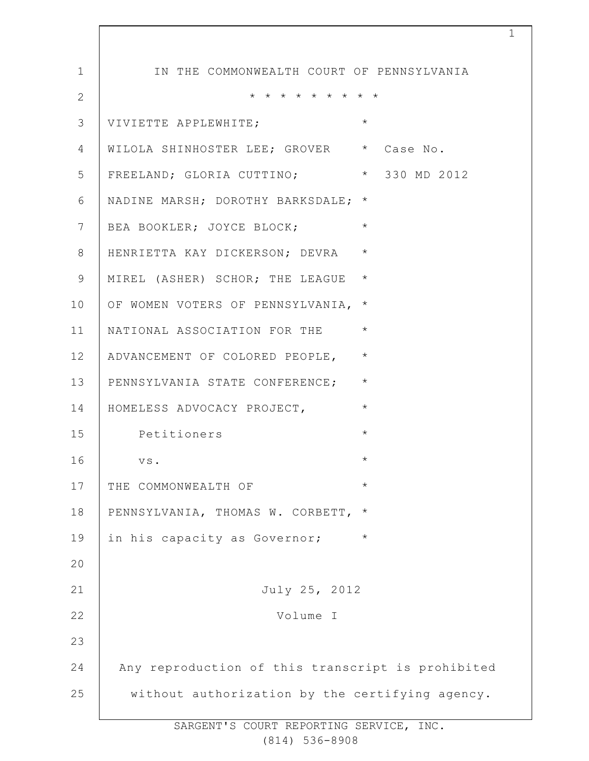| 1            | IN THE COMMONWEALTH COURT OF PENNSYLVANIA         |
|--------------|---------------------------------------------------|
| $\mathbf{2}$ | * * * * * * * * *                                 |
| 3            | $\star$<br>VIVIETTE APPLEWHITE;                   |
| 4            | WILOLA SHINHOSTER LEE; GROVER * Case No.          |
| 5            | FREELAND; GLORIA CUTTINO; * 330 MD 2012           |
| 6            | NADINE MARSH; DOROTHY BARKSDALE; *                |
| 7            | $\star$<br>BEA BOOKLER; JOYCE BLOCK;              |
| 8            | $\star$<br>HENRIETTA KAY DICKERSON; DEVRA         |
| 9            | $\star$<br>MIREL (ASHER) SCHOR; THE LEAGUE        |
| 10           | OF WOMEN VOTERS OF PENNSYLVANIA,<br>$\star$       |
| 11           | $\star$<br>NATIONAL ASSOCIATION FOR THE           |
| 12           | $\star$<br>ADVANCEMENT OF COLORED PEOPLE,         |
| 13           | $\star$<br>PENNSYLVANIA STATE CONFERENCE;         |
| 14           | $\star$<br>HOMELESS ADVOCACY PROJECT,             |
| 15           | $\star$<br>Petitioners                            |
| 16           | $\star$<br>VS.                                    |
| 17           | $^\star$<br>THE COMMONWEALTH OF                   |
| 18           | PENNSYLVANIA, THOMAS W. CORBETT,<br>$\star$       |
| 19           | $\star$<br>in his capacity as Governor;           |
| 20           |                                                   |
| 21           | July 25, 2012                                     |
| 22           | Volume I                                          |
| 23           |                                                   |
| 24           | Any reproduction of this transcript is prohibited |
| 25           | without authorization by the certifying agency.   |
|              |                                                   |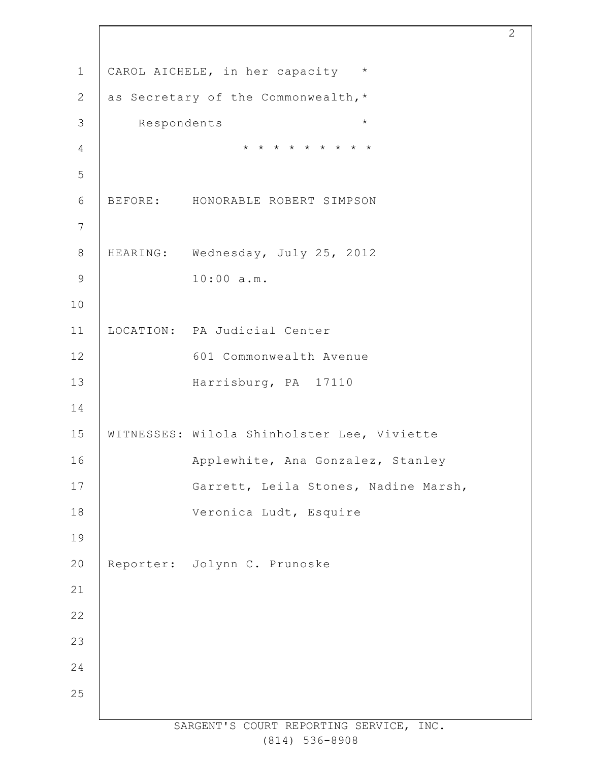CAROL AICHELE, in her capacity \* as Secretary of the Commonwealth,\* Respondents \* \* \* \* \* \* \* \* \* \* BEFORE: HONORABLE ROBERT SIMPSON HEARING: Wednesday, July 25, 2012 10:00 a.m. LOCATION: PA Judicial Center 601 Commonwealth Avenue Harrisburg, PA 17110 WITNESSES: Wilola Shinholster Lee, Viviette Applewhite, Ana Gonzalez, Stanley Garrett, Leila Stones, Nadine Marsh, Veronica Ludt, Esquire Reporter: Jolynn C. Prunoske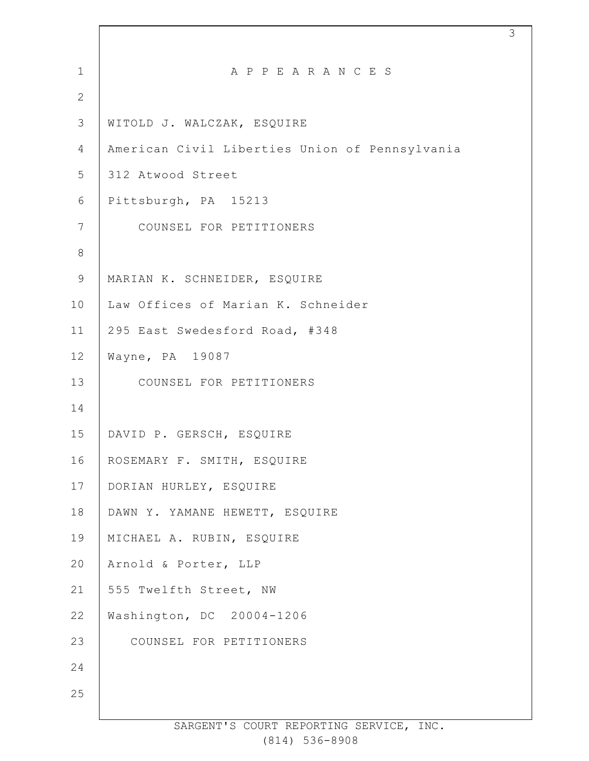| $\mathbf 1$    | A P P E A R A N C E S                          |
|----------------|------------------------------------------------|
| $\overline{2}$ |                                                |
| 3              | WITOLD J. WALCZAK, ESQUIRE                     |
| 4              | American Civil Liberties Union of Pennsylvania |
| 5              | 312 Atwood Street                              |
| 6              | Pittsburgh, PA 15213                           |
| $7\phantom{.}$ | COUNSEL FOR PETITIONERS                        |
| $8\,$          |                                                |
| $\mathsf 9$    | MARIAN K. SCHNEIDER, ESQUIRE                   |
| 10             | Law Offices of Marian K. Schneider             |
| 11             | 295 East Swedesford Road, #348                 |
| 12             | Wayne, PA 19087                                |
| 13             | COUNSEL FOR PETITIONERS                        |
| 14             |                                                |
| 15             | DAVID P. GERSCH, ESQUIRE                       |
| 16             | ROSEMARY F. SMITH, ESQUIRE                     |
| 17             | DORIAN HURLEY, ESQUIRE                         |
| 18             | DAWN Y. YAMANE HEWETT, ESQUIRE                 |
| 19             | MICHAEL A. RUBIN, ESQUIRE                      |
| 20             | Arnold & Porter, LLP                           |
| 21             | 555 Twelfth Street, NW                         |
| 22             | Washington, DC 20004-1206                      |
| 23             | COUNSEL FOR PETITIONERS                        |
| 24             |                                                |
| 25             |                                                |
|                |                                                |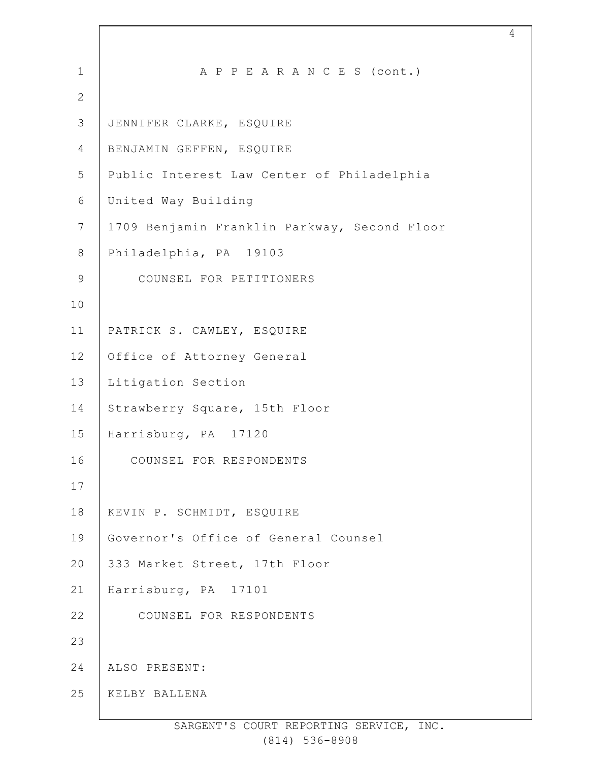| $\mathbf 1$    | A P P E A R A N C E S (cont.)                |
|----------------|----------------------------------------------|
| 2              |                                              |
| $\mathfrak{Z}$ | JENNIFER CLARKE, ESQUIRE                     |
| 4              | BENJAMIN GEFFEN, ESQUIRE                     |
| 5              | Public Interest Law Center of Philadelphia   |
| 6              | United Way Building                          |
| $7\phantom{.}$ | 1709 Benjamin Franklin Parkway, Second Floor |
| $8\,$          | Philadelphia, PA 19103                       |
| $\mathsf 9$    | COUNSEL FOR PETITIONERS                      |
| 10             |                                              |
| 11             | PATRICK S. CAWLEY, ESQUIRE                   |
| 12             | Office of Attorney General                   |
| 13             | Litigation Section                           |
| 14             | Strawberry Square, 15th Floor                |
| 15             | Harrisburg, PA 17120                         |
| 16             | COUNSEL FOR RESPONDENTS                      |
| 17             |                                              |
| 18             | KEVIN P. SCHMIDT, ESQUIRE                    |
| 19             | Governor's Office of General Counsel         |
| 20             | 333 Market Street, 17th Floor                |
| 21             | Harrisburg, PA 17101                         |
| 22             | COUNSEL FOR RESPONDENTS                      |
| 23             |                                              |
| 24             | ALSO PRESENT:                                |
| 25             | KELBY BALLENA                                |
|                |                                              |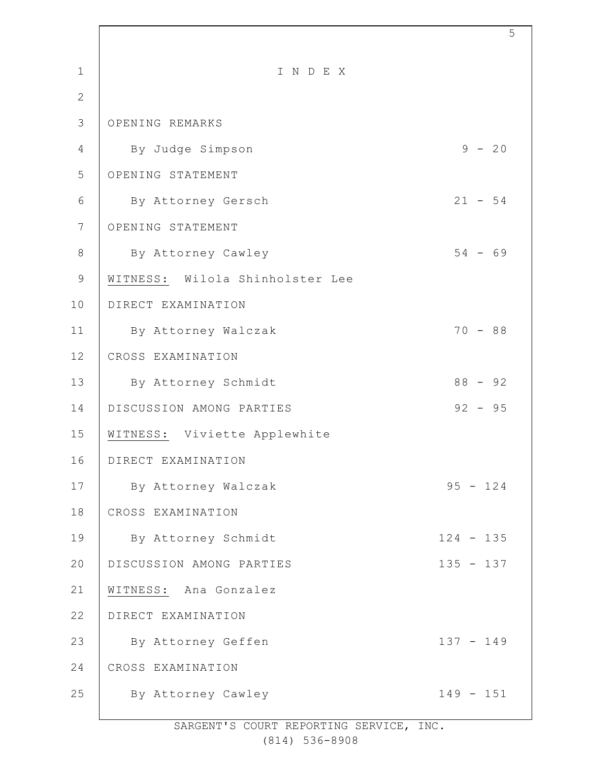| $\mathbf{1}$   | INDEX                           |             |
|----------------|---------------------------------|-------------|
| $\overline{2}$ |                                 |             |
| 3              | OPENING REMARKS                 |             |
| $\overline{4}$ | By Judge Simpson                | $9 - 20$    |
| 5              | OPENING STATEMENT               |             |
| 6              | By Attorney Gersch              | $21 - 54$   |
| 7              | OPENING STATEMENT               |             |
| 8              | By Attorney Cawley              | $54 - 69$   |
| 9              | WITNESS: Wilola Shinholster Lee |             |
| 10             | DIRECT EXAMINATION              |             |
| 11             | By Attorney Walczak             | $70 - 88$   |
| 12             | CROSS EXAMINATION               |             |
| 13             | By Attorney Schmidt             | $88 - 92$   |
| 14             | DISCUSSION AMONG PARTIES        | $92 - 95$   |
| 15             | WITNESS: Viviette Applewhite    |             |
| 16             | DIRECT EXAMINATION              |             |
| 17             | By Attorney Walczak             | $95 - 124$  |
| 18             | CROSS EXAMINATION               |             |
| 19             | By Attorney Schmidt             | $124 - 135$ |
| 20             | DISCUSSION AMONG PARTIES        | $135 - 137$ |
| 21             | WITNESS: Ana Gonzalez           |             |
| 22             | DIRECT EXAMINATION              |             |
| 23             | By Attorney Geffen              | $137 - 149$ |
| 24             | CROSS EXAMINATION               |             |
| 25             | By Attorney Cawley              | $149 - 151$ |
|                |                                 |             |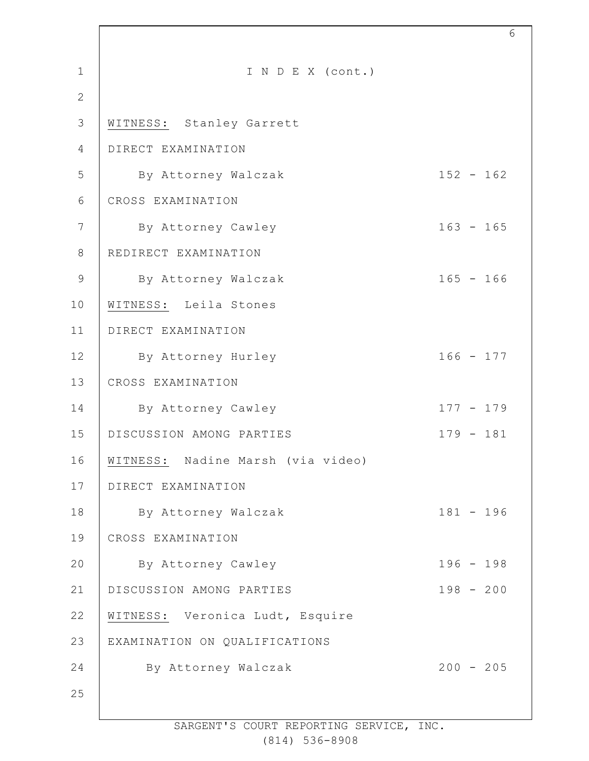| $\mathbf{1}$   | I N D E X (cont.)                 |             |
|----------------|-----------------------------------|-------------|
| $\mathbf{2}$   |                                   |             |
| 3              | WITNESS: Stanley Garrett          |             |
| 4              | DIRECT EXAMINATION                |             |
| 5              | By Attorney Walczak               | $152 - 162$ |
| 6              | CROSS EXAMINATION                 |             |
| 7              | By Attorney Cawley                | $163 - 165$ |
| 8              | REDIRECT EXAMINATION              |             |
| $\overline{9}$ | By Attorney Walczak               | $165 - 166$ |
| 10             | WITNESS: Leila Stones             |             |
| 11             | DIRECT EXAMINATION                |             |
| 12             | By Attorney Hurley                | $166 - 177$ |
| 13             | CROSS EXAMINATION                 |             |
| 14             | By Attorney Cawley                | $177 - 179$ |
| 15             | DISCUSSION AMONG PARTIES          | $179 - 181$ |
| 16             | WITNESS: Nadine Marsh (via video) |             |
| 17             | DIRECT EXAMINATION                |             |
| 18             | By Attorney Walczak               | $181 - 196$ |
| 19             | CROSS EXAMINATION                 |             |
| 20             | By Attorney Cawley                | $196 - 198$ |
| 21             | DISCUSSION AMONG PARTIES          | $198 - 200$ |
| 22             | WITNESS: Veronica Ludt, Esquire   |             |
| 23             | EXAMINATION ON QUALIFICATIONS     |             |
| 24             | By Attorney Walczak               | $200 - 205$ |
| 25             |                                   |             |
|                |                                   |             |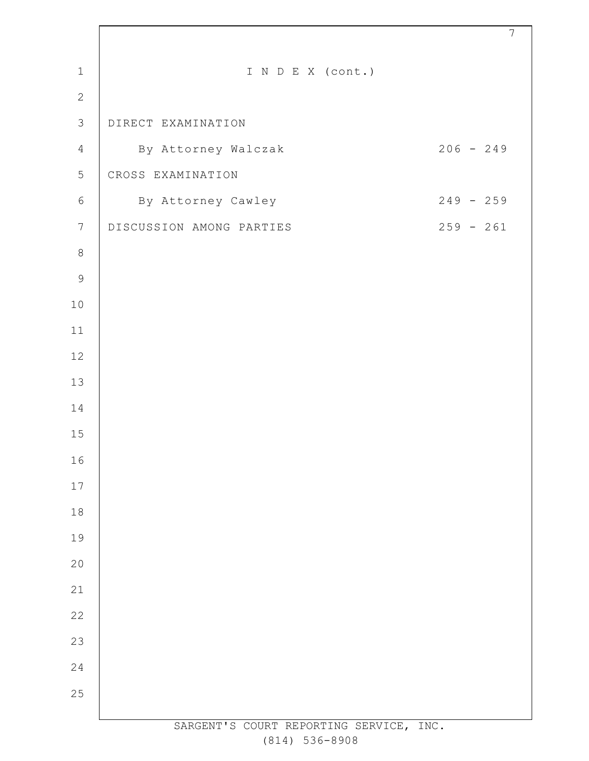| $\mathbf{1}$   | I N D E X (cont.)                       |
|----------------|-----------------------------------------|
| $\mathbf{2}$   |                                         |
| $\mathfrak{Z}$ | DIRECT EXAMINATION                      |
| $\overline{4}$ | $206 - 249$<br>By Attorney Walczak      |
| 5              | CROSS EXAMINATION                       |
| $\epsilon$     | $249 - 259$<br>By Attorney Cawley       |
| $\overline{7}$ | $259 - 261$<br>DISCUSSION AMONG PARTIES |
| $\,8\,$        |                                         |
| $\mathcal{G}$  |                                         |
| 10             |                                         |
| 11             |                                         |
| 12             |                                         |
| 13             |                                         |
| 14             |                                         |
| 15             |                                         |
| 16             |                                         |
| 17             |                                         |
| 18             |                                         |
| 19             |                                         |
| 20             |                                         |
| 21             |                                         |
| 22             |                                         |
| 23             |                                         |
| 24             |                                         |
| 25             |                                         |
|                | SARGENT'S COURT REPORTING SERVICE, INC. |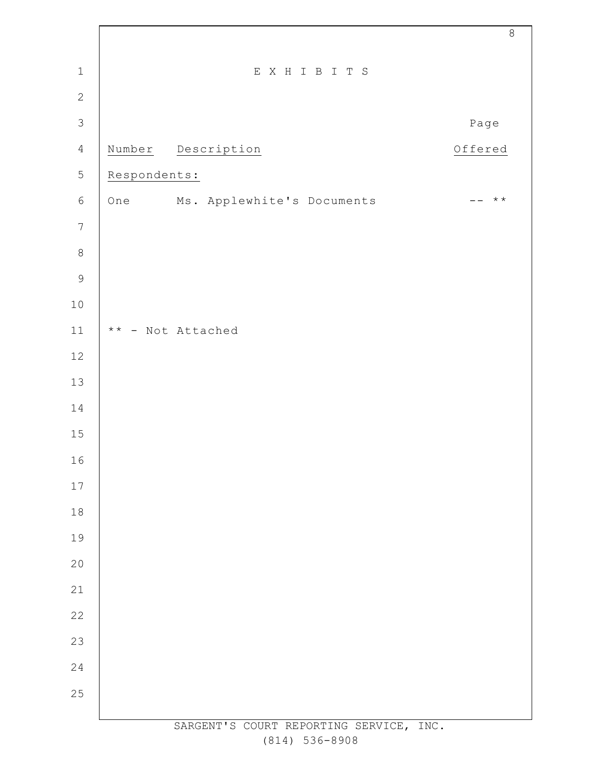|                  |              |                                         | $\,8\,$                |
|------------------|--------------|-----------------------------------------|------------------------|
| $\mathbf 1$      |              | EXHIBITS                                |                        |
| $\mathbf{2}$     |              |                                         |                        |
| $\mathcal{S}$    |              |                                         | Page                   |
| $\overline{4}$   |              | Number Description                      | Offered                |
| 5                | Respondents: |                                         |                        |
| $\epsilon$       | One          | Ms. Applewhite's Documents              | $\star \star$<br>$- -$ |
| $\boldsymbol{7}$ |              |                                         |                        |
| $\,8\,$          |              |                                         |                        |
| $\mathsf 9$      |              |                                         |                        |
| $10$             |              |                                         |                        |
| $11\,$           |              | ** - Not Attached                       |                        |
| 12               |              |                                         |                        |
| $13$             |              |                                         |                        |
| 14               |              |                                         |                        |
| $15\,$           |              |                                         |                        |
| 16               |              |                                         |                        |
| $17\,$           |              |                                         |                        |
| 18               |              |                                         |                        |
| 19               |              |                                         |                        |
| 20               |              |                                         |                        |
| 21               |              |                                         |                        |
| 22               |              |                                         |                        |
| 23               |              |                                         |                        |
| 24               |              |                                         |                        |
| 25               |              |                                         |                        |
|                  |              | SARGENT'S COURT REPORTING SERVICE, INC. |                        |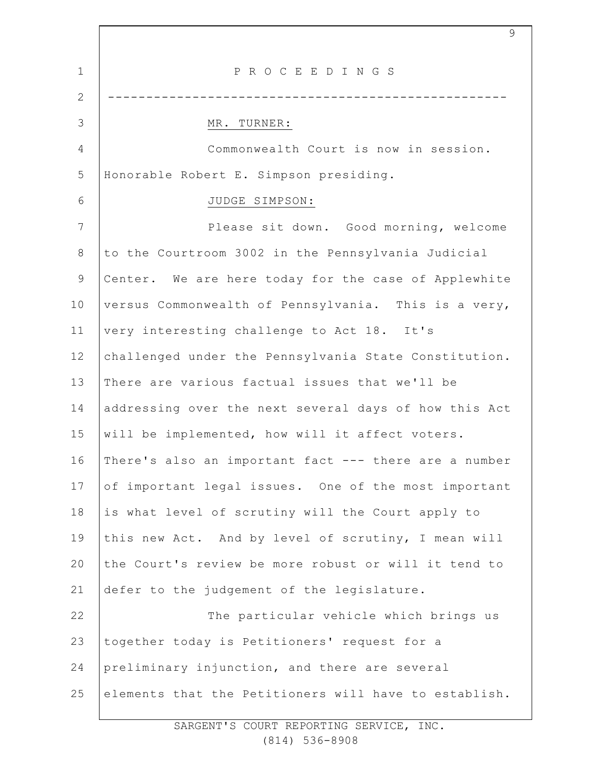1 2 3 4 5 6 7 8 9 10 11 12 13 14 15 16 17 18 19 20 21 22 23 24 25 P R O C E E D I N G S ---------------------------------------------------- MR. TURNER: Commonwealth Court is now in session. Honorable Robert E. Simpson presiding. JUDGE SIMPSON: Please sit down. Good morning, welcome to the Courtroom 3002 in the Pennsylvania Judicial Center. We are here today for the case of Applewhite versus Commonwealth of Pennsylvania. This is a very, very interesting challenge to Act 18. It's challenged under the Pennsylvania State Constitution. There are various factual issues that we'll be addressing over the next several days of how this Act will be implemented, how will it affect voters. There's also an important fact --- there are a number of important legal issues. One of the most important is what level of scrutiny will the Court apply to this new Act. And by level of scrutiny, I mean will the Court's review be more robust or will it tend to defer to the judgement of the legislature. The particular vehicle which brings us together today is Petitioners' request for a preliminary injunction, and there are several elements that the Petitioners will have to establish.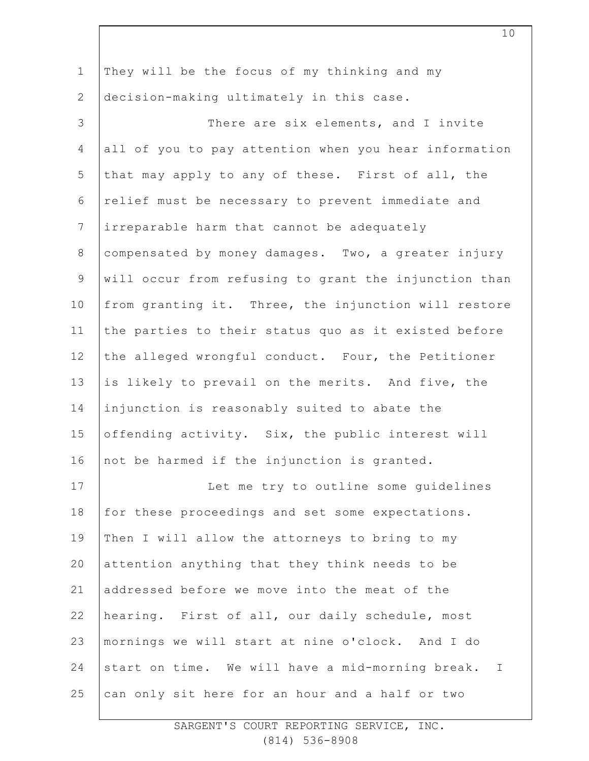| $\mathbf 1$    | They will be the focus of my thinking and my                     |
|----------------|------------------------------------------------------------------|
| $\mathbf{2}$   | decision-making ultimately in this case.                         |
| 3              | There are six elements, and I invite                             |
| 4              | all of you to pay attention when you hear information            |
| 5              | that may apply to any of these. First of all, the                |
| 6              | relief must be necessary to prevent immediate and                |
| $7\phantom{.}$ | irreparable harm that cannot be adequately                       |
| $8\,$          | compensated by money damages. Two, a greater injury              |
| $\mathsf 9$    | will occur from refusing to grant the injunction than            |
| 10             | from granting it. Three, the injunction will restore             |
| 11             | the parties to their status quo as it existed before             |
| 12             | the alleged wrongful conduct. Four, the Petitioner               |
| 13             | is likely to prevail on the merits. And five, the                |
| 14             | injunction is reasonably suited to abate the                     |
| 15             | offending activity. Six, the public interest will                |
| 16             | not be harmed if the injunction is granted.                      |
| 17             | Let me try to outline some quidelines                            |
| 18             | for these proceedings and set some expectations.                 |
| 19             | Then I will allow the attorneys to bring to my                   |
| 20             | attention anything that they think needs to be                   |
| 21             | addressed before we move into the meat of the                    |
| 22             | hearing. First of all, our daily schedule, most                  |
| 23             | mornings we will start at nine o'clock. And I do                 |
| 24             | start on time. We will have a mid-morning break.<br>$\mathbb{I}$ |
| 25             | can only sit here for an hour and a half or two                  |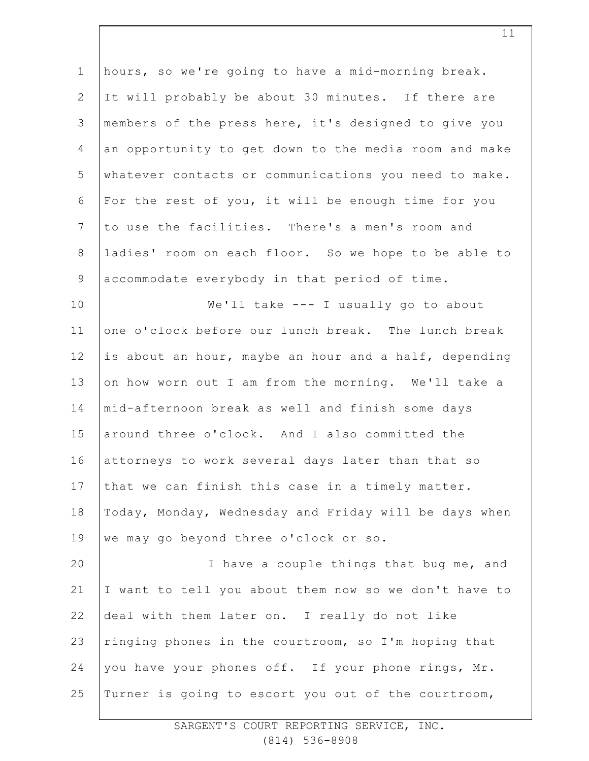| $\mathbf 1$    | hours, so we're going to have a mid-morning break.    |
|----------------|-------------------------------------------------------|
| $\mathbf{2}$   | It will probably be about 30 minutes. If there are    |
| 3              | members of the press here, it's designed to give you  |
|                |                                                       |
| 4              | an opportunity to get down to the media room and make |
| 5              | whatever contacts or communications you need to make. |
| 6              | For the rest of you, it will be enough time for you   |
| $\overline{7}$ | to use the facilities. There's a men's room and       |
| $\,8\,$        | ladies' room on each floor. So we hope to be able to  |
| $\mathsf 9$    | accommodate everybody in that period of time.         |
| 10             | We'll take --- I usually go to about                  |
| 11             | one o'clock before our lunch break. The lunch break   |
| 12             | is about an hour, maybe an hour and a half, depending |
| 13             | on how worn out I am from the morning. We'll take a   |
| 14             | mid-afternoon break as well and finish some days      |
| 15             | around three o'clock. And I also committed the        |
| 16             | attorneys to work several days later than that so     |
| 17             | that we can finish this case in a timely matter.      |
| 18             | Today, Monday, Wednesday and Friday will be days when |
| 19             | we may go beyond three o'clock or so.                 |
| 20             | I have a couple things that bug me, and               |
| 21             | I want to tell you about them now so we don't have to |
| 22             | deal with them later on. I really do not like         |
| 23             | ringing phones in the courtroom, so I'm hoping that   |
| 24             | you have your phones off. If your phone rings, Mr.    |
| 25             | Turner is going to escort you out of the courtroom,   |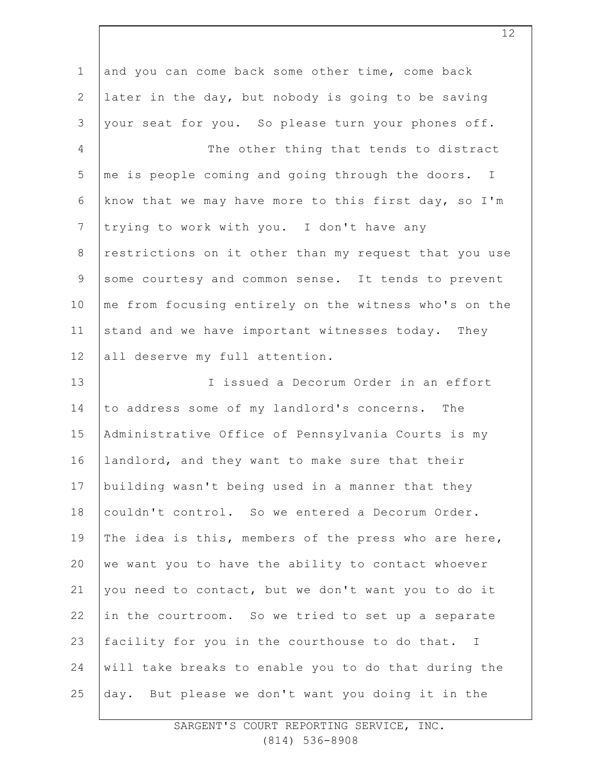| $\mathbf 1$    | and you can come back some other time, come back      |
|----------------|-------------------------------------------------------|
| $\mathbf{2}$   | later in the day, but nobody is going to be saving    |
| 3              | your seat for you. So please turn your phones off.    |
| 4              | The other thing that tends to distract                |
| 5              | me is people coming and going through the doors. I    |
| 6              | know that we may have more to this first day, so I'm  |
| $\overline{7}$ | trying to work with you. I don't have any             |
| $8\,$          | restrictions on it other than my request that you use |
| $\mathsf 9$    | some courtesy and common sense. It tends to prevent   |
| 10             | me from focusing entirely on the witness who's on the |
| 11             | stand and we have important witnesses today. They     |
| 12             | all deserve my full attention.                        |
| 13             | I issued a Decorum Order in an effort                 |
| 14             | to address some of my landlord's concerns. The        |
| 15             | Administrative Office of Pennsylvania Courts is my    |
| 16             | landlord, and they want to make sure that their       |
| 17             | building wasn't being used in a manner that they      |
| 18             | couldn't control. So we entered a Decorum Order.      |
| 19             | The idea is this, members of the press who are here,  |
| 20             | we want you to have the ability to contact whoever    |
| 21             | you need to contact, but we don't want you to do it   |
| 22             | in the courtroom. So we tried to set up a separate    |
| 23             | facility for you in the courthouse to do that. I      |
| 24             | will take breaks to enable you to do that during the  |
| 25             | day. But please we don't want you doing it in the     |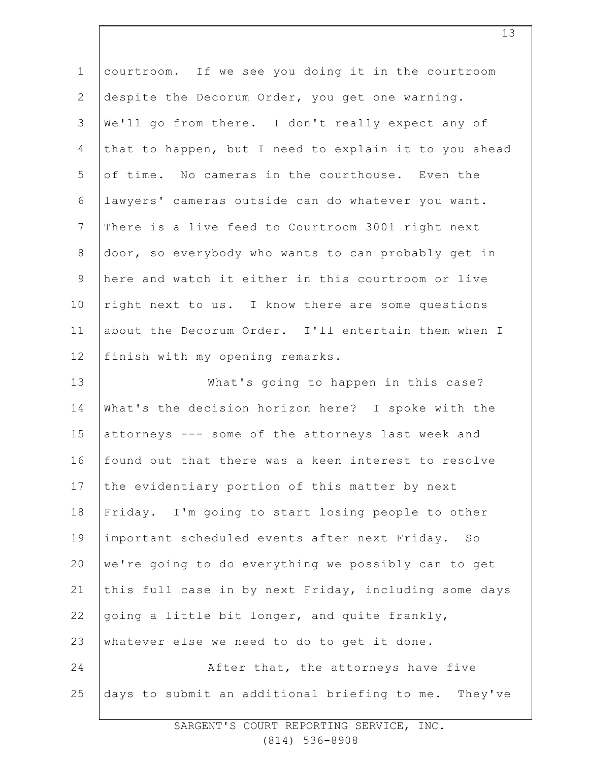| $\mathbf 1$    | courtroom. If we see you doing it in the courtroom    |
|----------------|-------------------------------------------------------|
| $\mathbf{2}$   | despite the Decorum Order, you get one warning.       |
| 3              | We'll go from there. I don't really expect any of     |
| 4              | that to happen, but I need to explain it to you ahead |
| 5              | of time. No cameras in the courthouse. Even the       |
| 6              | lawyers' cameras outside can do whatever you want.    |
| $\overline{7}$ | There is a live feed to Courtroom 3001 right next     |
| $8\,$          | door, so everybody who wants to can probably get in   |
| $\mathsf 9$    | here and watch it either in this courtroom or live    |
| 10             | right next to us. I know there are some questions     |
| 11             | about the Decorum Order. I'll entertain them when I   |
| 12             | finish with my opening remarks.                       |
| 13             | What's going to happen in this case?                  |
| 14             | What's the decision horizon here? I spoke with the    |
| 15             | attorneys --- some of the attorneys last week and     |
| 16             | found out that there was a keen interest to resolve   |
| 17             | the evidentiary portion of this matter by next        |
| 18             | Friday. I'm going to start losing people to other     |
| 19             | important scheduled events after next Friday. So      |
| 20             | we're going to do everything we possibly can to get   |
| 21             | this full case in by next Friday, including some days |
| 22             | going a little bit longer, and quite frankly,         |
| 23             | whatever else we need to do to get it done.           |
| 24             | After that, the attorneys have five                   |
| 25             | days to submit an additional briefing to me. They've  |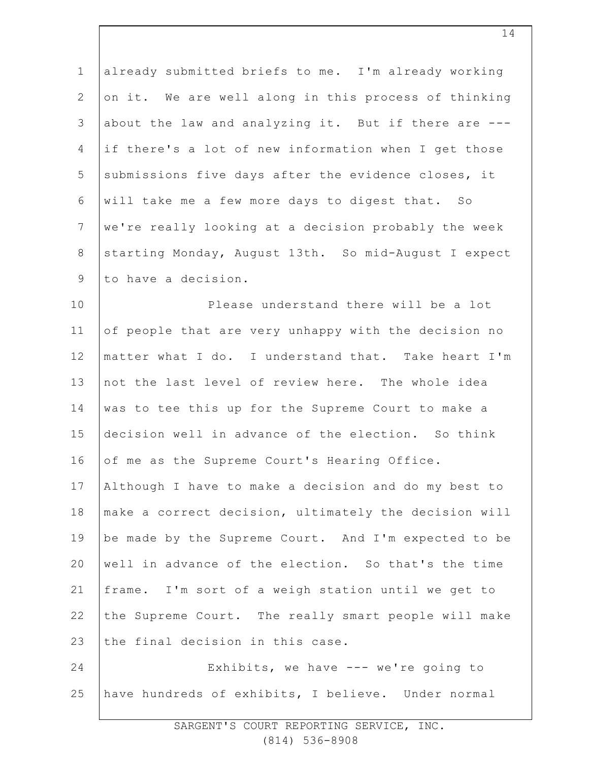1 2 3 4 5 6 7 8 9 already submitted briefs to me. I'm already working on it. We are well along in this process of thinking about the law and analyzing it. But if there are -- if there's a lot of new information when I get those submissions five days after the evidence closes, it will take me a few more days to digest that. So we're really looking at a decision probably the week starting Monday, August 13th. So mid-August I expect to have a decision.

10 11 12 13 14 15 16 17 18 19 20 21 22 Please understand there will be a lot of people that are very unhappy with the decision no matter what I do. I understand that. Take heart I'm not the last level of review here. The whole idea was to tee this up for the Supreme Court to make a decision well in advance of the election. So think of me as the Supreme Court's Hearing Office. Although I have to make a decision and do my best to make a correct decision, ultimately the decision will be made by the Supreme Court. And I'm expected to be well in advance of the election. So that's the time frame. I'm sort of a weigh station until we get to the Supreme Court. The really smart people will make

23 the final decision in this case.

24 25 Exhibits, we have --- we're going to have hundreds of exhibits, I believe. Under normal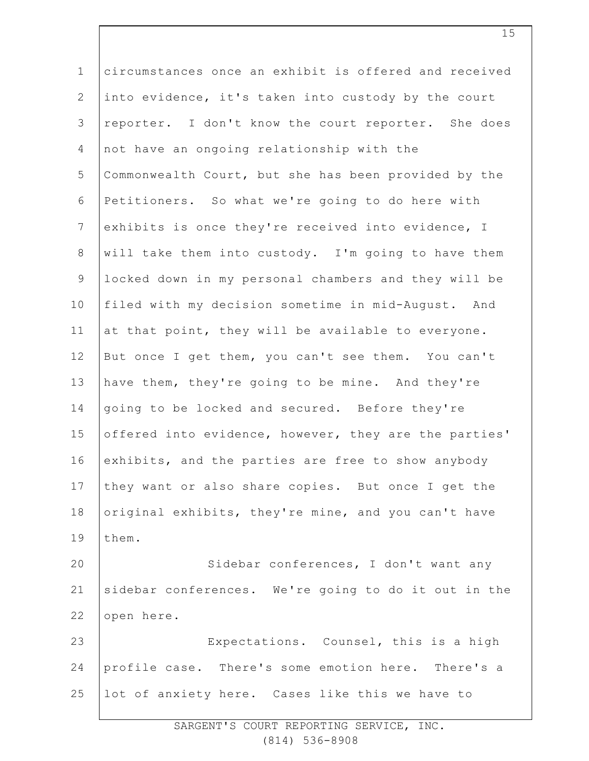1 2 3 4 5 6 7 8 9 10 11 12 13 14 15 16 17 18 19 20 21 22 23 24 25 circumstances once an exhibit is offered and received into evidence, it's taken into custody by the court reporter. I don't know the court reporter. She does not have an ongoing relationship with the Commonwealth Court, but she has been provided by the Petitioners. So what we're going to do here with exhibits is once they're received into evidence, I will take them into custody. I'm going to have them locked down in my personal chambers and they will be filed with my decision sometime in mid-August. And at that point, they will be available to everyone. But once I get them, you can't see them. You can't have them, they're going to be mine. And they're going to be locked and secured. Before they're offered into evidence, however, they are the parties' exhibits, and the parties are free to show anybody they want or also share copies. But once I get the original exhibits, they're mine, and you can't have them. Sidebar conferences, I don't want any sidebar conferences. We're going to do it out in the open here. Expectations. Counsel, this is a high profile case. There's some emotion here. There's a lot of anxiety here. Cases like this we have to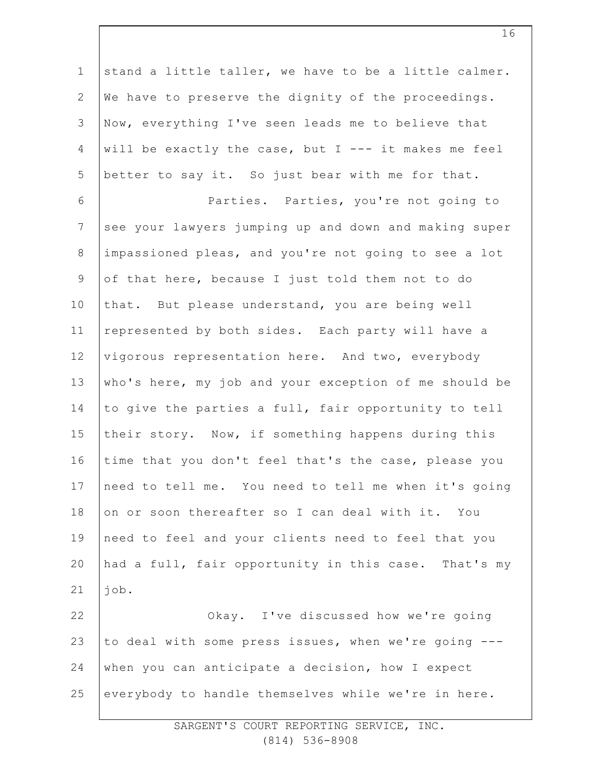1 2 3 4 5 6 7 8 9 10 11 12 13 14 15 16 17 18 19 20 21 22 23 24 25 stand a little taller, we have to be a little calmer. We have to preserve the dignity of the proceedings. Now, everything I've seen leads me to believe that will be exactly the case, but  $I$  --- it makes me feel better to say it. So just bear with me for that. Parties. Parties, you're not going to see your lawyers jumping up and down and making super impassioned pleas, and you're not going to see a lot of that here, because I just told them not to do that. But please understand, you are being well represented by both sides. Each party will have a vigorous representation here. And two, everybody who's here, my job and your exception of me should be to give the parties a full, fair opportunity to tell their story. Now, if something happens during this time that you don't feel that's the case, please you need to tell me. You need to tell me when it's going on or soon thereafter so I can deal with it. You need to feel and your clients need to feel that you had a full, fair opportunity in this case. That's my job. Okay. I've discussed how we're going to deal with some press issues, when we're going -- when you can anticipate a decision, how I expect everybody to handle themselves while we're in here.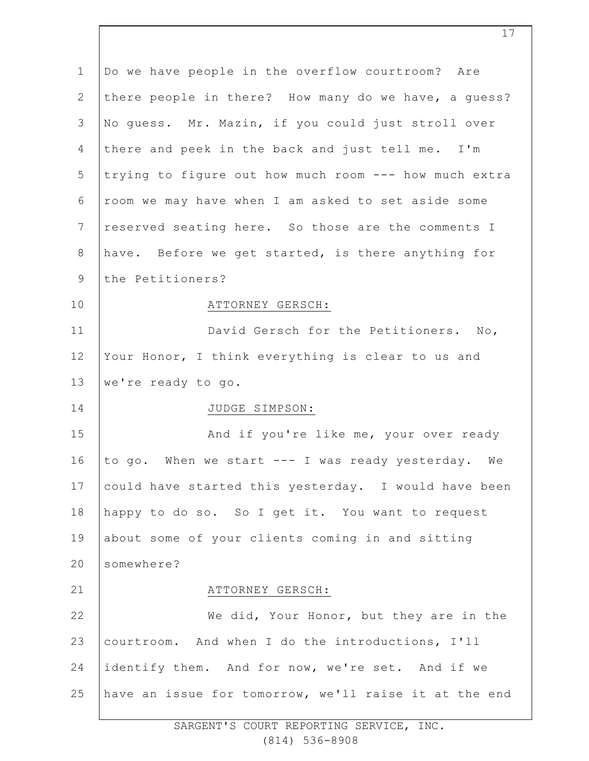| $\mathbf 1$    | Do we have people in the overflow courtroom? Are      |
|----------------|-------------------------------------------------------|
| $\mathbf{2}$   | there people in there? How many do we have, a guess?  |
| 3              | No guess. Mr. Mazin, if you could just stroll over    |
| $\overline{4}$ | there and peek in the back and just tell me. I'm      |
| 5              | trying to figure out how much room --- how much extra |
| 6              | room we may have when I am asked to set aside some    |
| 7              | reserved seating here. So those are the comments I    |
| 8              | have. Before we get started, is there anything for    |
| $\mathsf 9$    | the Petitioners?                                      |
| 10             | ATTORNEY GERSCH:                                      |
| 11             | David Gersch for the Petitioners. No,                 |
| 12             | Your Honor, I think everything is clear to us and     |
| 13             | we're ready to go.                                    |
| 14             | JUDGE SIMPSON:                                        |
| 15             | And if you're like me, your over ready                |
| 16             | to go. When we start --- I was ready yesterday. We    |
| 17             | could have started this yesterday. I would have been  |
| 18             | happy to do so. So I get it. You want to request      |
| 19             | about some of your clients coming in and sitting      |
| 20             | somewhere?                                            |
| 21             | ATTORNEY GERSCH:                                      |
| 22             | We did, Your Honor, but they are in the               |
| 23             | courtroom. And when I do the introductions, I'll      |
| 24             | identify them. And for now, we're set. And if we      |
| 25             | have an issue for tomorrow, we'll raise it at the end |
|                |                                                       |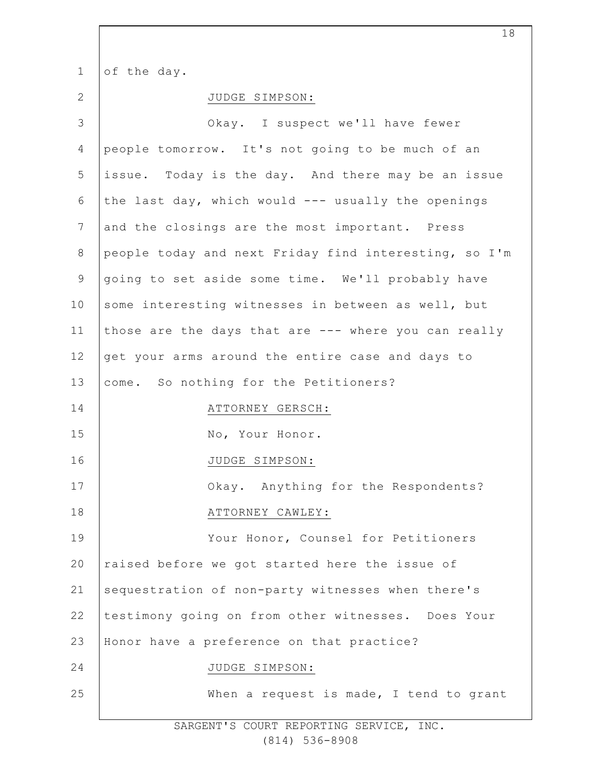1 of the day.

2

|--|

| 3               | Okay. I suspect we'll have fewer                      |
|-----------------|-------------------------------------------------------|
| 4               | people tomorrow. It's not going to be much of an      |
| 5               | issue. Today is the day. And there may be an issue    |
| 6               | the last day, which would --- usually the openings    |
| $7\phantom{.0}$ | and the closings are the most important. Press        |
| $8\,$           | people today and next Friday find interesting, so I'm |
| $\mathsf 9$     | going to set aside some time. We'll probably have     |
| 10              | some interesting witnesses in between as well, but    |
| 11              | those are the days that are --- where you can really  |
| 12              | get your arms around the entire case and days to      |
| 13              | come. So nothing for the Petitioners?                 |
| 14              | ATTORNEY GERSCH:                                      |
| 15              | No, Your Honor.                                       |
| 16              | JUDGE SIMPSON:                                        |
| 17              | Okay. Anything for the Respondents?                   |
| 18              | ATTORNEY CAWLEY:                                      |
| 19              | Your Honor, Counsel for Petitioners                   |
| 20              | raised before we got started here the issue of        |
| 21              | sequestration of non-party witnesses when there's     |
| 22              | testimony going on from other witnesses. Does Your    |
| 23              | Honor have a preference on that practice?             |
| 24              | JUDGE SIMPSON:                                        |
| 25              | When a request is made, I tend to grant               |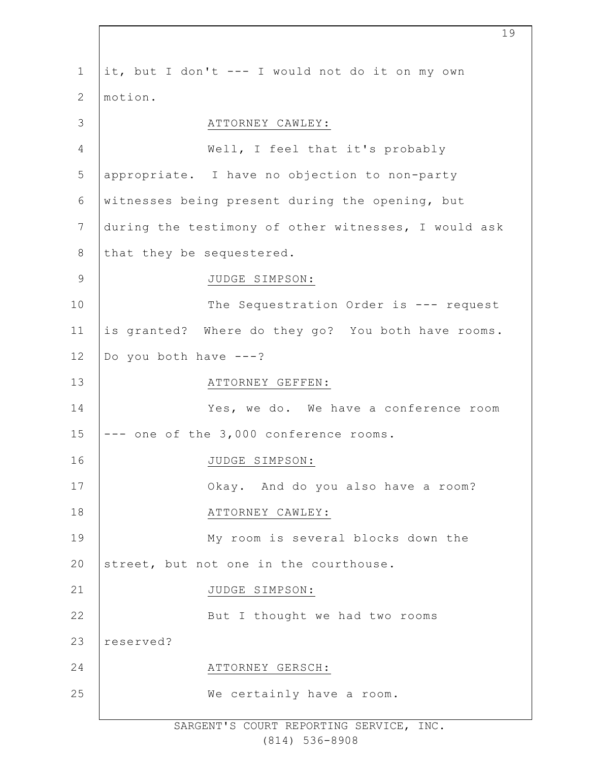| $\mathbf 1$ | it, but I don't --- I would not do it on my own      |
|-------------|------------------------------------------------------|
| 2           | motion.                                              |
| 3           | ATTORNEY CAWLEY:                                     |
| 4           | Well, I feel that it's probably                      |
| 5           | appropriate. I have no objection to non-party        |
| 6           | witnesses being present during the opening, but      |
| 7           | during the testimony of other witnesses, I would ask |
| 8           | that they be sequestered.                            |
| 9           | JUDGE SIMPSON:                                       |
| 10          | The Sequestration Order is --- request               |
| 11          | is granted? Where do they go? You both have rooms.   |
| 12          | Do you both have $---?$                              |
| 13          | ATTORNEY GEFFEN:                                     |
| 14          | Yes, we do. We have a conference room                |
| 15          | -- one of the 3,000 conference rooms.                |
| 16          | JUDGE SIMPSON:                                       |
| 17          | Okay. And do you also have a room?                   |
| 18          | ATTORNEY CAWLEY:                                     |
| 19          | My room is several blocks down the                   |
| 20          | street, but not one in the courthouse.               |
| 21          | JUDGE SIMPSON:                                       |
| 22          | But I thought we had two rooms                       |
| 23          | reserved?                                            |
| 24          | ATTORNEY GERSCH:                                     |
| 25          | We certainly have a room.                            |
|             |                                                      |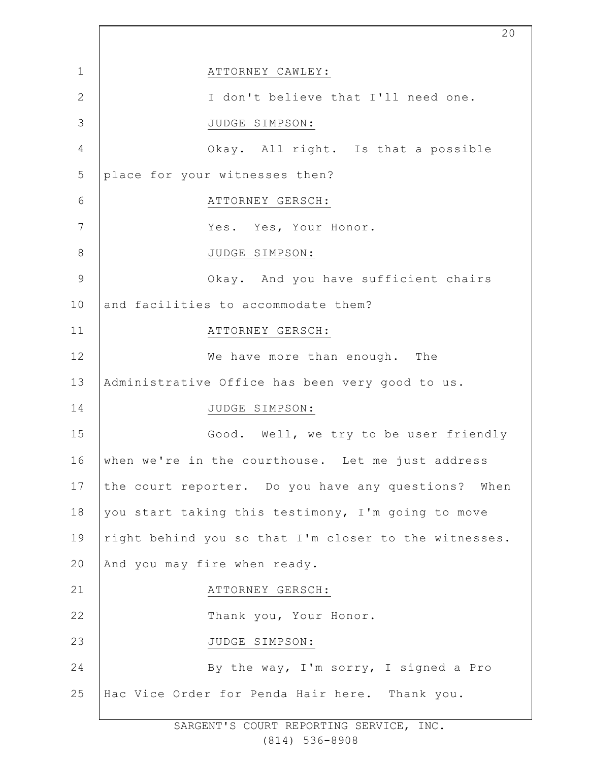1 2 3 4 5 6 7 8 9 10 11 12 13 14 15 16 17 18 19 20 21 22 23 24 25 ATTORNEY CAWLEY: I don't believe that I'll need one. JUDGE SIMPSON: Okay. All right. Is that a possible place for your witnesses then? ATTORNEY GERSCH: Yes. Yes, Your Honor. JUDGE SIMPSON: Okay. And you have sufficient chairs and facilities to accommodate them? ATTORNEY GERSCH: We have more than enough. The Administrative Office has been very good to us. JUDGE SIMPSON: Good. Well, we try to be user friendly when we're in the courthouse. Let me just address the court reporter. Do you have any questions? When you start taking this testimony, I'm going to move right behind you so that I'm closer to the witnesses. And you may fire when ready. ATTORNEY GERSCH: Thank you, Your Honor. JUDGE SIMPSON: By the way, I'm sorry, I signed a Pro Hac Vice Order for Penda Hair here. Thank you.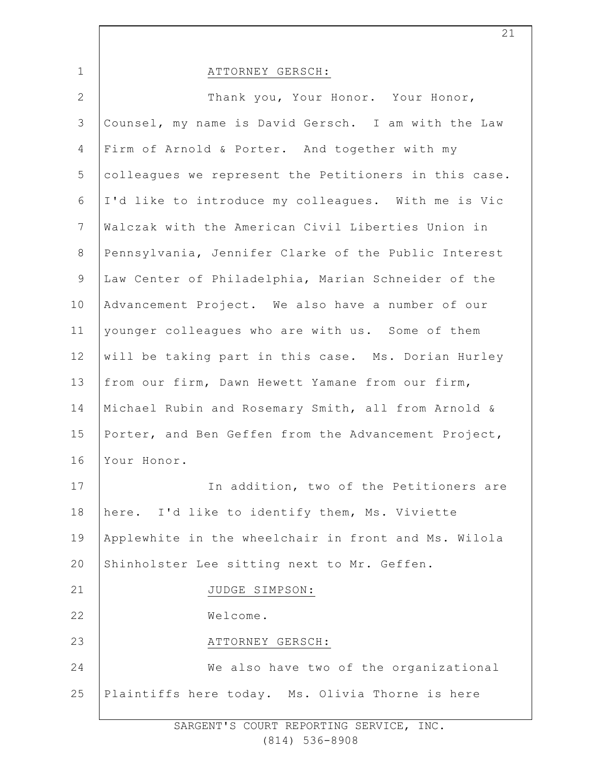1 2 3 4 5 6 7 8 9 10 11 12 13 14 15 16 17 18 19 20 21 22 23 24 25 ATTORNEY GERSCH: Thank you, Your Honor. Your Honor, Counsel, my name is David Gersch. I am with the Law Firm of Arnold & Porter. And together with my colleagues we represent the Petitioners in this case. I'd like to introduce my colleagues. With me is Vic Walczak with the American Civil Liberties Union in Pennsylvania, Jennifer Clarke of the Public Interest Law Center of Philadelphia, Marian Schneider of the Advancement Project. We also have a number of our younger colleagues who are with us. Some of them will be taking part in this case. Ms. Dorian Hurley from our firm, Dawn Hewett Yamane from our firm, Michael Rubin and Rosemary Smith, all from Arnold & Porter, and Ben Geffen from the Advancement Project, Your Honor. In addition, two of the Petitioners are here. I'd like to identify them, Ms. Viviette Applewhite in the wheelchair in front and Ms. Wilola Shinholster Lee sitting next to Mr. Geffen. JUDGE SIMPSON: Welcome. ATTORNEY GERSCH: We also have two of the organizational Plaintiffs here today. Ms. Olivia Thorne is here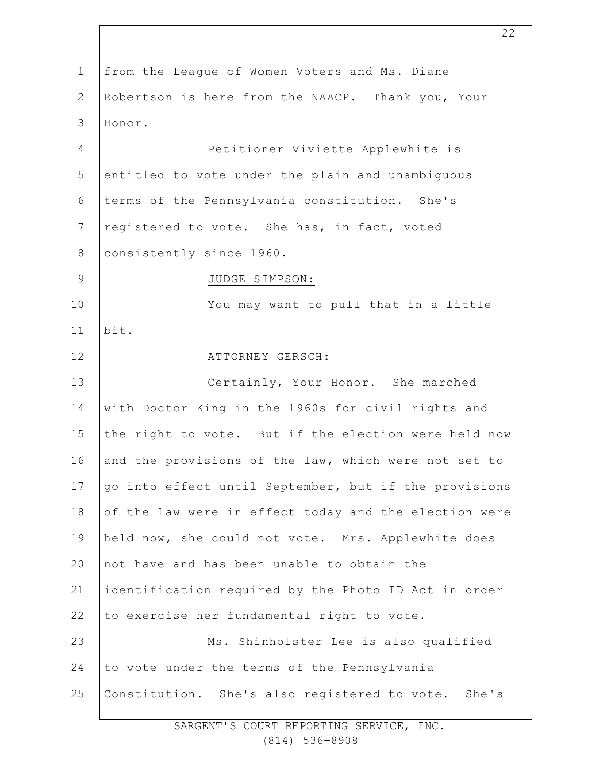| $\mathbf{1}$   | from the League of Women Voters and Ms. Diane         |
|----------------|-------------------------------------------------------|
| $\mathbf{2}$   | Robertson is here from the NAACP. Thank you, Your     |
| 3              | Honor.                                                |
| $\overline{4}$ | Petitioner Viviette Applewhite is                     |
| 5              | entitled to vote under the plain and unambiguous      |
| $\epsilon$     | terms of the Pennsylvania constitution. She's         |
| $\overline{7}$ | registered to vote. She has, in fact, voted           |
| $\,8\,$        | consistently since 1960.                              |
| $\mathsf 9$    | JUDGE SIMPSON:                                        |
| 10             | You may want to pull that in a little                 |
| 11             | bit.                                                  |
| 12             | ATTORNEY GERSCH:                                      |
| 13             | Certainly, Your Honor. She marched                    |
| 14             | with Doctor King in the 1960s for civil rights and    |
| 15             | the right to vote. But if the election were held now  |
| 16             | and the provisions of the law, which were not set to  |
| 17             | go into effect until September, but if the provisions |
| 18             | of the law were in effect today and the election were |
| 19             | held now, she could not vote. Mrs. Applewhite does    |
| 20             | not have and has been unable to obtain the            |
| 21             | identification required by the Photo ID Act in order  |
| 22             | to exercise her fundamental right to vote.            |
| 23             | Ms. Shinholster Lee is also qualified                 |
| 24             | to vote under the terms of the Pennsylvania           |
| 25             | Constitution. She's also registered to vote. She's    |
|                |                                                       |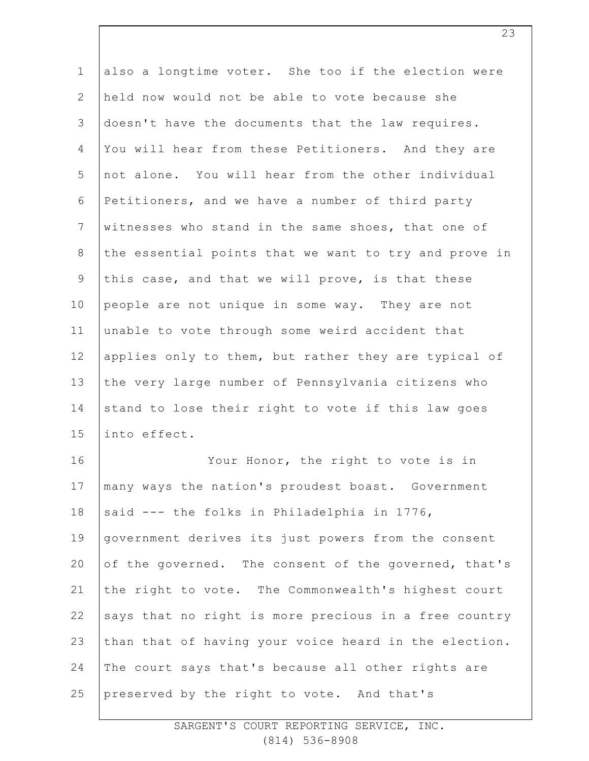| $\mathbf 1$    | also a longtime voter. She too if the election were   |
|----------------|-------------------------------------------------------|
| $\mathbf{2}$   | held now would not be able to vote because she        |
| $\mathsf 3$    | doesn't have the documents that the law requires.     |
| $\overline{4}$ | You will hear from these Petitioners. And they are    |
| 5              | not alone. You will hear from the other individual    |
| 6              | Petitioners, and we have a number of third party      |
| $\overline{7}$ | witnesses who stand in the same shoes, that one of    |
| $8\,$          | the essential points that we want to try and prove in |
| $\mathsf 9$    | this case, and that we will prove, is that these      |
| 10             | people are not unique in some way. They are not       |
| 11             | unable to vote through some weird accident that       |
| 12             | applies only to them, but rather they are typical of  |
| 13             | the very large number of Pennsylvania citizens who    |
| 14             | stand to lose their right to vote if this law goes    |
| 15             | into effect.                                          |
| 16             | Your Honor, the right to vote is in                   |
| 17             | many ways the nation's proudest boast. Government     |
| 18             | said --- the folks in Philadelphia in 1776,           |
| 19             | government derives its just powers from the consent   |
| 20             | of the governed. The consent of the governed, that's  |
| 21             | the right to vote. The Commonwealth's highest court   |
| 22             | says that no right is more precious in a free country |
| 23             | than that of having your voice heard in the election. |
| 24             | The court says that's because all other rights are    |
| 25             | preserved by the right to vote. And that's            |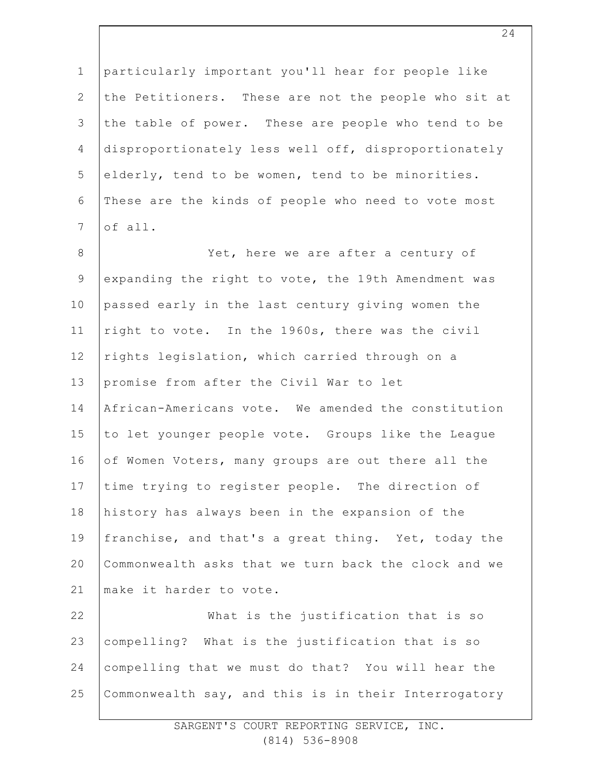1 2 3 4 5 6 7 8 9 10 11 12 13 14 15 16 17 18 19 20 21 22 23 24 25 particularly important you'll hear for people like the Petitioners. These are not the people who sit at the table of power. These are people who tend to be disproportionately less well off, disproportionately elderly, tend to be women, tend to be minorities. These are the kinds of people who need to vote most of all. Yet, here we are after a century of expanding the right to vote, the 19th Amendment was passed early in the last century giving women the right to vote. In the 1960s, there was the civil rights legislation, which carried through on a promise from after the Civil War to let African-Americans vote. We amended the constitution to let younger people vote. Groups like the League of Women Voters, many groups are out there all the time trying to register people. The direction of history has always been in the expansion of the franchise, and that's a great thing. Yet, today the Commonwealth asks that we turn back the clock and we make it harder to vote. What is the justification that is so compelling? What is the justification that is so compelling that we must do that? You will hear the Commonwealth say, and this is in their Interrogatory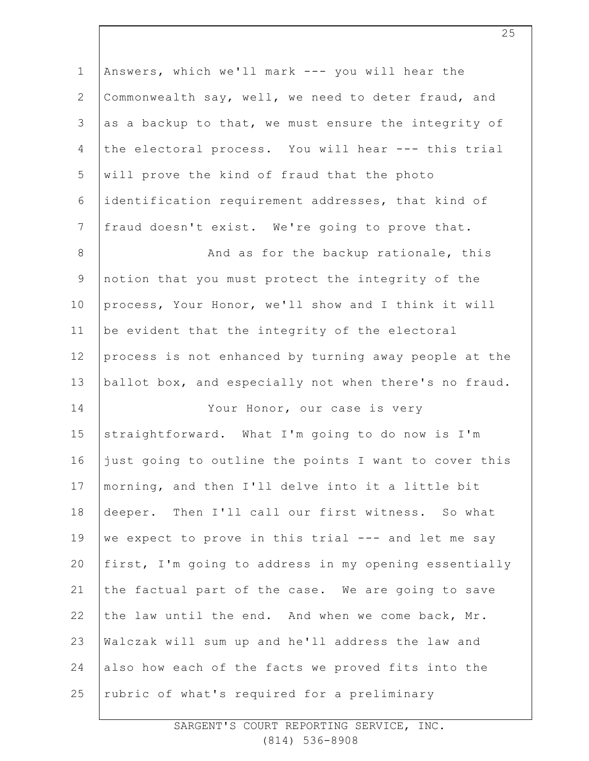| $1\,$          | Answers, which we'll mark --- you will hear the       |
|----------------|-------------------------------------------------------|
| $\overline{2}$ | Commonwealth say, well, we need to deter fraud, and   |
| 3              | as a backup to that, we must ensure the integrity of  |
| 4              | the electoral process. You will hear --- this trial   |
| 5              | will prove the kind of fraud that the photo           |
| 6              | identification requirement addresses, that kind of    |
| $7\phantom{.}$ | fraud doesn't exist. We're going to prove that.       |
| $\,8\,$        | And as for the backup rationale, this                 |
| $\mathsf 9$    | notion that you must protect the integrity of the     |
| 10             | process, Your Honor, we'll show and I think it will   |
| 11             | be evident that the integrity of the electoral        |
| 12             | process is not enhanced by turning away people at the |
| 13             | ballot box, and especially not when there's no fraud. |
| 14             | Your Honor, our case is very                          |
| 15             | straightforward. What I'm going to do now is I'm      |
| 16             | just going to outline the points I want to cover this |
| 17             | morning, and then I'll delve into it a little bit     |
| 18             | deeper. Then I'll call our first witness. So what     |
| 19             | we expect to prove in this trial --- and let me say   |
| 20             | first, I'm going to address in my opening essentially |
| 21             | the factual part of the case. We are going to save    |
| 22             | the law until the end. And when we come back, Mr.     |
| 23             | Walczak will sum up and he'll address the law and     |
| 24             | also how each of the facts we proved fits into the    |
| 25             | rubric of what's required for a preliminary           |

SARGENT'S COURT REPORTING SERVICE, INC. (814) 536-8908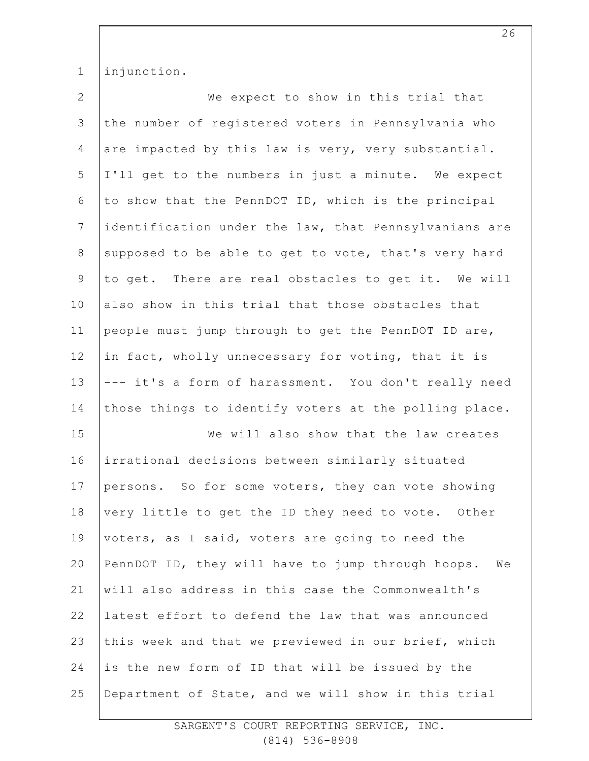1 injunction.

| $\overline{2}$ | We expect to show in this trial that                    |
|----------------|---------------------------------------------------------|
| $\mathfrak{Z}$ | the number of registered voters in Pennsylvania who     |
| $\overline{4}$ | are impacted by this law is very, very substantial.     |
| 5              | I'll get to the numbers in just a minute. We expect     |
| 6              | to show that the PennDOT ID, which is the principal     |
| $\overline{7}$ | identification under the law, that Pennsylvanians are   |
| $8\,$          | supposed to be able to get to vote, that's very hard    |
| $\mathsf 9$    | to get. There are real obstacles to get it. We will     |
| 10             | also show in this trial that those obstacles that       |
| 11             | people must jump through to get the PennDOT ID are,     |
| 12             | in fact, wholly unnecessary for voting, that it is      |
| 13             | --- it's a form of harassment. You don't really need    |
| 14             | those things to identify voters at the polling place.   |
|                |                                                         |
| 15             | We will also show that the law creates                  |
| 16             | irrational decisions between similarly situated         |
| 17             | persons. So for some voters, they can vote showing      |
| 18             | very little to get the ID they need to vote. Other      |
| 19             | voters, as I said, voters are going to need the         |
| 20             | PennDOT ID, they will have to jump through hoops.<br>We |
| 21             | will also address in this case the Commonwealth's       |
| 22             | latest effort to defend the law that was announced      |
| 23             | this week and that we previewed in our brief, which     |
| 24             | is the new form of ID that will be issued by the        |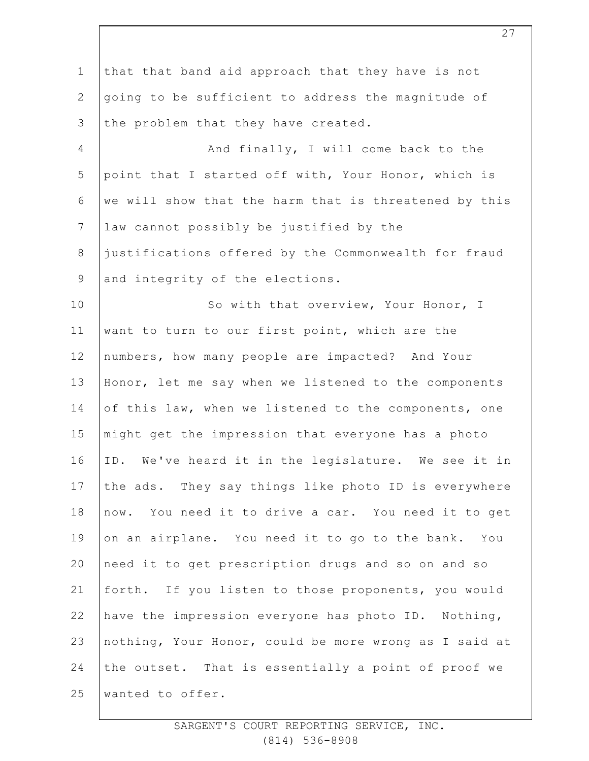1 2 3 4 5 6 7 8 9 10 11 12 13 14 15 16 17 18 19 20 21 22 23 24 25 that that band aid approach that they have is not going to be sufficient to address the magnitude of the problem that they have created. And finally, I will come back to the point that I started off with, Your Honor, which is we will show that the harm that is threatened by this law cannot possibly be justified by the justifications offered by the Commonwealth for fraud and integrity of the elections. So with that overview, Your Honor, I want to turn to our first point, which are the numbers, how many people are impacted? And Your Honor, let me say when we listened to the components of this law, when we listened to the components, one might get the impression that everyone has a photo ID. We've heard it in the legislature. We see it in the ads. They say things like photo ID is everywhere now. You need it to drive a car. You need it to get on an airplane. You need it to go to the bank. You need it to get prescription drugs and so on and so forth. If you listen to those proponents, you would have the impression everyone has photo ID. Nothing, nothing, Your Honor, could be more wrong as I said at the outset. That is essentially a point of proof we wanted to offer.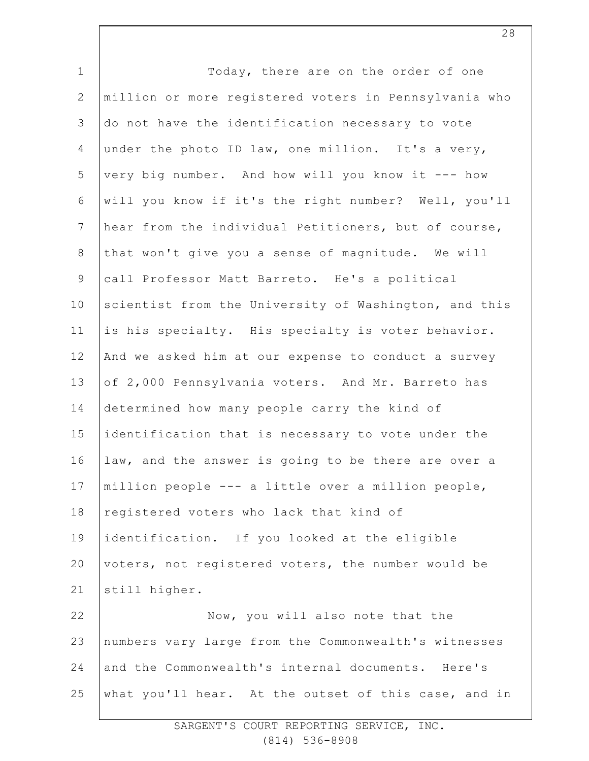| Today, there are on the order of one                  |
|-------------------------------------------------------|
| million or more registered voters in Pennsylvania who |
| do not have the identification necessary to vote      |
| under the photo ID law, one million. It's a very,     |
| very big number. And how will you know it --- how     |
| will you know if it's the right number? Well, you'll  |
| hear from the individual Petitioners, but of course,  |
| that won't give you a sense of magnitude. We will     |
| call Professor Matt Barreto. He's a political         |
| scientist from the University of Washington, and this |
| is his specialty. His specialty is voter behavior.    |
| And we asked him at our expense to conduct a survey   |
| of 2,000 Pennsylvania voters. And Mr. Barreto has     |
| determined how many people carry the kind of          |
| identification that is necessary to vote under the    |
| law, and the answer is going to be there are over a   |
| million people --- a little over a million people,    |
| registered voters who lack that kind of               |
| identification. If you looked at the eligible         |
| voters, not registered voters, the number would be    |
| still higher.                                         |
| Now, you will also note that the                      |
| numbers vary large from the Commonwealth's witnesses  |
| and the Commonwealth's internal documents. Here's     |
| what you'll hear. At the outset of this case, and in  |
|                                                       |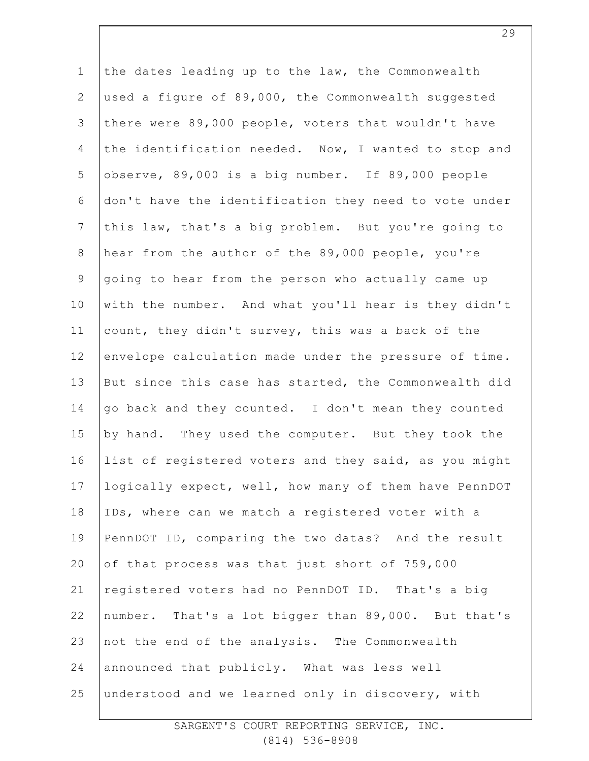1 2 3 4 5 6 7 8 9 10 11 12 13 14 15 16 17 18 19 20 21 22 23 24 25 the dates leading up to the law, the Commonwealth used a figure of 89,000, the Commonwealth suggested there were 89,000 people, voters that wouldn't have the identification needed. Now, I wanted to stop and observe, 89,000 is a big number. If 89,000 people don't have the identification they need to vote under this law, that's a big problem. But you're going to hear from the author of the 89,000 people, you're going to hear from the person who actually came up with the number. And what you'll hear is they didn't count, they didn't survey, this was a back of the envelope calculation made under the pressure of time. But since this case has started, the Commonwealth did go back and they counted. I don't mean they counted by hand. They used the computer. But they took the list of registered voters and they said, as you might logically expect, well, how many of them have PennDOT IDs, where can we match a registered voter with a PennDOT ID, comparing the two datas? And the result of that process was that just short of 759,000 registered voters had no PennDOT ID. That's a big number. That's a lot bigger than 89,000. But that's not the end of the analysis. The Commonwealth announced that publicly. What was less well understood and we learned only in discovery, with

> SARGENT'S COURT REPORTING SERVICE, INC. (814) 536-8908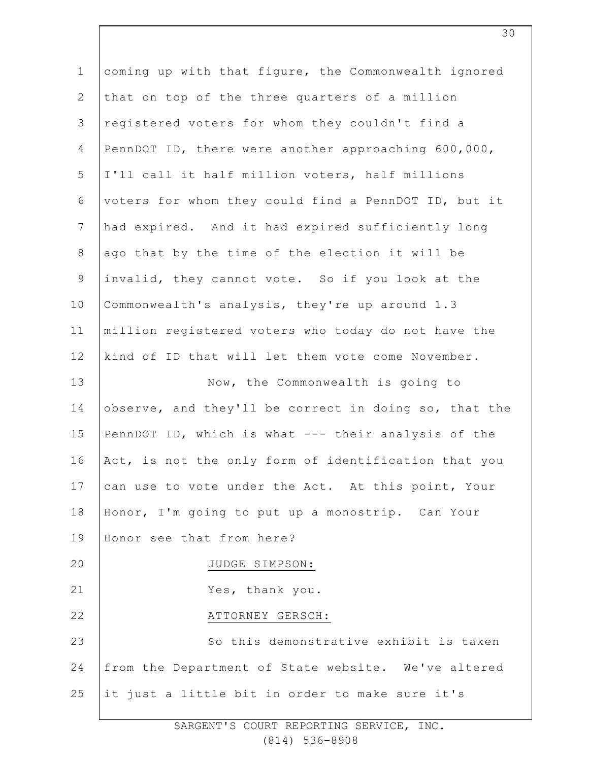| $\mathbf 1$     | coming up with that figure, the Commonwealth ignored  |
|-----------------|-------------------------------------------------------|
| $\mathbf{2}$    | that on top of the three quarters of a million        |
| 3               |                                                       |
|                 | registered voters for whom they couldn't find a       |
| 4               | PennDOT ID, there were another approaching 600,000,   |
| 5               | I'll call it half million voters, half millions       |
| $\epsilon$      | voters for whom they could find a PennDOT ID, but it  |
| $7\phantom{.0}$ | had expired. And it had expired sufficiently long     |
| $\,8\,$         | ago that by the time of the election it will be       |
| $\mathsf 9$     | invalid, they cannot vote. So if you look at the      |
| 10              | Commonwealth's analysis, they're up around 1.3        |
| 11              | million registered voters who today do not have the   |
| 12              | kind of ID that will let them vote come November.     |
| 13              | Now, the Commonwealth is going to                     |
| 14              | observe, and they'll be correct in doing so, that the |
| 15              | PennDOT ID, which is what --- their analysis of the   |
| 16              | Act, is not the only form of identification that you  |
| 17              | can use to vote under the Act. At this point, Your    |
| 18              | Honor, I'm going to put up a monostrip. Can Your      |
| 19              | Honor see that from here?                             |
| 20              | JUDGE SIMPSON:                                        |
| 21              | Yes, thank you.                                       |
| 22              | ATTORNEY GERSCH:                                      |
| 23              | So this demonstrative exhibit is taken                |
| 24              | from the Department of State website. We've altered   |
| 25              | it just a little bit in order to make sure it's       |
|                 |                                                       |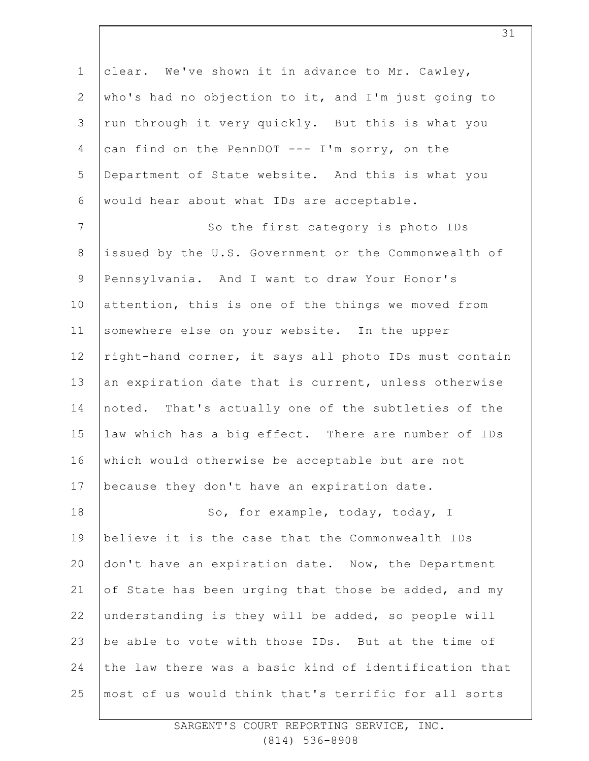1 2 3 4 5 6 7 8 9 10 11 12 13 14 15 16 17 18 19 20 21 22 23 24 25 clear. We've shown it in advance to Mr. Cawley, who's had no objection to it, and I'm just going to run through it very quickly. But this is what you can find on the PennDOT --- I'm sorry, on the Department of State website. And this is what you would hear about what IDs are acceptable. So the first category is photo IDs issued by the U.S. Government or the Commonwealth of Pennsylvania. And I want to draw Your Honor's attention, this is one of the things we moved from somewhere else on your website. In the upper right-hand corner, it says all photo IDs must contain an expiration date that is current, unless otherwise noted. That's actually one of the subtleties of the law which has a big effect. There are number of IDs which would otherwise be acceptable but are not because they don't have an expiration date. So, for example, today, today, I believe it is the case that the Commonwealth IDs don't have an expiration date. Now, the Department of State has been urging that those be added, and my understanding is they will be added, so people will be able to vote with those IDs. But at the time of the law there was a basic kind of identification that most of us would think that's terrific for all sorts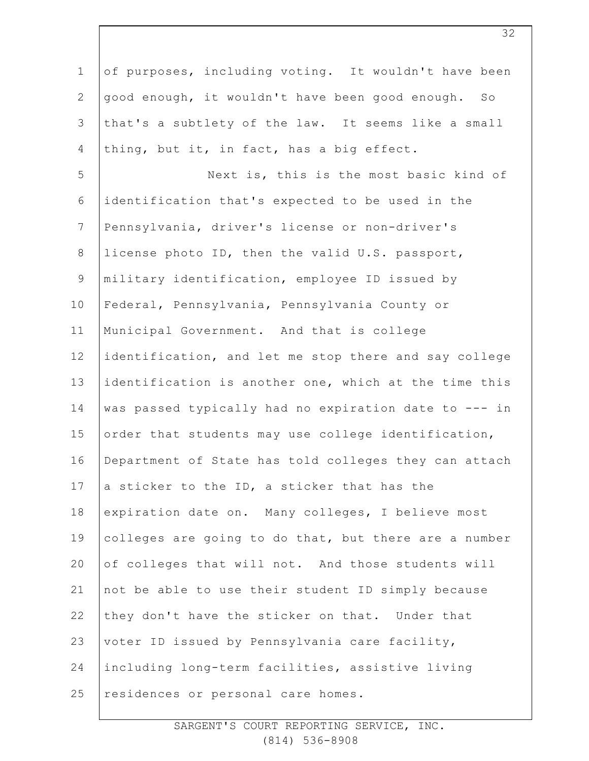1 2 3 4 5 6 7 8 9 10 11 12 13 14 15 16 17 18 19 20 21 22 23 24 25 of purposes, including voting. It wouldn't have been good enough, it wouldn't have been good enough. So that's a subtlety of the law. It seems like a small thing, but it, in fact, has a big effect. Next is, this is the most basic kind of identification that's expected to be used in the Pennsylvania, driver's license or non-driver's license photo ID, then the valid U.S. passport, military identification, employee ID issued by Federal, Pennsylvania, Pennsylvania County or Municipal Government. And that is college identification, and let me stop there and say college identification is another one, which at the time this was passed typically had no expiration date to --- in order that students may use college identification, Department of State has told colleges they can attach a sticker to the ID, a sticker that has the expiration date on. Many colleges, I believe most colleges are going to do that, but there are a number of colleges that will not. And those students will not be able to use their student ID simply because they don't have the sticker on that. Under that voter ID issued by Pennsylvania care facility, including long-term facilities, assistive living residences or personal care homes.

> SARGENT'S COURT REPORTING SERVICE, INC. (814) 536-8908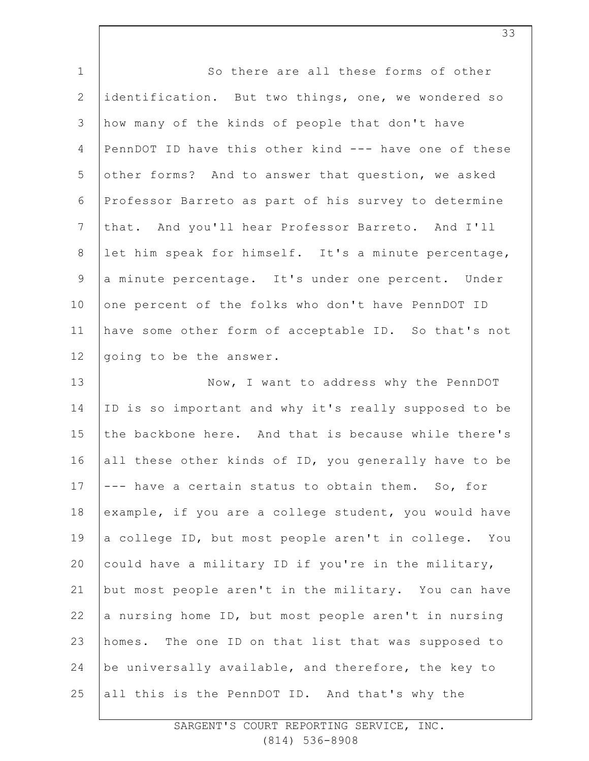| $1\,$          | So there are all these forms of other                 |
|----------------|-------------------------------------------------------|
| $\mathbf{2}$   | identification. But two things, one, we wondered so   |
| $\mathfrak{Z}$ | how many of the kinds of people that don't have       |
| 4              | PennDOT ID have this other kind --- have one of these |
| 5              | other forms? And to answer that question, we asked    |
| 6              | Professor Barreto as part of his survey to determine  |
| $\overline{7}$ | that. And you'll hear Professor Barreto. And I'll     |
| 8              | let him speak for himself. It's a minute percentage,  |
| $\mathsf 9$    | a minute percentage. It's under one percent. Under    |
| 10             | one percent of the folks who don't have PennDOT ID    |
| 11             | have some other form of acceptable ID. So that's not  |
| 12             | going to be the answer.                               |
| 13             | Now, I want to address why the PennDOT                |
| 14             | ID is so important and why it's really supposed to be |
| 15             | the backbone here. And that is because while there's  |
| 16             | all these other kinds of ID, you generally have to be |
| 17             | --- have a certain status to obtain them. So, for     |
| 18             | example, if you are a college student, you would have |
| 19             | a college ID, but most people aren't in college. You  |
| 20             | could have a military ID if you're in the military,   |
| 21             | but most people aren't in the military. You can have  |
| 22             | a nursing home ID, but most people aren't in nursing  |
| 23             | homes. The one ID on that list that was supposed to   |
| 24             | be universally available, and therefore, the key to   |
| 25             | all this is the PennDOT ID. And that's why the        |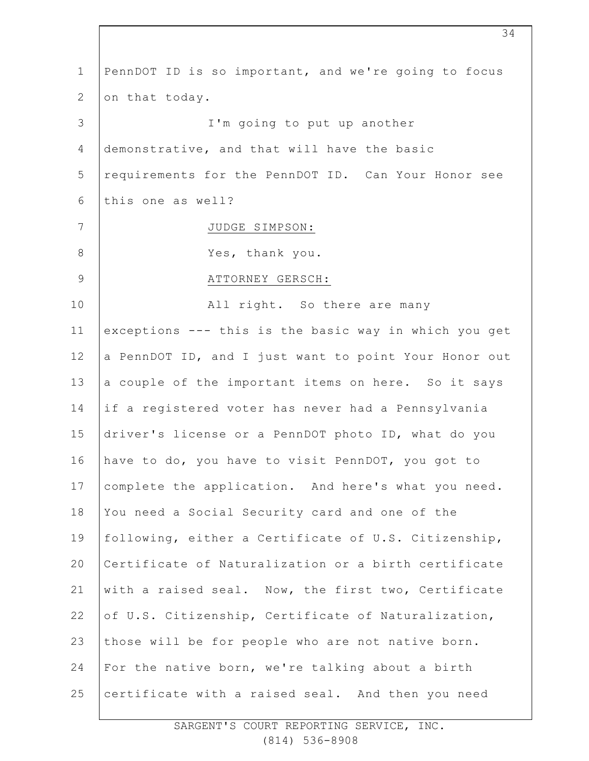| $\mathbf 1$  | PennDOT ID is so important, and we're going to focus  |
|--------------|-------------------------------------------------------|
| $\mathbf{2}$ | on that today.                                        |
| 3            | I'm going to put up another                           |
| 4            | demonstrative, and that will have the basic           |
| 5            | requirements for the PennDOT ID. Can Your Honor see   |
| 6            | this one as well?                                     |
| 7            | JUDGE SIMPSON:                                        |
| $8\,$        | Yes, thank you.                                       |
| $\mathsf 9$  | ATTORNEY GERSCH:                                      |
| 10           | All right. So there are many                          |
| 11           | exceptions --- this is the basic way in which you get |
| 12           | a PennDOT ID, and I just want to point Your Honor out |
| 13           | a couple of the important items on here. So it says   |
| 14           | if a registered voter has never had a Pennsylvania    |
| 15           | driver's license or a PennDOT photo ID, what do you   |
| 16           | have to do, you have to visit PennDOT, you got to     |
| 17           | complete the application. And here's what you need.   |
| 18           | You need a Social Security card and one of the        |
| 19           | following, either a Certificate of U.S. Citizenship,  |
| 20           | Certificate of Naturalization or a birth certificate  |
| 21           | with a raised seal. Now, the first two, Certificate   |
| 22           | of U.S. Citizenship, Certificate of Naturalization,   |
| 23           | those will be for people who are not native born.     |
| 24           | For the native born, we're talking about a birth      |
| 25           | certificate with a raised seal. And then you need     |
|              |                                                       |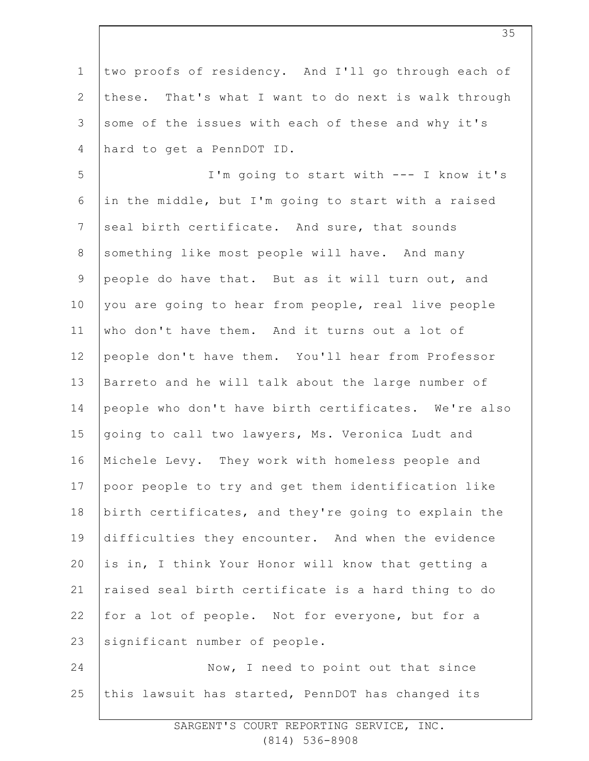1 2 3 4 5 6 7 8 9 10 11 12 13 14 15 16 17 18 19 20 21 22 23 24 25 two proofs of residency. And I'll go through each of these. That's what I want to do next is walk through some of the issues with each of these and why it's hard to get a PennDOT ID. I'm going to start with --- I know it's in the middle, but I'm going to start with a raised seal birth certificate. And sure, that sounds something like most people will have. And many people do have that. But as it will turn out, and you are going to hear from people, real live people who don't have them. And it turns out a lot of people don't have them. You'll hear from Professor Barreto and he will talk about the large number of people who don't have birth certificates. We're also going to call two lawyers, Ms. Veronica Ludt and Michele Levy. They work with homeless people and poor people to try and get them identification like birth certificates, and they're going to explain the difficulties they encounter. And when the evidence is in, I think Your Honor will know that getting a raised seal birth certificate is a hard thing to do for a lot of people. Not for everyone, but for a significant number of people. Now, I need to point out that since this lawsuit has started, PennDOT has changed its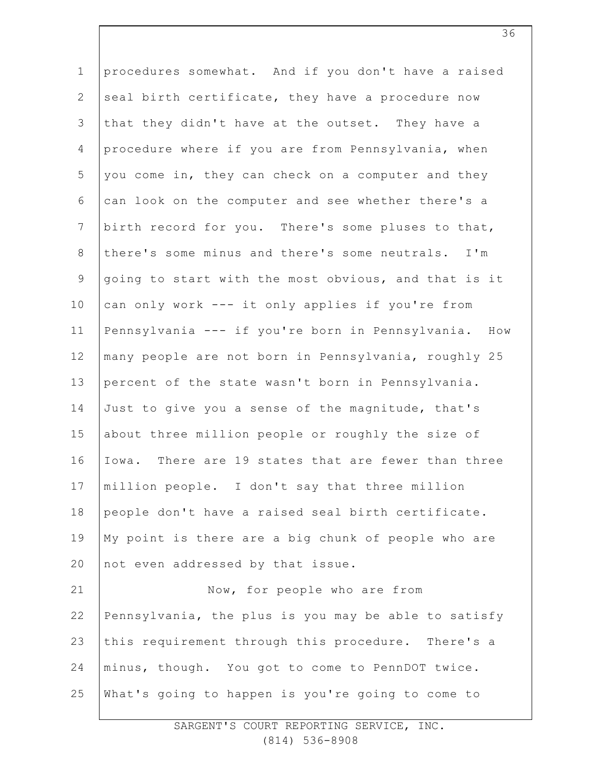1 2 3 4 5 6 7 8 9 10 11 12 13 14 15 16 17 18 19 20 21 22 23 24 25 procedures somewhat. And if you don't have a raised seal birth certificate, they have a procedure now that they didn't have at the outset. They have a procedure where if you are from Pennsylvania, when you come in, they can check on a computer and they can look on the computer and see whether there's a birth record for you. There's some pluses to that, there's some minus and there's some neutrals. I'm going to start with the most obvious, and that is it can only work --- it only applies if you're from Pennsylvania --- if you're born in Pennsylvania. How many people are not born in Pennsylvania, roughly 25 percent of the state wasn't born in Pennsylvania. Just to give you a sense of the magnitude, that's about three million people or roughly the size of Iowa. There are 19 states that are fewer than three million people. I don't say that three million people don't have a raised seal birth certificate. My point is there are a big chunk of people who are not even addressed by that issue. Now, for people who are from Pennsylvania, the plus is you may be able to satisfy this requirement through this procedure. There's a minus, though. You got to come to PennDOT twice. What's going to happen is you're going to come to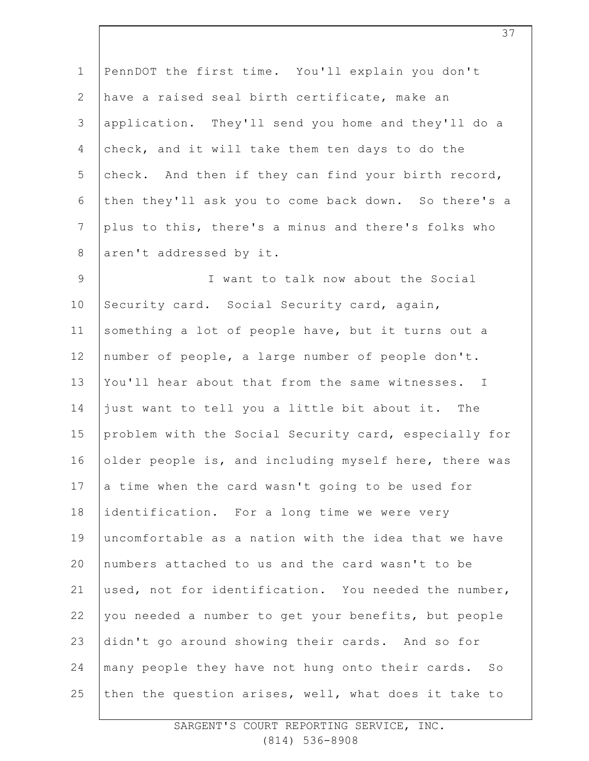| PennDOT the first time. You'll explain you don't      |
|-------------------------------------------------------|
| have a raised seal birth certificate, make an         |
| application. They'll send you home and they'll do a   |
| check, and it will take them ten days to do the       |
| check. And then if they can find your birth record,   |
| then they'll ask you to come back down. So there's a  |
| plus to this, there's a minus and there's folks who   |
| aren't addressed by it.                               |
| I want to talk now about the Social                   |
| Security card. Social Security card, again,           |
| something a lot of people have, but it turns out a    |
| number of people, a large number of people don't.     |
| You'll hear about that from the same witnesses. I     |
| just want to tell you a little bit about it. The      |
| problem with the Social Security card, especially for |
| older people is, and including myself here, there was |
| a time when the card wasn't going to be used for      |
| identification. For a long time we were very          |
| uncomfortable as a nation with the idea that we have  |
| numbers attached to us and the card wasn't to be      |
| used, not for identification. You needed the number,  |
| you needed a number to get your benefits, but people  |
| didn't go around showing their cards. And so for      |
| many people they have not hung onto their cards. So   |
| then the question arises, well, what does it take to  |
|                                                       |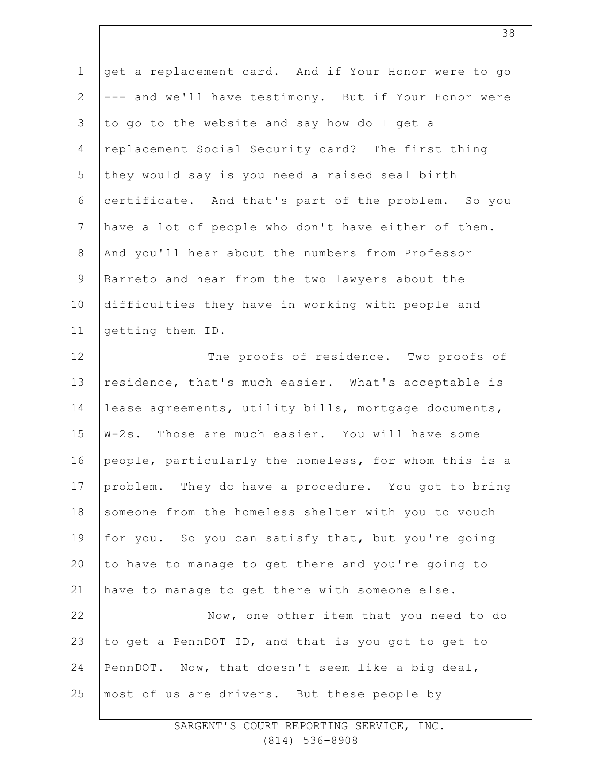| $1\,$          | get a replacement card. And if Your Honor were to go  |
|----------------|-------------------------------------------------------|
| $\mathbf{2}$   | --- and we'll have testimony. But if Your Honor were  |
| 3              | to go to the website and say how do I get a           |
| 4              | replacement Social Security card? The first thing     |
| 5              | they would say is you need a raised seal birth        |
| 6              | certificate. And that's part of the problem. So you   |
| $\overline{7}$ | have a lot of people who don't have either of them.   |
| $8\,$          | And you'll hear about the numbers from Professor      |
| $\mathsf 9$    | Barreto and hear from the two lawyers about the       |
| 10             | difficulties they have in working with people and     |
| 11             | getting them ID.                                      |
| 12             | The proofs of residence. Two proofs of                |
| 13             | residence, that's much easier. What's acceptable is   |
| 14             | lease agreements, utility bills, mortgage documents,  |
| 15             | W-2s. Those are much easier. You will have some       |
| 16             | people, particularly the homeless, for whom this is a |
| 17             | problem. They do have a procedure. You got to bring   |
| 18             | someone from the homeless shelter with you to vouch   |
| 19             | for you. So you can satisfy that, but you're going    |
| 20             | to have to manage to get there and you're going to    |
| 21             | have to manage to get there with someone else.        |
| 22             | Now, one other item that you need to do               |
| 23             | to get a PennDOT ID, and that is you got to get to    |
| 24             | PennDOT. Now, that doesn't seem like a big deal,      |
| 25             | most of us are drivers. But these people by           |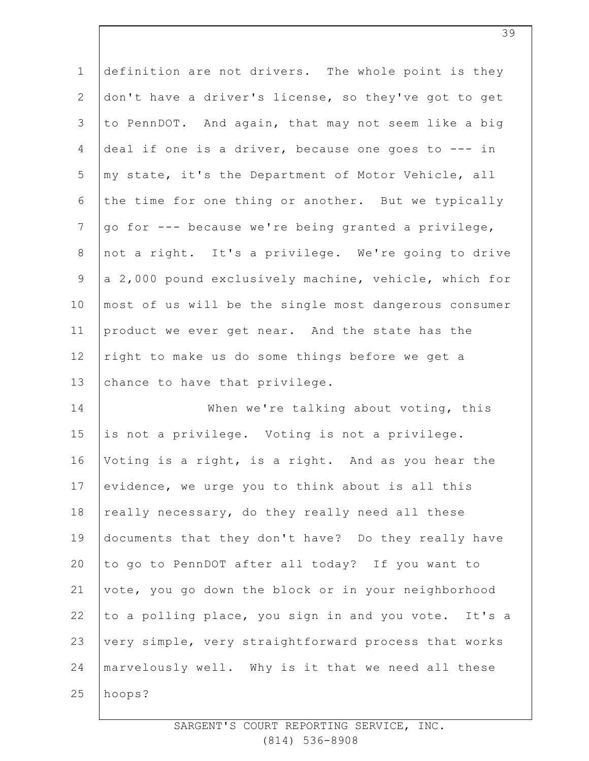| $\mathbf 1$    | definition are not drivers. The whole point is they   |
|----------------|-------------------------------------------------------|
| $\overline{2}$ | don't have a driver's license, so they've got to get  |
| 3              | to PennDOT. And again, that may not seem like a big   |
| $\overline{4}$ | deal if one is a driver, because one goes to $---$ in |
| 5              | my state, it's the Department of Motor Vehicle, all   |
| 6              | the time for one thing or another. But we typically   |
| $\overline{7}$ | go for --- because we're being granted a privilege,   |
| $8\,$          | not a right. It's a privilege. We're going to drive   |
| $\mathcal{G}$  | a 2,000 pound exclusively machine, vehicle, which for |
| 10             | most of us will be the single most dangerous consumer |
| 11             | product we ever get near. And the state has the       |
| 12             | right to make us do some things before we get a       |
| 13             | chance to have that privilege.                        |
| 14             | When we're talking about voting, this                 |
| 15             | is not a privilege. Voting is not a privilege.        |
| 16             | Voting is a right, is a right. And as you hear the    |
| 17             | evidence, we urge you to think about is all this      |
| 18             | really necessary, do they really need all these       |
| 19             | documents that they don't have? Do they really have   |
| 20             | to go to PennDOT after all today? If you want to      |
| 21             | vote, you go down the block or in your neighborhood   |
| 22             | to a polling place, you sign in and you vote. It's a  |
| 23             | very simple, very straightforward process that works  |
| 24             | marvelously well. Why is it that we need all these    |
| 25             | hoops?                                                |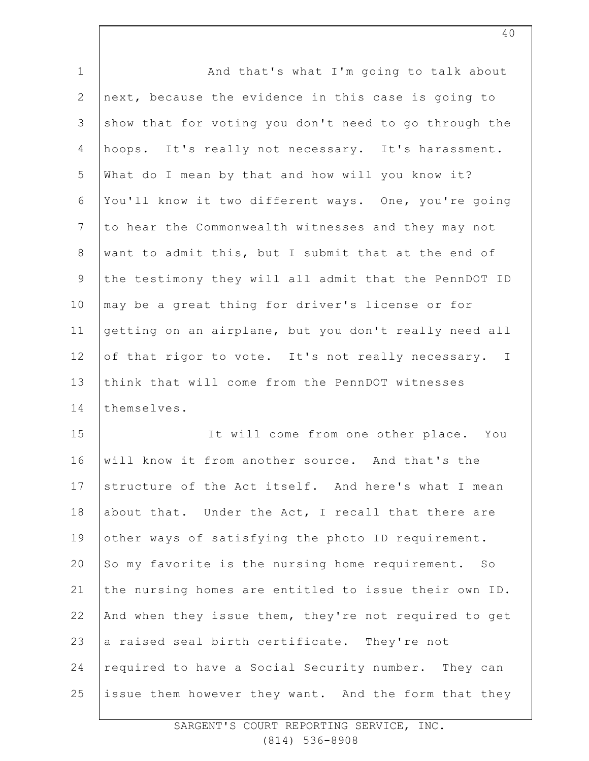| $\mathbf 1$  | And that's what I'm going to talk about               |
|--------------|-------------------------------------------------------|
| $\mathbf{2}$ | next, because the evidence in this case is going to   |
| 3            | show that for voting you don't need to go through the |
| 4            | hoops. It's really not necessary. It's harassment.    |
| 5            | What do I mean by that and how will you know it?      |
| 6            | You'll know it two different ways. One, you're going  |
| 7            | to hear the Commonwealth witnesses and they may not   |
| $8\,$        | want to admit this, but I submit that at the end of   |
| 9            | the testimony they will all admit that the PennDOT ID |
| 10           | may be a great thing for driver's license or for      |
| 11           | getting on an airplane, but you don't really need all |
| 12           | of that rigor to vote. It's not really necessary. I   |
| 13           | think that will come from the PennDOT witnesses       |
| 14           | themselves.                                           |
| 15           | It will come from one other place. You                |
| 16           | will know it from another source. And that's the      |
| 17           | structure of the Act itself. And here's what I mean   |
| 18           | about that. Under the Act, I recall that there are    |
| 19           | other ways of satisfying the photo ID requirement.    |
| 20           | So my favorite is the nursing home requirement. So    |
| 21           | the nursing homes are entitled to issue their own ID. |
| 22           | And when they issue them, they're not required to get |
| 23           | a raised seal birth certificate. They're not          |
| 24           | required to have a Social Security number. They can   |
| 25           | issue them however they want. And the form that they  |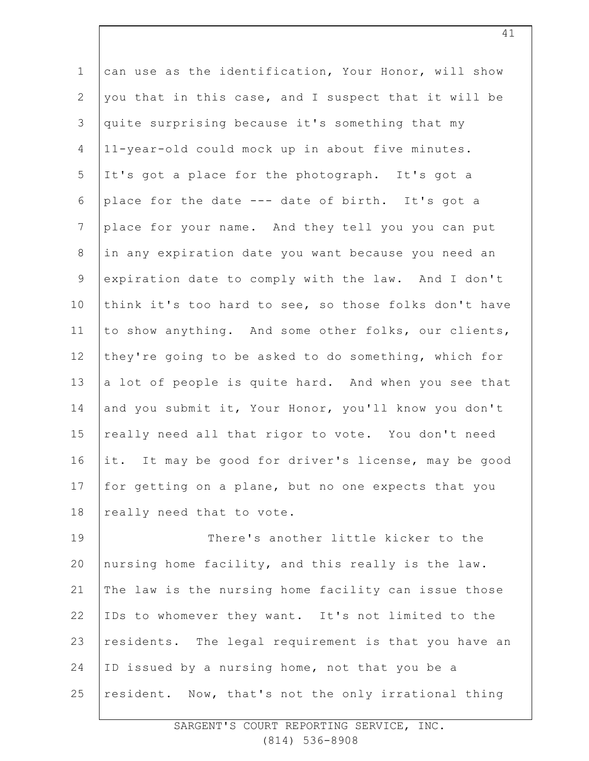1 2 3 4 5 6 7 8 9 10 11 12 13 14 15 16 17 18 can use as the identification, Your Honor, will show you that in this case, and I suspect that it will be quite surprising because it's something that my 11-year-old could mock up in about five minutes. It's got a place for the photograph. It's got a place for the date --- date of birth. It's got a place for your name. And they tell you you can put in any expiration date you want because you need an expiration date to comply with the law. And I don't think it's too hard to see, so those folks don't have to show anything. And some other folks, our clients, they're going to be asked to do something, which for a lot of people is quite hard. And when you see that and you submit it, Your Honor, you'll know you don't really need all that rigor to vote. You don't need it. It may be good for driver's license, may be good for getting on a plane, but no one expects that you really need that to vote.

19 20 21 22 23 24 25 There's another little kicker to the nursing home facility, and this really is the law. The law is the nursing home facility can issue those IDs to whomever they want. It's not limited to the residents. The legal requirement is that you have an ID issued by a nursing home, not that you be a resident. Now, that's not the only irrational thing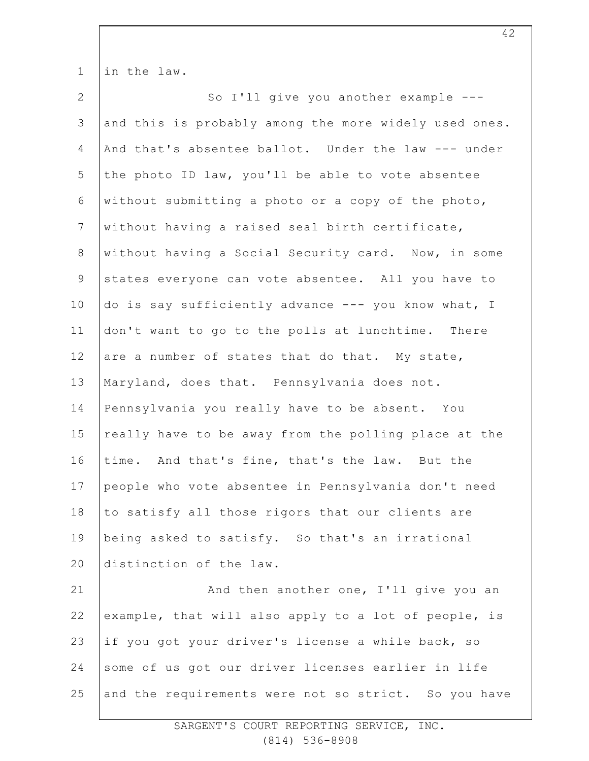| $1\,$          | in the law.                                           |
|----------------|-------------------------------------------------------|
| $\mathbf{2}$   | So I'll give you another example ---                  |
| 3              | and this is probably among the more widely used ones. |
| 4              | And that's absentee ballot. Under the law --- under   |
| 5              | the photo ID law, you'll be able to vote absentee     |
| 6              | without submitting a photo or a copy of the photo,    |
| $7\phantom{.}$ | without having a raised seal birth certificate,       |
| $8\,$          | without having a Social Security card. Now, in some   |
| $\mathcal{G}$  | states everyone can vote absentee. All you have to    |
| 10             | do is say sufficiently advance --- you know what, I   |
| 11             | don't want to go to the polls at lunchtime. There     |
| 12             | are a number of states that do that. My state,        |
| 13             | Maryland, does that. Pennsylvania does not.           |
| 14             | Pennsylvania you really have to be absent. You        |
| 15             | really have to be away from the polling place at the  |
| 16             | time. And that's fine, that's the law. But the        |
| 17             | people who vote absentee in Pennsylvania don't need   |
| 18             | to satisfy all those rigors that our clients are      |
| 19             | being asked to satisfy. So that's an irrational       |
| 20             | distinction of the law.                               |
| 21             | And then another one, I'll give you an                |
| 22             | example, that will also apply to a lot of people, is  |
| 23             | if you got your driver's license a while back, so     |
| 24             | some of us got our driver licenses earlier in life    |
| 25             | and the requirements were not so strict. So you have  |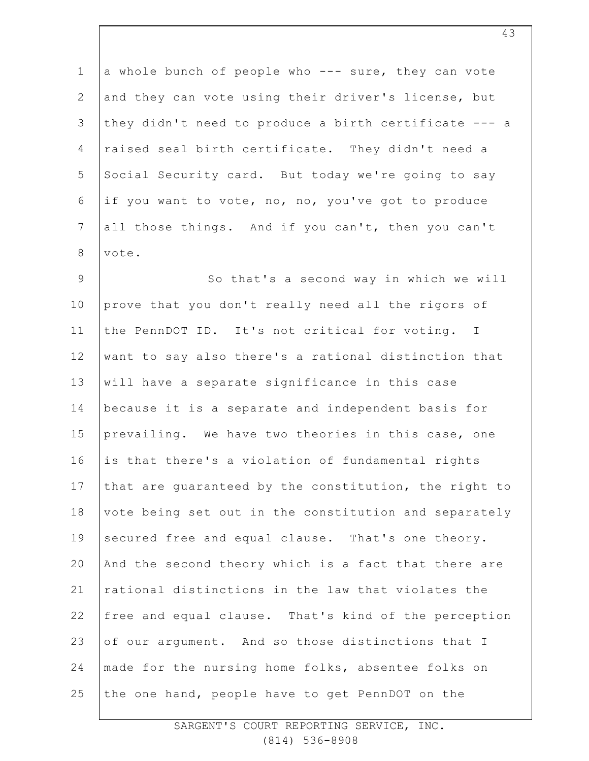1 2 3 4 5 6 7 8 a whole bunch of people who --- sure, they can vote and they can vote using their driver's license, but they didn't need to produce a birth certificate --- a raised seal birth certificate. They didn't need a Social Security card. But today we're going to say if you want to vote, no, no, you've got to produce all those things. And if you can't, then you can't vote.

9 10 11 12 13 14 15 16 17 18 19 20 21 22 23 24 25 So that's a second way in which we will prove that you don't really need all the rigors of the PennDOT ID. It's not critical for voting. I want to say also there's a rational distinction that will have a separate significance in this case because it is a separate and independent basis for prevailing. We have two theories in this case, one is that there's a violation of fundamental rights that are guaranteed by the constitution, the right to vote being set out in the constitution and separately secured free and equal clause. That's one theory. And the second theory which is a fact that there are rational distinctions in the law that violates the free and equal clause. That's kind of the perception of our argument. And so those distinctions that I made for the nursing home folks, absentee folks on the one hand, people have to get PennDOT on the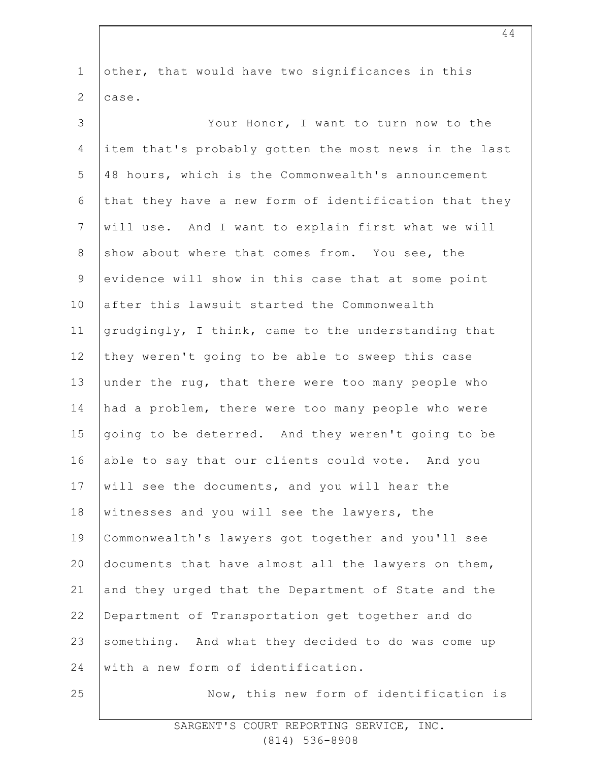| $\mathbf 1$    | other, that would have two significances in this      |
|----------------|-------------------------------------------------------|
| $\mathbf{2}$   | case.                                                 |
| 3              | Your Honor, I want to turn now to the                 |
| 4              | item that's probably gotten the most news in the last |
| 5              | 48 hours, which is the Commonwealth's announcement    |
| 6              | that they have a new form of identification that they |
| $\overline{7}$ | will use. And I want to explain first what we will    |
| $8\,$          | show about where that comes from. You see, the        |
| $\mathsf 9$    | evidence will show in this case that at some point    |
| 10             | after this lawsuit started the Commonwealth           |
| 11             | grudgingly, I think, came to the understanding that   |
| 12             | they weren't going to be able to sweep this case      |
| 13             | under the rug, that there were too many people who    |
| 14             | had a problem, there were too many people who were    |
| 15             | going to be deterred. And they weren't going to be    |
| 16             | able to say that our clients could vote. And you      |
| 17             | will see the documents, and you will hear the         |
| 18             | witnesses and you will see the lawyers, the           |
| 19             | Commonwealth's lawyers got together and you'll see    |
| 20             | documents that have almost all the lawyers on them,   |
| 21             | and they urged that the Department of State and the   |
| 22             | Department of Transportation get together and do      |
| 23             | something. And what they decided to do was come up    |
| 24             | with a new form of identification.                    |
| 25             | Now, this new form of identification is               |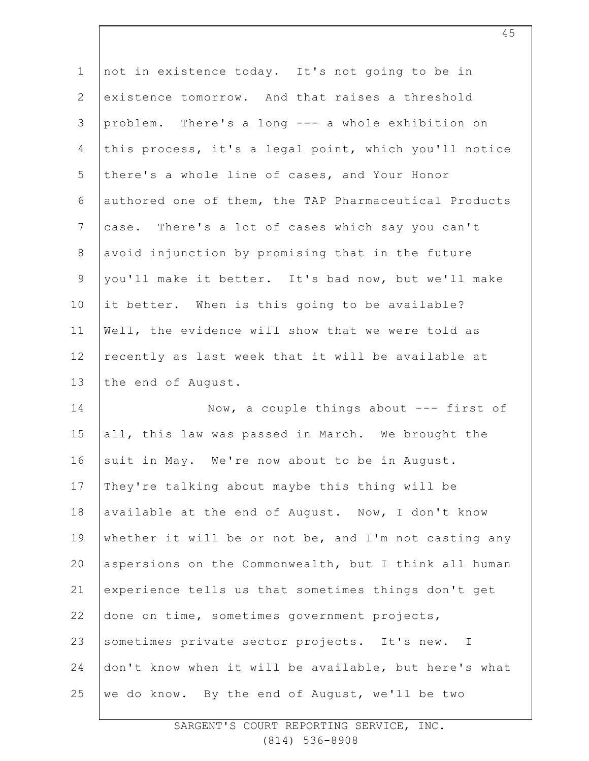| $\mathbf 1$    | not in existence today. It's not going to be in       |
|----------------|-------------------------------------------------------|
| $\overline{2}$ | existence tomorrow. And that raises a threshold       |
| 3              | problem. There's a long --- a whole exhibition on     |
| 4              | this process, it's a legal point, which you'll notice |
| 5              | there's a whole line of cases, and Your Honor         |
| 6              | authored one of them, the TAP Pharmaceutical Products |
| $\overline{7}$ | case. There's a lot of cases which say you can't      |
| $8\,$          | avoid injunction by promising that in the future      |
| $\overline{9}$ | you'll make it better. It's bad now, but we'll make   |
| 10             | it better. When is this going to be available?        |
| 11             | Well, the evidence will show that we were told as     |
| 12             | recently as last week that it will be available at    |
| 13             | the end of August.                                    |
| 14             | Now, a couple things about $---$ first of             |
| 15             | all, this law was passed in March. We brought the     |
| 16             | suit in May. We're now about to be in August.         |
| 17             | They're talking about maybe this thing will be        |
| 18             | available at the end of August. Now, I don't know     |
| 19             | whether it will be or not be, and I'm not casting any |
| 20             | aspersions on the Commonwealth, but I think all human |
| 21             | experience tells us that sometimes things don't get   |
| 22             | done on time, sometimes government projects,          |
| 23             | sometimes private sector projects. It's new. I        |
| 24             | don't know when it will be available, but here's what |
| 25             |                                                       |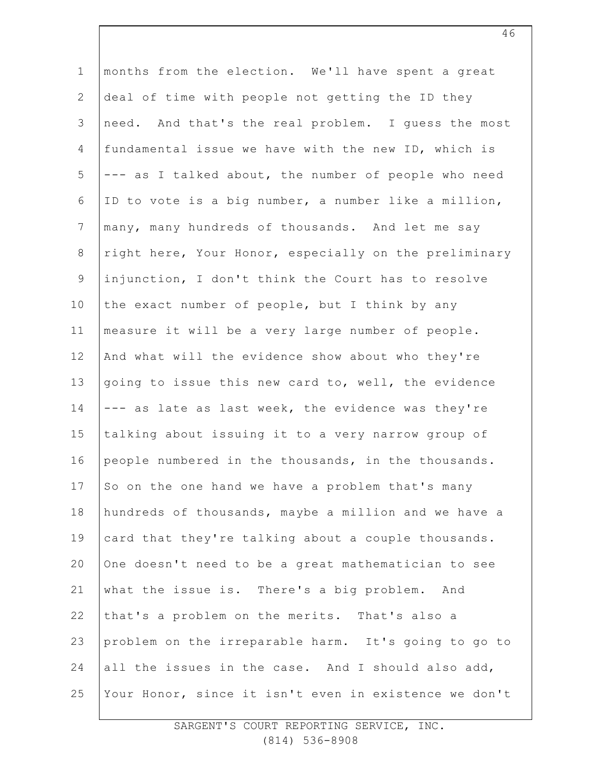1 2 3 4 5 6 7 8 9 10 11 12 13 14 15 16 17 18 19 20 21 22 23 24 25 months from the election. We'll have spent a great deal of time with people not getting the ID they need. And that's the real problem. I guess the most fundamental issue we have with the new ID, which is --- as I talked about, the number of people who need ID to vote is a big number, a number like a million, many, many hundreds of thousands. And let me say right here, Your Honor, especially on the preliminary injunction, I don't think the Court has to resolve the exact number of people, but I think by any measure it will be a very large number of people. And what will the evidence show about who they're going to issue this new card to, well, the evidence --- as late as last week, the evidence was they're talking about issuing it to a very narrow group of people numbered in the thousands, in the thousands. So on the one hand we have a problem that's many hundreds of thousands, maybe a million and we have a card that they're talking about a couple thousands. One doesn't need to be a great mathematician to see what the issue is. There's a big problem. And that's a problem on the merits. That's also a problem on the irreparable harm. It's going to go to all the issues in the case. And I should also add, Your Honor, since it isn't even in existence we don't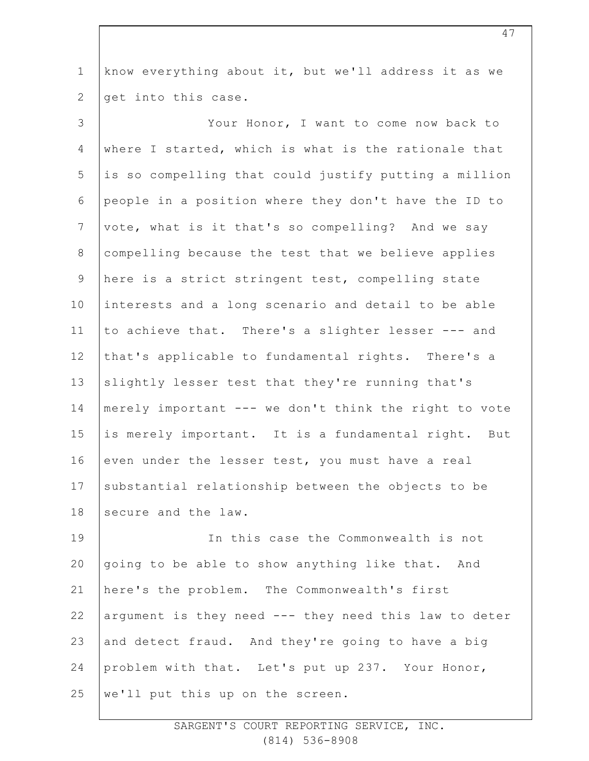1 2 know everything about it, but we'll address it as we get into this case.

3 4 5 6 7 8 9 10 11 12 13 14 15 16 17 18 Your Honor, I want to come now back to where I started, which is what is the rationale that is so compelling that could justify putting a million people in a position where they don't have the ID to vote, what is it that's so compelling? And we say compelling because the test that we believe applies here is a strict stringent test, compelling state interests and a long scenario and detail to be able to achieve that. There's a slighter lesser --- and that's applicable to fundamental rights. There's a slightly lesser test that they're running that's merely important --- we don't think the right to vote is merely important. It is a fundamental right. But even under the lesser test, you must have a real substantial relationship between the objects to be secure and the law.

19 20 21 22 23 24 25 In this case the Commonwealth is not going to be able to show anything like that. And here's the problem. The Commonwealth's first argument is they need --- they need this law to deter and detect fraud. And they're going to have a big problem with that. Let's put up 237. Your Honor, we'll put this up on the screen.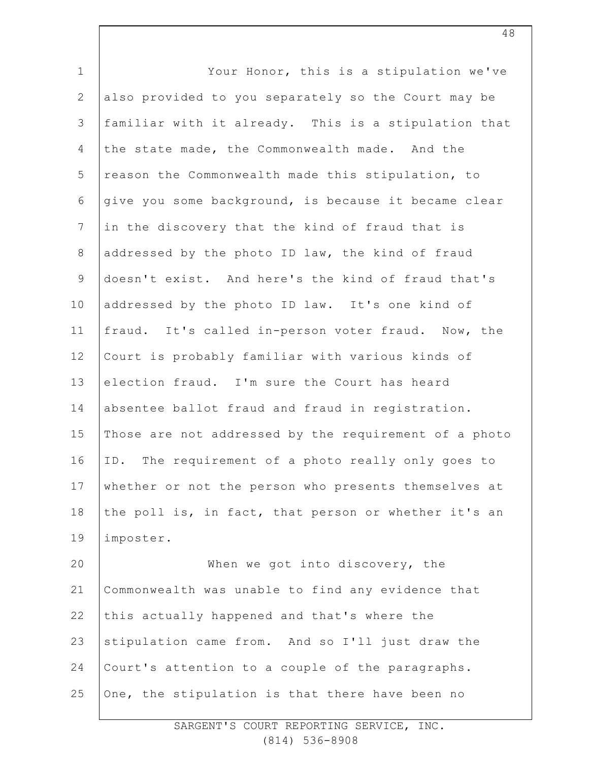| $1\,$          | Your Honor, this is a stipulation we've               |
|----------------|-------------------------------------------------------|
| $\mathbf{2}$   | also provided to you separately so the Court may be   |
| $\mathsf 3$    | familiar with it already. This is a stipulation that  |
| 4              | the state made, the Commonwealth made. And the        |
| 5              | reason the Commonwealth made this stipulation, to     |
| 6              | give you some background, is because it became clear  |
| $\overline{7}$ | in the discovery that the kind of fraud that is       |
| $\,8\,$        | addressed by the photo ID law, the kind of fraud      |
| $\mathsf 9$    | doesn't exist. And here's the kind of fraud that's    |
| 10             | addressed by the photo ID law. It's one kind of       |
| 11             | fraud. It's called in-person voter fraud. Now, the    |
| 12             | Court is probably familiar with various kinds of      |
| 13             | election fraud. I'm sure the Court has heard          |
| 14             | absentee ballot fraud and fraud in registration.      |
| 15             | Those are not addressed by the requirement of a photo |
| 16             | ID. The requirement of a photo really only goes to    |
| 17             | whether or not the person who presents themselves at  |
| 18             | the poll is, in fact, that person or whether it's an  |
| 19             | imposter.                                             |
| 20             | When we got into discovery, the                       |
| 21             | Commonwealth was unable to find any evidence that     |
| 22             | this actually happened and that's where the           |
| 23             | stipulation came from. And so I'll just draw the      |
| 24             | Court's attention to a couple of the paragraphs.      |
| 25             | One, the stipulation is that there have been no       |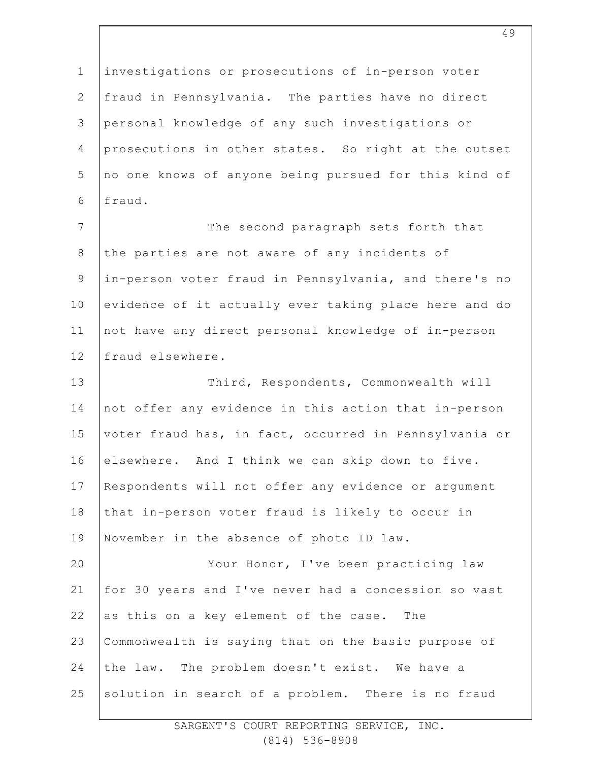1 2 3 4 5 6 7 8 9 10 11 12 13 14 15 16 17 18 19 20 21 22 23 24 25 investigations or prosecutions of in-person voter fraud in Pennsylvania. The parties have no direct personal knowledge of any such investigations or prosecutions in other states. So right at the outset no one knows of anyone being pursued for this kind of fraud. The second paragraph sets forth that the parties are not aware of any incidents of in-person voter fraud in Pennsylvania, and there's no evidence of it actually ever taking place here and do not have any direct personal knowledge of in-person fraud elsewhere. Third, Respondents, Commonwealth will not offer any evidence in this action that in-person voter fraud has, in fact, occurred in Pennsylvania or elsewhere. And I think we can skip down to five. Respondents will not offer any evidence or argument that in-person voter fraud is likely to occur in November in the absence of photo ID law. Your Honor, I've been practicing law for 30 years and I've never had a concession so vast as this on a key element of the case. The Commonwealth is saying that on the basic purpose of the law. The problem doesn't exist. We have a solution in search of a problem. There is no fraud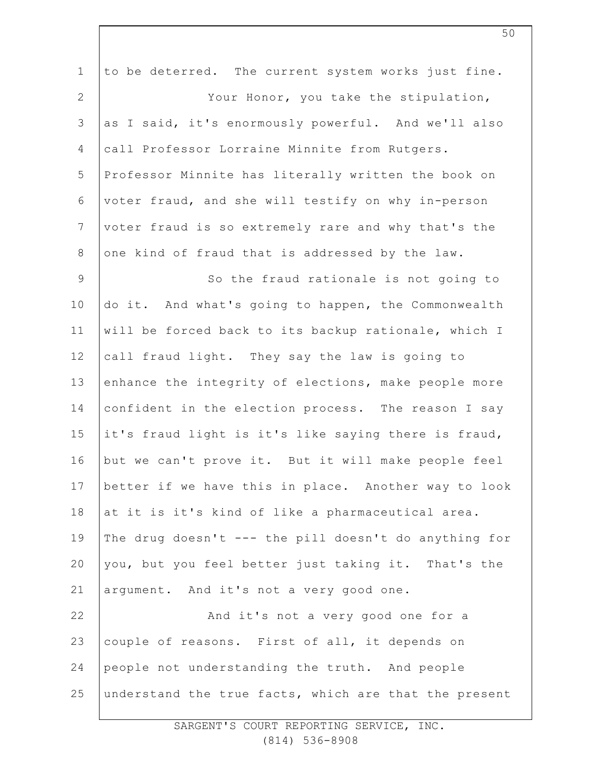| $\mathbf 1$     | to be deterred. The current system works just fine.   |
|-----------------|-------------------------------------------------------|
| 2               | Your Honor, you take the stipulation,                 |
| 3               | as I said, it's enormously powerful. And we'll also   |
| 4               | call Professor Lorraine Minnite from Rutgers.         |
| 5               | Professor Minnite has literally written the book on   |
| 6               | voter fraud, and she will testify on why in-person    |
| $7\phantom{.0}$ | voter fraud is so extremely rare and why that's the   |
| 8               | one kind of fraud that is addressed by the law.       |
| $\overline{9}$  | So the fraud rationale is not going to                |
| 10              | do it. And what's going to happen, the Commonwealth   |
| 11              | will be forced back to its backup rationale, which I  |
| 12              | call fraud light. They say the law is going to        |
| 13              | enhance the integrity of elections, make people more  |
| 14              | confident in the election process. The reason I say   |
| 15              | it's fraud light is it's like saying there is fraud,  |
| 16              | but we can't prove it. But it will make people feel   |
| 17              | better if we have this in place. Another way to look  |
| 18              | at it is it's kind of like a pharmaceutical area.     |
| 19              | The drug doesn't --- the pill doesn't do anything for |
| 20              | you, but you feel better just taking it. That's the   |
| 21              | argument. And it's not a very good one.               |
| 22              | And it's not a very good one for a                    |
| 23              | couple of reasons. First of all, it depends on        |
| 24              | people not understanding the truth. And people        |
| 25              | understand the true facts, which are that the present |
|                 |                                                       |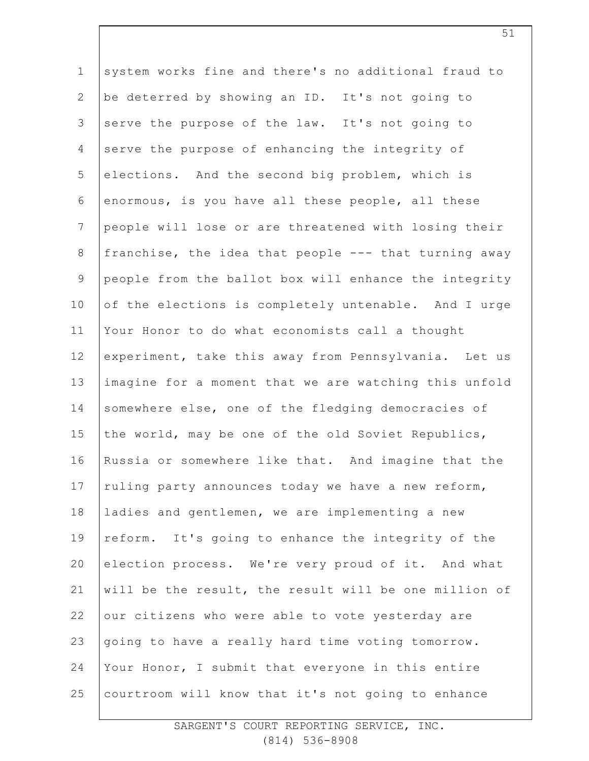1 2 3 4 5 6 7 8 9 10 11 12 13 14 15 16 17 18 19 20 21 22 23 24 25 system works fine and there's no additional fraud to be deterred by showing an ID. It's not going to serve the purpose of the law. It's not going to serve the purpose of enhancing the integrity of elections. And the second big problem, which is enormous, is you have all these people, all these people will lose or are threatened with losing their franchise, the idea that people --- that turning away people from the ballot box will enhance the integrity of the elections is completely untenable. And I urge Your Honor to do what economists call a thought experiment, take this away from Pennsylvania. Let us imagine for a moment that we are watching this unfold somewhere else, one of the fledging democracies of the world, may be one of the old Soviet Republics, Russia or somewhere like that. And imagine that the ruling party announces today we have a new reform, ladies and gentlemen, we are implementing a new reform. It's going to enhance the integrity of the election process. We're very proud of it. And what will be the result, the result will be one million of our citizens who were able to vote yesterday are going to have a really hard time voting tomorrow. Your Honor, I submit that everyone in this entire courtroom will know that it's not going to enhance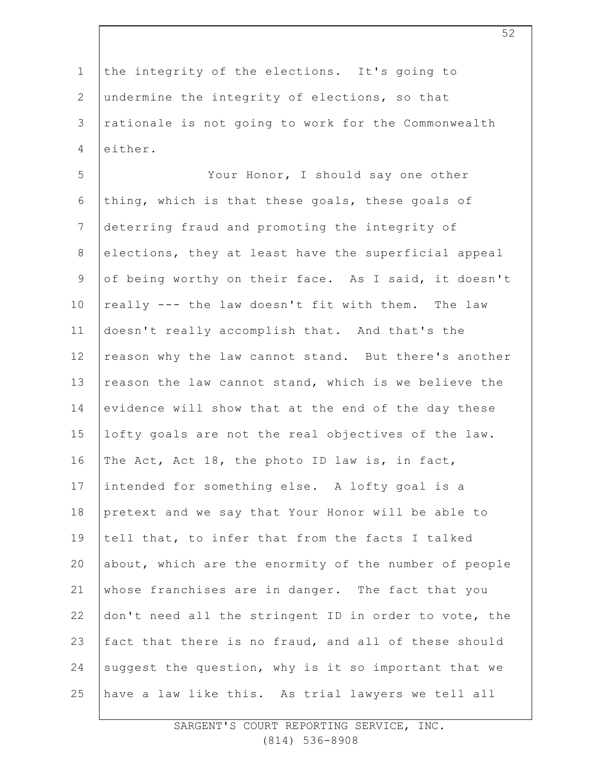1 2 3 4 5 6 7 8 9 10 11 12 13 14 15 16 17 18 19 20 21 22 the integrity of the elections. It's going to undermine the integrity of elections, so that rationale is not going to work for the Commonwealth either. Your Honor, I should say one other thing, which is that these goals, these goals of deterring fraud and promoting the integrity of elections, they at least have the superficial appeal of being worthy on their face. As I said, it doesn't really --- the law doesn't fit with them. The law doesn't really accomplish that. And that's the reason why the law cannot stand. But there's another reason the law cannot stand, which is we believe the evidence will show that at the end of the day these lofty goals are not the real objectives of the law. The Act, Act 18, the photo ID law is, in fact, intended for something else. A lofty goal is a pretext and we say that Your Honor will be able to tell that, to infer that from the facts I talked about, which are the enormity of the number of people whose franchises are in danger. The fact that you don't need all the stringent ID in order to vote, the

23 24 25 fact that there is no fraud, and all of these should suggest the question, why is it so important that we have a law like this. As trial lawyers we tell all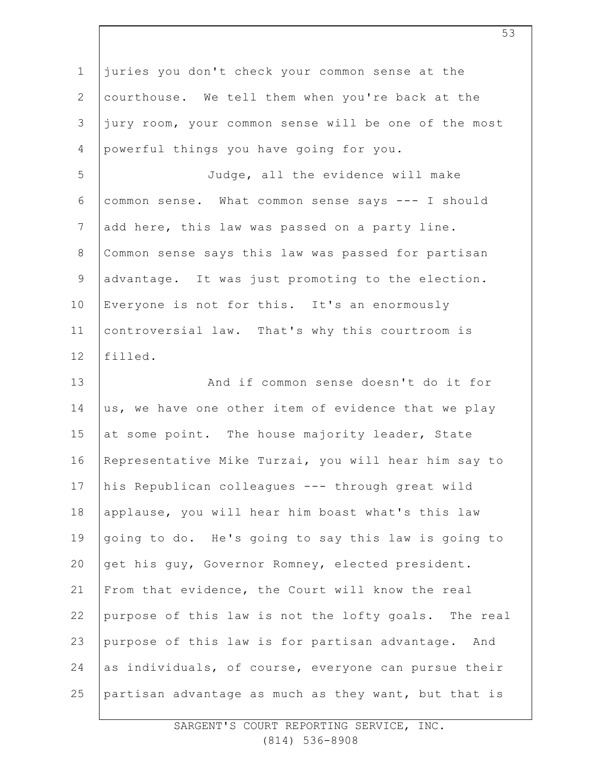| $\mathbf 1$    | juries you don't check your common sense at the      |
|----------------|------------------------------------------------------|
| $\mathbf{2}$   | courthouse. We tell them when you're back at the     |
| 3              | jury room, your common sense will be one of the most |
| 4              | powerful things you have going for you.              |
| 5              | Judge, all the evidence will make                    |
| 6              | common sense. What common sense says --- I should    |
| $7\phantom{.}$ | add here, this law was passed on a party line.       |
| $\,8\,$        | Common sense says this law was passed for partisan   |
| $\mathcal{G}$  | advantage. It was just promoting to the election.    |
| 10             | Everyone is not for this. It's an enormously         |
| 11             | controversial law. That's why this courtroom is      |
| 12             | filled.                                              |
| 13             | And if common sense doesn't do it for                |
| 14             | us, we have one other item of evidence that we play  |
| 15             | at some point. The house majority leader, State      |
| 16             | Representative Mike Turzai, you will hear him say to |
| 17             | his Republican colleagues --- through great wild     |
| 18             | applause, you will hear him boast what's this law    |
| 19             | going to do. He's going to say this law is going to  |
| 20             | get his guy, Governor Romney, elected president.     |
| 21             | From that evidence, the Court will know the real     |
| 22             | purpose of this law is not the lofty goals. The real |
| 23             | purpose of this law is for partisan advantage. And   |
| 24             | as individuals, of course, everyone can pursue their |
| 25             | partisan advantage as much as they want, but that is |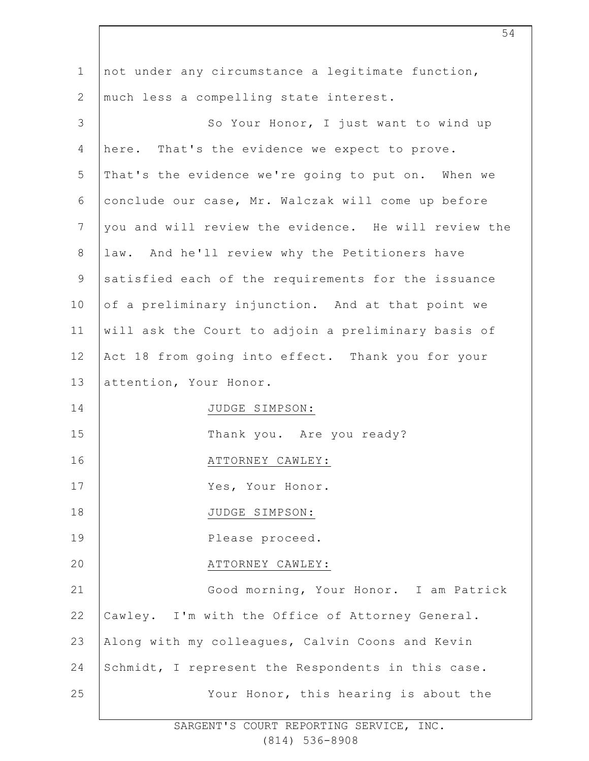| $\mathbf 1$ | not under any circumstance a legitimate function,    |
|-------------|------------------------------------------------------|
| 2           | much less a compelling state interest.               |
| 3           | So Your Honor, I just want to wind up                |
| 4           | here. That's the evidence we expect to prove.        |
| 5           | That's the evidence we're going to put on. When we   |
| 6           | conclude our case, Mr. Walczak will come up before   |
| 7           | you and will review the evidence. He will review the |
| $\,8\,$     | law. And he'll review why the Petitioners have       |
| $\mathsf 9$ | satisfied each of the requirements for the issuance  |
| 10          | of a preliminary injunction. And at that point we    |
| 11          | will ask the Court to adjoin a preliminary basis of  |
| 12          | Act 18 from going into effect. Thank you for your    |
| 13          | attention, Your Honor.                               |
| 14          | JUDGE SIMPSON:                                       |
| 15          | Thank you. Are you ready?                            |
| 16          | ATTORNEY CAWLEY:                                     |
| 17          | Yes, Your Honor.                                     |
| 18          | JUDGE SIMPSON:                                       |
| 19          | Please proceed.                                      |
| 20          | ATTORNEY CAWLEY:                                     |
| 21          | Good morning, Your Honor. I am Patrick               |
| 22          | Cawley. I'm with the Office of Attorney General.     |
| 23          | Along with my colleagues, Calvin Coons and Kevin     |
| 24          | Schmidt, I represent the Respondents in this case.   |
| 25          | Your Honor, this hearing is about the                |
|             |                                                      |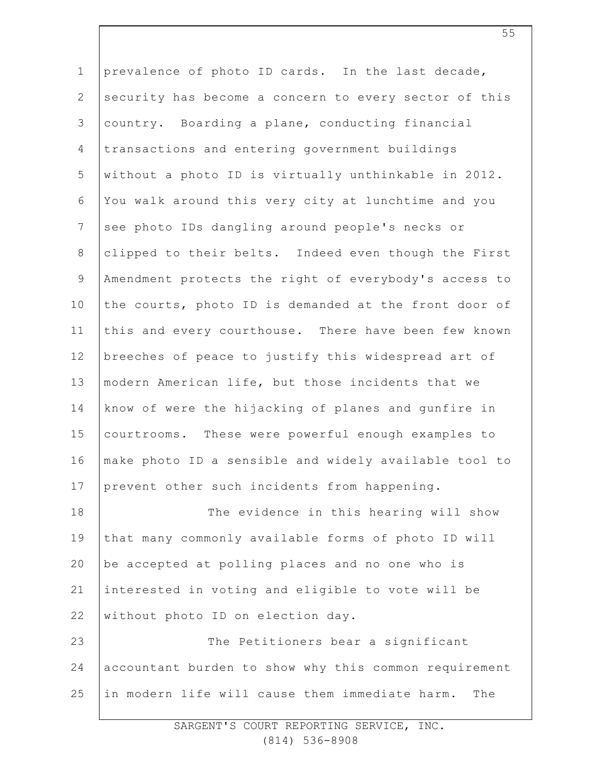| $\mathbf 1$    | prevalence of photo ID cards. In the last decade,     |
|----------------|-------------------------------------------------------|
| $\mathbf{2}$   | security has become a concern to every sector of this |
| $\mathsf 3$    | country. Boarding a plane, conducting financial       |
| $\overline{4}$ | transactions and entering government buildings        |
| 5              | without a photo ID is virtually unthinkable in 2012.  |
| 6              | You walk around this very city at lunchtime and you   |
| $\overline{7}$ | see photo IDs dangling around people's necks or       |
| $\,8\,$        | clipped to their belts. Indeed even though the First  |
| $\mathsf 9$    | Amendment protects the right of everybody's access to |
| 10             | the courts, photo ID is demanded at the front door of |
| 11             | this and every courthouse. There have been few known  |
| 12             | breeches of peace to justify this widespread art of   |
| 13             | modern American life, but those incidents that we     |
| 14             | know of were the hijacking of planes and gunfire in   |
| 15             | courtrooms. These were powerful enough examples to    |
| 16             | make photo ID a sensible and widely available tool to |
| 17             | prevent other such incidents from happening.          |
| 18             | The evidence in this hearing will show                |
| 19             | that many commonly available forms of photo ID will   |
| 20             | be accepted at polling places and no one who is       |
| 21             | interested in voting and eligible to vote will be     |
| 22             | without photo ID on election day.                     |
| 23             | The Petitioners bear a significant                    |
| 24             | accountant burden to show why this common requirement |
| 25             | in modern life will cause them immediate harm.<br>The |
|                |                                                       |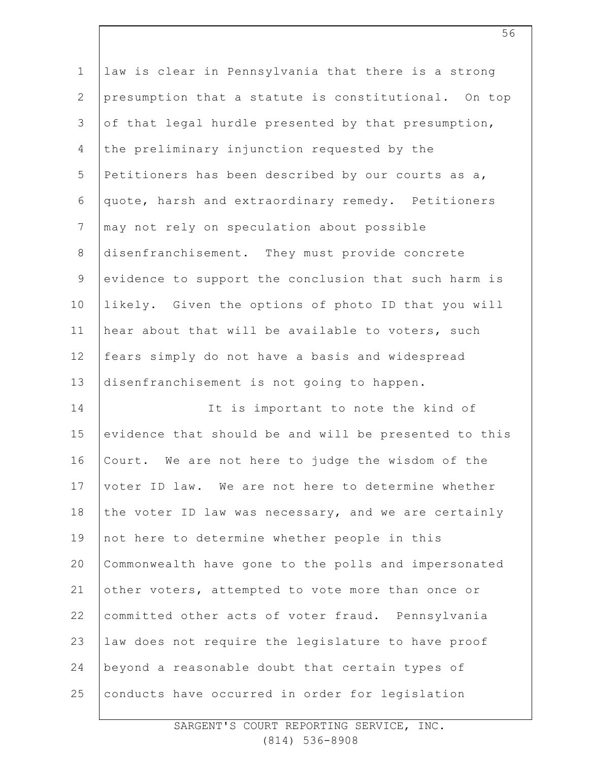| $\mathbf 1$    | law is clear in Pennsylvania that there is a strong   |
|----------------|-------------------------------------------------------|
| $\mathbf{2}$   | presumption that a statute is constitutional. On top  |
| 3              | of that legal hurdle presented by that presumption,   |
| 4              | the preliminary injunction requested by the           |
| 5              | Petitioners has been described by our courts as a,    |
| 6              | quote, harsh and extraordinary remedy. Petitioners    |
| $\overline{7}$ | may not rely on speculation about possible            |
| $8\,$          | disenfranchisement. They must provide concrete        |
| $\mathsf 9$    | evidence to support the conclusion that such harm is  |
| 10             | likely. Given the options of photo ID that you will   |
| 11             | hear about that will be available to voters, such     |
| 12             | fears simply do not have a basis and widespread       |
| 13             | disenfranchisement is not going to happen.            |
|                |                                                       |
| 14             | It is important to note the kind of                   |
| 15             | evidence that should be and will be presented to this |
| 16             | Court. We are not here to judge the wisdom of the     |
| 17             | voter ID law. We are not here to determine whether    |
| 18             | the voter ID law was necessary, and we are certainly  |
| 19             | not here to determine whether people in this          |
| 20             | Commonwealth have gone to the polls and impersonated  |
| 21             | other voters, attempted to vote more than once or     |
| 22             | committed other acts of voter fraud. Pennsylvania     |
| 23             | law does not require the legislature to have proof    |
| 24             | beyond a reasonable doubt that certain types of       |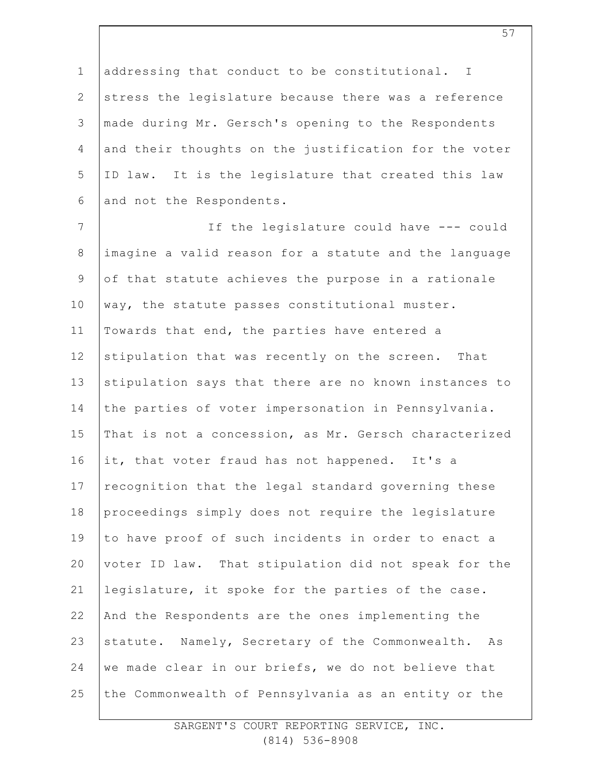1 2 3 4 5 6 addressing that conduct to be constitutional. I stress the legislature because there was a reference made during Mr. Gersch's opening to the Respondents and their thoughts on the justification for the voter ID law. It is the legislature that created this law and not the Respondents.

7 8 9 10 11 12 13 14 15 16 17 18 19 20 21 22 23 24 25 If the legislature could have --- could imagine a valid reason for a statute and the language of that statute achieves the purpose in a rationale way, the statute passes constitutional muster. Towards that end, the parties have entered a stipulation that was recently on the screen. That stipulation says that there are no known instances to the parties of voter impersonation in Pennsylvania. That is not a concession, as Mr. Gersch characterized it, that voter fraud has not happened. It's a recognition that the legal standard governing these proceedings simply does not require the legislature to have proof of such incidents in order to enact a voter ID law. That stipulation did not speak for the legislature, it spoke for the parties of the case. And the Respondents are the ones implementing the statute. Namely, Secretary of the Commonwealth. As we made clear in our briefs, we do not believe that the Commonwealth of Pennsylvania as an entity or the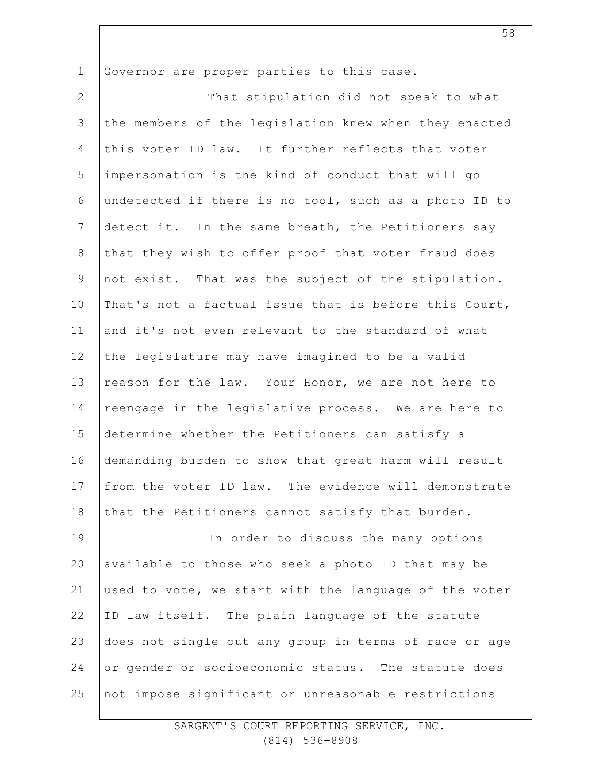1 Governor are proper parties to this case.

2 3 4 5 6 7 8 9 10 11 12 13 14 15 16 17 18 19 20 21 22 23 24 25 That stipulation did not speak to what the members of the legislation knew when they enacted this voter ID law. It further reflects that voter impersonation is the kind of conduct that will go undetected if there is no tool, such as a photo ID to detect it. In the same breath, the Petitioners say that they wish to offer proof that voter fraud does not exist. That was the subject of the stipulation. That's not a factual issue that is before this Court, and it's not even relevant to the standard of what the legislature may have imagined to be a valid reason for the law. Your Honor, we are not here to reengage in the legislative process. We are here to determine whether the Petitioners can satisfy a demanding burden to show that great harm will result from the voter ID law. The evidence will demonstrate that the Petitioners cannot satisfy that burden. In order to discuss the many options available to those who seek a photo ID that may be used to vote, we start with the language of the voter ID law itself. The plain language of the statute does not single out any group in terms of race or age or gender or socioeconomic status. The statute does not impose significant or unreasonable restrictions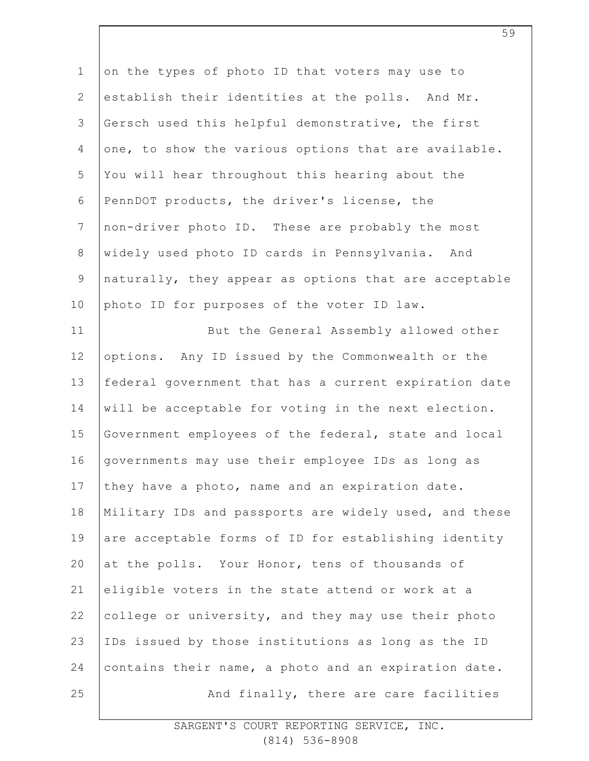1 2 3 4 5 6 7 8 9 10 11 12 13 14 15 16 17 18 19 20 21 22 23 24 25 on the types of photo ID that voters may use to establish their identities at the polls. And Mr. Gersch used this helpful demonstrative, the first one, to show the various options that are available. You will hear throughout this hearing about the PennDOT products, the driver's license, the non-driver photo ID. These are probably the most widely used photo ID cards in Pennsylvania. And naturally, they appear as options that are acceptable photo ID for purposes of the voter ID law. But the General Assembly allowed other options. Any ID issued by the Commonwealth or the federal government that has a current expiration date will be acceptable for voting in the next election. Government employees of the federal, state and local governments may use their employee IDs as long as they have a photo, name and an expiration date. Military IDs and passports are widely used, and these are acceptable forms of ID for establishing identity at the polls. Your Honor, tens of thousands of eligible voters in the state attend or work at a college or university, and they may use their photo IDs issued by those institutions as long as the ID contains their name, a photo and an expiration date. And finally, there are care facilities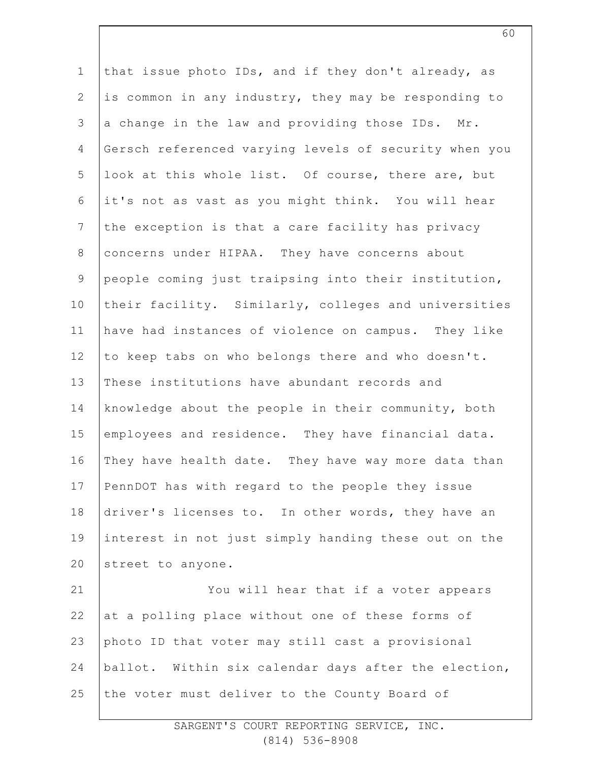1 2 3 4 5 6 7 8 9 10 11 12 13 14 15 16 17 18 19 20 21 22 23 24 25 that issue photo IDs, and if they don't already, as is common in any industry, they may be responding to a change in the law and providing those IDs. Mr. Gersch referenced varying levels of security when you look at this whole list. Of course, there are, but it's not as vast as you might think. You will hear the exception is that a care facility has privacy concerns under HIPAA. They have concerns about people coming just traipsing into their institution, their facility. Similarly, colleges and universities have had instances of violence on campus. They like to keep tabs on who belongs there and who doesn't. These institutions have abundant records and knowledge about the people in their community, both employees and residence. They have financial data. They have health date. They have way more data than PennDOT has with regard to the people they issue driver's licenses to. In other words, they have an interest in not just simply handing these out on the street to anyone. You will hear that if a voter appears at a polling place without one of these forms of photo ID that voter may still cast a provisional ballot. Within six calendar days after the election, the voter must deliver to the County Board of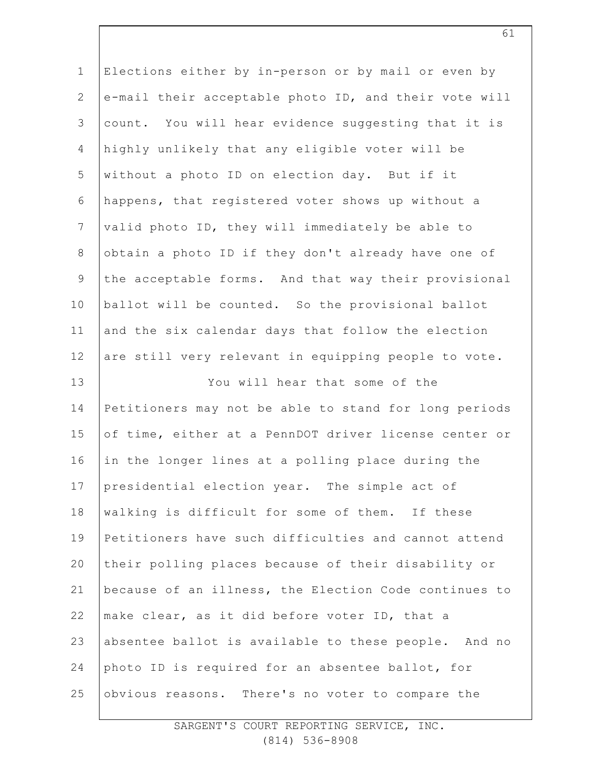| $1\,$          | Elections either by in-person or by mail or even by   |
|----------------|-------------------------------------------------------|
| $\mathbf{2}$   | e-mail their acceptable photo ID, and their vote will |
| 3              | count. You will hear evidence suggesting that it is   |
| 4              | highly unlikely that any eligible voter will be       |
| 5              | without a photo ID on election day. But if it         |
| $6\,$          | happens, that registered voter shows up without a     |
| $7\phantom{.}$ | valid photo ID, they will immediately be able to      |
| $\,8\,$        | obtain a photo ID if they don't already have one of   |
| $\mathsf 9$    | the acceptable forms. And that way their provisional  |
| 10             | ballot will be counted. So the provisional ballot     |
| 11             | and the six calendar days that follow the election    |
| 12             | are still very relevant in equipping people to vote.  |
| 13             | You will hear that some of the                        |
| 14             | Petitioners may not be able to stand for long periods |
| 15             | of time, either at a PennDOT driver license center or |
| 16             | in the longer lines at a polling place during the     |
| 17             | presidential election year. The simple act of         |
| 18             | walking is difficult for some of them. If these       |
| 19             | Petitioners have such difficulties and cannot attend  |
| 20             | their polling places because of their disability or   |
| 21             | because of an illness, the Election Code continues to |
| 22             | make clear, as it did before voter ID, that a         |
| 23             | absentee ballot is available to these people. And no  |
| 24             | photo ID is required for an absentee ballot, for      |
| 25             | obvious reasons. There's no voter to compare the      |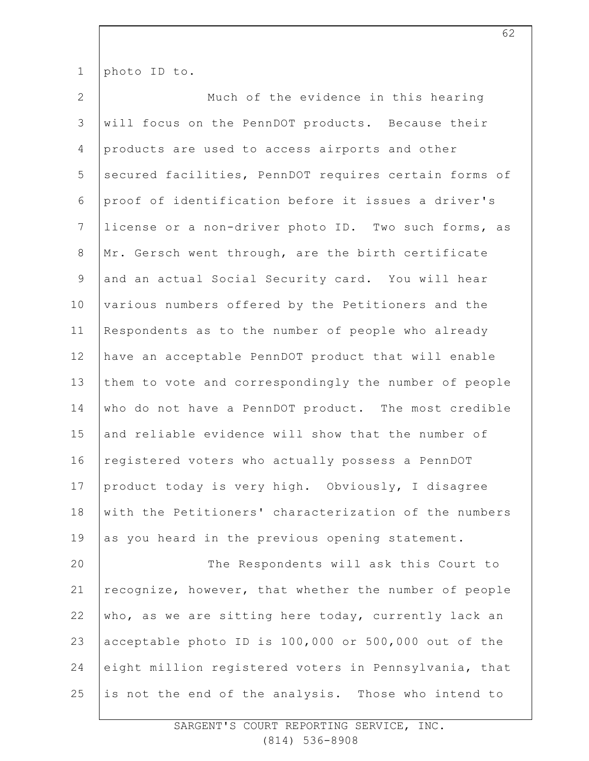1 photo ID to.

2 3 4 5 6 7 8 9 10 11 12 13 14 15 16 17 18 19 20 21 22 23 24 25 Much of the evidence in this hearing will focus on the PennDOT products. Because their products are used to access airports and other secured facilities, PennDOT requires certain forms of proof of identification before it issues a driver's license or a non-driver photo ID. Two such forms, as Mr. Gersch went through, are the birth certificate and an actual Social Security card. You will hear various numbers offered by the Petitioners and the Respondents as to the number of people who already have an acceptable PennDOT product that will enable them to vote and correspondingly the number of people who do not have a PennDOT product. The most credible and reliable evidence will show that the number of registered voters who actually possess a PennDOT product today is very high. Obviously, I disagree with the Petitioners' characterization of the numbers as you heard in the previous opening statement. The Respondents will ask this Court to recognize, however, that whether the number of people who, as we are sitting here today, currently lack an acceptable photo ID is 100,000 or 500,000 out of the eight million registered voters in Pennsylvania, that is not the end of the analysis. Those who intend to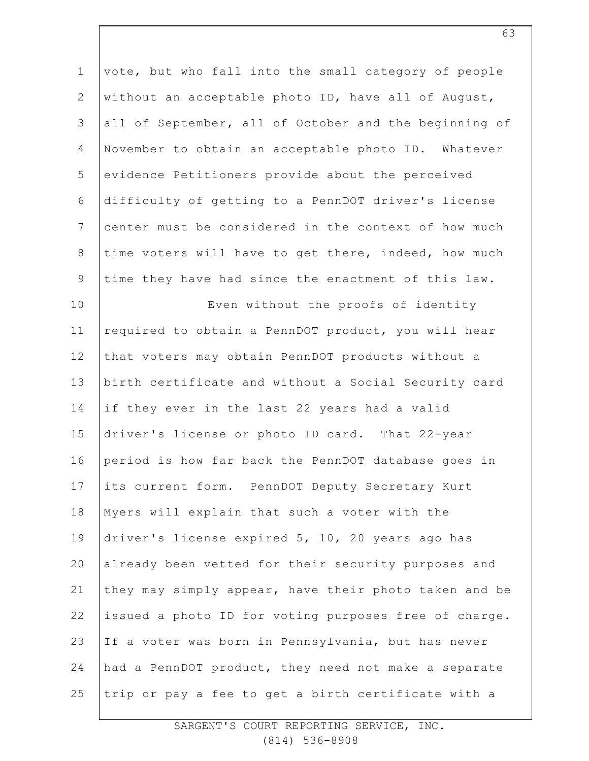1 2 3 4 5 6 7 8 9 10 11 12 13 14 15 16 17 18 19 20 21 22 23 24 25 vote, but who fall into the small category of people without an acceptable photo ID, have all of August, all of September, all of October and the beginning of November to obtain an acceptable photo ID. Whatever evidence Petitioners provide about the perceived difficulty of getting to a PennDOT driver's license center must be considered in the context of how much time voters will have to get there, indeed, how much time they have had since the enactment of this law. Even without the proofs of identity required to obtain a PennDOT product, you will hear that voters may obtain PennDOT products without a birth certificate and without a Social Security card if they ever in the last 22 years had a valid driver's license or photo ID card. That 22-year period is how far back the PennDOT database goes in its current form. PennDOT Deputy Secretary Kurt Myers will explain that such a voter with the driver's license expired 5, 10, 20 years ago has already been vetted for their security purposes and they may simply appear, have their photo taken and be issued a photo ID for voting purposes free of charge. If a voter was born in Pennsylvania, but has never had a PennDOT product, they need not make a separate trip or pay a fee to get a birth certificate with a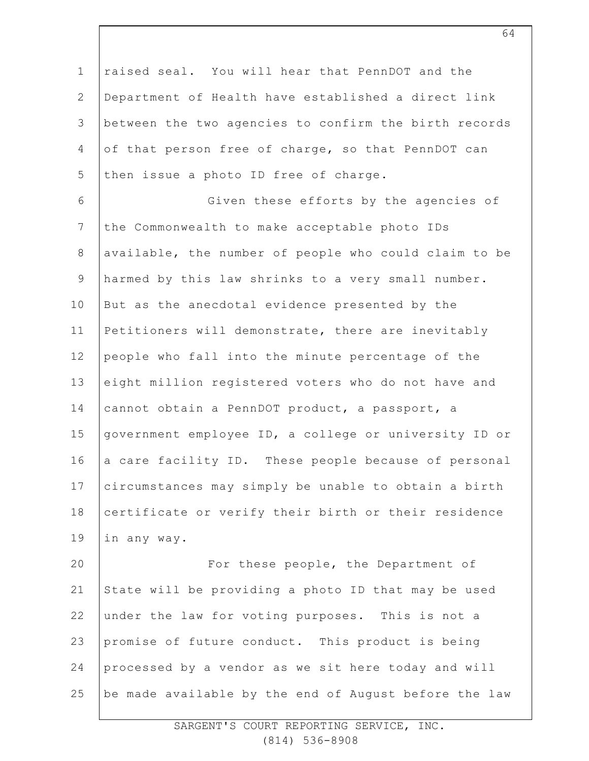| $\mathbf 1$     | raised seal. You will hear that PennDOT and the       |
|-----------------|-------------------------------------------------------|
| $\mathbf{2}$    | Department of Health have established a direct link   |
| $\mathcal{S}$   | between the two agencies to confirm the birth records |
| $\overline{4}$  | of that person free of charge, so that PennDOT can    |
| 5               | then issue a photo ID free of charge.                 |
| $\epsilon$      | Given these efforts by the agencies of                |
| $7\phantom{.0}$ | the Commonwealth to make acceptable photo IDs         |
| $\,8\,$         | available, the number of people who could claim to be |
| $\mathsf 9$     | harmed by this law shrinks to a very small number.    |
| 10              | But as the anecdotal evidence presented by the        |
| 11              | Petitioners will demonstrate, there are inevitably    |
| 12              | people who fall into the minute percentage of the     |
| 13              | eight million registered voters who do not have and   |
| 14              | cannot obtain a PennDOT product, a passport, a        |
| 15              | government employee ID, a college or university ID or |
| 16              | a care facility ID. These people because of personal  |
| 17              | circumstances may simply be unable to obtain a birth  |
| 18              | certificate or verify their birth or their residence  |
| 19              | in any way.                                           |
| 20              | For these people, the Department of                   |
| 21              | State will be providing a photo ID that may be used   |
| 22              | under the law for voting purposes. This is not a      |
| 23              | promise of future conduct. This product is being      |
| 24              | processed by a vendor as we sit here today and will   |
| 25              | be made available by the end of August before the law |
|                 |                                                       |

64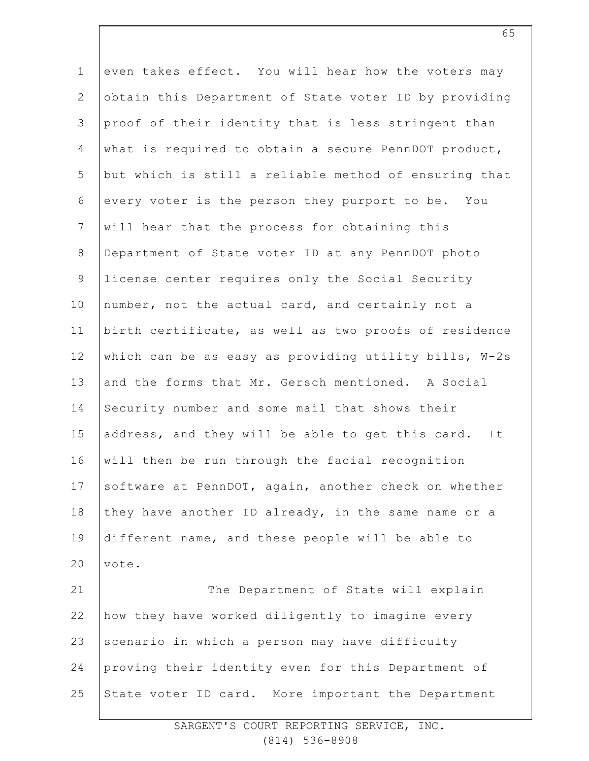| $\mathbf 1$    | even takes effect. You will hear how the voters may    |
|----------------|--------------------------------------------------------|
| $\mathbf{2}$   | obtain this Department of State voter ID by providing  |
| $\mathsf 3$    | proof of their identity that is less stringent than    |
| $\overline{4}$ | what is required to obtain a secure PennDOT product,   |
| 5              | but which is still a reliable method of ensuring that  |
| 6              | every voter is the person they purport to be. You      |
| $7\phantom{.}$ | will hear that the process for obtaining this          |
| $\,8\,$        | Department of State voter ID at any PennDOT photo      |
| $\mathcal{G}$  | license center requires only the Social Security       |
| 10             | number, not the actual card, and certainly not a       |
| 11             | birth certificate, as well as two proofs of residence  |
| 12             | which can be as easy as providing utility bills, W-2s  |
| 13             | and the forms that Mr. Gersch mentioned. A Social      |
| 14             | Security number and some mail that shows their         |
| 15             | address, and they will be able to get this card.<br>It |
| 16             | will then be run through the facial recognition        |
| 17             | software at PennDOT, again, another check on whether   |
| 18             | they have another ID already, in the same name or a    |
| 19             | different name, and these people will be able to       |
| 20             | vote.                                                  |
| 21             | The Department of State will explain                   |
| 22             | how they have worked diligently to imagine every       |
| 23             | scenario in which a person may have difficulty         |
| 24             | proving their identity even for this Department of     |
| 25             | State voter ID card. More important the Department     |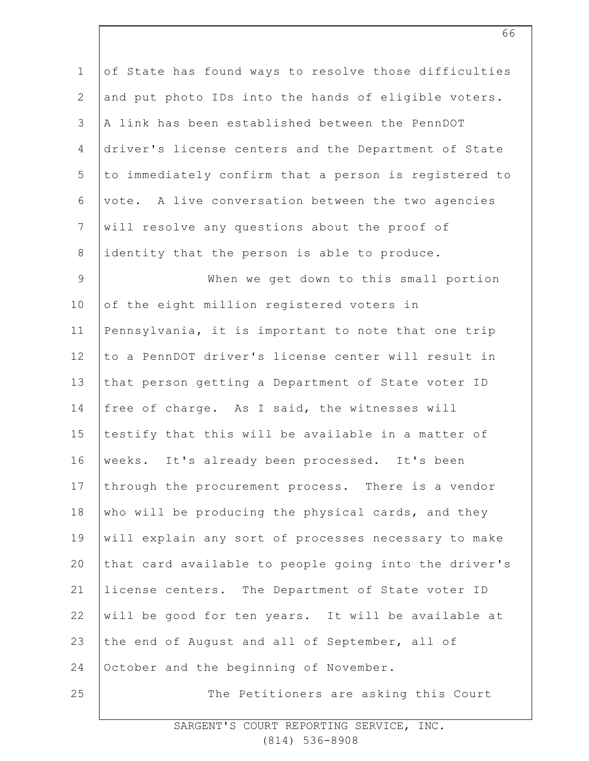| $\mathbf 1$    | of State has found ways to resolve those difficulties |
|----------------|-------------------------------------------------------|
| $\overline{2}$ | and put photo IDs into the hands of eligible voters.  |
| 3              | A link has been established between the PennDOT       |
| 4              | driver's license centers and the Department of State  |
| 5              | to immediately confirm that a person is registered to |
| $\epsilon$     | vote. A live conversation between the two agencies    |
| $\overline{7}$ | will resolve any questions about the proof of         |
| $8\,$          | identity that the person is able to produce.          |
| $\mathsf 9$    | When we get down to this small portion                |
| 10             | of the eight million registered voters in             |
| 11             | Pennsylvania, it is important to note that one trip   |
| 12             | to a PennDOT driver's license center will result in   |
| 13             | that person getting a Department of State voter ID    |
| 14             | free of charge. As I said, the witnesses will         |
| 15             | testify that this will be available in a matter of    |
| 16             | weeks. It's already been processed. It's been         |
| 17             | through the procurement process. There is a vendor    |
| 18             | who will be producing the physical cards, and they    |
| 19             | will explain any sort of processes necessary to make  |
| 20             | that card available to people going into the driver's |
| 21             | license centers. The Department of State voter ID     |
| 22             | will be good for ten years. It will be available at   |
| 23             | the end of August and all of September, all of        |
| 24             | October and the beginning of November.                |
| 25             | The Petitioners are asking this Court                 |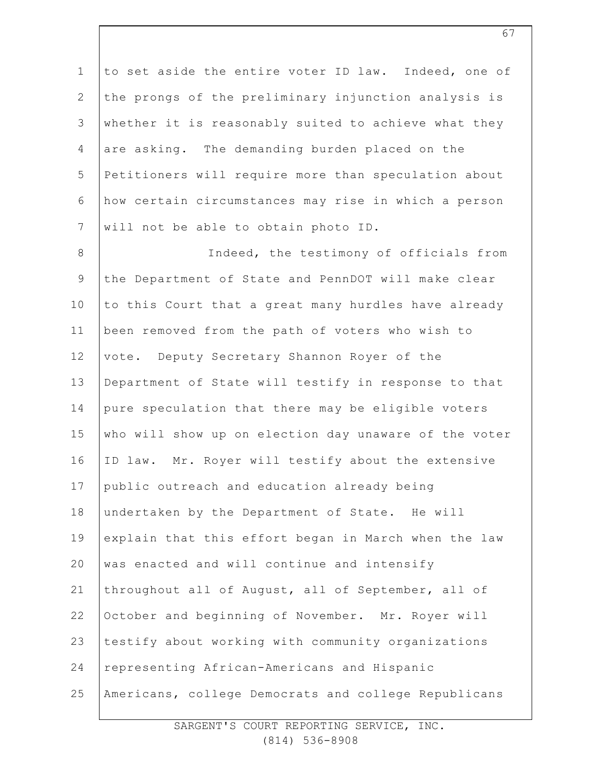1 2 3 4 5 6 7 to set aside the entire voter ID law. Indeed, one of the prongs of the preliminary injunction analysis is whether it is reasonably suited to achieve what they are asking. The demanding burden placed on the Petitioners will require more than speculation about how certain circumstances may rise in which a person will not be able to obtain photo ID.

8 9 10 11 12 13 14 15 16 17 18 19 20 21 22 23 24 25 Indeed, the testimony of officials from the Department of State and PennDOT will make clear to this Court that a great many hurdles have already been removed from the path of voters who wish to vote. Deputy Secretary Shannon Royer of the Department of State will testify in response to that pure speculation that there may be eligible voters who will show up on election day unaware of the voter ID law. Mr. Royer will testify about the extensive public outreach and education already being undertaken by the Department of State. He will explain that this effort began in March when the law was enacted and will continue and intensify throughout all of August, all of September, all of October and beginning of November. Mr. Royer will testify about working with community organizations representing African-Americans and Hispanic Americans, college Democrats and college Republicans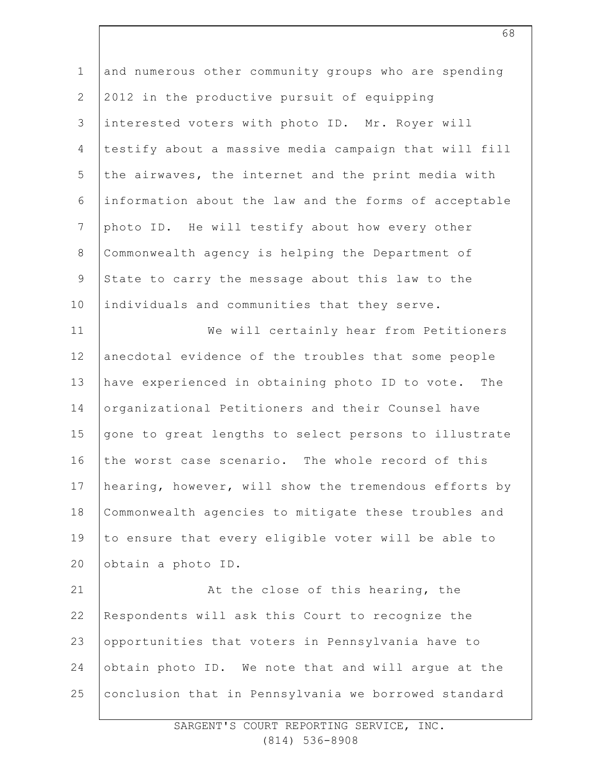| $\mathbf 1$    | and numerous other community groups who are spending  |
|----------------|-------------------------------------------------------|
| $\mathbf{2}$   | 2012 in the productive pursuit of equipping           |
| 3              | interested voters with photo ID. Mr. Royer will       |
| 4              | testify about a massive media campaign that will fill |
| 5              | the airwaves, the internet and the print media with   |
| 6              | information about the law and the forms of acceptable |
| $\overline{7}$ | photo ID. He will testify about how every other       |
| $8\,$          | Commonwealth agency is helping the Department of      |
| $\mathcal{G}$  | State to carry the message about this law to the      |
| 10             | individuals and communities that they serve.          |
| 11             | We will certainly hear from Petitioners               |
| 12             | anecdotal evidence of the troubles that some people   |
| 13             | have experienced in obtaining photo ID to vote. The   |
| 14             | organizational Petitioners and their Counsel have     |
| 15             | gone to great lengths to select persons to illustrate |
| 16             | the worst case scenario. The whole record of this     |
| 17             | hearing, however, will show the tremendous efforts by |
| 18             | Commonwealth agencies to mitigate these troubles and  |
| 19             | to ensure that every eligible voter will be able to   |
| 20             | obtain a photo ID.                                    |
| 21             | At the close of this hearing, the                     |
| 22             | Respondents will ask this Court to recognize the      |
| 23             | opportunities that voters in Pennsylvania have to     |
| 24             | obtain photo ID. We note that and will argue at the   |
| 25             | conclusion that in Pennsylvania we borrowed standard  |
|                |                                                       |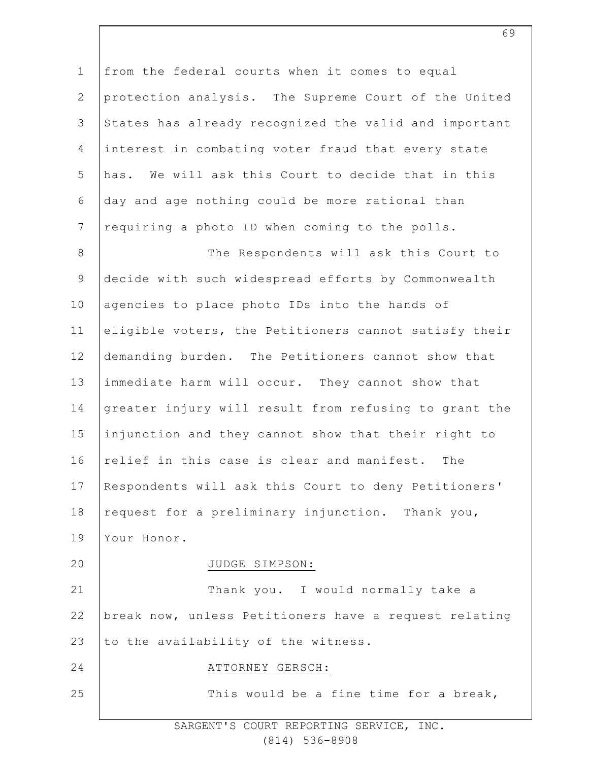1 2 3 4 5 6 7 8 9 10 11 12 13 14 15 16 17 18 19  $20$ 21 22 23 24 25 from the federal courts when it comes to equal protection analysis. The Supreme Court of the United States has already recognized the valid and important interest in combating voter fraud that every state has. We will ask this Court to decide that in this day and age nothing could be more rational than requiring a photo ID when coming to the polls. The Respondents will ask this Court to decide with such widespread efforts by Commonwealth agencies to place photo IDs into the hands of eligible voters, the Petitioners cannot satisfy their demanding burden. The Petitioners cannot show that immediate harm will occur. They cannot show that greater injury will result from refusing to grant the injunction and they cannot show that their right to relief in this case is clear and manifest. The Respondents will ask this Court to deny Petitioners' request for a preliminary injunction. Thank you, Your Honor. JUDGE SIMPSON: Thank you. I would normally take a break now, unless Petitioners have a request relating to the availability of the witness. ATTORNEY GERSCH: This would be a fine time for a break,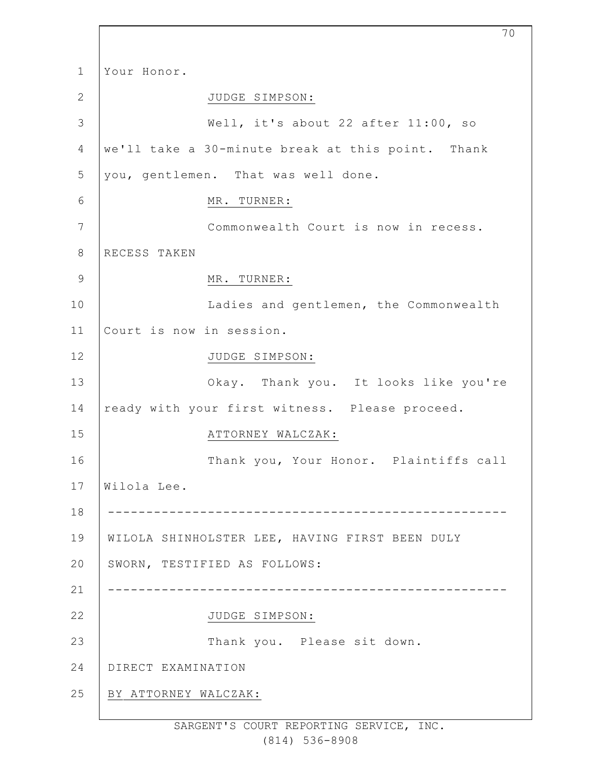1 2 3 4 5 6 7 8 9 10 11 12 13 14 15 16 17 18 19 20 21 22 23 24 25 Your Honor. JUDGE SIMPSON: Well, it's about 22 after 11:00, so we'll take a 30-minute break at this point. Thank you, gentlemen. That was well done. MR. TURNER: Commonwealth Court is now in recess. RECESS TAKEN MR. TURNER: Ladies and gentlemen, the Commonwealth Court is now in session. JUDGE SIMPSON: Okay. Thank you. It looks like you're ready with your first witness. Please proceed. ATTORNEY WALCZAK: Thank you, Your Honor. Plaintiffs call Wilola Lee. ---------------------------------------------------- WILOLA SHINHOLSTER LEE, HAVING FIRST BEEN DULY SWORN, TESTIFIED AS FOLLOWS: ---------------------------------------------------- JUDGE SIMPSON: Thank you. Please sit down. DIRECT EXAMINATION BY ATTORNEY WALCZAK:

70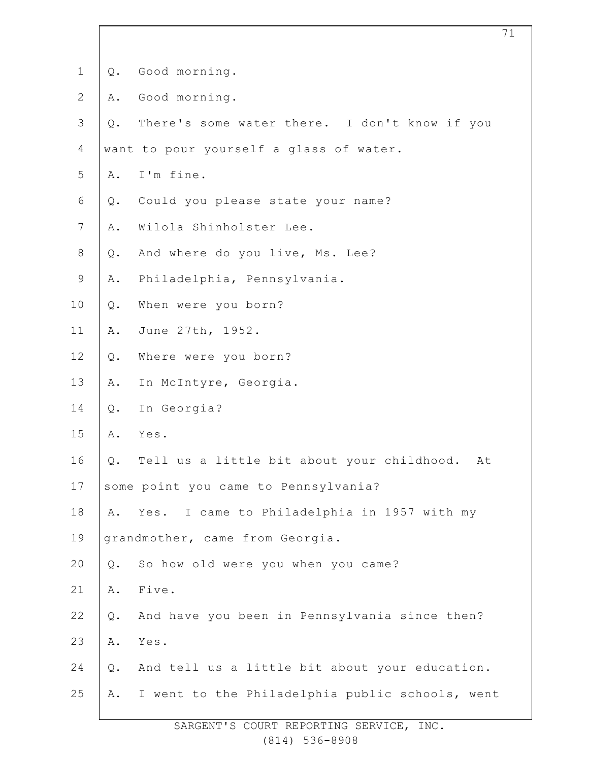| $\mathbf 1$    | Q.    | Good morning.                                    |
|----------------|-------|--------------------------------------------------|
| $\mathbf{2}$   | Α.    | Good morning.                                    |
| 3              | $Q$ . | There's some water there. I don't know if you    |
| 4              |       | want to pour yourself a glass of water.          |
| 5              | Α.    | I'm fine.                                        |
| 6              | Q.    | Could you please state your name?                |
| $7\phantom{.}$ | Α.    | Wilola Shinholster Lee.                          |
| $8\,$          | Q.    | And where do you live, Ms. Lee?                  |
| $\mathsf 9$    | Α.    | Philadelphia, Pennsylvania.                      |
| 10             | $Q$ . | When were you born?                              |
| 11             | Α.    | June 27th, 1952.                                 |
| 12             | $Q$ . | Where were you born?                             |
| 13             | Α.    | In McIntyre, Georgia.                            |
| 14             | $Q$ . | In Georgia?                                      |
| 15             | Α.    | Yes.                                             |
| 16             | Q.    | Tell us a little bit about your childhood.<br>At |
| 17             |       | some point you came to Pennsylvania?             |
| 18             | Α.    | I came to Philadelphia in 1957 with my<br>Yes.   |
| 19             |       | grandmother, came from Georgia.                  |
| 20             | Q.    | So how old were you when you came?               |
| 21             | Α.    | Five.                                            |
| 22             | Q.    | And have you been in Pennsylvania since then?    |
| 23             | Α.    | Yes.                                             |
| 24             | $Q$ . | And tell us a little bit about your education.   |
| 25             | Α.    | I went to the Philadelphia public schools, went  |
|                |       |                                                  |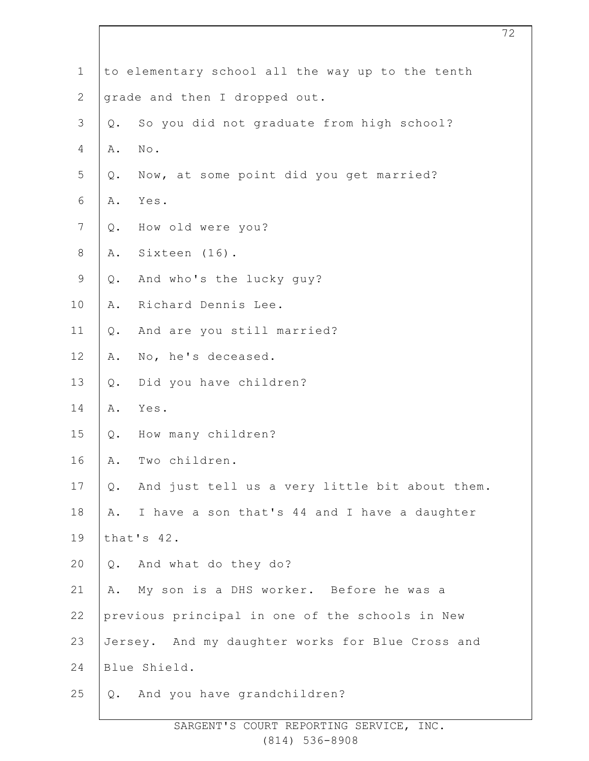| $\mathbf 1$    | to elementary school all the way up to the tenth     |
|----------------|------------------------------------------------------|
| $\mathbf{2}$   | grade and then I dropped out.                        |
| $\mathfrak{Z}$ | So you did not graduate from high school?<br>Q.      |
| $\overline{4}$ | No.<br>Α.                                            |
| 5              | Now, at some point did you get married?<br>Q.        |
| $\sqrt{6}$     | Yes.<br>Α.                                           |
| $\overline{7}$ | How old were you?<br>Q.                              |
| $\,8\,$        | A. Sixteen (16).                                     |
| $\mathcal{G}$  | And who's the lucky guy?<br>$Q$ .                    |
| 10             | Richard Dennis Lee.<br>Α.                            |
| 11             | And are you still married?<br>Q.                     |
| 12             | No, he's deceased.<br>Α.                             |
| 13             | Did you have children?<br>$Q$ .                      |
| 14             | Yes.<br>Α.                                           |
| 15             | Q. How many children?                                |
| 16             | Two children.<br>Α.                                  |
| 17             | And just tell us a very little bit about them.<br>Q. |
| 18             | I have a son that's 44 and I have a daughter<br>Α.   |
| 19             | that's 42.                                           |
| 20             | Q. And what do they do?                              |
| 21             | My son is a DHS worker. Before he was a<br>Α.        |
| 22             | previous principal in one of the schools in New      |
| 23             | Jersey. And my daughter works for Blue Cross and     |
| 24             | Blue Shield.                                         |
| 25             | And you have grandchildren?<br>Q.                    |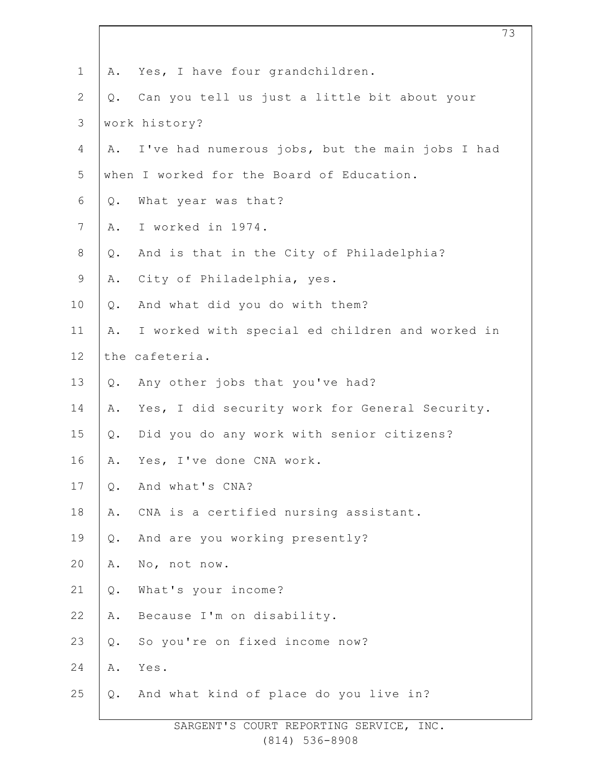| $\mathbf 1$    | Yes, I have four grandchildren.<br>Α.                 |  |
|----------------|-------------------------------------------------------|--|
| $\overline{2}$ | Can you tell us just a little bit about your<br>Q.    |  |
| 3              | work history?                                         |  |
| 4              | I've had numerous jobs, but the main jobs I had<br>Α. |  |
| 5              | when I worked for the Board of Education.             |  |
| 6              | What year was that?<br>Q.                             |  |
| $\overline{7}$ | I worked in 1974.<br>Α.                               |  |
| $8\,$          | And is that in the City of Philadelphia?<br>$Q$ .     |  |
| $\mathsf 9$    | City of Philadelphia, yes.<br>Α.                      |  |
| 10             | And what did you do with them?<br>Q.                  |  |
| 11             | I worked with special ed children and worked in<br>Α. |  |
| 12             | the cafeteria.                                        |  |
| 13             | Any other jobs that you've had?<br>Q.                 |  |
| 14             | Yes, I did security work for General Security.<br>Α.  |  |
| 15             | Did you do any work with senior citizens?<br>Q.       |  |
| 16             | Yes, I've done CNA work.<br>Α.                        |  |
| 17             | And what's CNA?<br>$Q$ .                              |  |
| 18             | CNA is a certified nursing assistant.<br>Α.           |  |
| 19             | And are you working presently?<br>$Q$ .               |  |
| 20             | No, not now.<br>Α.                                    |  |
| 21             | What's your income?<br>$Q$ .                          |  |
| 22             | Because I'm on disability.<br>Α.                      |  |
| 23             | So you're on fixed income now?<br>$Q$ .               |  |
| 24             | Yes.<br>Α.                                            |  |
| 25             | And what kind of place do you live in?<br>Q.          |  |
|                |                                                       |  |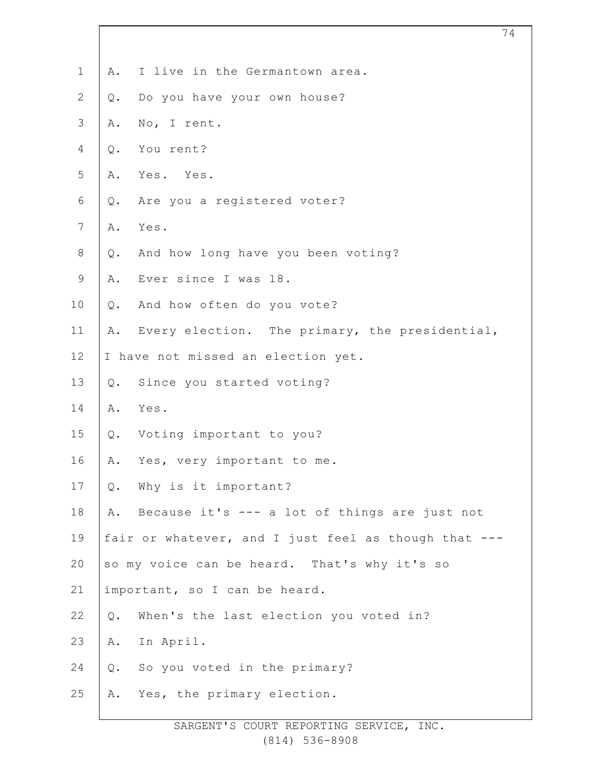| $\mathbf 1$    | Α.    | I live in the Germantown area.                       |
|----------------|-------|------------------------------------------------------|
| $\mathbf{2}$   | $Q$ . | Do you have your own house?                          |
| $\mathcal{S}$  | Α.    | No, I rent.                                          |
| $\overline{4}$ | $Q$ . | You rent?                                            |
| 5              | Α.    | Yes. Yes.                                            |
| 6              | $Q$ . | Are you a registered voter?                          |
| $\overline{7}$ | Α.    | Yes.                                                 |
| $8\,$          | $Q$ . | And how long have you been voting?                   |
| 9              | Α.    | Ever since I was 18.                                 |
| 10             | $Q$ . | And how often do you vote?                           |
| 11             | Α.    | Every election. The primary, the presidential,       |
| 12             |       | I have not missed an election yet.                   |
| 13             | $Q$ . | Since you started voting?                            |
| 14             | Α.    | Yes.                                                 |
| 15             | $Q$ . | Voting important to you?                             |
| 16             | Α.    | Yes, very important to me.                           |
| 17             | Q.    | Why is it important?                                 |
| 18             | Α.    | Because it's --- a lot of things are just not        |
| 19             |       | fair or whatever, and I just feel as though that --- |
| 20             |       | so my voice can be heard. That's why it's so         |
| 21             |       | important, so I can be heard.                        |
| 22             | Q.    | When's the last election you voted in?               |
| 23             | Α.    | In April.                                            |
| 24             | $Q$ . | So you voted in the primary?                         |
| 25             | Α.    | Yes, the primary election.                           |
|                |       |                                                      |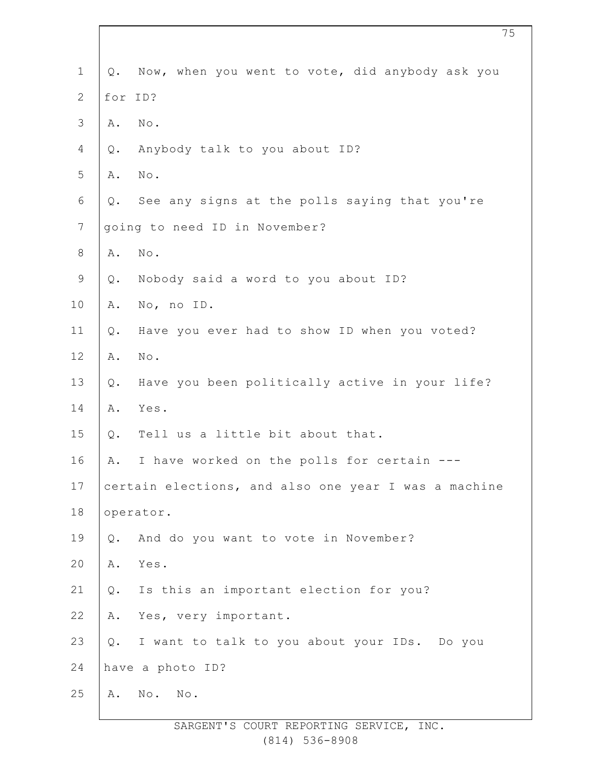| $\mathbf 1$      | Q.      | Now, when you went to vote, did anybody ask you      |
|------------------|---------|------------------------------------------------------|
| $\mathbf{2}$     | for ID? |                                                      |
| $\mathcal{S}$    | Α.      | $\texttt{No}$ .                                      |
| 4                | Q.      | Anybody talk to you about ID?                        |
| 5                | Α.      | $\mbox{No}$ .                                        |
| $\sqrt{6}$       | Q.      | See any signs at the polls saying that you're        |
| $\boldsymbol{7}$ |         | going to need ID in November?                        |
| $\,8\,$          | Α.      | No.                                                  |
| $\mathsf 9$      | Q.      | Nobody said a word to you about ID?                  |
| 10               | Α.      | No, no ID.                                           |
| 11               | Q.      | Have you ever had to show ID when you voted?         |
| 12               | Α.      | $\texttt{No}$ .                                      |
| 13               | Q.      | Have you been politically active in your life?       |
| 14               | Α.      | Yes.                                                 |
| 15               | Q.      | Tell us a little bit about that.                     |
| 16               | Α.      | I have worked on the polls for certain               |
| 17               |         | certain elections, and also one year I was a machine |
| 18               |         | operator.                                            |
| 19               | Q.      | And do you want to vote in November?                 |
| 20               | Α.      | Yes.                                                 |
| 21               | Q.      | Is this an important election for you?               |
| 22               | Α.      | Yes, very important.                                 |
| 23               | Q.      | I want to talk to you about your IDs. Do you         |
| 24               |         | have a photo ID?                                     |
| 25               | Α.      | $\mathbb N \circ$ .<br>No.                           |
|                  |         |                                                      |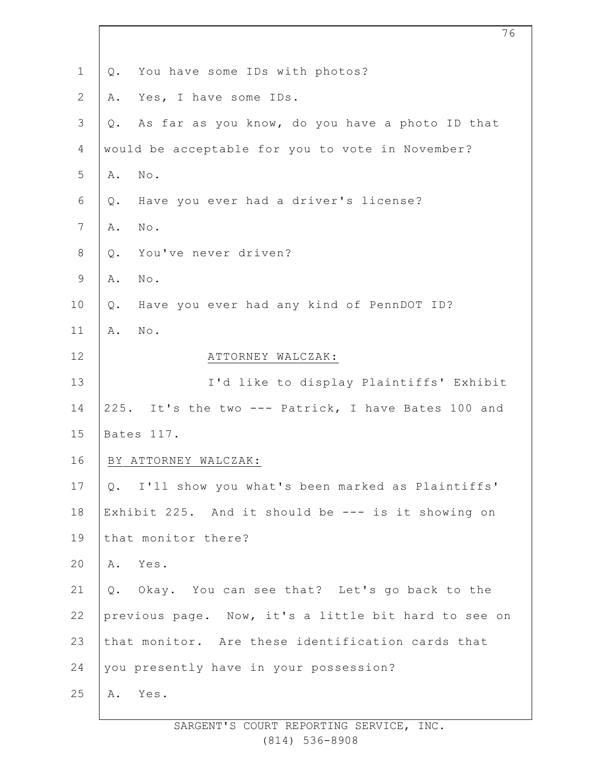| $\mathbf 1$    | You have some IDs with photos?<br>Q.                  |
|----------------|-------------------------------------------------------|
| $\mathbf{2}$   | Yes, I have some IDs.<br>Α.                           |
| $\mathfrak{Z}$ | As far as you know, do you have a photo ID that<br>Q. |
| $\overline{4}$ | would be acceptable for you to vote in November?      |
| 5              | $\mathbb{N}\circ$ .<br>Α.                             |
| 6              | Have you ever had a driver's license?<br>Q.           |
| 7              | No.<br>Α.                                             |
| $\,8\,$        | You've never driven?<br>$Q$ .                         |
| $\mathsf 9$    | Α.<br>No.                                             |
| 10             | Have you ever had any kind of PennDOT ID?<br>Q.       |
| 11             | $\texttt{No}$ .<br>Α.                                 |
| 12             | ATTORNEY WALCZAK:                                     |
| 13             | I'd like to display Plaintiffs' Exhibit               |
| 14             | 225. It's the two --- Patrick, I have Bates 100 and   |
| 15             | Bates 117.                                            |
| 16             | BY ATTORNEY WALCZAK:                                  |
| 17             | Q. I'll show you what's been marked as Plaintiffs'    |
| 18             | Exhibit 225. And it should be --- is it showing on    |
| 19             | that monitor there?                                   |
| 20             | Α.<br>Yes.                                            |
| 21             | Q. Okay. You can see that? Let's go back to the       |
| 22             | previous page. Now, it's a little bit hard to see on  |
| 23             | that monitor. Are these identification cards that     |
| 24             | you presently have in your possession?                |
| 25             | Yes.<br>Α.                                            |
|                |                                                       |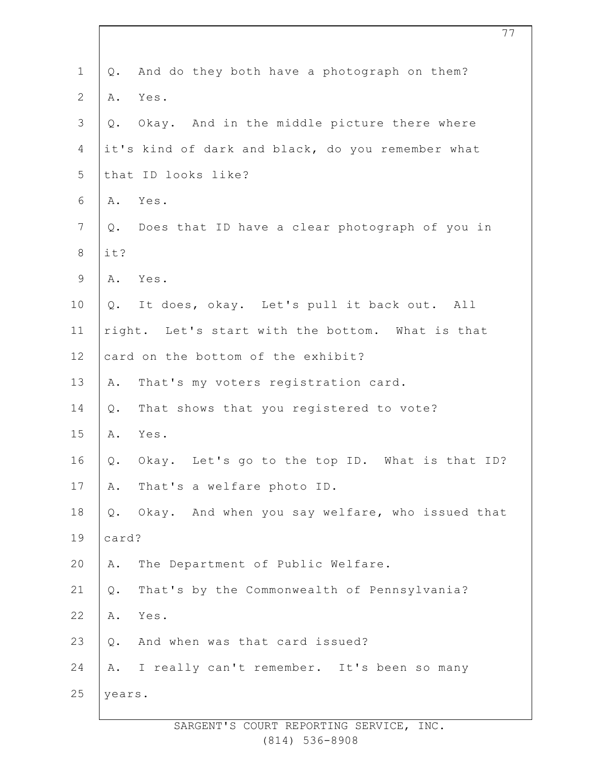| $\mathbf 1$    | Q.     | And do they both have a photograph on them?       |
|----------------|--------|---------------------------------------------------|
| $\mathbf{2}$   | Α.     | Yes.                                              |
| 3              | Q.     | Okay. And in the middle picture there where       |
| 4              |        | it's kind of dark and black, do you remember what |
| 5              |        | that ID looks like?                               |
| 6              |        | A. Yes.                                           |
| $7\phantom{.}$ |        | Q. Does that ID have a clear photograph of you in |
| $8\,$          | it?    |                                                   |
| $\mathsf 9$    |        | A. Yes.                                           |
| 10             |        | Q. It does, okay. Let's pull it back out. All     |
| 11             |        | right. Let's start with the bottom. What is that  |
| 12             |        | card on the bottom of the exhibit?                |
| 13             | Α.     | That's my voters registration card.               |
| 14             | Q.     | That shows that you registered to vote?           |
| 15             | Α.     | Yes.                                              |
| 16             | Q.     | Okay. Let's go to the top ID. What is that ID?    |
| 17             | Α.     | That's a welfare photo ID.                        |
| 18             | Q.     | Okay. And when you say welfare, who issued that   |
| 19             | card?  |                                                   |
| 20             | Α.     | The Department of Public Welfare.                 |
| 21             | Q.     | That's by the Commonwealth of Pennsylvania?       |
| 22             | Α.     | Yes.                                              |
| 23             | Q.     | And when was that card issued?                    |
| 24             | Α.     | I really can't remember. It's been so many        |
| 25             | years. |                                                   |
|                |        |                                                   |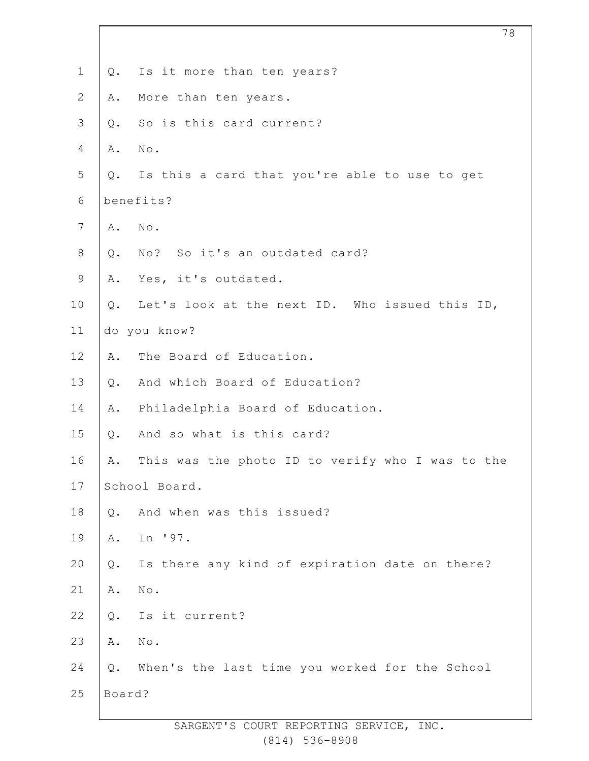| $\mathbf 1$    | $Q$ .  | Is it more than ten years?                       |
|----------------|--------|--------------------------------------------------|
| $\mathbf{2}$   | Α.     | More than ten years.                             |
| $\mathcal{S}$  | Q.     | So is this card current?                         |
| 4              | Α.     | $\texttt{No}$ .                                  |
| 5              | Q.     | Is this a card that you're able to use to get    |
| 6              |        | benefits?                                        |
| $\overline{7}$ | Α.     | No.                                              |
| $\,8\,$        | Q.     | No? So it's an outdated card?                    |
| $\mathsf 9$    | Α.     | Yes, it's outdated.                              |
| 10             | Q.     | Let's look at the next ID. Who issued this ID,   |
| 11             |        | do you know?                                     |
| 12             | Α.     | The Board of Education.                          |
| 13             | $Q$ .  | And which Board of Education?                    |
| 14             | Α.     | Philadelphia Board of Education.                 |
| 15             | $Q$ .  | And so what is this card?                        |
| 16             | Α.     | This was the photo ID to verify who I was to the |
| 17             |        | School Board.                                    |
| 18             | Q.     | And when was this issued?                        |
| 19             | Α.     | In '97.                                          |
| 20             | Q.     | Is there any kind of expiration date on there?   |
| 21             | Α.     | $\texttt{No}$ .                                  |
| 22             | Q.     | Is it current?                                   |
| 23             | Α.     | No.                                              |
| 24             | Q.     | When's the last time you worked for the School   |
| 25             | Board? |                                                  |
|                |        |                                                  |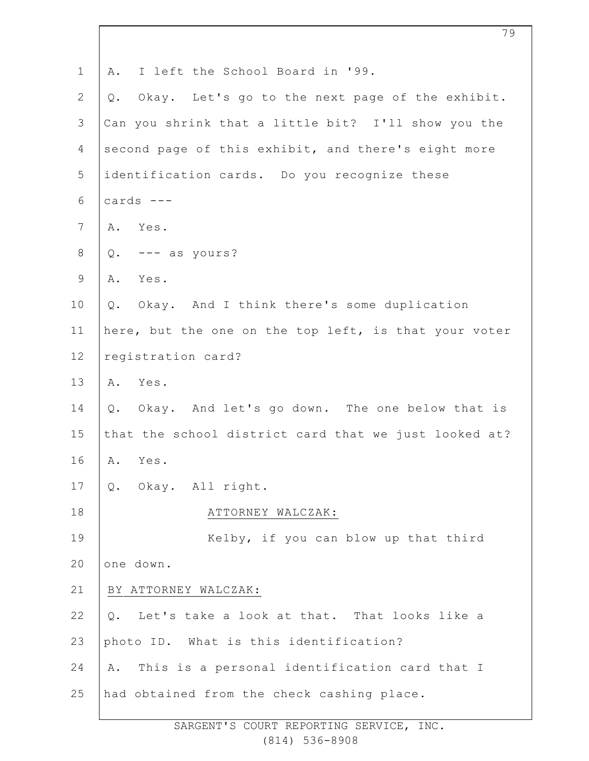| $\mathbf 1$    | I left the School Board in '99.<br>Α.                 |
|----------------|-------------------------------------------------------|
| $\overline{2}$ | Okay. Let's go to the next page of the exhibit.<br>Q. |
| 3              | Can you shrink that a little bit? I'll show you the   |
| $\overline{4}$ | second page of this exhibit, and there's eight more   |
| 5              | identification cards. Do you recognize these          |
| 6              | cards $---$                                           |
| $\overline{7}$ | A. Yes.                                               |
| $\,8\,$        | --- as yours?<br>Q.                                   |
| $\mathsf 9$    | Yes.<br>Α.                                            |
| 10             | Okay. And I think there's some duplication<br>Q.      |
| 11             | here, but the one on the top left, is that your voter |
| 12             | registration card?                                    |
| 13             | Yes.<br>Α.                                            |
| 14             | Okay. And let's go down. The one below that is<br>Q.  |
| 15             | that the school district card that we just looked at? |
| 16             | Yes.<br>Α.                                            |
| 17             | Q. Okay. All right.                                   |
| 18             | ATTORNEY WALCZAK:                                     |
| 19             | Kelby, if you can blow up that third                  |
| 20             | one down.                                             |
| 21             | BY ATTORNEY WALCZAK:                                  |
| 22             | Let's take a look at that. That looks like a<br>Q.    |
| 23             | photo ID. What is this identification?                |
| 24             | This is a personal identification card that I<br>Α.   |
| 25             | had obtained from the check cashing place.            |
|                |                                                       |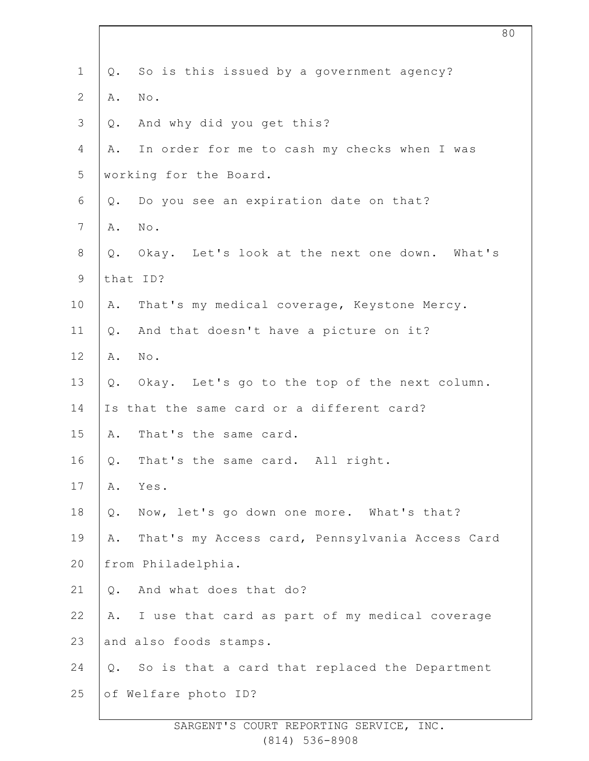| $\mathbf 1$    | Q.    | So is this issued by a government agency?       |
|----------------|-------|-------------------------------------------------|
| $\mathbf{2}$   | Α.    | $\texttt{No}$ .                                 |
| $\mathcal{S}$  | Q.    | And why did you get this?                       |
| 4              | Α.    | In order for me to cash my checks when I was    |
| 5              |       | working for the Board.                          |
| 6              | Q.    | Do you see an expiration date on that?          |
| $\overline{7}$ | Α.    | $\mbox{No}$ .                                   |
| $\,8\,$        | $Q$ . | Okay. Let's look at the next one down. What's   |
| $\mathsf 9$    |       | that ID?                                        |
| 10             | Α.    | That's my medical coverage, Keystone Mercy.     |
| 11             | Q.    | And that doesn't have a picture on it?          |
| 12             | Α.    | $\texttt{No}$ .                                 |
| 13             | Q.    | Okay. Let's go to the top of the next column.   |
| 14             |       | Is that the same card or a different card?      |
| 15             | Α.    | That's the same card.                           |
| 16             | Q.    | That's the same card. All right.                |
| 17             | Α.    | Yes.                                            |
| 18             | Q.    | Now, let's go down one more. What's that?       |
| 19             | Α.    | That's my Access card, Pennsylvania Access Card |
| 20             |       | from Philadelphia.                              |
| 21             | Q.    | And what does that do?                          |
| 22             | Α.    | I use that card as part of my medical coverage  |
| 23             |       | and also foods stamps.                          |
| 24             | $Q$ . | So is that a card that replaced the Department  |
| 25             |       | of Welfare photo ID?                            |
|                |       |                                                 |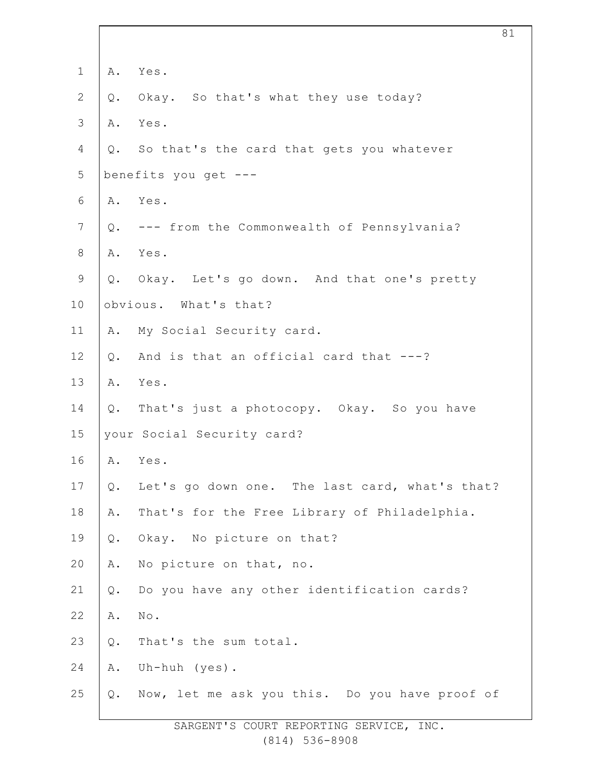| $\mathbf 1$     | Α.             | Yes.                                           |
|-----------------|----------------|------------------------------------------------|
| $\mathbf{2}$    | Q.             | Okay. So that's what they use today?           |
| $\mathcal{S}$   | Α.             | Yes.                                           |
| 4               |                | Q. So that's the card that gets you whatever   |
| 5               |                | benefits you get ---                           |
| 6               |                | A. Yes.                                        |
| $7\phantom{.0}$ |                | Q. --- from the Commonwealth of Pennsylvania?  |
| $\,8\,$         |                | A. Yes.                                        |
| $\mathsf 9$     |                | Q. Okay. Let's go down. And that one's pretty  |
| 10              |                | obvious. What's that?                          |
| 11              | Α.             | My Social Security card.                       |
| 12              | $Q$ .          | And is that an official card that ---?         |
| 13              | Α.             | Yes.                                           |
| 14              |                | Q. That's just a photocopy. Okay. So you have  |
| 15              |                | your Social Security card?                     |
| 16              |                | A. Yes.                                        |
| 17              | Q.             | Let's go down one. The last card, what's that? |
| 18              | Α.             | That's for the Free Library of Philadelphia.   |
| 19              | $\mathsf{Q}$ . | Okay. No picture on that?                      |
| 20              | Α.             | No picture on that, no.                        |
| 21              | $\mathsf{Q}$ . | Do you have any other identification cards?    |
| 22              | Α.             | No.                                            |
| 23              | $\mathsf{Q}$ . | That's the sum total.                          |
| 24              | Α.             | Uh-huh (yes).                                  |
| 25              | $Q$ .          | Now, let me ask you this. Do you have proof of |
|                 |                |                                                |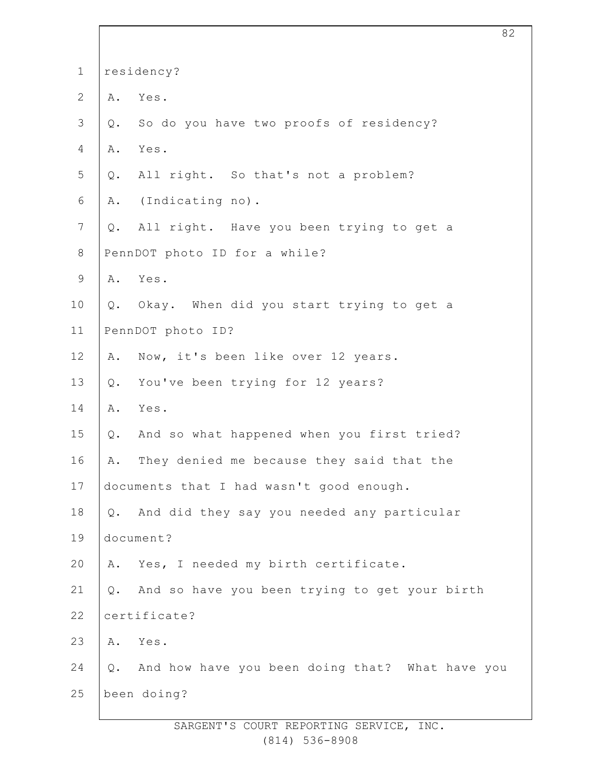| $\mathbf 1$    | residency? |                                                    |
|----------------|------------|----------------------------------------------------|
| $\mathbf{2}$   | Α.         | Yes.                                               |
| $\mathcal{S}$  | Q.         | So do you have two proofs of residency?            |
| 4              | Α.         | Yes.                                               |
| 5              | Q.         | All right. So that's not a problem?                |
| 6              |            | A. (Indicating no).                                |
| $\overline{7}$ | Q.         | All right. Have you been trying to get a           |
| $8\,$          |            | PennDOT photo ID for a while?                      |
| 9              |            | A. Yes.                                            |
| 10             |            | Q. Okay. When did you start trying to get a        |
| 11             |            | PennDOT photo ID?                                  |
| 12             | Α.         | Now, it's been like over 12 years.                 |
| 13             | Q.         | You've been trying for 12 years?                   |
| 14             | Α.         | Yes.                                               |
| 15             | Q.         | And so what happened when you first tried?         |
| 16             | Α.         | They denied me because they said that the          |
| 17             |            | documents that I had wasn't good enough.           |
| 18             |            | Q. And did they say you needed any particular      |
| 19             |            | document?                                          |
| 20             |            | A. Yes, I needed my birth certificate.             |
| 21             |            | Q. And so have you been trying to get your birth   |
| 22             |            | certificate?                                       |
| 23             |            | A. Yes.                                            |
| 24             |            | Q. And how have you been doing that? What have you |
| 25             |            | been doing?                                        |
|                |            |                                                    |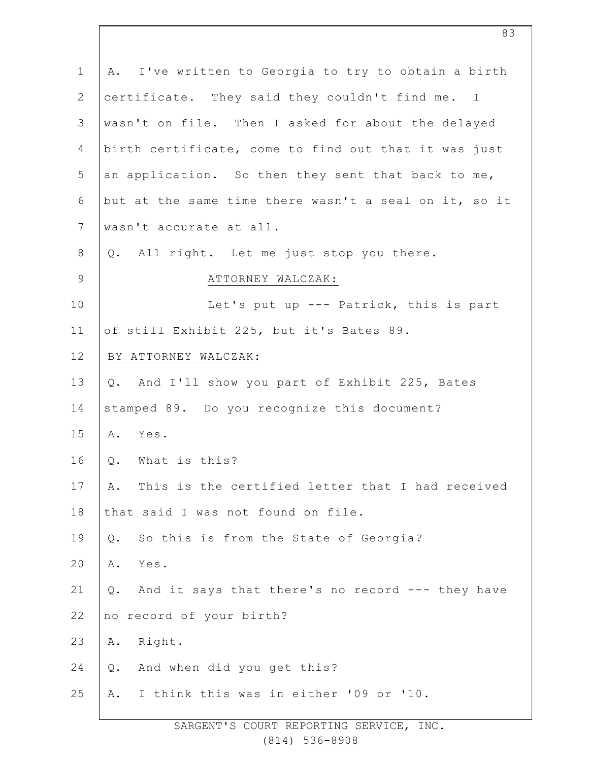| $\mathbf 1$     | A. I've written to Georgia to try to obtain a birth    |
|-----------------|--------------------------------------------------------|
| $\overline{2}$  | certificate. They said they couldn't find me. I        |
| 3               | wasn't on file. Then I asked for about the delayed     |
| 4               | birth certificate, come to find out that it was just   |
| 5               | an application. So then they sent that back to me,     |
| 6               | but at the same time there wasn't a seal on it, so it  |
| $7\phantom{.0}$ | wasn't accurate at all.                                |
| 8               | Q. All right. Let me just stop you there.              |
| $\mathsf 9$     | ATTORNEY WALCZAK:                                      |
| 10              | Let's put up --- Patrick, this is part                 |
| 11              | of still Exhibit 225, but it's Bates 89.               |
| 12              | BY ATTORNEY WALCZAK:                                   |
| 13              | Q. And I'll show you part of Exhibit 225, Bates        |
| 14              | stamped 89. Do you recognize this document?            |
| 15              | A. Yes.                                                |
| 16              | What is this?<br>Q.                                    |
| 17              | This is the certified letter that I had received<br>Α. |
| 18              | that said I was not found on file.                     |
| 19              | So this is from the State of Georgia?<br>Q.            |
| 20              | Α.<br>Yes.                                             |
| 21              | And it says that there's no record --- they have<br>Q. |
| 22              | no record of your birth?                               |
| 23              | Right.<br>Α.                                           |
| 24              | And when did you get this?<br>Q.                       |
| 25              | I think this was in either '09 or '10.<br>Α.           |
|                 |                                                        |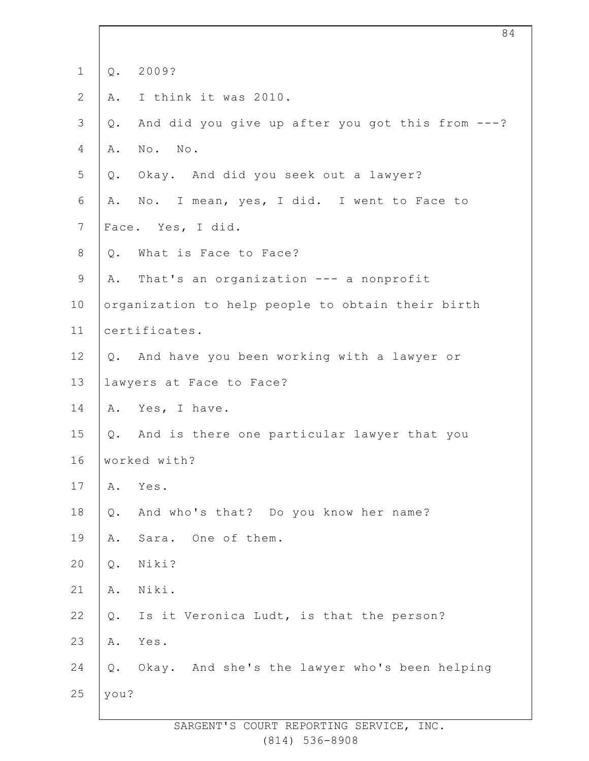| $\mathbf 1$    | $Q$ .          | 2009?                                             |
|----------------|----------------|---------------------------------------------------|
| $\overline{2}$ | Α.             | I think it was 2010.                              |
| 3              | Q.             | And did you give up after you got this from ---?  |
| 4              | Α.             | No. No.                                           |
| 5              | Q.             | Okay. And did you seek out a lawyer?              |
| 6              | Α.             | No. I mean, yes, I did. I went to Face to         |
| $7\phantom{.}$ |                | Face. Yes, I did.                                 |
| 8              | Q.             | What is Face to Face?                             |
| $\mathsf 9$    | Α.             | That's an organization --- a nonprofit            |
| 10             |                | organization to help people to obtain their birth |
| 11             |                | certificates.                                     |
| 12             | Q.             | And have you been working with a lawyer or        |
| 13             |                | lawyers at Face to Face?                          |
| 14             |                | A. Yes, I have.                                   |
| 15             | Q.             | And is there one particular lawyer that you       |
| 16             |                | worked with?                                      |
| 17             | Α.             | Yes.                                              |
| 18             | Q.             | And who's that? Do you know her name?             |
| 19             | Α.             | Sara. One of them.                                |
| 20             | $\mathsf{Q}$ . | Niki?                                             |
| 21             | $\mathtt{A}$ . | Niki.                                             |
| 22             | Q.             | Is it Veronica Ludt, is that the person?          |
| 23             | Α.             | Yes.                                              |
| 24             | $Q$ .          | Okay. And she's the lawyer who's been helping     |
| 25             | you?           |                                                   |
|                |                |                                                   |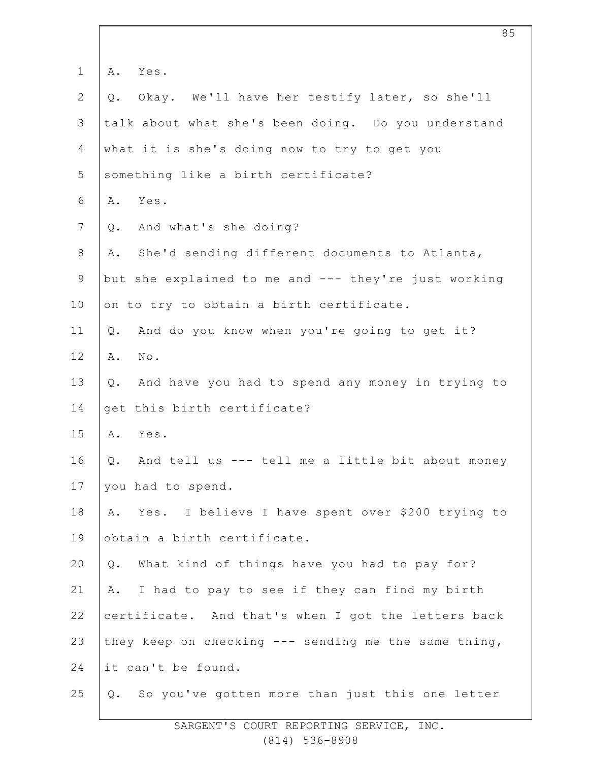| $\mathbf 1$    | Yes.<br>Α.                                                |
|----------------|-----------------------------------------------------------|
| $\mathbf{2}$   | Okay. We'll have her testify later, so she'll<br>Q.       |
| 3              | talk about what she's been doing. Do you understand       |
| 4              | what it is she's doing now to try to get you              |
| 5              | something like a birth certificate?                       |
| 6              | Yes.<br>Α.                                                |
| $7\phantom{.}$ | And what's she doing?<br>Q.                               |
| $\,8\,$        | She'd sending different documents to Atlanta,<br>Α.       |
| $\mathsf 9$    | but she explained to me and --- they're just working      |
| 10             | on to try to obtain a birth certificate.                  |
| 11             | And do you know when you're going to get it?<br>$Q$ .     |
| 12             | Α.<br>No.                                                 |
| 13             | And have you had to spend any money in trying to<br>$Q$ . |
| 14             | get this birth certificate?                               |
| 15             | Yes.<br>Α.                                                |
| 16             | And tell us --- tell me a little bit about money<br>Q.    |
| 17             | you had to spend.                                         |
| 18             | Yes. I believe I have spent over \$200 trying to<br>Α.    |
| 19             | obtain a birth certificate.                               |
| 20             | What kind of things have you had to pay for?<br>Q.        |
| 21             | I had to pay to see if they can find my birth<br>Α.       |
| 22             | certificate. And that's when I got the letters back       |
| 23             | they keep on checking --- sending me the same thing,      |
| 24             | it can't be found.                                        |
| 25             | So you've gotten more than just this one letter<br>Q.     |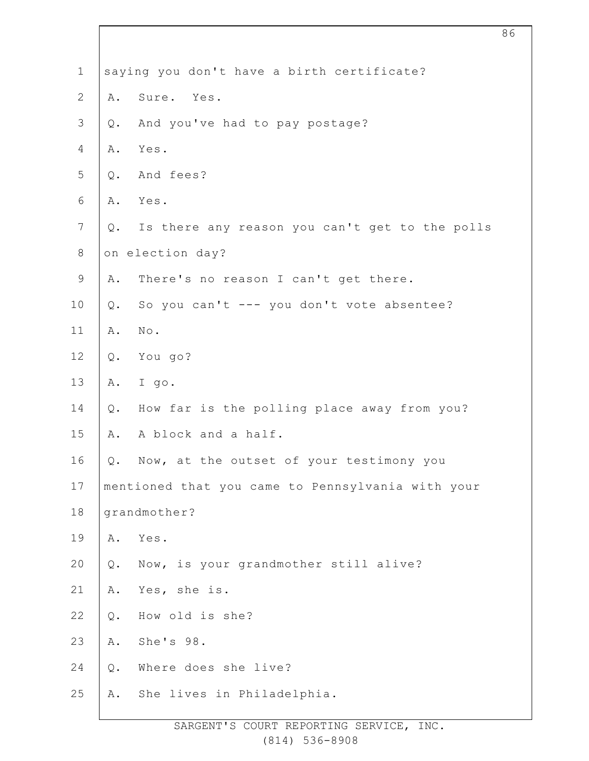| $\mathbf 1$    |       | saying you don't have a birth certificate?        |
|----------------|-------|---------------------------------------------------|
| $\mathbf{2}$   | Α.    | Sure. Yes.                                        |
| $\mathcal{S}$  | $Q$ . | And you've had to pay postage?                    |
| 4              | Α.    | Yes.                                              |
| 5              | $Q$ . | And fees?                                         |
| 6              | Α.    | Yes.                                              |
| $\overline{7}$ | Q.    | Is there any reason you can't get to the polls    |
| $\,8\,$        |       | on election day?                                  |
| $\mathsf 9$    | Α.    | There's no reason I can't get there.              |
| 10             | $Q$ . | So you can't --- you don't vote absentee?         |
| 11             | Α.    | $\texttt{No}$ .                                   |
| 12             | $Q$ . | You go?                                           |
| 13             | Α.    | I go.                                             |
| 14             | $Q$ . | How far is the polling place away from you?       |
| 15             | Α.    | A block and a half.                               |
| 16             | Q.    | Now, at the outset of your testimony you          |
| 17             |       | mentioned that you came to Pennsylvania with your |
| 18             |       | grandmother?                                      |
| 19             | Α.    | Yes.                                              |
| 20             | $Q$ . | Now, is your grandmother still alive?             |
| 21             | Α.    | Yes, she is.                                      |
| 22             | Q.    | How old is she?                                   |
| 23             | Α.    | She's 98.                                         |
| 24             | $Q$ . | Where does she live?                              |
| 25             | Α.    | She lives in Philadelphia.                        |
|                |       |                                                   |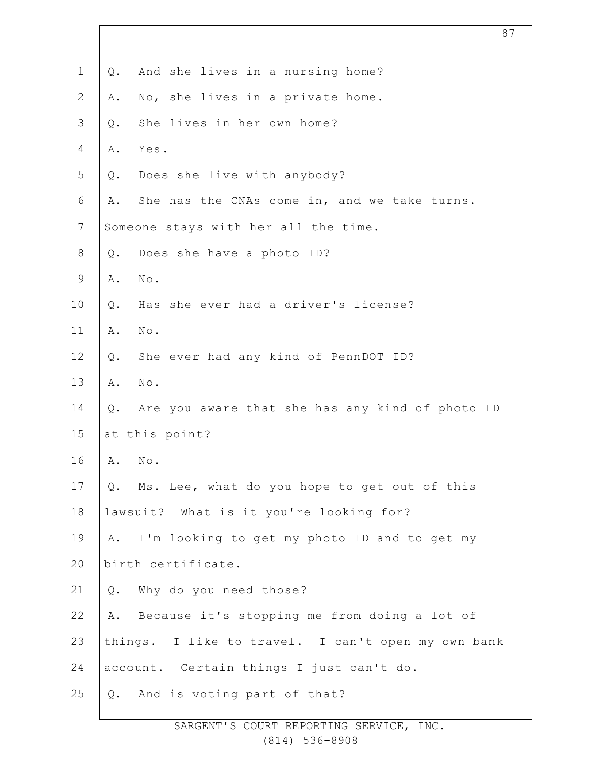| $\mathbf 1$    | And she lives in a nursing home?<br>Q.                   |
|----------------|----------------------------------------------------------|
| $\mathbf{2}$   | No, she lives in a private home.<br>Α.                   |
| 3              | She lives in her own home?<br>$Q$ .                      |
| $\overline{4}$ | Yes.<br>Α.                                               |
| 5              | Does she live with anybody?<br>$Q$ .                     |
| $\sqrt{6}$     | She has the CNAs come in, and we take turns.<br>Α.       |
| $7\phantom{.}$ | Someone stays with her all the time.                     |
| $\,8\,$        | Does she have a photo ID?<br>Q.                          |
| $\mathsf 9$    | No.<br>Α.                                                |
| 10             | Has she ever had a driver's license?<br>$Q$ .            |
| 11             | $\mbox{No}$ .<br>Α.                                      |
| 12             | She ever had any kind of PennDOT ID?<br>Q.               |
| 13             | $\mbox{No}$ .<br>Α.                                      |
| 14             | Are you aware that she has any kind of photo ID<br>$Q$ . |
| 15             | at this point?                                           |
| 16             | No.<br>Α.                                                |
| 17             | Q. Ms. Lee, what do you hope to get out of this          |
| 18             | lawsuit? What is it you're looking for?                  |
| 19             | A. I'm looking to get my photo ID and to get my          |
| 20             | birth certificate.                                       |
| 21             | Why do you need those?<br>Q.                             |
| 22             | A. Because it's stopping me from doing a lot of          |
| 23             | things. I like to travel. I can't open my own bank       |
| 24             | account. Certain things I just can't do.                 |
| 25             | Q. And is voting part of that?                           |
|                |                                                          |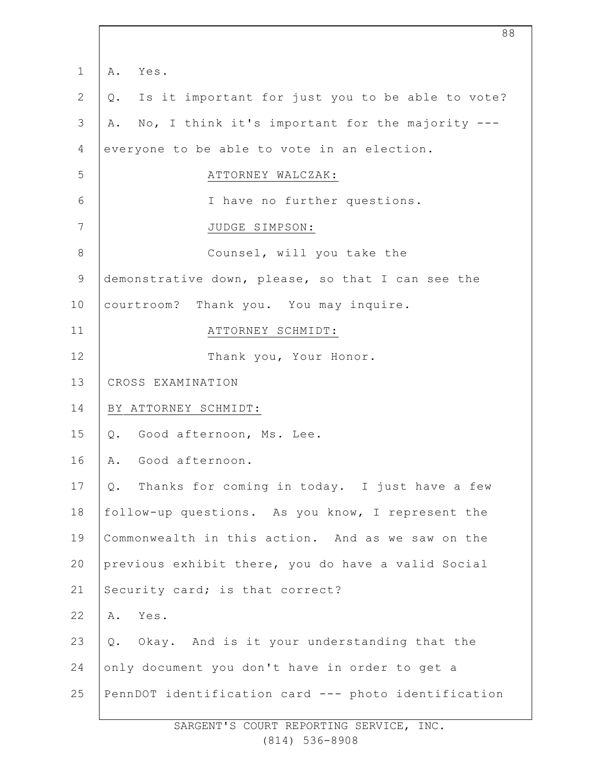| $\mathbf 1$    | Yes.<br>Α.                                             |  |
|----------------|--------------------------------------------------------|--|
| $\overline{2}$ | Is it important for just you to be able to vote?<br>Q. |  |
| 3              | No, I think it's important for the majority ---<br>Α.  |  |
| 4              | everyone to be able to vote in an election.            |  |
| 5              | ATTORNEY WALCZAK:                                      |  |
| 6              | I have no further questions.                           |  |
| 7              | JUDGE SIMPSON:                                         |  |
| $8\,$          | Counsel, will you take the                             |  |
| 9              | demonstrative down, please, so that I can see the      |  |
| 10             | courtroom? Thank you. You may inquire.                 |  |
| 11             | ATTORNEY SCHMIDT:                                      |  |
| 12             | Thank you, Your Honor.                                 |  |
| 13             | CROSS EXAMINATION                                      |  |
| 14             | BY ATTORNEY SCHMIDT:                                   |  |
| 15             | Good afternoon, Ms. Lee.<br>Q.                         |  |
| 16             | A. Good afternoon.                                     |  |
| 17             | Thanks for coming in today. I just have a few<br>Q.    |  |
| 18             | follow-up questions. As you know, I represent the      |  |
| 19             | Commonwealth in this action. And as we saw on the      |  |
| 20             | previous exhibit there, you do have a valid Social     |  |
| 21             | Security card; is that correct?                        |  |
| 22             | Yes.<br>Α.                                             |  |
| 23             | Q. Okay. And is it your understanding that the         |  |
| 24             | only document you don't have in order to get a         |  |
| 25             | PennDOT identification card --- photo identification   |  |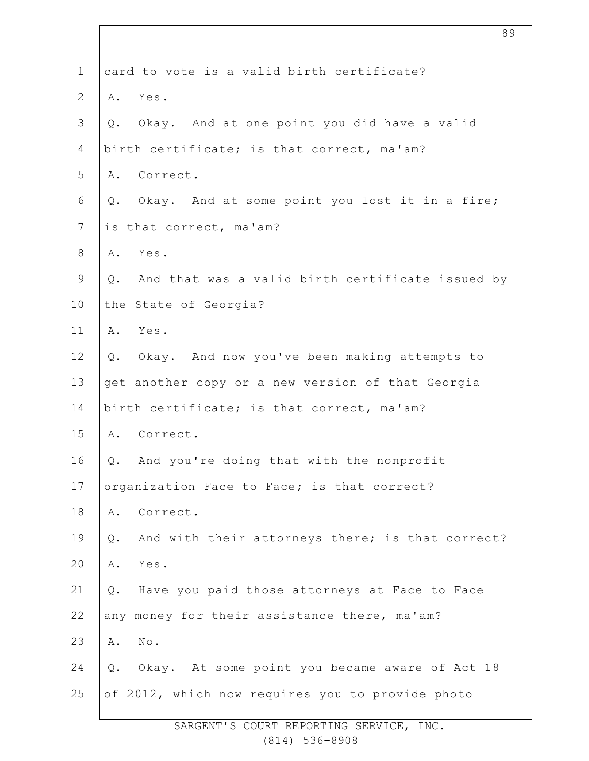| $\mathbf 1$    | card to vote is a valid birth certificate?             |
|----------------|--------------------------------------------------------|
| $\overline{2}$ | Yes.<br>Α.                                             |
| $\mathfrak{Z}$ | Okay. And at one point you did have a valid<br>Q.      |
| 4              | birth certificate; is that correct, ma'am?             |
| 5              | A. Correct.                                            |
| 6              | Okay. And at some point you lost it in a fire;<br>Q.   |
| $\overline{7}$ | is that correct, ma'am?                                |
| $8\,$          | Yes.<br>Α.                                             |
| $\mathsf 9$    | And that was a valid birth certificate issued by<br>Q. |
| 10             | the State of Georgia?                                  |
| 11             | A. Yes.                                                |
| 12             | Okay. And now you've been making attempts to<br>Q.     |
| 13             | get another copy or a new version of that Georgia      |
| 14             | birth certificate; is that correct, ma'am?             |
| 15             | A. Correct.                                            |
| 16             | And you're doing that with the nonprofit<br>Q.         |
| 17             | organization Face to Face; is that correct?            |
| 18             | Correct.<br>Α.                                         |
| 19             | And with their attorneys there; is that correct?<br>Q. |
| 20             | Yes.<br>Α.                                             |
| 21             | Have you paid those attorneys at Face to Face<br>Q.    |
| 22             | any money for their assistance there, ma'am?           |
| 23             | Α.<br>No.                                              |
| 24             | Okay. At some point you became aware of Act 18<br>Q.   |
| 25             | of 2012, which now requires you to provide photo       |

SARGENT'S COURT REPORTING SERVICE, INC. (814) 536-8908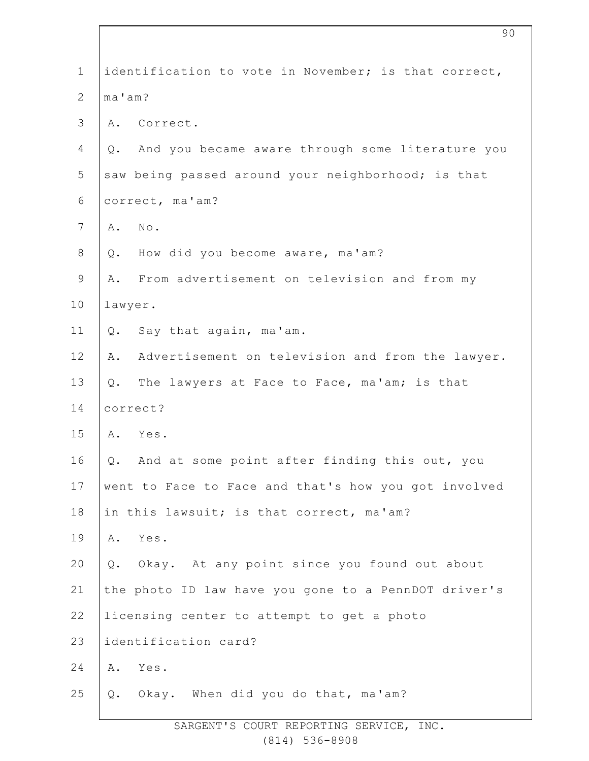| $\mathbf 1$    | identification to vote in November; is that correct,   |  |  |
|----------------|--------------------------------------------------------|--|--|
| $\overline{2}$ | ma'am?                                                 |  |  |
| 3              | A. Correct.                                            |  |  |
| 4              | And you became aware through some literature you<br>Q. |  |  |
| 5              | saw being passed around your neighborhood; is that     |  |  |
| 6              | correct, ma'am?                                        |  |  |
| 7              | No.<br>Α.                                              |  |  |
| $\,8\,$        | How did you become aware, ma'am?<br>$Q$ .              |  |  |
| $\mathsf 9$    | From advertisement on television and from my<br>Α.     |  |  |
| 10             | lawyer.                                                |  |  |
| 11             | Say that again, ma'am.<br>Q.                           |  |  |
| 12             | Advertisement on television and from the lawyer.<br>Α. |  |  |
| 13             | The lawyers at Face to Face, ma'am; is that<br>$Q$ .   |  |  |
| 14             | correct?                                               |  |  |
| 15             | A. Yes.                                                |  |  |
| 16             | And at some point after finding this out, you<br>Q.    |  |  |
| 17             | went to Face to Face and that's how you got involved   |  |  |
| 18             | in this lawsuit; is that correct, ma'am?               |  |  |
| 19             | Α.<br>Yes.                                             |  |  |
| 20             | Okay. At any point since you found out about<br>Q.     |  |  |
| 21             | the photo ID law have you gone to a PennDOT driver's   |  |  |
| 22             | licensing center to attempt to get a photo             |  |  |
| 23             | identification card?                                   |  |  |
| 24             | Yes.<br>Α.                                             |  |  |
| 25             | Q. Okay. When did you do that, ma'am?                  |  |  |
|                |                                                        |  |  |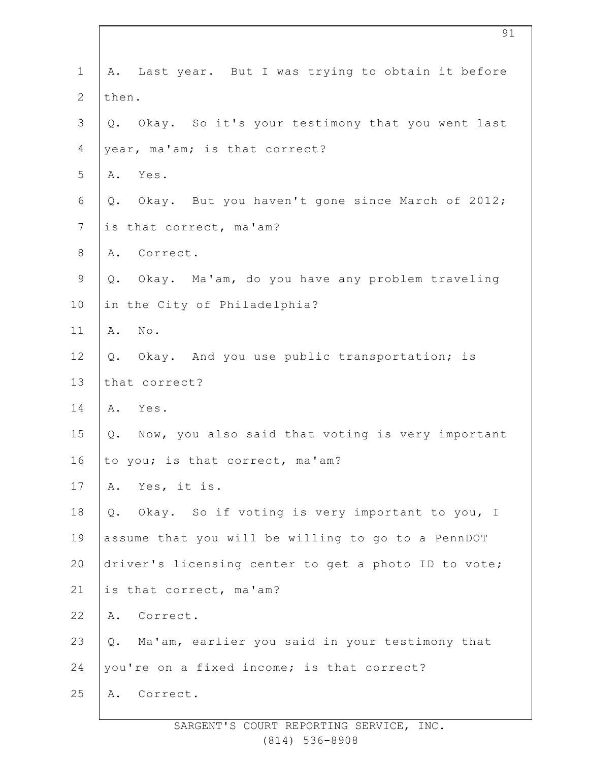| $\mathbf 1$    | A. Last year. But I was trying to obtain it before    |  |  |
|----------------|-------------------------------------------------------|--|--|
| $\mathbf{2}$   | then.                                                 |  |  |
| $\mathfrak{Z}$ | Q. Okay. So it's your testimony that you went last    |  |  |
| $\overline{4}$ | year, ma'am; is that correct?                         |  |  |
| 5              | A. Yes.                                               |  |  |
| 6              | Okay. But you haven't gone since March of 2012;<br>Q. |  |  |
| $\overline{7}$ | is that correct, ma'am?                               |  |  |
| $8\,$          | A. Correct.                                           |  |  |
| $\mathsf 9$    | Okay. Ma'am, do you have any problem traveling<br>Q.  |  |  |
| 10             | in the City of Philadelphia?                          |  |  |
| 11             | A. No.                                                |  |  |
| 12             | Okay. And you use public transportation; is<br>Q.     |  |  |
| 13             | that correct?                                         |  |  |
| 14             | A. Yes.                                               |  |  |
| 15             | Q. Now, you also said that voting is very important   |  |  |
| 16             | to you; is that correct, ma'am?                       |  |  |
| 17             | Yes, it is.<br>Α.                                     |  |  |
| 18             | Okay. So if voting is very important to you, I<br>Q.  |  |  |
| 19             | assume that you will be willing to go to a PennDOT    |  |  |
| 20             | driver's licensing center to get a photo ID to vote;  |  |  |
| 21             | is that correct, ma'am?                               |  |  |
| 22             | Correct.<br>Α.                                        |  |  |
| 23             | Ma'am, earlier you said in your testimony that<br>Q.  |  |  |
| 24             | you're on a fixed income; is that correct?            |  |  |
| 25             | Correct.<br>Α.                                        |  |  |
|                |                                                       |  |  |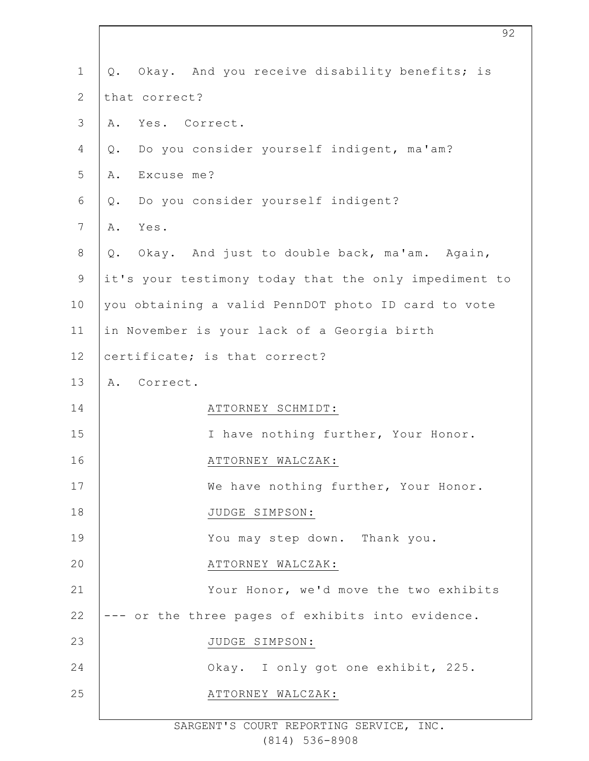| $\mathbf 1$  | Okay. And you receive disability benefits; is<br>Q.   |
|--------------|-------------------------------------------------------|
| $\mathbf{2}$ | that correct?                                         |
| 3            | Yes. Correct.<br>Α.                                   |
| 4            | Do you consider yourself indigent, ma'am?<br>Q.       |
| 5            | Excuse me?<br>Α.                                      |
| 6            | Do you consider yourself indigent?<br>Q.              |
| 7            | Yes.<br>Α.                                            |
| $8\,$        | Q. Okay. And just to double back, ma'am. Again,       |
| 9            | it's your testimony today that the only impediment to |
| 10           | you obtaining a valid PennDOT photo ID card to vote   |
| 11           | in November is your lack of a Georgia birth           |
| 12           | certificate; is that correct?                         |
| 13           | A. Correct.                                           |
| 14           | ATTORNEY SCHMIDT:                                     |
| 15           | I have nothing further, Your Honor.                   |
| 16           | ATTORNEY WALCZAK:                                     |
| 17           | We have nothing further, Your Honor.                  |
| 18           | JUDGE SIMPSON:                                        |
| 19           | You may step down. Thank you.                         |
| 20           | ATTORNEY WALCZAK:                                     |
| 21           | Your Honor, we'd move the two exhibits                |
| 22           | --- or the three pages of exhibits into evidence.     |
| 23           | JUDGE SIMPSON:                                        |
| 24           | Okay. I only got one exhibit, 225.                    |
| 25           | ATTORNEY WALCZAK:                                     |
|              |                                                       |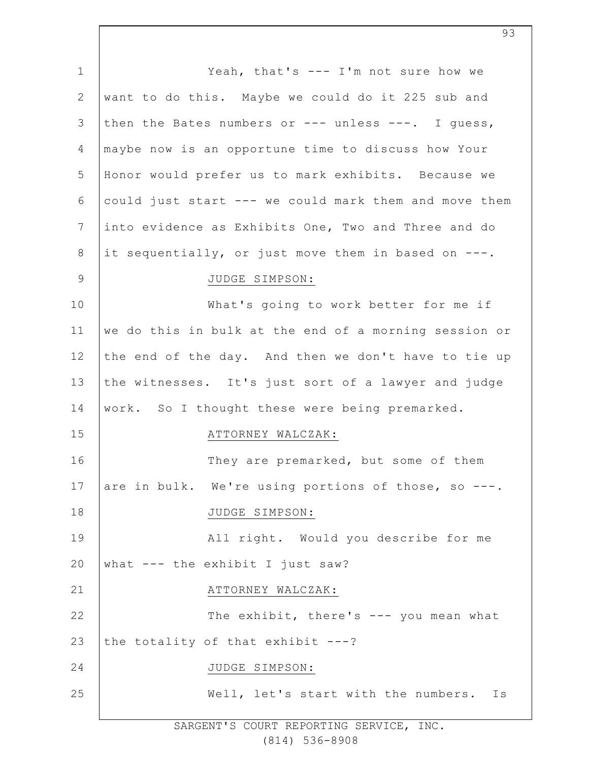| $\mathbf 1$     | Yeah, that's --- I'm not sure how we                  |
|-----------------|-------------------------------------------------------|
| $\mathbf{2}$    | want to do this. Maybe we could do it 225 sub and     |
| 3               | then the Bates numbers or --- unless ---. I guess,    |
| $\overline{4}$  | maybe now is an opportune time to discuss how Your    |
| 5               | Honor would prefer us to mark exhibits. Because we    |
| 6               | could just start --- we could mark them and move them |
| $7\phantom{.0}$ | into evidence as Exhibits One, Two and Three and do   |
| $\,8\,$         | it sequentially, or just move them in based on ---.   |
| $\overline{9}$  | JUDGE SIMPSON:                                        |
| 10              | What's going to work better for me if                 |
| 11              | we do this in bulk at the end of a morning session or |
| 12              | the end of the day. And then we don't have to tie up  |
| 13              | the witnesses. It's just sort of a lawyer and judge   |
| 14              | work. So I thought these were being premarked.        |
| 15              | ATTORNEY WALCZAK:                                     |
| 16              | They are premarked, but some of them                  |
| 17              | are in bulk. We're using portions of those, so ---.   |
| 18              | JUDGE SIMPSON:                                        |
| 19              | All right. Would you describe for me                  |
| 20              | what --- the exhibit I just saw?                      |
| 21              | ATTORNEY WALCZAK:                                     |
| 22              | The exhibit, there's --- you mean what                |
| 23              | the totality of that exhibit $---?$                   |
| 24              | JUDGE SIMPSON:                                        |
| 25              | Well, let's start with the numbers.<br>Ιs             |
|                 |                                                       |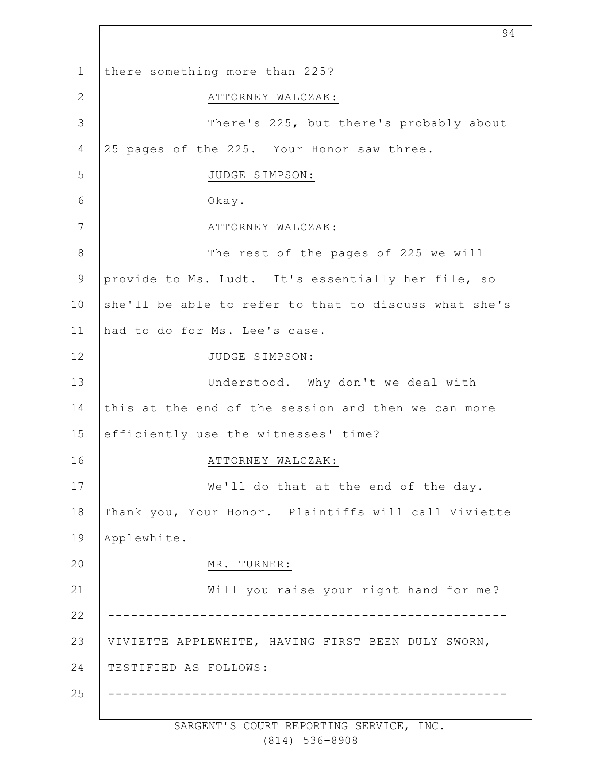1 2 3 4 5 6 7 8 9 10 11 12 13 14 15 16 17 18 19 20 21 22 23 24 25 there something more than 225? ATTORNEY WALCZAK: There's 225, but there's probably about 25 pages of the 225. Your Honor saw three. JUDGE SIMPSON: Okay. ATTORNEY WALCZAK: The rest of the pages of 225 we will provide to Ms. Ludt. It's essentially her file, so she'll be able to refer to that to discuss what she's had to do for Ms. Lee's case. JUDGE SIMPSON: Understood. Why don't we deal with this at the end of the session and then we can more efficiently use the witnesses' time? ATTORNEY WALCZAK: We'll do that at the end of the day. Thank you, Your Honor. Plaintiffs will call Viviette Applewhite. MR. TURNER: Will you raise your right hand for me? ---------------------------------------------------- VIVIETTE APPLEWHITE, HAVING FIRST BEEN DULY SWORN, TESTIFIED AS FOLLOWS: ----------------------------------------------------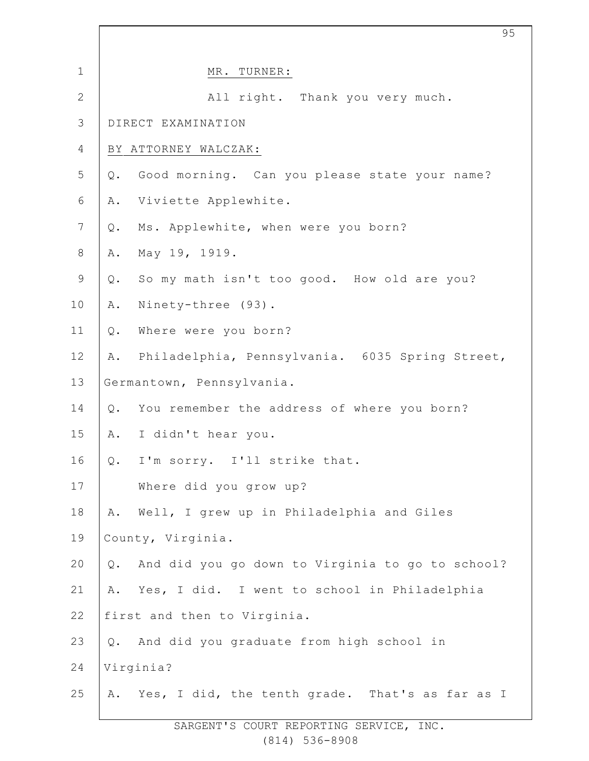| $\mathbf 1$    | MR. TURNER:                                               |
|----------------|-----------------------------------------------------------|
| $\mathbf{2}$   | All right. Thank you very much.                           |
| 3              | DIRECT EXAMINATION                                        |
| 4              | BY ATTORNEY WALCZAK:                                      |
| 5              | Good morning. Can you please state your name?<br>$Q$ .    |
| 6              | Viviette Applewhite.<br>Α.                                |
| $7\phantom{.}$ | Ms. Applewhite, when were you born?<br>Q.                 |
| $\,8\,$        | May 19, 1919.<br>Α.                                       |
| $\mathsf 9$    | So my math isn't too good. How old are you?<br>Q.         |
| 10             | Ninety-three (93).<br>Α.                                  |
| 11             | Where were you born?<br>$Q$ .                             |
| 12             | Philadelphia, Pennsylvania. 6035 Spring Street,<br>Α.     |
| 13             | Germantown, Pennsylvania.                                 |
| 14             | You remember the address of where you born?<br>$Q$ .      |
| 15             | I didn't hear you.<br>Α.                                  |
| 16             | Q. I'm sorry. I'll strike that.                           |
| 17             | Where did you grow up?                                    |
| 18             | Well, I grew up in Philadelphia and Giles<br>Α.           |
| 19             | County, Virginia.                                         |
| 20             | And did you go down to Virginia to go to school?<br>$Q$ . |
| 21             | Yes, I did. I went to school in Philadelphia<br>Α.        |
| 22             | first and then to Virginia.                               |
| 23             | And did you graduate from high school in<br>Q.            |
| 24             | Virginia?                                                 |
| 25             | Yes, I did, the tenth grade. That's as far as I<br>Α.     |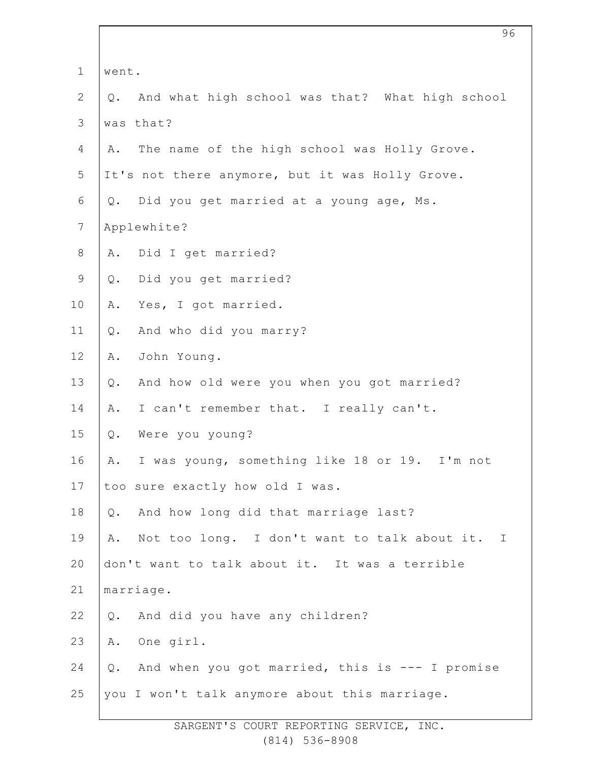| $\mathbf 1$     | went.                                                 |  |
|-----------------|-------------------------------------------------------|--|
| $\mathbf{2}$    | And what high school was that? What high school<br>Q. |  |
| 3               | was that?                                             |  |
| 4               | The name of the high school was Holly Grove.<br>Α.    |  |
| 5               | It's not there anymore, but it was Holly Grove.       |  |
| 6               | Did you get married at a young age, Ms.<br>Q.         |  |
| $7\phantom{.0}$ | Applewhite?                                           |  |
| $8\,$           | Did I get married?<br>Α.                              |  |
| $\mathsf 9$     | Did you get married?<br>Q.                            |  |
| 10              | Yes, I got married.<br>Α.                             |  |
| 11              | And who did you marry?<br>$Q$ .                       |  |
| 12              | John Young.<br>Α.                                     |  |
| 13              | And how old were you when you got married?<br>Q.      |  |
| 14              | I can't remember that. I really can't.<br>Α.          |  |
| 15              | Were you young?<br>Q.                                 |  |
| 16              | I was young, something like 18 or 19. I'm not<br>Α.   |  |
| 17              | too sure exactly how old I was.                       |  |
| 18              | And how long did that marriage last?<br>Q.            |  |
| 19              | Not too long. I don't want to talk about it. I<br>Α.  |  |
| 20              | don't want to talk about it. It was a terrible        |  |
| 21              | marriage.                                             |  |
| 22              | And did you have any children?<br>$Q$ .               |  |
| 23              | One girl.<br>Α.                                       |  |
| 24              | And when you got married, this is --- I promise<br>Q. |  |
| 25              | you I won't talk anymore about this marriage.         |  |
|                 |                                                       |  |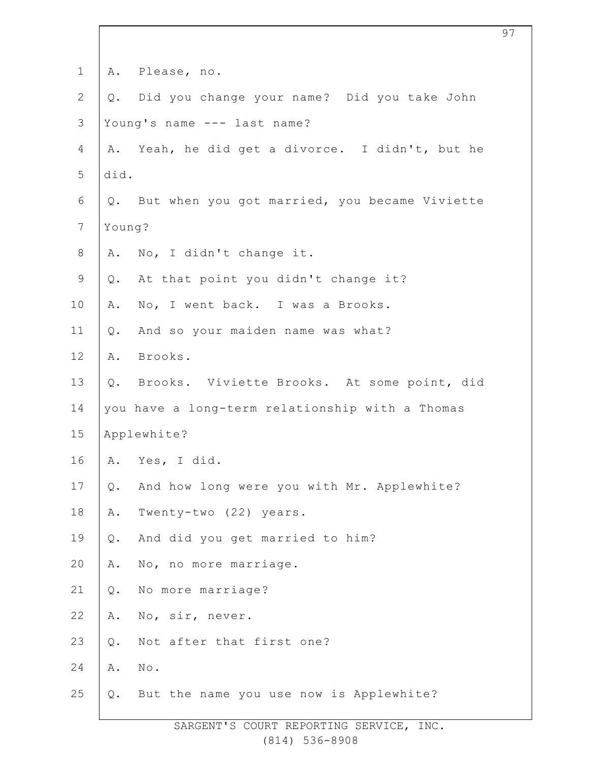| $\mathbf 1$    |                | A. Please, no.                                   |
|----------------|----------------|--------------------------------------------------|
| $\mathbf{2}$   |                | Q. Did you change your name? Did you take John   |
| $\mathcal{S}$  |                | Young's name --- last name?                      |
| $\overline{4}$ |                | A. Yeah, he did get a divorce. I didn't, but he  |
| 5              | did.           |                                                  |
| 6              |                | Q. But when you got married, you became Viviette |
| $\overline{7}$ | Young?         |                                                  |
| $\,8\,$        |                | A. No, I didn't change it.                       |
| $\mathsf 9$    |                | Q. At that point you didn't change it?           |
| 10             | Α.             | No, I went back. I was a Brooks.                 |
| 11             | Q.             | And so your maiden name was what?                |
| 12             |                | A. Brooks.                                       |
| 13             | $Q$ .          | Brooks. Viviette Brooks. At some point, did      |
| 14             |                | you have a long-term relationship with a Thomas  |
| 15             |                | Applewhite?                                      |
| 16             |                | A. Yes, I did.                                   |
| 17             | Q.             | And how long were you with Mr. Applewhite?       |
| $18\,$         | Α.             | Twenty-two (22) years.                           |
| 19             | $\mathsf{Q}$ . | And did you get married to him?                  |
| 20             | Α.             | No, no more marriage.                            |
| 21             | $Q$ .          | No more marriage?                                |
| 22             | Α.             | No, sir, never.                                  |
| 23             | $\mathsf{Q}$ . | Not after that first one?                        |
| 24             | Α.             | $\texttt{No}$ .                                  |
| 25             | Q.             | But the name you use now is Applewhite?          |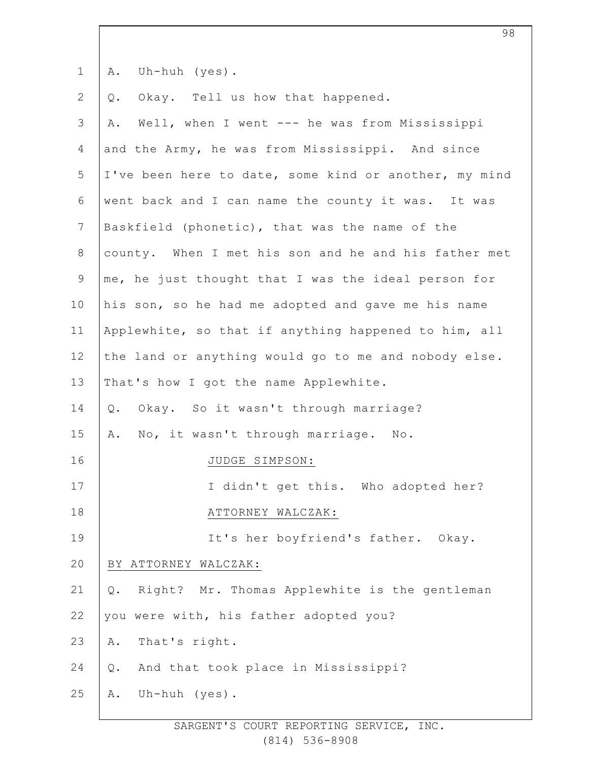1 A. Uh-huh (yes).

2 Q. Okay. Tell us how that happened.

3 4 5 6 7 8 9 10 11 12 13 14 15 16 17 18 19 20 21 22 23 24 25 A. Well, when I went --- he was from Mississippi and the Army, he was from Mississippi. And since I've been here to date, some kind or another, my mind went back and I can name the county it was. It was Baskfield (phonetic), that was the name of the county. When I met his son and he and his father met me, he just thought that I was the ideal person for his son, so he had me adopted and gave me his name Applewhite, so that if anything happened to him, all the land or anything would go to me and nobody else. That's how I got the name Applewhite. Q. Okay. So it wasn't through marriage? A. No, it wasn't through marriage. No. JUDGE SIMPSON: I didn't get this. Who adopted her? ATTORNEY WALCZAK: It's her boyfriend's father. Okay. BY ATTORNEY WALCZAK: Q. Right? Mr. Thomas Applewhite is the gentleman you were with, his father adopted you? A. That's right. Q. And that took place in Mississippi? A. Uh-huh (yes).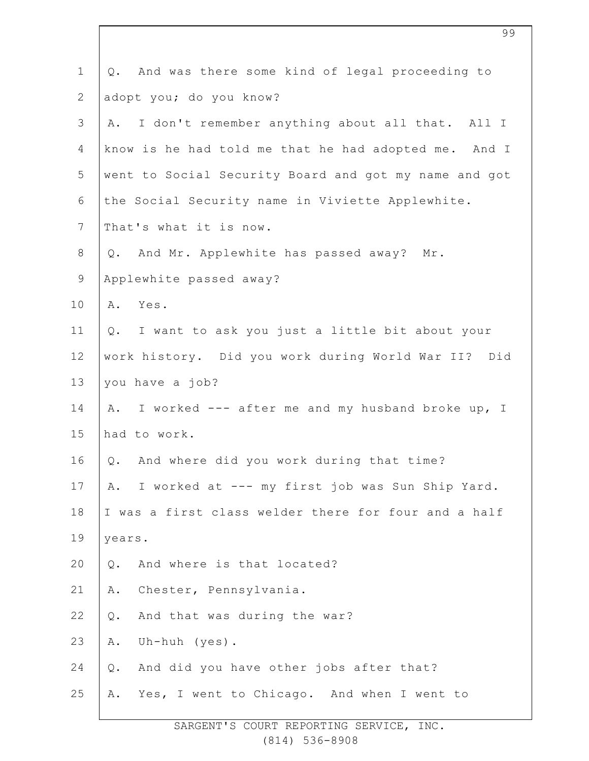| $\mathbf 1$    | And was there some kind of legal proceeding to<br>Q.  |
|----------------|-------------------------------------------------------|
| $\overline{2}$ | adopt you; do you know?                               |
| 3              | I don't remember anything about all that. All I<br>Α. |
| 4              | know is he had told me that he had adopted me. And I  |
| 5              | went to Social Security Board and got my name and got |
| 6              | the Social Security name in Viviette Applewhite.      |
| $\overline{7}$ | That's what it is now.                                |
| $8\,$          | Q. And Mr. Applewhite has passed away? Mr.            |
| $\mathsf 9$    | Applewhite passed away?                               |
| 10             | Yes.<br>Α.                                            |
| 11             | Q. I want to ask you just a little bit about your     |
| 12             | work history. Did you work during World War II? Did   |
| 13             | you have a job?                                       |
| 14             | A. I worked --- after me and my husband broke up, I   |
| 15             | had to work.                                          |
| 16             | Q. And where did you work during that time?           |
| 17             | I worked at --- my first job was Sun Ship Yard.<br>Α. |
| 18             | I was a first class welder there for four and a half  |
| 19             | years.                                                |
| 20             | And where is that located?<br>Q.                      |
| 21             | Chester, Pennsylvania.<br>Α.                          |
| 22             | And that was during the war?<br>Q.                    |
| 23             | Uh-huh $(yes)$ .<br>Α.                                |
| 24             | And did you have other jobs after that?<br>$Q$ .      |
| 25             | Yes, I went to Chicago. And when I went to<br>Α.      |
|                |                                                       |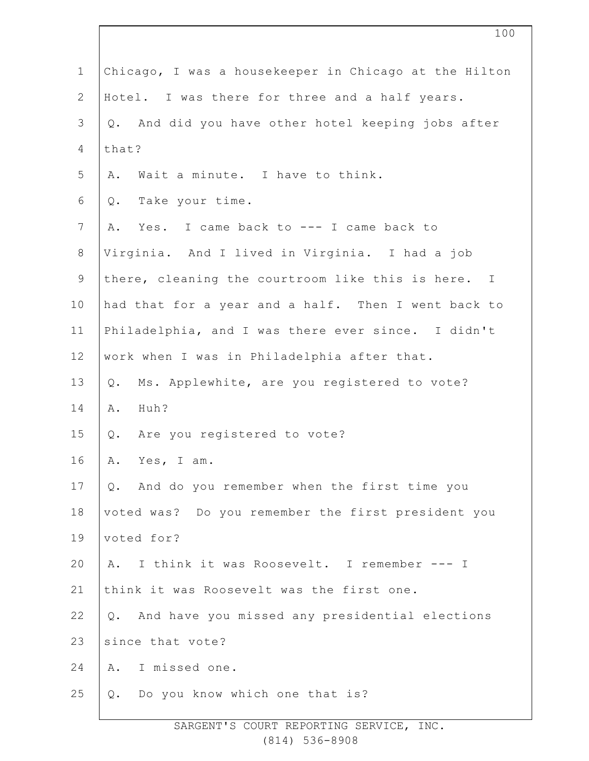| $\mathbf 1$    | Chicago, I was a housekeeper in Chicago at the Hilton   |
|----------------|---------------------------------------------------------|
| $\mathbf{2}$   | Hotel. I was there for three and a half years.          |
| 3              | And did you have other hotel keeping jobs after<br>Q.   |
| 4              | that?                                                   |
| 5              | Wait a minute. I have to think.<br>Α.                   |
| 6              | Take your time.<br>Q.                                   |
| $7\phantom{.}$ | Yes. I came back to --- I came back to<br>Α.            |
| $8\,$          | Virginia. And I lived in Virginia. I had a job          |
| $\mathsf 9$    | there, cleaning the courtroom like this is here. I      |
| 10             | had that for a year and a half. Then I went back to     |
| 11             | Philadelphia, and I was there ever since. I didn't      |
| 12             | work when I was in Philadelphia after that.             |
| 13             | Ms. Applewhite, are you registered to vote?<br>Q.       |
| 14             | Huh?<br>Α.                                              |
| 15             | Are you registered to vote?<br>Q.                       |
| 16             | Α.<br>Yes, I am.                                        |
| 17             | Q. And do you remember when the first time you          |
| 18             | voted was? Do you remember the first president you      |
| 19             | voted for?                                              |
| 20             | I think it was Roosevelt. I remember --- I<br>Α.        |
| 21             | think it was Roosevelt was the first one.               |
| 22             | And have you missed any presidential elections<br>$Q$ . |
| 23             | since that vote?                                        |
| 24             | I missed one.<br>Α.                                     |
| 25             | Do you know which one that is?<br>Q.                    |
|                |                                                         |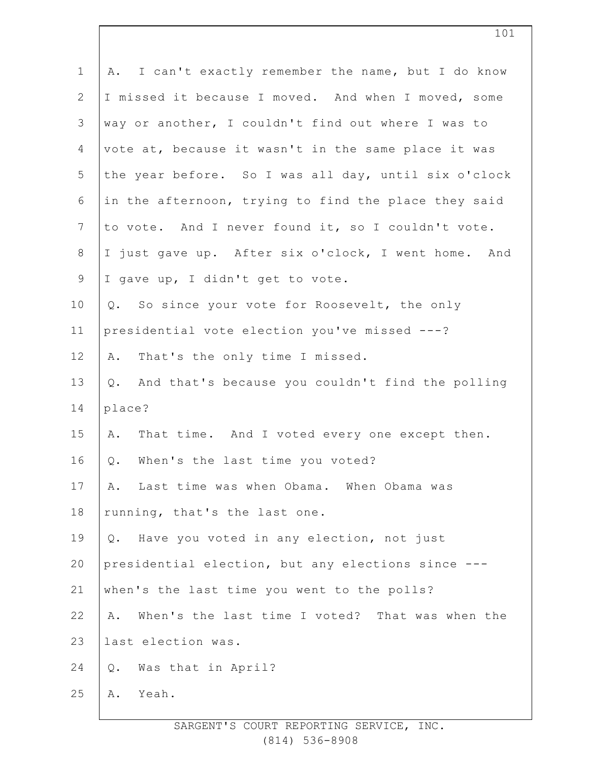| A. I can't exactly remember the name, but I do know   |
|-------------------------------------------------------|
| I missed it because I moved. And when I moved, some   |
| way or another, I couldn't find out where I was to    |
| vote at, because it wasn't in the same place it was   |
| the year before. So I was all day, until six o'clock  |
| in the afternoon, trying to find the place they said  |
| to vote. And I never found it, so I couldn't vote.    |
| I just gave up. After six o'clock, I went home. And   |
| I gave up, I didn't get to vote.                      |
| Q. So since your vote for Roosevelt, the only         |
| presidential vote election you've missed ---?         |
| That's the only time I missed.<br>Α.                  |
| Q. And that's because you couldn't find the polling   |
| place?                                                |
| That time. And I voted every one except then.<br>Α.   |
| When's the last time you voted?<br>$\mathsf{Q}$ .     |
| Last time was when Obama. When Obama was<br>Α.        |
| running, that's the last one.                         |
| Q. Have you voted in any election, not just           |
| presidential election, but any elections since ---    |
| when's the last time you went to the polls?           |
| When's the last time I voted? That was when the<br>Α. |
| last election was.                                    |
| Was that in April?<br>$Q$ .                           |
| Yeah.<br>Α.                                           |
|                                                       |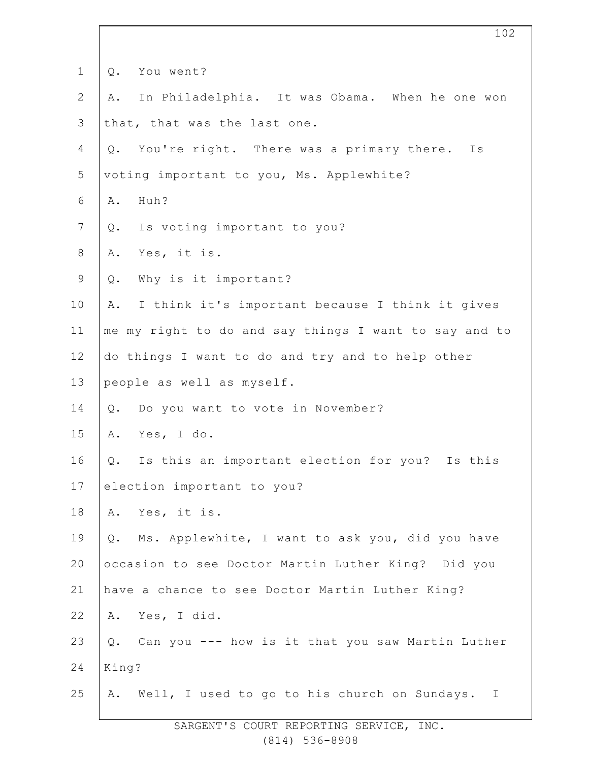| $\mathbf 1$  | You went?<br>$Q$ .                                    |
|--------------|-------------------------------------------------------|
| $\mathbf{2}$ | In Philadelphia. It was Obama. When he one won<br>Α.  |
| 3            | that, that was the last one.                          |
| 4            | You're right. There was a primary there. Is<br>Q.     |
| 5            | voting important to you, Ms. Applewhite?              |
| 6            | Huh?<br>Α.                                            |
| 7            | Is voting important to you?<br>Q.                     |
| $8\,$        | Yes, it is.<br>Α.                                     |
| $\mathsf 9$  | Why is it important?<br>Q.                            |
| 10           | I think it's important because I think it gives<br>Α. |
| 11           | me my right to do and say things I want to say and to |
| 12           | do things I want to do and try and to help other      |
| 13           | people as well as myself.                             |
| 14           | Do you want to vote in November?<br>$Q$ .             |
| 15           | Yes, I do.<br>Α.                                      |
| 16           | Is this an important election for you? Is this<br>Q.  |
| 17           | election important to you?                            |
| 18           | Yes, it is.<br>Α.                                     |
| 19           | Ms. Applewhite, I want to ask you, did you have<br>Q. |
| 20           | occasion to see Doctor Martin Luther King? Did you    |
| 21           | have a chance to see Doctor Martin Luther King?       |
| 22           | A. Yes, I did.                                        |
| 23           | Q. Can you --- how is it that you saw Martin Luther   |
| 24           | King?                                                 |
| 25           | A. Well, I used to go to his church on Sundays. I     |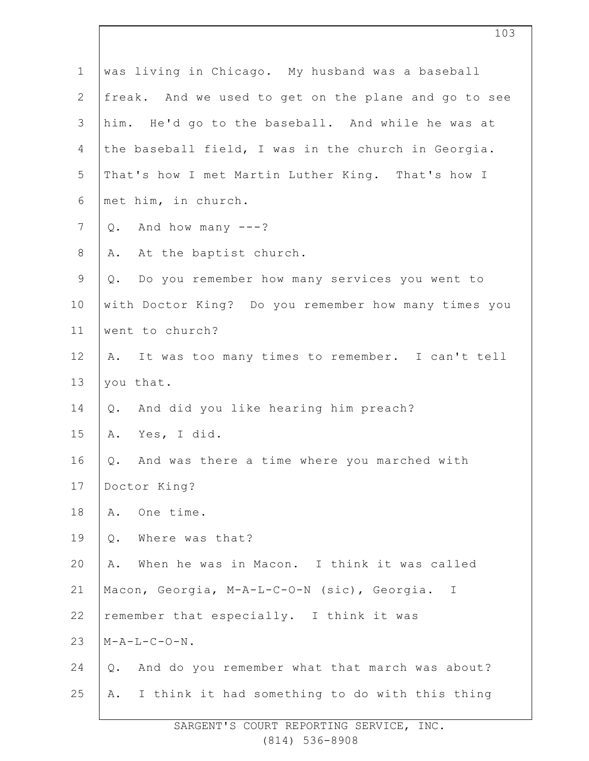| $\mathbf 1$    | was living in Chicago. My husband was a baseball        |
|----------------|---------------------------------------------------------|
| $\mathbf{2}$   | freak. And we used to get on the plane and go to see    |
| 3              | him. He'd go to the baseball. And while he was at       |
| $\overline{4}$ | the baseball field, I was in the church in Georgia.     |
| 5              | That's how I met Martin Luther King. That's how I       |
| 6              | met him, in church.                                     |
| $\overline{7}$ | And how many $---?$<br>Q.                               |
| $8\,$          | At the baptist church.<br>Α.                            |
| $\mathsf 9$    | Do you remember how many services you went to<br>Q.     |
| 10             | with Doctor King? Do you remember how many times you    |
| 11             | went to church?                                         |
| 12             | A. It was too many times to remember. I can't tell      |
| 13             | you that.                                               |
| 14             | And did you like hearing him preach?<br>Q.              |
| 15             | Yes, I did.<br>Α.                                       |
| 16             | And was there a time where you marched with<br>Q.       |
| 17             | Doctor King?                                            |
| 18             | One time.<br>Α.                                         |
| 19             | Where was that?<br>Q.                                   |
| 20             | When he was in Macon. I think it was called<br>Α.       |
| 21             | Macon, Georgia, M-A-L-C-O-N (sic), Georgia. I           |
| 22             | remember that especially. I think it was                |
| 23             | $M - A - L - C - O - N$ .                               |
| 24             | And do you remember what that march was about?<br>$Q$ . |
| 25             | I think it had something to do with this thing<br>Α.    |
|                |                                                         |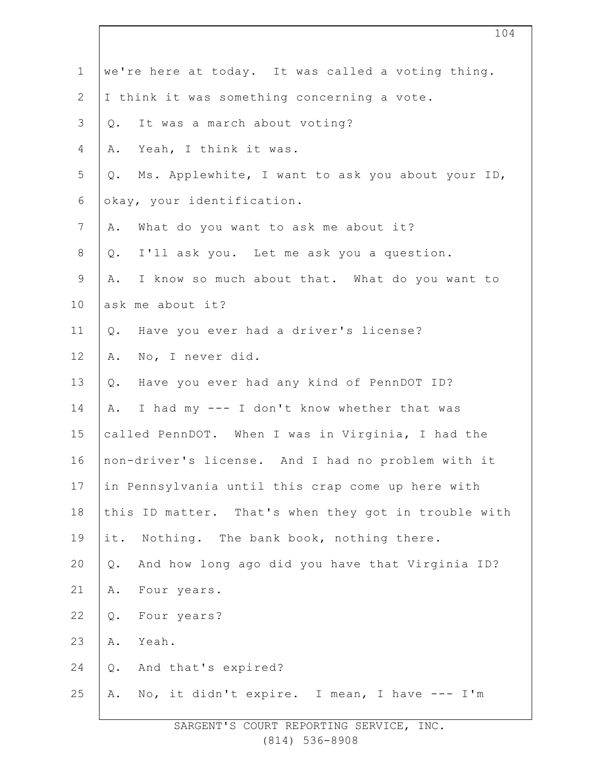| $\mathbf 1$    | we're here at today. It was called a voting thing.     |
|----------------|--------------------------------------------------------|
| $\overline{2}$ | I think it was something concerning a vote.            |
| 3              | It was a march about voting?<br>Q.                     |
| 4              | Yeah, I think it was.<br>Α.                            |
| 5              | Ms. Applewhite, I want to ask you about your ID,<br>Q. |
| 6              | okay, your identification.                             |
| $\overline{7}$ | What do you want to ask me about it?<br>Α.             |
| $8\,$          | I'll ask you. Let me ask you a question.<br>Q.         |
| $\mathsf 9$    | I know so much about that. What do you want to<br>A.   |
| 10             | ask me about it?                                       |
| 11             | Have you ever had a driver's license?<br>Q.            |
| 12             | No, I never did.<br>Α.                                 |
| 13             | Have you ever had any kind of PennDOT ID?<br>Q.        |
| 14             | I had my --- I don't know whether that was<br>Α.       |
| 15             | called PennDOT. When I was in Virginia, I had the      |
| 16             | non-driver's license. And I had no problem with it     |
| 17             | in Pennsylvania until this crap come up here with      |
| 18             | this ID matter. That's when they got in trouble with   |
| 19             | Nothing. The bank book, nothing there.<br>it.          |
| 20             | And how long ago did you have that Virginia ID?<br>Q.  |
| 21             | Four years.<br>Α.                                      |
| 22             | Four years?<br>$Q$ .                                   |
| 23             | Yeah.<br>Α.                                            |
| 24             | And that's expired?<br>Q.                              |
| 25             | No, it didn't expire. I mean, I have --- I'm<br>Α.     |
|                |                                                        |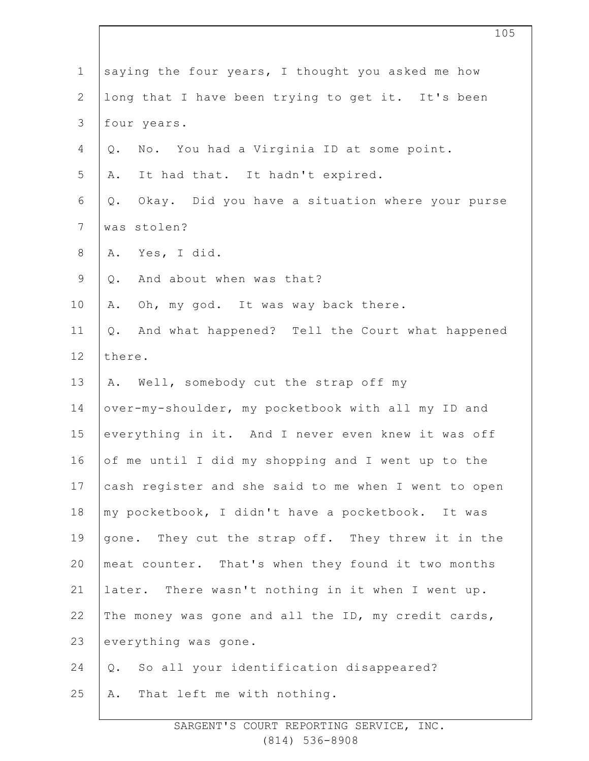| $\mathbf 1$    | saying the four years, I thought you asked me how     |
|----------------|-------------------------------------------------------|
| $\overline{2}$ | long that I have been trying to get it. It's been     |
| 3              | four years.                                           |
| $\overline{4}$ | No. You had a Virginia ID at some point.<br>Q.        |
| 5              | It had that. It hadn't expired.<br>Α.                 |
| 6              | Okay. Did you have a situation where your purse<br>Q. |
| $7\phantom{.}$ | was stolen?                                           |
| $8\,$          | Yes, I did.<br>Α.                                     |
| $\mathsf 9$    | And about when was that?<br>$Q$ .                     |
| 10             | Oh, my god. It was way back there.<br>Α.              |
| 11             | And what happened? Tell the Court what happened<br>Q. |
| 12             | there.                                                |
| 13             | A. Well, somebody cut the strap off my                |
| 14             | over-my-shoulder, my pocketbook with all my ID and    |
| 15             | everything in it. And I never even knew it was off    |
| 16             | of me until I did my shopping and I went up to the    |
| 17             | cash register and she said to me when I went to open  |
| 18             | my pocketbook, I didn't have a pocketbook. It was     |
| 19             | gone. They cut the strap off. They threw it in the    |
| 20             | meat counter. That's when they found it two months    |
| 21             | later. There wasn't nothing in it when I went up.     |
| 22             | The money was gone and all the ID, my credit cards,   |
| 23             | everything was gone.                                  |
| 24             | So all your identification disappeared?<br>Q.         |
| 25             | That left me with nothing.<br>Α.                      |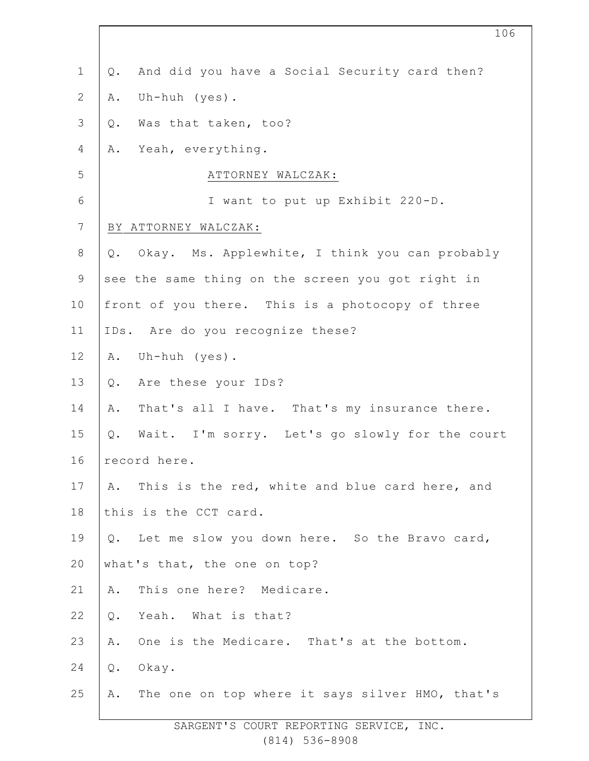| $\mathbf 1$      | And did you have a Social Security card then?<br>Q.   |
|------------------|-------------------------------------------------------|
| $\mathbf{2}$     | Uh-huh (yes).<br>Α.                                   |
| $\mathfrak{Z}$   | Was that taken, too?<br>Q.                            |
| 4                | A. Yeah, everything.                                  |
| 5                | ATTORNEY WALCZAK:                                     |
| $\sqrt{6}$       | I want to put up Exhibit 220-D.                       |
| $\boldsymbol{7}$ | BY ATTORNEY WALCZAK:                                  |
| $\,8\,$          | Okay. Ms. Applewhite, I think you can probably<br>Q.  |
| $\mathsf 9$      | see the same thing on the screen you got right in     |
| 10               | front of you there. This is a photocopy of three      |
| 11               | IDs. Are do you recognize these?                      |
| 12               | Uh-huh (yes).<br>Α.                                   |
| 13               | Are these your IDs?<br>Q.                             |
| 14               | That's all I have. That's my insurance there.<br>Α.   |
| 15               | Q. Wait. I'm sorry. Let's go slowly for the court     |
| 16               | record here.                                          |
| 17               | This is the red, white and blue card here, and<br>A.  |
| 18               | this is the CCT card.                                 |
| 19               | Q. Let me slow you down here. So the Bravo card,      |
| 20               | what's that, the one on top?                          |
| 21               | This one here? Medicare.<br>Α.                        |
| 22               | Yeah. What is that?<br>$Q$ .                          |
| 23               | One is the Medicare. That's at the bottom.<br>Α.      |
| 24               | Okay.<br>$Q$ .                                        |
| 25               | The one on top where it says silver HMO, that's<br>Α. |
|                  |                                                       |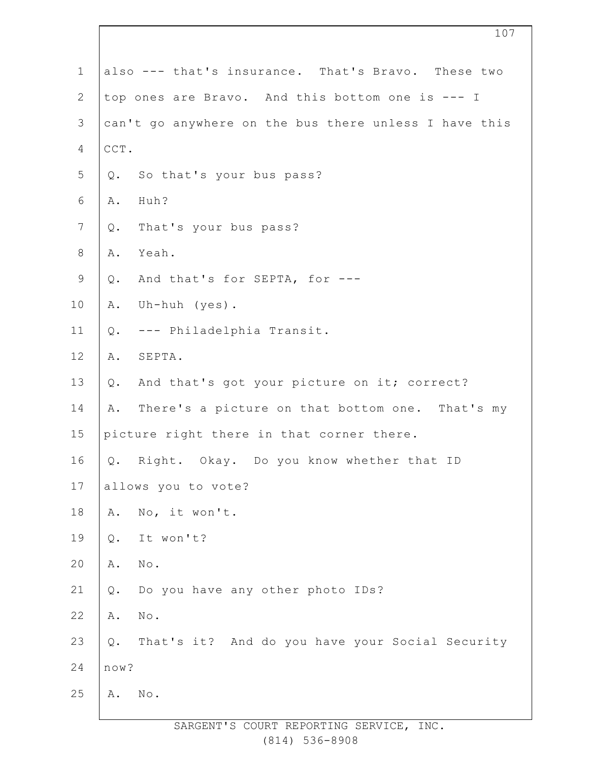| $\mathbf 1$    | also --- that's insurance. That's Bravo. These two    |
|----------------|-------------------------------------------------------|
| $\mathbf{2}$   | top ones are Bravo. And this bottom one is --- I      |
| 3              | can't go anywhere on the bus there unless I have this |
| 4              | $\mathtt{CCT}$ .                                      |
| 5              | So that's your bus pass?<br>Q.                        |
| 6              | Huh?<br>Α.                                            |
| $7\phantom{.}$ | That's your bus pass?<br>Q.                           |
| $\,8\,$        | Yeah.<br>Α.                                           |
| $\mathsf 9$    | And that's for SEPTA, for ---<br>Q.                   |
| 10             | Uh-huh (yes).<br>Α.                                   |
| 11             | --- Philadelphia Transit.<br>Q.                       |
| 12             | SEPTA.<br>Α.                                          |
| 13             | And that's got your picture on it; correct?<br>Q.     |
| 14             | There's a picture on that bottom one. That's my<br>Α. |
| 15             | picture right there in that corner there.             |
| 16             | Q. Right. Okay. Do you know whether that ID           |
| 17             | allows you to vote?                                   |
| $18\,$         | No, it won't.<br>Α.                                   |
| 19             | It won't?<br>Q.                                       |
| 20             | $\mbox{No}$ .<br>Α.                                   |
| 21             | Do you have any other photo IDs?<br>Q.                |
| 22             | Α.<br>No.                                             |
| 23             | That's it? And do you have your Social Security<br>Q. |
| 24             | now?                                                  |
| 25             | No.<br>Α.                                             |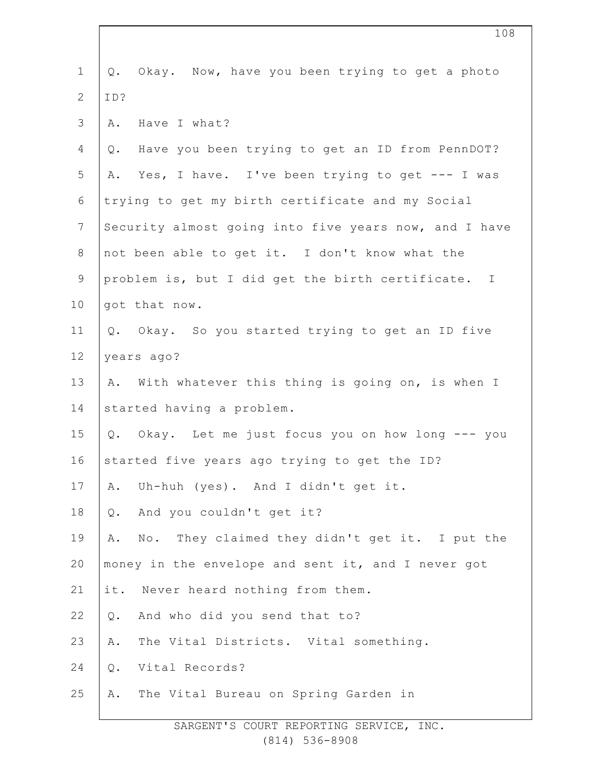| $\mathbf 1$    | Okay. Now, have you been trying to get a photo<br>Q.  |
|----------------|-------------------------------------------------------|
| $\overline{2}$ | ID?                                                   |
| 3              | Have I what?<br>Α.                                    |
| 4              | Have you been trying to get an ID from PennDOT?<br>Q. |
| 5              | Yes, I have. I've been trying to get --- I was<br>Α.  |
| 6              | trying to get my birth certificate and my Social      |
| $7\phantom{.}$ | Security almost going into five years now, and I have |
| 8              | not been able to get it. I don't know what the        |
| $\mathsf 9$    | problem is, but I did get the birth certificate. I    |
| 10             | got that now.                                         |
| 11             | Q. Okay. So you started trying to get an ID five      |
| 12             | years ago?                                            |
| 13             | With whatever this thing is going on, is when I<br>Α. |
| 14             | started having a problem.                             |
| 15             | Okay. Let me just focus you on how long --- you<br>Q. |
| 16             | started five years ago trying to get the ID?          |
| 17             | Uh-huh (yes). And I didn't get it.<br>Α.              |
| 18             | And you couldn't get it?<br>Q.                        |
| 19             | No. They claimed they didn't get it. I put the<br>Α.  |
| 20             | money in the envelope and sent it, and I never got    |
| 21             | Never heard nothing from them.<br>it.                 |
| 22             | And who did you send that to?<br>Q.                   |
| 23             | The Vital Districts. Vital something.<br>Α.           |
| 24             | Vital Records?<br>Q.                                  |
| 25             | The Vital Bureau on Spring Garden in<br>Α.            |
|                |                                                       |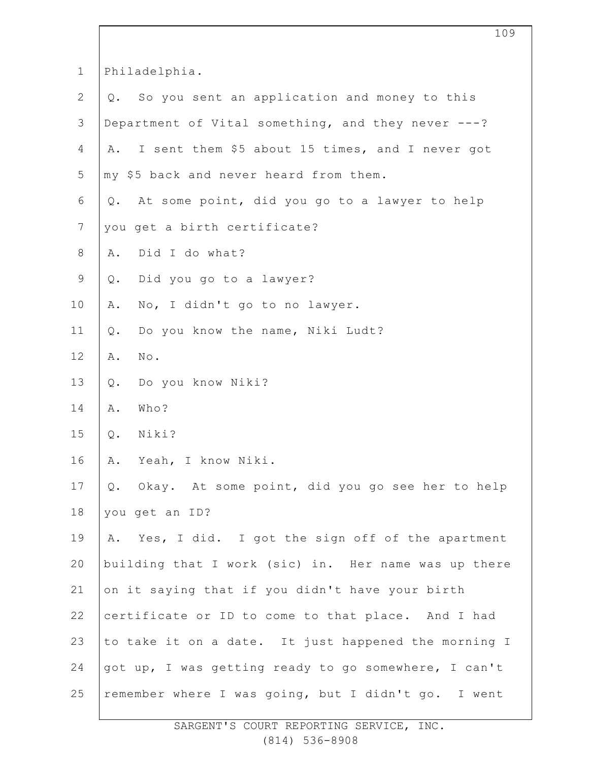| $\mathbf 1$    | Philadelphia.                                          |
|----------------|--------------------------------------------------------|
| $\mathbf{2}$   | Q. So you sent an application and money to this        |
| 3              | Department of Vital something, and they never ---?     |
| $\overline{4}$ | I sent them \$5 about 15 times, and I never got<br>Α.  |
| 5              | my \$5 back and never heard from them.                 |
| 6              | At some point, did you go to a lawyer to help<br>$Q$ . |
| $7\phantom{.}$ | you get a birth certificate?                           |
| $\,8\,$        | Did I do what?<br>Α.                                   |
| $\mathsf 9$    | Did you go to a lawyer?<br>Q.                          |
| 10             | No, I didn't go to no lawyer.<br>Α.                    |
| 11             | Do you know the name, Niki Ludt?<br>$Q$ .              |
| 12             | $\texttt{No}$ .<br>Α.                                  |
| 13             | Do you know Niki?<br>$Q$ .                             |
| 14             | Who?<br>Α.                                             |
| 15             | Niki?<br>$Q$ .                                         |
| 16             | Yeah, I know Niki.<br>Α.                               |
| 17             | Okay. At some point, did you go see her to help<br>Q.  |
| 18             | you get an ID?                                         |
| 19             | Yes, I did. I got the sign off of the apartment<br>Α.  |
| 20             | building that I work (sic) in. Her name was up there   |
| 21             | on it saying that if you didn't have your birth        |
| 22             | certificate or ID to come to that place. And I had     |
| 23             | to take it on a date. It just happened the morning I   |
| 24             | got up, I was getting ready to go somewhere, I can't   |
| 25             | remember where I was going, but I didn't go. I went    |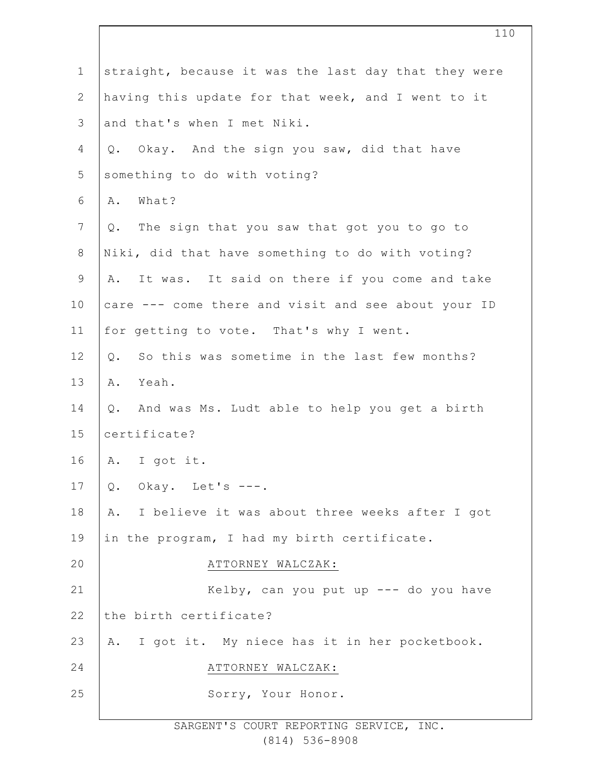| $\mathbf 1$    | straight, because it was the last day that they were  |
|----------------|-------------------------------------------------------|
| $\mathbf{2}$   | having this update for that week, and I went to it    |
| 3              | and that's when I met Niki.                           |
| 4              | Q. Okay. And the sign you saw, did that have          |
| 5              | something to do with voting?                          |
| 6              | What?<br>Α.                                           |
| $\overline{7}$ | The sign that you saw that got you to go to<br>Q.     |
| $\,8\,$        | Niki, did that have something to do with voting?      |
| 9              | It was. It said on there if you come and take<br>Α.   |
| 10             | care --- come there and visit and see about your ID   |
| 11             | for getting to vote. That's why I went.               |
| 12             | So this was sometime in the last few months?<br>$Q$ . |
| 13             | Yeah.<br>Α.                                           |
| 14             | Q. And was Ms. Ludt able to help you get a birth      |
| 15             | certificate?                                          |
| 16             | A. I got it.                                          |
| 17             | Okay. Let's ---.<br>Q.                                |
| 18             | A. I believe it was about three weeks after I got     |
| 19             | in the program, I had my birth certificate.           |
| 20             | ATTORNEY WALCZAK:                                     |
| 21             | Kelby, can you put up $---$ do you have               |
| 22             | the birth certificate?                                |
| 23             | A. I got it. My niece has it in her pocketbook.       |
| 24             | ATTORNEY WALCZAK:                                     |
| 25             | Sorry, Your Honor.                                    |
|                |                                                       |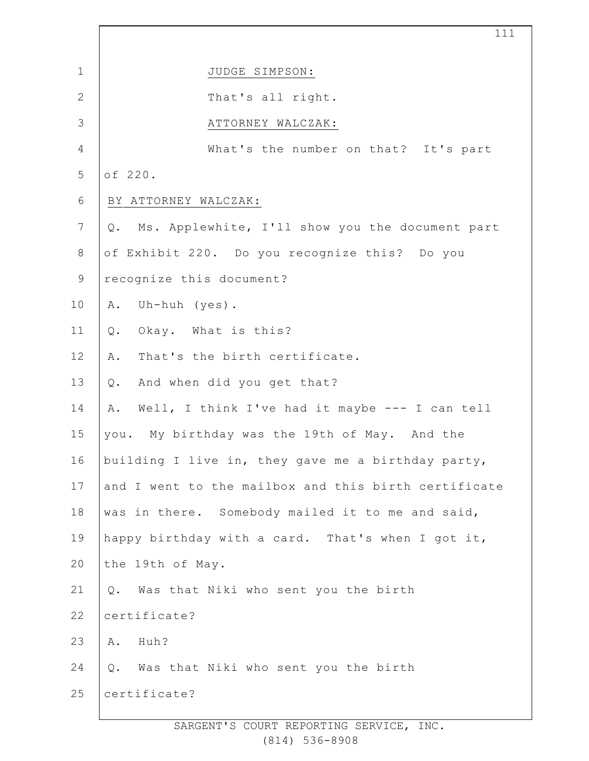|                | 111                                                   |
|----------------|-------------------------------------------------------|
| $\mathbf 1$    | JUDGE SIMPSON:                                        |
| $\mathbf{2}$   | That's all right.                                     |
| $\mathcal{S}$  | ATTORNEY WALCZAK:                                     |
| 4              | What's the number on that? It's part                  |
| 5              | of 220.                                               |
| 6              | BY ATTORNEY WALCZAK:                                  |
| $\overline{7}$ | Ms. Applewhite, I'll show you the document part<br>Q. |
| $\,8\,$        | of Exhibit 220. Do you recognize this? Do you         |
| $\mathsf 9$    | recognize this document?                              |
| 10             | Uh-huh (yes).<br>Α.                                   |
| 11             | Okay. What is this?<br>Q.                             |
| 12             | That's the birth certificate.<br>Α.                   |
| 13             | And when did you get that?<br>Q.                      |
| 14             | Well, I think I've had it maybe --- I can tell<br>Α.  |
| 15             | you. My birthday was the 19th of May. And the         |
| 16             | building I live in, they gave me a birthday party,    |
| 17             | and I went to the mailbox and this birth certificate  |
| 18             | was in there. Somebody mailed it to me and said,      |
| 19             | happy birthday with a card. That's when I got it,     |
| 20             | the 19th of May.                                      |
| 21             | Was that Niki who sent you the birth<br>Q.            |
| 22             | certificate?                                          |
| 23             | Huh?<br>Α.                                            |
| 24             | Was that Niki who sent you the birth<br>Q.            |
| 25             | certificate?                                          |
|                |                                                       |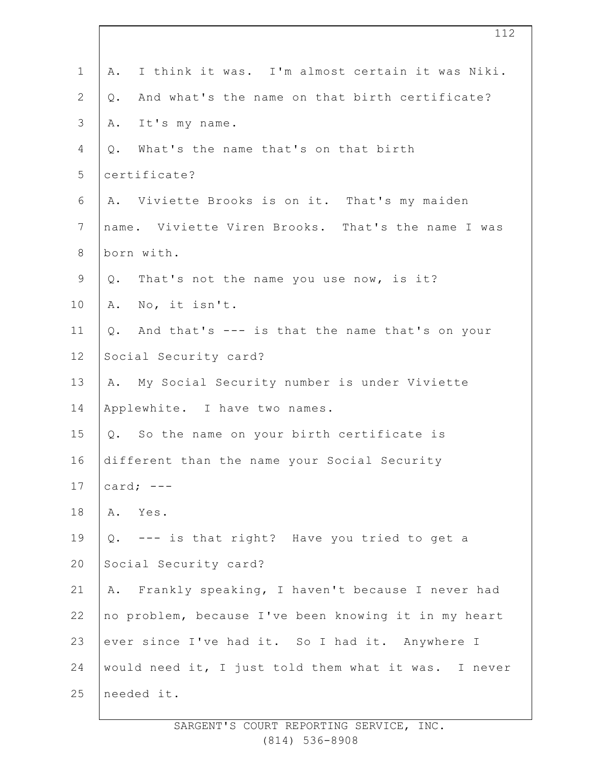| $\mathbf 1$    | I think it was. I'm almost certain it was Niki.<br>Α. |
|----------------|-------------------------------------------------------|
| $\mathbf{2}$   | And what's the name on that birth certificate?<br>Q.  |
| 3              | It's my name.<br>Α.                                   |
| 4              | What's the name that's on that birth<br>Q.            |
| 5              | certificate?                                          |
| 6              | A. Viviette Brooks is on it. That's my maiden         |
| $7\phantom{.}$ | name. Viviette Viren Brooks. That's the name I was    |
| 8              | born with.                                            |
| $\mathsf 9$    | Q. That's not the name you use now, is it?            |
| 10             | A. No, it isn't.                                      |
| 11             | And that's --- is that the name that's on your<br>Q.  |
| 12             | Social Security card?                                 |
| 13             | A. My Social Security number is under Viviette        |
| 14             | Applewhite. I have two names.                         |
| 15             | Q. So the name on your birth certificate is           |
| 16             | different than the name your Social Security          |
| 17             | card; $---$                                           |
| 18             | Yes.<br>Α.                                            |
| 19             | --- is that right? Have you tried to get a<br>$Q$ .   |
| 20             | Social Security card?                                 |
| 21             | Frankly speaking, I haven't because I never had<br>Α. |
| 22             | no problem, because I've been knowing it in my heart  |
| 23             | ever since I've had it. So I had it. Anywhere I       |
| 24             | would need it, I just told them what it was. I never  |
| 25             | needed it.                                            |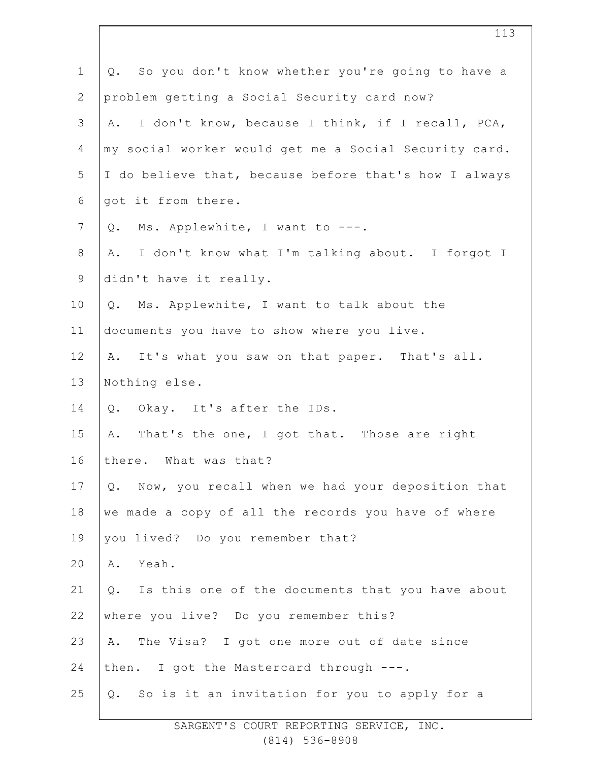| $\mathbf 1$  | So you don't know whether you're going to have a<br>Q. |
|--------------|--------------------------------------------------------|
| $\mathbf{2}$ | problem getting a Social Security card now?            |
| 3            | I don't know, because I think, if I recall, PCA,<br>Α. |
| 4            | my social worker would get me a Social Security card.  |
| 5            | I do believe that, because before that's how I always  |
| 6            | got it from there.                                     |
| 7            | Ms. Applewhite, I want to ---.<br>Q.                   |
| $\,8\,$      | I don't know what I'm talking about. I forgot I<br>A.  |
| $\mathsf 9$  | didn't have it really.                                 |
| 10           | Q. Ms. Applewhite, I want to talk about the            |
| 11           | documents you have to show where you live.             |
| 12           | A. It's what you saw on that paper. That's all.        |
| 13           | Nothing else.                                          |
| 14           | Q. Okay. It's after the IDs.                           |
| 15           | That's the one, I got that. Those are right<br>Α.      |
| 16           | there. What was that?                                  |
| 17           | Now, you recall when we had your deposition that<br>Q. |
| 18           | we made a copy of all the records you have of where    |
| 19           | you lived? Do you remember that?                       |
| 20           | Yeah.<br>Α.                                            |
| 21           | Q. Is this one of the documents that you have about    |
| 22           | where you live? Do you remember this?                  |
| 23           | The Visa? I got one more out of date since<br>Α.       |
| 24           | then. I got the Mastercard through ---.                |
| 25           | Q. So is it an invitation for you to apply for a       |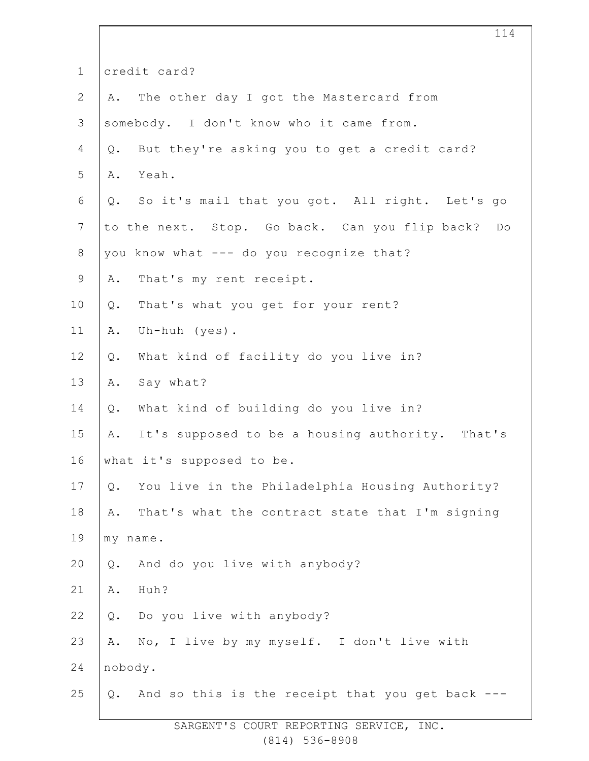| $\mathbf 1$     | credit card?                                           |
|-----------------|--------------------------------------------------------|
| $\overline{2}$  | The other day I got the Mastercard from<br>Α.          |
| 3               | somebody. I don't know who it came from.               |
| 4               | But they're asking you to get a credit card?<br>Q.     |
| 5               | Yeah.<br>Α.                                            |
| 6               | So it's mail that you got. All right. Let's go<br>Q.   |
| $7\phantom{.0}$ | to the next. Stop. Go back. Can you flip back? Do      |
| $8\,$           | you know what --- do you recognize that?               |
| $\mathsf 9$     | That's my rent receipt.<br>Α.                          |
| 10              | That's what you get for your rent?<br>Q.               |
| 11              | Uh-huh (yes).<br>Α.                                    |
| 12              | What kind of facility do you live in?<br>$Q$ .         |
| 13              | Say what?<br>Α.                                        |
| 14              | What kind of building do you live in?<br>Q.            |
| 15              | It's supposed to be a housing authority. That's<br>Α.  |
| 16              | what it's supposed to be.                              |
| 17              | You live in the Philadelphia Housing Authority?<br>Q.  |
| 18              | That's what the contract state that I'm signing<br>Α.  |
| 19              | my name.                                               |
| 20              | And do you live with anybody?<br>Q.                    |
| 21              | Huh?<br>Α.                                             |
| 22              | Do you live with anybody?<br>Q.                        |
| 23              | No, I live by my myself. I don't live with<br>Α.       |
| 24              | nobody.                                                |
| 25              | And so this is the receipt that you get back ---<br>Q. |
|                 |                                                        |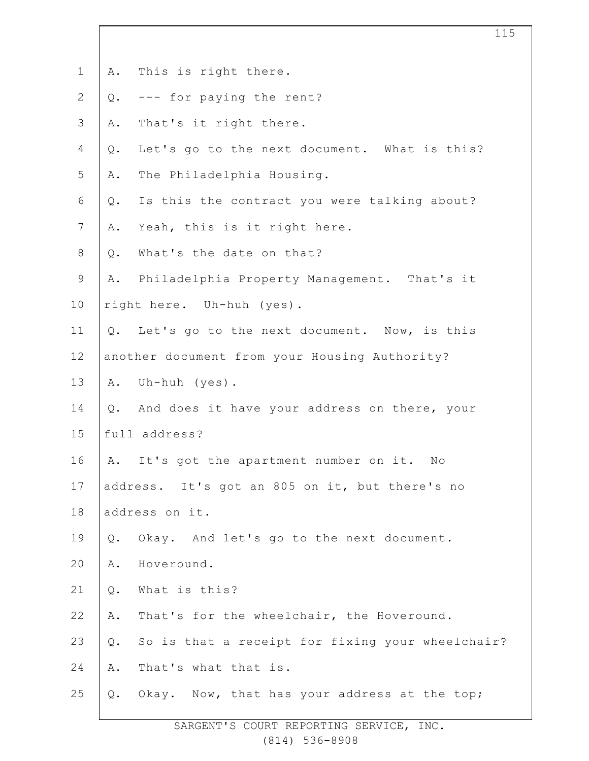| $\mathbf 1$              | Α.             | This is right there.                             |
|--------------------------|----------------|--------------------------------------------------|
| $\mathbf{2}$             | Q.             | --- for paying the rent?                         |
| 3                        | Α.             | That's it right there.                           |
| $\overline{4}$           | $\mathsf{Q}$ . | Let's go to the next document. What is this?     |
| 5                        | Α.             | The Philadelphia Housing.                        |
| 6                        | Q.             | Is this the contract you were talking about?     |
| $\overline{\phantom{a}}$ | Α.             | Yeah, this is it right here.                     |
| $8\,$                    | $\mathsf{Q}$ . | What's the date on that?                         |
| $\mathsf 9$              | Α.             | Philadelphia Property Management. That's it      |
| 10                       |                | right here. Uh-huh (yes).                        |
| 11                       | $Q$ .          | Let's go to the next document. Now, is this      |
| 12                       |                | another document from your Housing Authority?    |
| 13                       | Α.             | Uh-huh (yes).                                    |
| 14                       | $Q$ .          | And does it have your address on there, your     |
| 15                       |                | full address?                                    |
| 16                       | Α.             | It's got the apartment number on it. No          |
| 17                       |                | address. It's got an 805 on it, but there's no   |
| 18                       |                | address on it.                                   |
| 19                       | $Q$ .          | Okay. And let's go to the next document.         |
| 20                       | Α.             | Hoveround.                                       |
| 21                       | $Q$ .          | What is this?                                    |
| 22                       | Α.             | That's for the wheelchair, the Hoveround.        |
| 23                       | $\mathsf{Q}$ . | So is that a receipt for fixing your wheelchair? |
| 24                       | Α.             | That's what that is.                             |
| 25                       | Q.             | Okay. Now, that has your address at the top;     |
|                          |                |                                                  |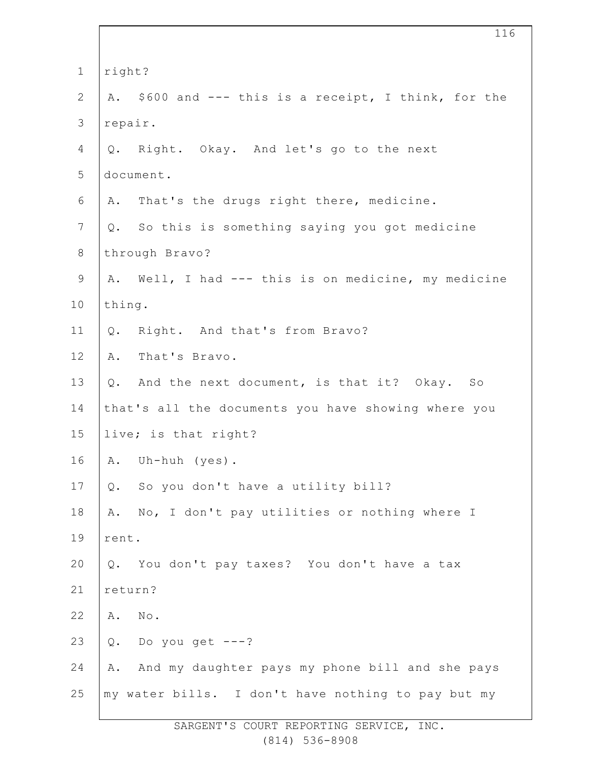| $\mathbf 1$    | right?  |                                                      |
|----------------|---------|------------------------------------------------------|
| $\overline{2}$ |         | A. \$600 and --- this is a receipt, I think, for the |
| 3              | repair. |                                                      |
| 4              |         | Q. Right. Okay. And let's go to the next             |
| 5              |         | document.                                            |
| 6              |         | A. That's the drugs right there, medicine.           |
| $7\phantom{.}$ |         | Q. So this is something saying you got medicine      |
| $8\,$          |         | through Bravo?                                       |
| $\mathsf 9$    |         | A. Well, I had --- this is on medicine, my medicine  |
| 10             | thing.  |                                                      |
| 11             | Q.      | Right. And that's from Bravo?                        |
| 12             |         | A. That's Bravo.                                     |
| 13             |         | Q. And the next document, is that it? Okay. So       |
| 14             |         | that's all the documents you have showing where you  |
| 15             |         | live; is that right?                                 |
| 16             |         | A. Uh-huh (yes).                                     |
| 17             | Q.      | So you don't have a utility bill?                    |
| 18             | Α.      | No, I don't pay utilities or nothing where I         |
| 19             | rent.   |                                                      |
| 20             | $Q$ .   | You don't pay taxes? You don't have a tax            |
| 21             | return? |                                                      |
| 22             | Α.      | No.                                                  |
| 23             | $Q$ .   | Do you get $---?$                                    |
| 24             | Α.      | And my daughter pays my phone bill and she pays      |
| 25             |         | my water bills. I don't have nothing to pay but my   |
|                |         |                                                      |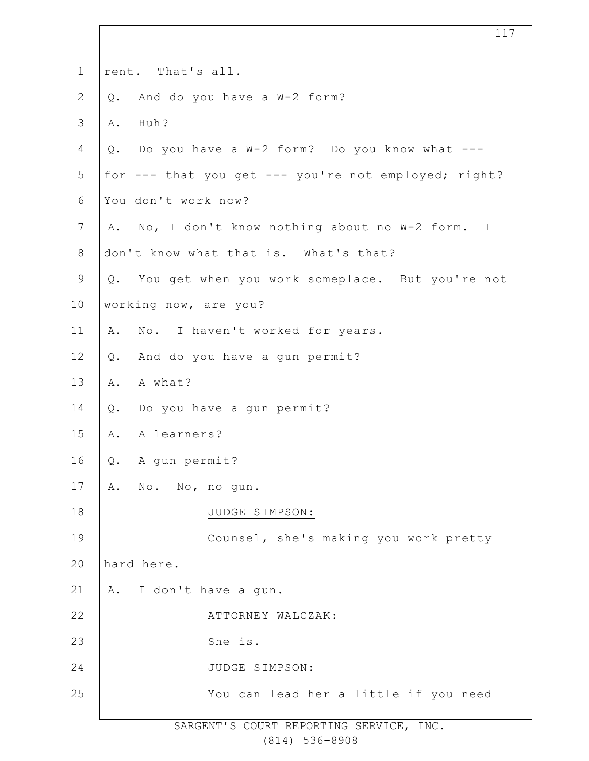| $\mathbf 1$    | rent. That's all.                                    |
|----------------|------------------------------------------------------|
| $\overline{2}$ | And do you have a W-2 form?<br>$Q$ .                 |
| 3              | Huh?<br>Α.                                           |
| 4              | Q. Do you have a W-2 form? Do you know what ---      |
| 5              | for --- that you get --- you're not employed; right? |
| 6              | You don't work now?                                  |
| $\overline{7}$ | A. No, I don't know nothing about no W-2 form. I     |
| 8              | don't know what that is. What's that?                |
| $\mathsf 9$    | Q. You get when you work someplace. But you're not   |
| 10             | working now, are you?                                |
| 11             | No. I haven't worked for years.<br>Α.                |
| 12             | And do you have a gun permit?<br>$Q$ .               |
| 13             | A what?<br>Α.                                        |
| 14             | Do you have a gun permit?<br>Q.                      |
| 15             | A learners?<br>Α.                                    |
| 16             | A gun permit?<br>Q.                                  |
| 17             | A. No. No, no qun.                                   |
| 18             | JUDGE SIMPSON:                                       |
| 19             | Counsel, she's making you work pretty                |
| 20             | hard here.                                           |
| 21             | A. I don't have a gun.                               |
| 22             | ATTORNEY WALCZAK:                                    |
| 23             | She is.                                              |
| 24             | JUDGE SIMPSON:                                       |
| 25             | You can lead her a little if you need                |
|                |                                                      |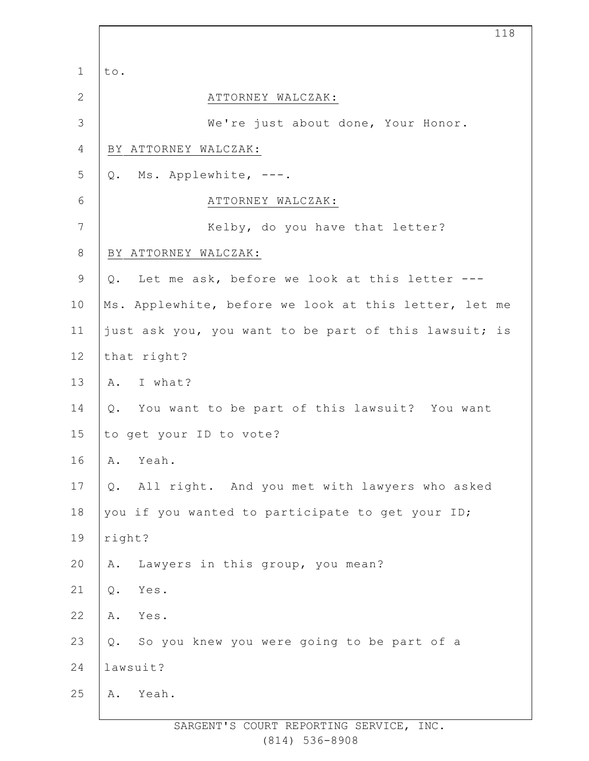|              | 118                                                    |
|--------------|--------------------------------------------------------|
| $\mathbf 1$  | to.                                                    |
| $\mathbf{2}$ | ATTORNEY WALCZAK:                                      |
| 3            | We're just about done, Your Honor.                     |
| 4            | BY ATTORNEY WALCZAK:                                   |
| 5            | Q. Ms. Applewhite, ---.                                |
| 6            | ATTORNEY WALCZAK:                                      |
| 7            | Kelby, do you have that letter?                        |
| $8\,$        | BY ATTORNEY WALCZAK:                                   |
| $\mathsf 9$  | Q. Let me ask, before we look at this letter ---       |
| 10           | Ms. Applewhite, before we look at this letter, let me  |
| 11           | just ask you, you want to be part of this lawsuit; is  |
| 12           | that right?                                            |
| 13           | A. I what?                                             |
| 14           | Q. You want to be part of this lawsuit? You want       |
| 15           | to get your ID to vote?                                |
| 16           | Yeah.<br>Α.                                            |
| $17$         | All right. And you met with lawyers who asked<br>$Q$ . |
| 18           | you if you wanted to participate to get your ID;       |
| 19           | right?                                                 |
| 20           | Lawyers in this group, you mean?<br>Α.                 |
| 21           | $Q$ .<br>Yes.                                          |
| 22           | Α.<br>Yes.                                             |
| 23           | So you knew you were going to be part of a<br>Q.       |
| 24           | lawsuit?                                               |
| 25           | Yeah.<br>Α.                                            |
|              |                                                        |

 $\Gamma$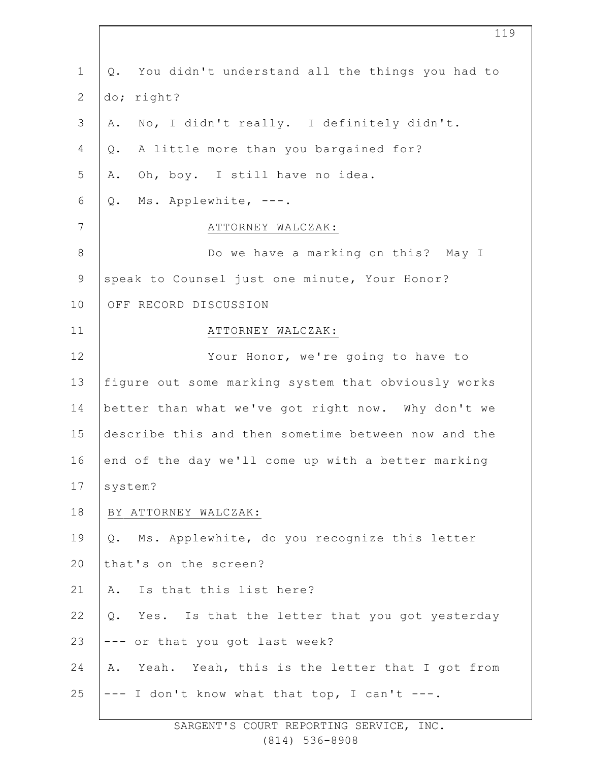1 2 3 4 5 6 7 8 9 10 11 12 13 14 15 16 17 18 19  $20$ 21 22 23 24 25 Q. You didn't understand all the things you had to do; right? A. No, I didn't really. I definitely didn't. Q. A little more than you bargained for? A. Oh, boy. I still have no idea. Q. Ms. Applewhite, ---. ATTORNEY WALCZAK: Do we have a marking on this? May I speak to Counsel just one minute, Your Honor? OFF RECORD DISCUSSION ATTORNEY WALCZAK: Your Honor, we're going to have to figure out some marking system that obviously works better than what we've got right now. Why don't we describe this and then sometime between now and the end of the day we'll come up with a better marking system? BY ATTORNEY WALCZAK: Q. Ms. Applewhite, do you recognize this letter that's on the screen? A. Is that this list here? Q. Yes. Is that the letter that you got yesterday --- or that you got last week? A. Yeah. Yeah, this is the letter that I got from --- I don't know what that top, I can't ---.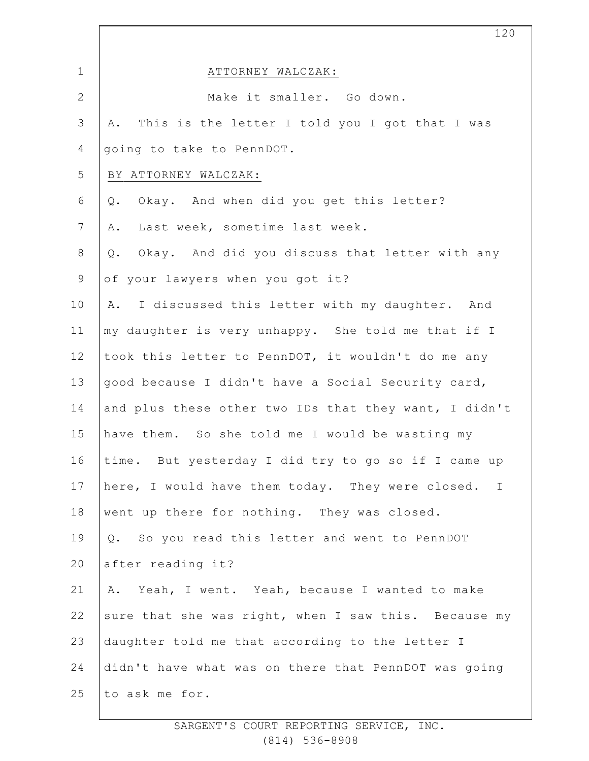|              | 120                                                              |
|--------------|------------------------------------------------------------------|
| $\mathbf 1$  | ATTORNEY WALCZAK:                                                |
| $\mathbf{2}$ | Make it smaller. Go down.                                        |
| 3            | This is the letter I told you I got that I was<br>Α.             |
| 4            | going to take to PennDOT.                                        |
| 5            | BY ATTORNEY WALCZAK:                                             |
| 6            | Okay. And when did you get this letter?<br>$Q$ .                 |
| 7            | Last week, sometime last week.<br>Α.                             |
| $8\,$        | Okay. And did you discuss that letter with any<br>$Q$ .          |
| $\mathsf 9$  | of your lawyers when you got it?                                 |
| 10           | I discussed this letter with my daughter. And<br>Α.              |
| 11           | my daughter is very unhappy. She told me that if I               |
| 12           | took this letter to PennDOT, it wouldn't do me any               |
| 13           | good because I didn't have a Social Security card,               |
| 14           | and plus these other two IDs that they want, I didn't            |
| 15           | have them. So she told me I would be wasting my                  |
| 16           | time. But yesterday I did try to go so if I came up              |
| 17           | here, I would have them today. They were closed.<br>$\mathbb{I}$ |
| 18           | went up there for nothing. They was closed.                      |
| 19           | Q. So you read this letter and went to PennDOT                   |
| 20           | after reading it?                                                |
| 21           | A. Yeah, I went. Yeah, because I wanted to make                  |
| 22           | sure that she was right, when I saw this. Because my             |
| 23           | daughter told me that according to the letter I                  |
| 24           | didn't have what was on there that PennDOT was going             |
| 25           | to ask me for.                                                   |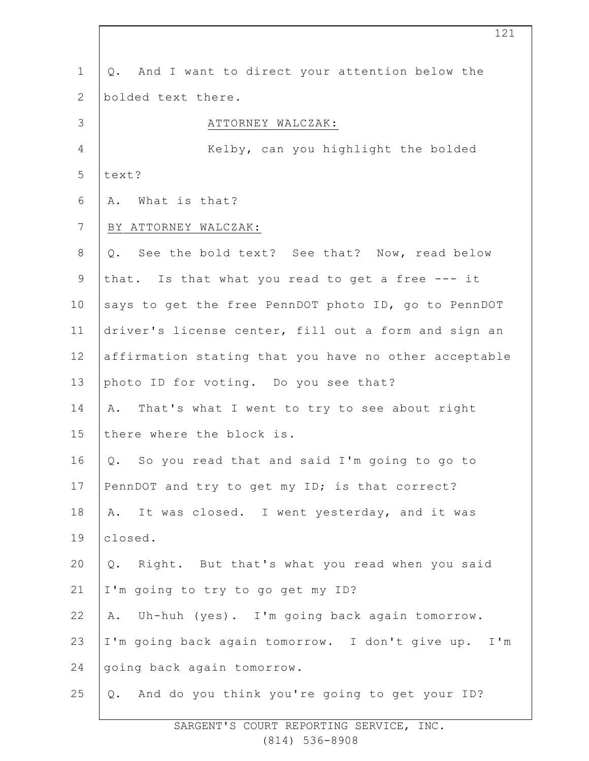| $\mathbf 1$    | And I want to direct your attention below the<br>Q.       |
|----------------|-----------------------------------------------------------|
| 2              | bolded text there.                                        |
| 3              | ATTORNEY WALCZAK:                                         |
| 4              | Kelby, can you highlight the bolded                       |
| 5              | text?                                                     |
| 6              | What is that?<br>Α.                                       |
| $7\phantom{.}$ | BY ATTORNEY WALCZAK:                                      |
| $8\,$          | See the bold text? See that? Now, read below<br>Q.        |
| $\mathsf 9$    | that. Is that what you read to get a free --- it          |
| 10             | says to get the free PennDOT photo ID, go to PennDOT      |
| 11             | driver's license center, fill out a form and sign an      |
| 12             | affirmation stating that you have no other acceptable     |
| 13             | photo ID for voting. Do you see that?                     |
| 14             | That's what I went to try to see about right<br>Α.        |
| 15             | there where the block is.                                 |
| 16             | So you read that and said I'm going to go to<br>Q.        |
| 17             | PennDOT and try to get my ID; is that correct?            |
| 18             | It was closed. I went yesterday, and it was<br>Α.         |
| 19             | closed.                                                   |
| 20             | Right. But that's what you read when you said<br>Q.       |
| 21             | I'm going to try to go get my ID?                         |
| 22             | Uh-huh (yes). I'm going back again tomorrow.<br>Α.        |
| 23             | I'm going back again tomorrow. I don't give up.<br>$I'$ m |
| 24             | going back again tomorrow.                                |
| 25             | And do you think you're going to get your ID?<br>Q.       |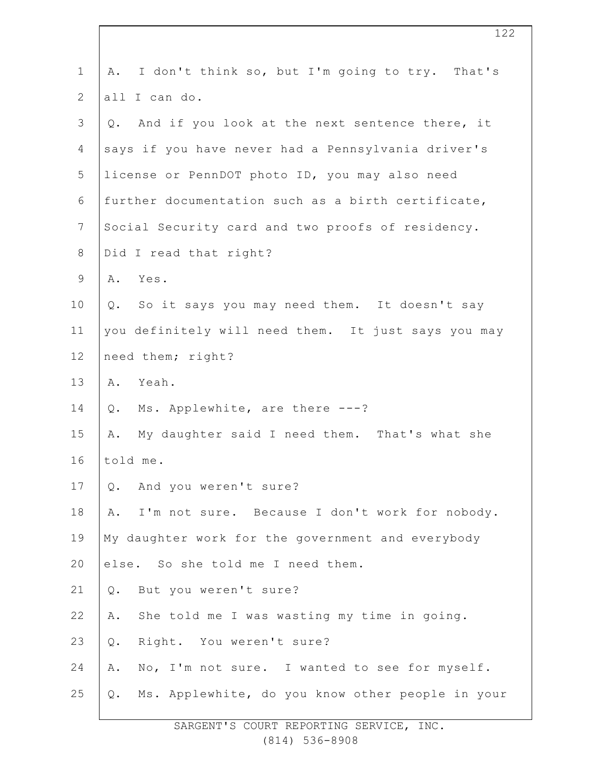| $\mathbf 1$  | I don't think so, but I'm going to try. That's<br>Α.   |
|--------------|--------------------------------------------------------|
| $\mathbf{2}$ | all I can do.                                          |
| 3            | And if you look at the next sentence there, it<br>Q.   |
| 4            | says if you have never had a Pennsylvania driver's     |
| 5            | license or PennDOT photo ID, you may also need         |
| 6            | further documentation such as a birth certificate,     |
| 7            | Social Security card and two proofs of residency.      |
| $8\,$        | Did I read that right?                                 |
| 9            | Α.<br>Yes.                                             |
| 10           | So it says you may need them. It doesn't say<br>Q.     |
| 11           | you definitely will need them. It just says you may    |
| 12           | need them; right?                                      |
| 13           | Yeah.<br>Α.                                            |
| 14           | Ms. Applewhite, are there ---?<br>Q.                   |
| 15           | My daughter said I need them. That's what she<br>Α.    |
| 16           | told me.                                               |
| 17           | And you weren't sure?<br>Q.                            |
| 18           | I'm not sure. Because I don't work for nobody.<br>Α.   |
| 19           | My daughter work for the government and everybody      |
| 20           | else. So she told me I need them.                      |
| 21           | But you weren't sure?<br>$Q$ .                         |
| 22           | She told me I was wasting my time in going.<br>Α.      |
| 23           | Right. You weren't sure?<br>$\mathbb Q$ .              |
| 24           | No, I'm not sure. I wanted to see for myself.<br>Α.    |
| 25           | Ms. Applewhite, do you know other people in your<br>Q. |
|              |                                                        |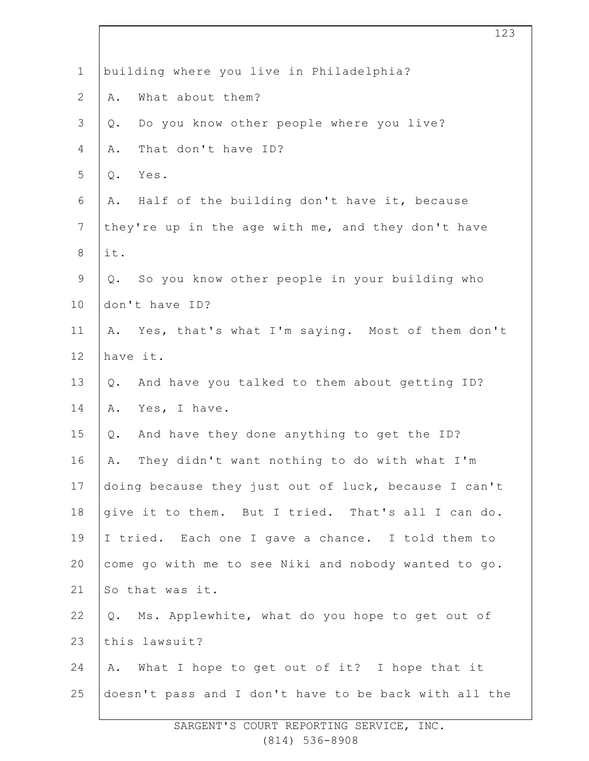| $\mathbf 1$    | building where you live in Philadelphia?              |
|----------------|-------------------------------------------------------|
| $\overline{2}$ | What about them?<br>Α.                                |
| 3              | Do you know other people where you live?<br>Q.        |
| $\overline{4}$ | That don't have ID?<br>Α.                             |
| 5              | Yes.<br>Q.                                            |
| 6              | Half of the building don't have it, because<br>Α.     |
| $\overline{7}$ | they're up in the age with me, and they don't have    |
| $\,8\,$        | it.                                                   |
| 9              | So you know other people in your building who<br>Q.   |
| 10             | don't have ID?                                        |
| 11             | Yes, that's what I'm saying. Most of them don't<br>Α. |
| 12             | have it.                                              |
| 13             | And have you talked to them about getting ID?<br>Q.   |
| 14             | Yes, I have.<br>Α.                                    |
| 15             | And have they done anything to get the ID?<br>Q.      |
| 16             | They didn't want nothing to do with what I'm<br>Α.    |
| 17             | doing because they just out of luck, because I can't  |
| 18             | give it to them. But I tried. That's all I can do.    |
| 19             | I tried. Each one I gave a chance. I told them to     |
| 20             | come go with me to see Niki and nobody wanted to go.  |
| 21             | So that was it.                                       |
| 22             | Ms. Applewhite, what do you hope to get out of<br>Q.  |
| 23             | this lawsuit?                                         |
| 24             | What I hope to get out of it? I hope that it<br>Α.    |
| 25             | doesn't pass and I don't have to be back with all the |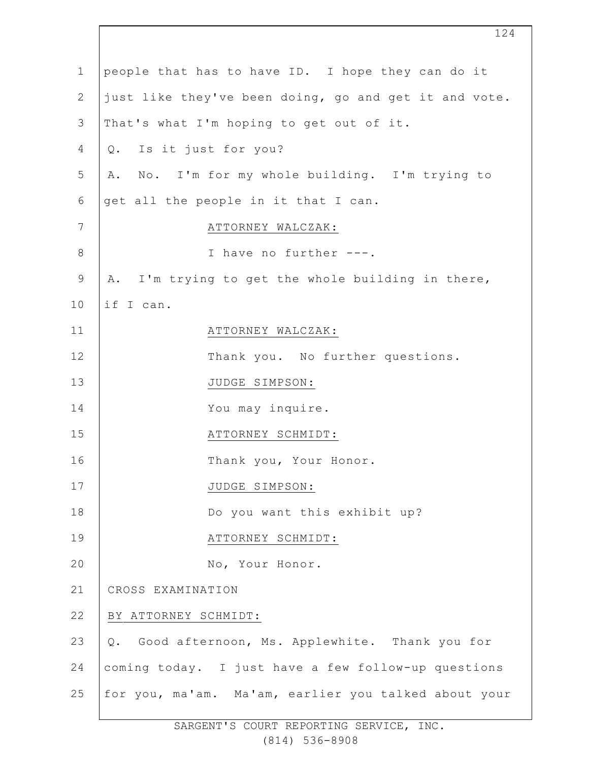| $\mathbf 1$    | people that has to have ID. I hope they can do it     |
|----------------|-------------------------------------------------------|
| $\mathbf{2}$   | just like they've been doing, go and get it and vote. |
| 3              | That's what I'm hoping to get out of it.              |
| 4              | Q. Is it just for you?                                |
| 5              | A. No. I'm for my whole building. I'm trying to       |
| 6              | get all the people in it that I can.                  |
| $\overline{7}$ | ATTORNEY WALCZAK:                                     |
| 8              | I have no further ---.                                |
| 9              | A. I'm trying to get the whole building in there,     |
| 10             | if I can.                                             |
| 11             | ATTORNEY WALCZAK:                                     |
| 12             | Thank you. No further questions.                      |
| 13             | JUDGE SIMPSON:                                        |
| 14             | You may inquire.                                      |
| 15             | ATTORNEY SCHMIDT:                                     |
| 16             | Thank you, Your Honor.                                |
| 17             | JUDGE SIMPSON:                                        |
| 18             | Do you want this exhibit up?                          |
| 19             | ATTORNEY SCHMIDT:                                     |
| 20             | No, Your Honor.                                       |
| 21             | CROSS EXAMINATION                                     |
| 22             | BY ATTORNEY SCHMIDT:                                  |
| 23             | Q. Good afternoon, Ms. Applewhite. Thank you for      |
| 24             | coming today. I just have a few follow-up questions   |
| 25             | for you, ma'am. Ma'am, earlier you talked about your  |
|                | SARGENT'S COURT REPORTING SERVICE, INC.               |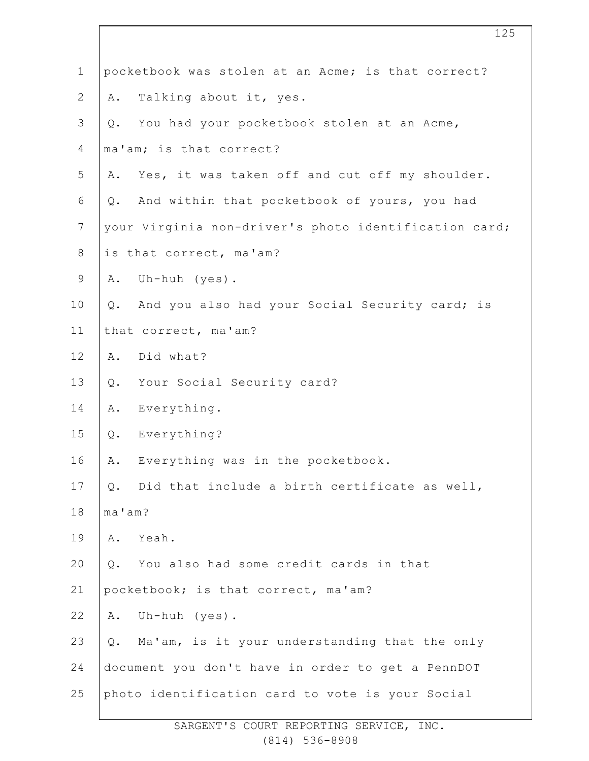| $\mathbf 1$    | pocketbook was stolen at an Acme; is that correct?    |
|----------------|-------------------------------------------------------|
| $\mathbf{2}$   | Talking about it, yes.<br>Α.                          |
| $\mathsf 3$    | You had your pocketbook stolen at an Acme,<br>Q.      |
| 4              | ma'am; is that correct?                               |
| 5              | Yes, it was taken off and cut off my shoulder.<br>Α.  |
| 6              | And within that pocketbook of yours, you had<br>Q.    |
| $\overline{7}$ | your Virginia non-driver's photo identification card; |
| $8\,$          | is that correct, ma'am?                               |
| $\mathsf 9$    | Uh-huh (yes).<br>Α.                                   |
| 10             | Q. And you also had your Social Security card; is     |
| 11             | that correct, ma'am?                                  |
| 12             | Did what?<br>Α.                                       |
| 13             | Your Social Security card?<br>Q.                      |
| 14             | Everything.<br>Α.                                     |
| 15             | Everything?<br>$Q$ .                                  |
| 16             | Everything was in the pocketbook.<br>Α.               |
| 17             | Did that include a birth certificate as well,<br>Q.   |
| 18             | ma'am?                                                |
| 19             | Yeah.<br>Α.                                           |
| 20             | You also had some credit cards in that<br>Q.          |
| 21             | pocketbook; is that correct, ma'am?                   |
| 22             | Uh-huh $(yes)$ .<br>Α.                                |
| 23             | Ma'am, is it your understanding that the only<br>Q.   |
| 24             | document you don't have in order to get a PennDOT     |
| 25             | photo identification card to vote is your Social      |

125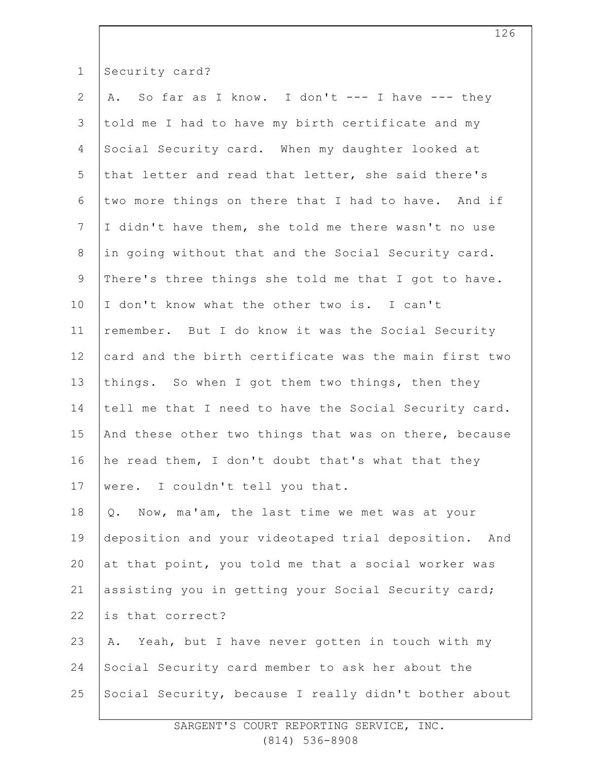| $\mathbf 1$     | Security card?                                        |
|-----------------|-------------------------------------------------------|
| $\mathbf{2}$    | A. So far as I know. I don't --- I have --- they      |
| 3               | told me I had to have my birth certificate and my     |
| 4               | Social Security card. When my daughter looked at      |
| 5               | that letter and read that letter, she said there's    |
| 6               | two more things on there that I had to have. And if   |
| $7\phantom{.0}$ | I didn't have them, she told me there wasn't no use   |
| $\,8\,$         | in going without that and the Social Security card.   |
| 9               | There's three things she told me that I got to have.  |
| 10              | I don't know what the other two is. I can't           |
| 11              | remember. But I do know it was the Social Security    |
| 12              | card and the birth certificate was the main first two |
| 13              | things. So when I got them two things, then they      |
| 14              | tell me that I need to have the Social Security card. |
| 15              | And these other two things that was on there, because |
| 16              | he read them, I don't doubt that's what that they     |
| 17              | were. I couldn't tell you that.                       |
| 18              | Now, ma'am, the last time we met was at your<br>Q.    |
| 19              | deposition and your videotaped trial deposition. And  |
| 20              | at that point, you told me that a social worker was   |
| 21              | assisting you in getting your Social Security card;   |
| 22              | is that correct?                                      |
| 23              | Yeah, but I have never gotten in touch with my<br>Α.  |
| 24              | Social Security card member to ask her about the      |
| 25              | Social Security, because I really didn't bother about |
|                 |                                                       |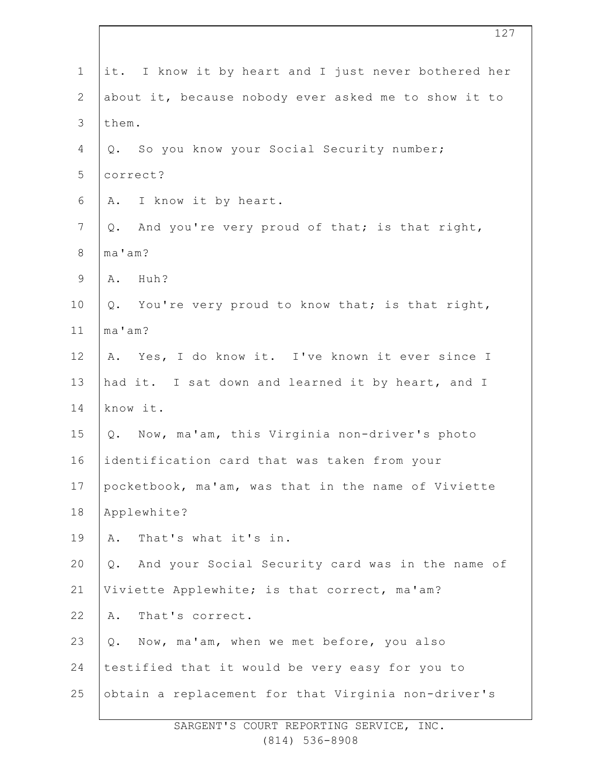| $\mathbf 1$    | it. I know it by heart and I just never bothered her   |
|----------------|--------------------------------------------------------|
| $\mathbf{2}$   | about it, because nobody ever asked me to show it to   |
| $\mathfrak{Z}$ | them.                                                  |
| 4              | Q. So you know your Social Security number;            |
| 5              | correct?                                               |
| 6              | I know it by heart.<br>Α.                              |
| $\overline{7}$ | And you're very proud of that; is that right,<br>Q.    |
| $\,8\,$        | ma'am?                                                 |
| $\mathsf 9$    | Huh?<br>Α.                                             |
| 10             | Q. You're very proud to know that; is that right,      |
| 11             | ma'am?                                                 |
| 12             | A. Yes, I do know it. I've known it ever since I       |
| 13             | had it. I sat down and learned it by heart, and I      |
| 14             | know it.                                               |
| 15             | Q. Now, ma'am, this Virginia non-driver's photo        |
| 16             | identification card that was taken from your           |
| 17             | pocketbook, ma'am, was that in the name of Viviette    |
| 18             | Applewhite?                                            |
| 19             | That's what it's in.<br>Α.                             |
| 20             | And your Social Security card was in the name of<br>Q. |
| 21             | Viviette Applewhite; is that correct, ma'am?           |
| 22             | That's correct.<br>Α.                                  |
| 23             | Now, ma'am, when we met before, you also<br>Q.         |
| 24             | testified that it would be very easy for you to        |
| 25             | obtain a replacement for that Virginia non-driver's    |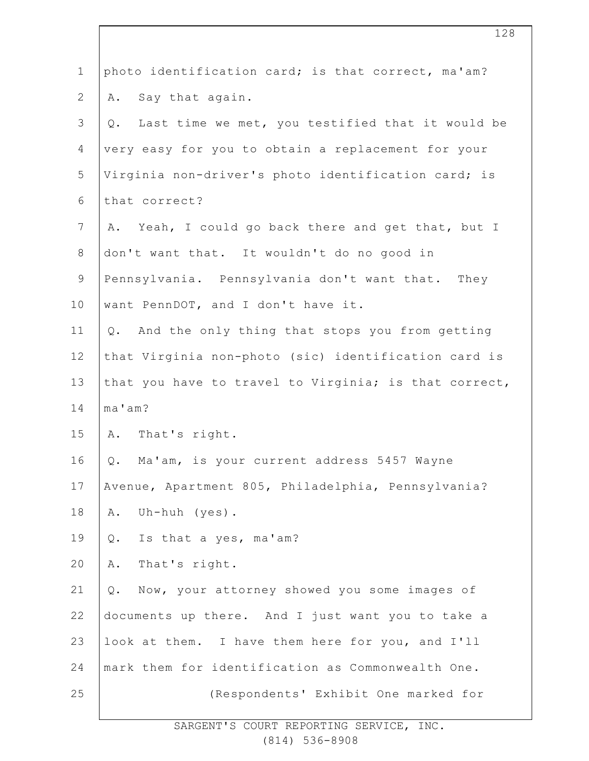| $\mathbf 1$    | photo identification card; is that correct, ma'am?      |
|----------------|---------------------------------------------------------|
| $\mathbf{2}$   | Say that again.<br>Α.                                   |
| $\mathfrak{Z}$ | Last time we met, you testified that it would be<br>Q.  |
| 4              | very easy for you to obtain a replacement for your      |
| 5              | Virginia non-driver's photo identification card; is     |
| 6              | that correct?                                           |
| $7\phantom{.}$ | Yeah, I could go back there and get that, but I<br>Α.   |
| $\,8\,$        | don't want that. It wouldn't do no good in              |
| $\mathsf 9$    | Pennsylvania. Pennsylvania don't want that. They        |
| 10             | want PennDOT, and I don't have it.                      |
| 11             | And the only thing that stops you from getting<br>$Q$ . |
| 12             | that Virginia non-photo (sic) identification card is    |
| 13             | that you have to travel to Virginia; is that correct,   |
| 14             | ma'am?                                                  |
| 15             | A. That's right.                                        |
| 16             | Ma'am, is your current address 5457 Wayne<br>Q.         |
| 17             | Avenue, Apartment 805, Philadelphia, Pennsylvania?      |
| 18             | Uh-huh $(yes)$ .<br>Α.                                  |
| 19             | Is that a yes, ma'am?<br>Q.                             |
| 20             | That's right.<br>Α.                                     |
| 21             | Now, your attorney showed you some images of<br>Q.      |
| 22             | documents up there. And I just want you to take a       |
| 23             | look at them. I have them here for you, and I'll        |
| 24             | mark them for identification as Commonwealth One.       |
| 25             | (Respondents' Exhibit One marked for                    |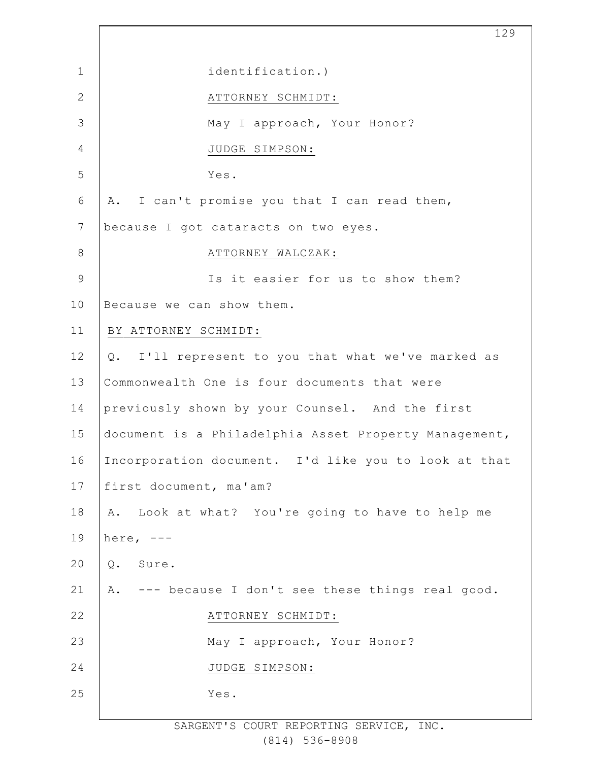1 2 3 4 5 6 7 8 9 10 11 12 13 14 15 16 17 18 19 20 21 22 23 24 25 129 identification.) ATTORNEY SCHMIDT: May I approach, Your Honor? JUDGE SIMPSON: Yes. A. I can't promise you that I can read them, because I got cataracts on two eyes. ATTORNEY WALCZAK: Is it easier for us to show them? Because we can show them. BY ATTORNEY SCHMIDT: Q. I'll represent to you that what we've marked as Commonwealth One is four documents that were previously shown by your Counsel. And the first document is a Philadelphia Asset Property Management, Incorporation document. I'd like you to look at that first document, ma'am? A. Look at what? You're going to have to help me here,  $---$ Q. Sure. A. --- because I don't see these things real good. ATTORNEY SCHMIDT: May I approach, Your Honor? JUDGE SIMPSON: Yes.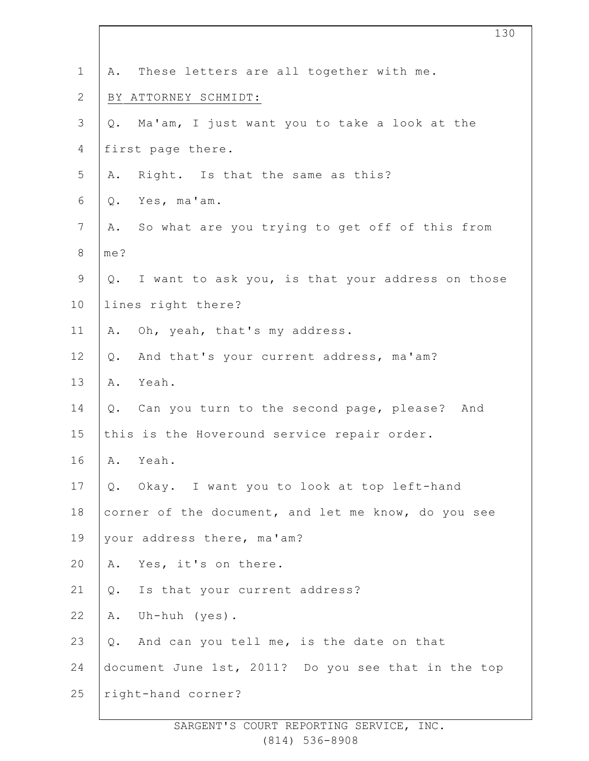| $\mathbf 1$    | These letters are all together with me.<br>Α.        |
|----------------|------------------------------------------------------|
| $\mathbf{2}$   | BY ATTORNEY SCHMIDT:                                 |
| $\mathfrak{Z}$ | Ma'am, I just want you to take a look at the<br>Q.   |
| 4              | first page there.                                    |
| 5              | Right. Is that the same as this?<br>Α.               |
| $\sqrt{6}$     | Yes, ma'am.<br>Q.                                    |
| $\overline{7}$ | So what are you trying to get off of this from<br>Α. |
| $\,8\,$        | me?                                                  |
| $\mathsf 9$    | Q. I want to ask you, is that your address on those  |
| 10             | lines right there?                                   |
| 11             | Oh, yeah, that's my address.<br>Α.                   |
| 12             | And that's your current address, ma'am?<br>Q.        |
| 13             | Yeah.<br>Α.                                          |
| 14             | Q. Can you turn to the second page, please? And      |
| 15             | this is the Hoveround service repair order.          |
| 16             | A. Yeah.                                             |
| 17             | Okay. I want you to look at top left-hand<br>Q.      |
| 18             | corner of the document, and let me know, do you see  |
| 19             | your address there, ma'am?                           |
| 20             | Yes, it's on there.<br>Α.                            |
| 21             | Is that your current address?<br>Q.                  |
| 22             | Uh-huh (yes).<br>Α.                                  |
| 23             | And can you tell me, is the date on that<br>Q.       |
| 24             | document June 1st, 2011? Do you see that in the top  |
| 25             | right-hand corner?                                   |
|                |                                                      |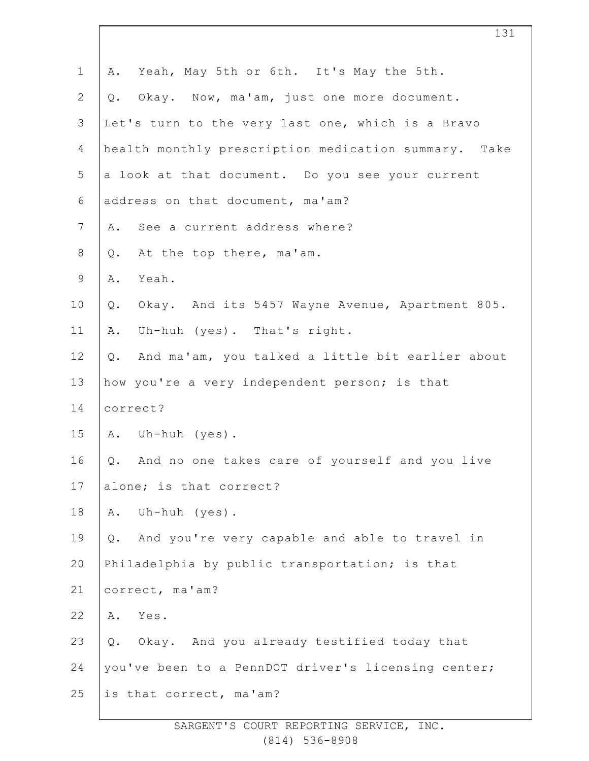| $\mathbf 1$    | Yeah, May 5th or 6th. It's May the 5th.<br>Α.            |
|----------------|----------------------------------------------------------|
| $\overline{2}$ | Okay. Now, ma'am, just one more document.<br>Q.          |
| 3              | Let's turn to the very last one, which is a Bravo        |
| 4              | health monthly prescription medication summary. Take     |
| 5              | a look at that document. Do you see your current         |
| 6              | address on that document, ma'am?                         |
| $\overline{7}$ | See a current address where?<br>Α.                       |
| $8\,$          | At the top there, ma'am.<br>Q.                           |
| $\mathsf 9$    | Yeah.<br>Α.                                              |
| 10             | Okay. And its 5457 Wayne Avenue, Apartment 805.<br>$Q$ . |
| 11             | Uh-huh (yes). That's right.<br>Α.                        |
| 12             | And ma'am, you talked a little bit earlier about<br>Q.   |
| 13             | how you're a very independent person; is that            |
| 14             | correct?                                                 |
| 15             | A. Uh-huh (yes).                                         |
| 16             | And no one takes care of yourself and you live<br>Q.     |
| 17             | alone; is that correct?                                  |
| 18             | Uh-huh (yes).<br>Α.                                      |
| 19             | And you're very capable and able to travel in<br>Q.      |
| 20             | Philadelphia by public transportation; is that           |
| 21             | correct, ma'am?                                          |
| 22             | Yes.<br>Α.                                               |
| 23             | Okay. And you already testified today that<br>Q.         |
| 24             | you've been to a PennDOT driver's licensing center;      |
| 25             | is that correct, ma'am?                                  |
|                |                                                          |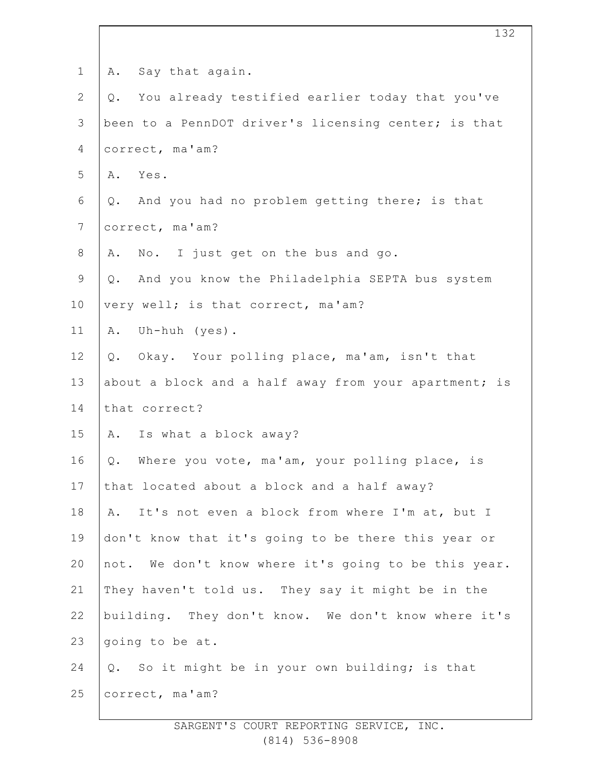| $\mathbf 1$    | Say that again.<br>Α.                                 |
|----------------|-------------------------------------------------------|
| $\mathbf{2}$   | You already testified earlier today that you've<br>Q. |
| 3              | been to a PennDOT driver's licensing center; is that  |
| 4              | correct, ma'am?                                       |
| 5              | Yes.<br>Α.                                            |
| 6              | And you had no problem getting there; is that<br>Q.   |
| $7\phantom{.}$ | correct, ma'am?                                       |
| $8\,$          | No. I just get on the bus and go.<br>Α.               |
| $\mathsf 9$    | And you know the Philadelphia SEPTA bus system<br>Q.  |
| 10             | very well; is that correct, ma'am?                    |
| 11             | Uh-huh (yes).<br>Α.                                   |
| 12             | Q. Okay. Your polling place, ma'am, isn't that        |
| 13             | about a block and a half away from your apartment; is |
| 14             | that correct?                                         |
| 15             | A. Is what a block away?                              |
| 16             | Where you vote, ma'am, your polling place, is<br>Q.   |
| 17             | that located about a block and a half away?           |
| 18             | It's not even a block from where I'm at, but I<br>Α.  |
| 19             | don't know that it's going to be there this year or   |
| 20             | not. We don't know where it's going to be this year.  |
| 21             | They haven't told us. They say it might be in the     |
| 22             | building. They don't know. We don't know where it's   |
| 23             | going to be at.                                       |
| 24             | Q. So it might be in your own building; is that       |
| 25             | correct, ma'am?                                       |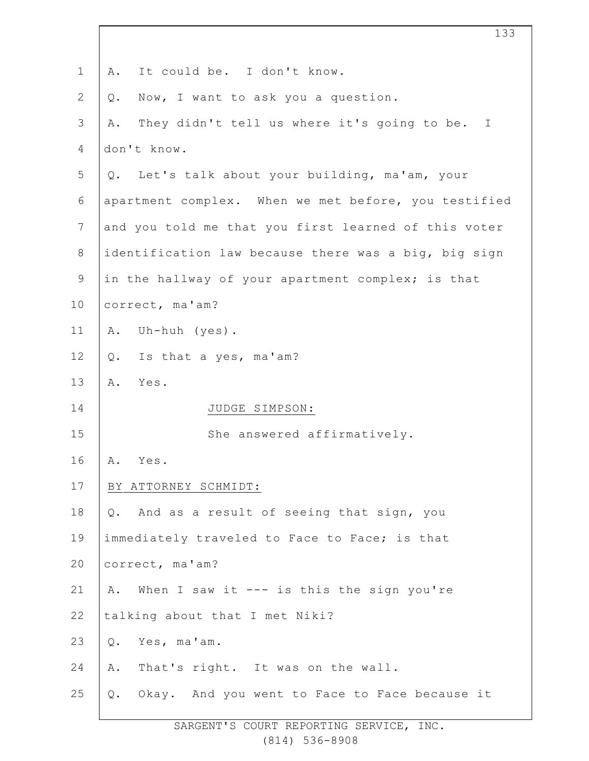| $\mathbf 1$    | It could be. I don't know.<br>Α.                     |
|----------------|------------------------------------------------------|
| $\mathbf{2}$   | Now, I want to ask you a question.<br>Q.             |
| 3              | They didn't tell us where it's going to be. I<br>Α.  |
| 4              | don't know.                                          |
| 5              | Q. Let's talk about your building, ma'am, your       |
| 6              | apartment complex. When we met before, you testified |
| $\overline{7}$ | and you told me that you first learned of this voter |
| $\,8\,$        | identification law because there was a big, big sign |
| $\mathsf 9$    | in the hallway of your apartment complex; is that    |
| 10             | correct, ma'am?                                      |
| 11             | Uh-huh (yes).<br>Α.                                  |
| 12             | Is that a yes, ma'am?<br>$Q$ .                       |
| 13             | Α.<br>Yes.                                           |
| 14             | JUDGE SIMPSON:                                       |
| 15             | She answered affirmatively.                          |
| 16             | Yes.<br>Α.                                           |
| 17             | BY ATTORNEY SCHMIDT:                                 |
| 18             | And as a result of seeing that sign, you<br>Q.       |
| 19             | immediately traveled to Face to Face; is that        |
| 20             | correct, ma'am?                                      |
| 21             | When I saw it --- is this the sign you're<br>Α.      |
| 22             | talking about that I met Niki?                       |
| 23             | Yes, ma'am.<br>Q.                                    |
| 24             | That's right. It was on the wall.<br>Α.              |
| 25             | Q. Okay. And you went to Face to Face because it     |
|                |                                                      |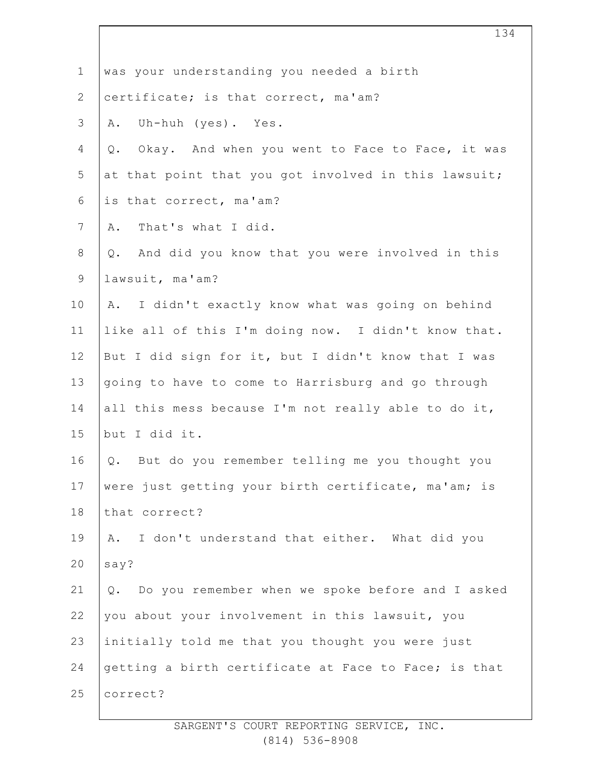| $\mathbf 1$    | was your understanding you needed a birth                |
|----------------|----------------------------------------------------------|
| $\overline{2}$ | certificate; is that correct, ma'am?                     |
| $\mathsf 3$    | Uh-huh (yes). Yes.<br>Α.                                 |
| $\overline{4}$ | Okay. And when you went to Face to Face, it was<br>$Q$ . |
| 5              | at that point that you got involved in this lawsuit;     |
| 6              | is that correct, ma'am?                                  |
| $\overline{7}$ | That's what I did.<br>Α.                                 |
| $8\,$          | And did you know that you were involved in this<br>Q.    |
| $\mathsf 9$    | lawsuit, ma'am?                                          |
| 10             | I didn't exactly know what was going on behind<br>Α.     |
| 11             | like all of this I'm doing now. I didn't know that.      |
| 12             | But I did sign for it, but I didn't know that I was      |
| 13             | going to have to come to Harrisburg and go through       |
| 14             | all this mess because I'm not really able to do it,      |
| 15             | but I did it.                                            |
| 16             | Q. But do you remember telling me you thought you        |
| 17             | were just getting your birth certificate, ma'am; is      |
| 18             | that correct?                                            |
| 19             | I don't understand that either. What did you<br>Α.       |
| 20             | say?                                                     |
| 21             | Do you remember when we spoke before and I asked<br>Q.   |
| 22             | you about your involvement in this lawsuit, you          |
| 23             | initially told me that you thought you were just         |
| 24             | getting a birth certificate at Face to Face; is that     |
| 25             | correct?                                                 |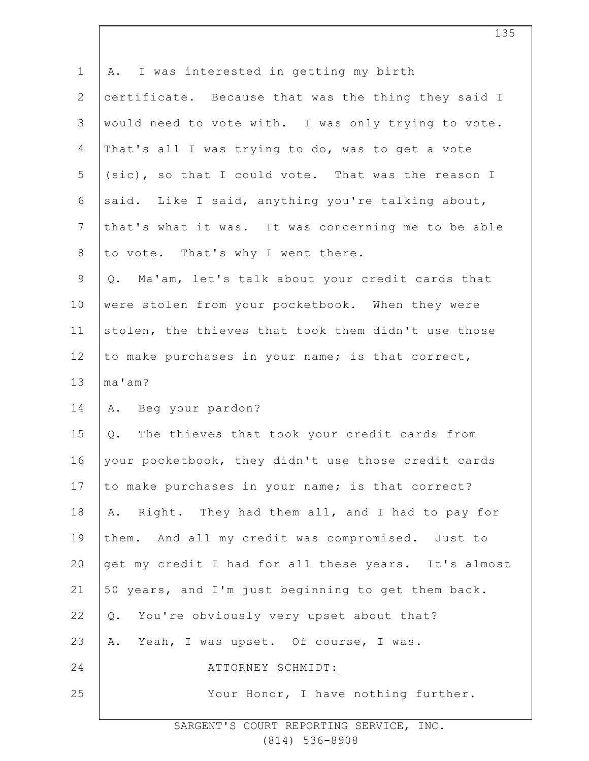| $\mathbf{1}$    | A. I was interested in getting my birth              |
|-----------------|------------------------------------------------------|
| $\mathbf{2}$    | certificate. Because that was the thing they said I  |
| 3               | would need to vote with. I was only trying to vote.  |
| 4               | That's all I was trying to do, was to get a vote     |
| 5               | (sic), so that I could vote. That was the reason I   |
| 6               | said. Like I said, anything you're talking about,    |
| $7\phantom{.0}$ | that's what it was. It was concerning me to be able  |
| 8               | to vote. That's why I went there.                    |
| $\mathsf 9$     | Q. Ma'am, let's talk about your credit cards that    |
| 10              | were stolen from your pocketbook. When they were     |
| 11              | stolen, the thieves that took them didn't use those  |
| 12              | to make purchases in your name; is that correct,     |
| 13              | ma'am?                                               |
| 14              | A. Beg your pardon?                                  |
| 15              | Q. The thieves that took your credit cards from      |
| 16              | your pocketbook, they didn't use those credit cards  |
| 17              | to make purchases in your name; is that correct?     |
| 18              | A. Right. They had them all, and I had to pay for    |
| 19              | them. And all my credit was compromised. Just to     |
| 20              | get my credit I had for all these years. It's almost |
| 21              | 50 years, and I'm just beginning to get them back.   |
| 22              | You're obviously very upset about that?<br>Q.        |
| 23              | A. Yeah, I was upset. Of course, I was.              |
| 24              | ATTORNEY SCHMIDT:                                    |
| 25              | Your Honor, I have nothing further.                  |
|                 |                                                      |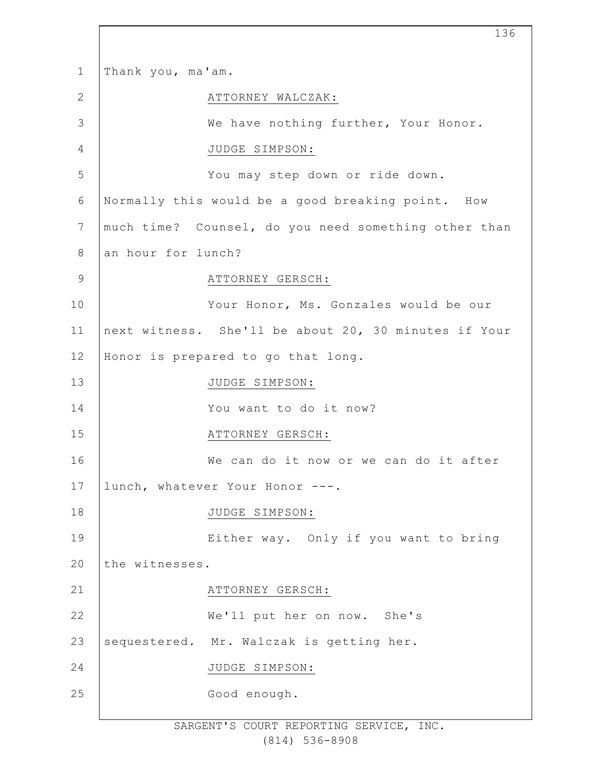| $\mathbf{1}$   | Thank you, ma'am.  |                                                      |
|----------------|--------------------|------------------------------------------------------|
| $\mathbf{2}$   |                    | ATTORNEY WALCZAK:                                    |
| 3              |                    | We have nothing further, Your Honor.                 |
| $\overline{4}$ |                    | JUDGE SIMPSON:                                       |
| 5              |                    | You may step down or ride down.                      |
| 6              |                    | Normally this would be a good breaking point. How    |
| $\overline{7}$ |                    | much time? Counsel, do you need something other than |
| $8\,$          | an hour for lunch? |                                                      |
| $\mathsf 9$    |                    | ATTORNEY GERSCH:                                     |
| 10             |                    | Your Honor, Ms. Gonzales would be our                |
| 11             |                    | next witness. She'll be about 20, 30 minutes if Your |
| 12             |                    | Honor is prepared to go that long.                   |
| 13             |                    | JUDGE SIMPSON:                                       |
| 14             |                    | You want to do it now?                               |
| 15             |                    | ATTORNEY GERSCH:                                     |
| 16             |                    | We can do it now or we can do it after               |
| 17             |                    | lunch, whatever Your Honor ---.                      |
| 18             |                    | JUDGE SIMPSON:                                       |
| 19             |                    | Either way. Only if you want to bring                |
| 20             | the witnesses.     |                                                      |
| 21             |                    | ATTORNEY GERSCH:                                     |
| 22             |                    | We'll put her on now. She's                          |
| 23             |                    | sequestered. Mr. Walczak is getting her.             |
| 24             |                    | JUDGE SIMPSON:                                       |
| 25             |                    | Good enough.                                         |
|                |                    |                                                      |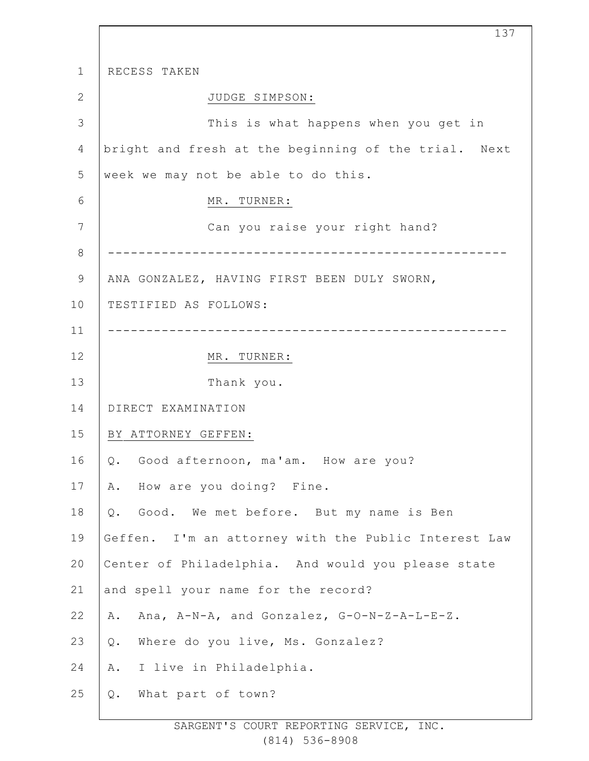1 2 3 4 5 6 7 8 9 10 11 12 13 14 15 16 17 18 19 20 21 22 23 24 25 RECESS TAKEN JUDGE SIMPSON: This is what happens when you get in bright and fresh at the beginning of the trial. Next week we may not be able to do this. MR. TURNER: Can you raise your right hand? ---------------------------------------------------- ANA GONZALEZ, HAVING FIRST BEEN DULY SWORN, TESTIFIED AS FOLLOWS: ---------------------------------------------------- MR. TURNER: Thank you. DIRECT EXAMINATION BY ATTORNEY GEFFEN: Q. Good afternoon, ma'am. How are you? A. How are you doing? Fine. Q. Good. We met before. But my name is Ben Geffen. I'm an attorney with the Public Interest Law Center of Philadelphia. And would you please state and spell your name for the record? A. Ana, A-N-A, and Gonzalez, G-O-N-Z-A-L-E-Z. Q. Where do you live, Ms. Gonzalez? A. I live in Philadelphia. Q. What part of town?

137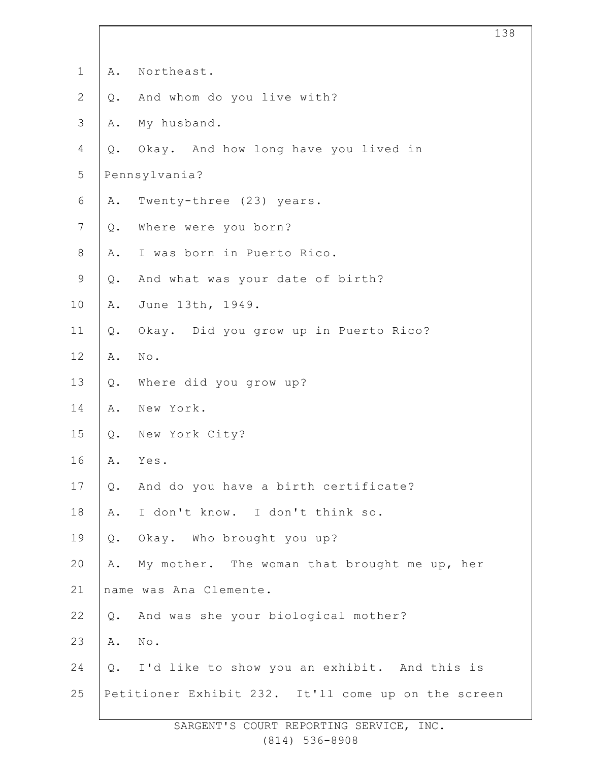| $\mathbf 1$    | Α.            | Northeast.                                          |
|----------------|---------------|-----------------------------------------------------|
| $\overline{2}$ | $Q$ .         | And whom do you live with?                          |
| 3              | Α.            | My husband.                                         |
| 4              | Q.            | Okay. And how long have you lived in                |
| 5              |               | Pennsylvania?                                       |
| 6              | Α.            | Twenty-three (23) years.                            |
| $\overline{7}$ | Q.            | Where were you born?                                |
| 8              | Α.            | I was born in Puerto Rico.                          |
| $\mathsf 9$    | $Q$ .         | And what was your date of birth?                    |
| 10             | Α.            | June 13th, 1949.                                    |
| 11             | Q.            | Okay. Did you grow up in Puerto Rico?               |
| 12             | Α.            | $\mbox{No}$ .                                       |
| 13             | $Q$ .         | Where did you grow up?                              |
| 14             | Α.            | New York.                                           |
| 15             | Q.            | New York City?                                      |
| 16             | Α.            | Yes.                                                |
| 17             | Q.            | And do you have a birth certificate?                |
| 18             | Α.            | I don't know. I don't think so.                     |
| 19             | $\mathsf Q$ . | Okay. Who brought you up?                           |
| 20             | Α.            | My mother. The woman that brought me up, her        |
| 21             |               | name was Ana Clemente.                              |
| 22             | Q.            | And was she your biological mother?                 |
| 23             | Α.            | No.                                                 |
| 24             |               | Q. I'd like to show you an exhibit. And this is     |
| 25             |               | Petitioner Exhibit 232. It'll come up on the screen |
|                |               |                                                     |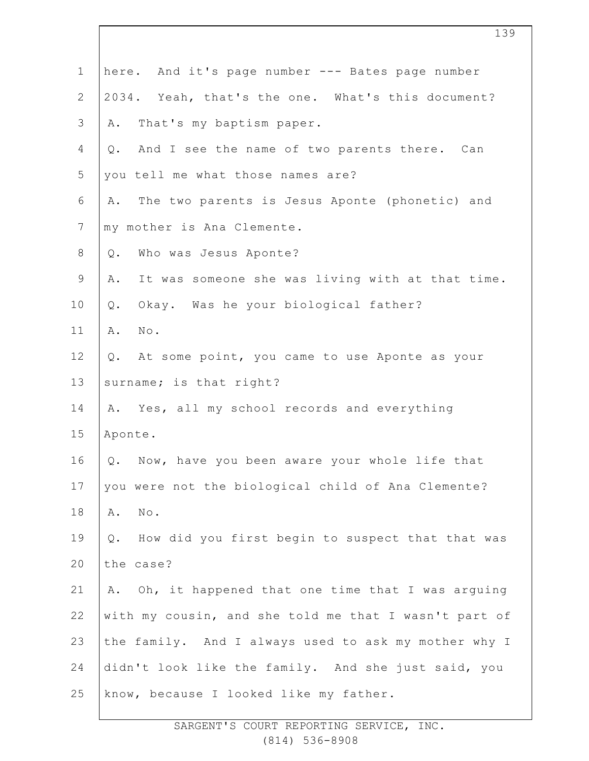| $\mathbf 1$    | here. And it's page number --- Bates page number       |
|----------------|--------------------------------------------------------|
| $\mathbf{2}$   | 2034. Yeah, that's the one. What's this document?      |
| 3              | That's my baptism paper.<br>Α.                         |
| 4              | And I see the name of two parents there. Can<br>Q.     |
| 5              | you tell me what those names are?                      |
| 6              | The two parents is Jesus Aponte (phonetic) and<br>Α.   |
| $\overline{7}$ | my mother is Ana Clemente.                             |
| $8\,$          | Who was Jesus Aponte?<br>Q.                            |
| $\mathcal{G}$  | It was someone she was living with at that time.<br>Α. |
| 10             | Okay. Was he your biological father?<br>$Q$ .          |
| 11             | $\mathbb{N} \circ$ .<br>Α.                             |
| 12             | At some point, you came to use Aponte as your<br>Q.    |
| 13             | surname; is that right?                                |
| 14             | A. Yes, all my school records and everything           |
| 15             | Aponte.                                                |
| 16             | Q. Now, have you been aware your whole life that       |
| 17             | you were not the biological child of Ana Clemente?     |
| 18             | Α.<br>$\texttt{No}$ .                                  |
| 19             | How did you first begin to suspect that that was<br>Q. |
| 20             | the case?                                              |
| 21             | Oh, it happened that one time that I was arguing<br>Α. |
| 22             | with my cousin, and she told me that I wasn't part of  |
| 23             | the family. And I always used to ask my mother why I   |
| 24             | didn't look like the family. And she just said, you    |
| 25             | know, because I looked like my father.                 |
|                |                                                        |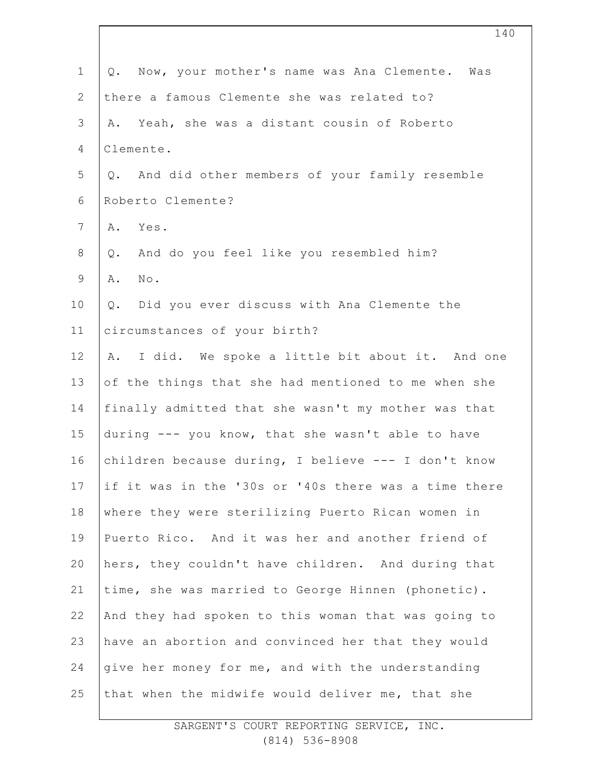| $\mathbf 1$    | Now, your mother's name was Ana Clemente. Was<br>Q.    |
|----------------|--------------------------------------------------------|
| $\mathbf{2}$   | there a famous Clemente she was related to?            |
| $\mathcal{S}$  | Yeah, she was a distant cousin of Roberto<br>Α.        |
| 4              | Clemente.                                              |
| 5              | And did other members of your family resemble<br>$Q$ . |
| 6              | Roberto Clemente?                                      |
| $7\phantom{.}$ | Yes.<br>Α.                                             |
| $8\,$          | And do you feel like you resembled him?<br>Q.          |
| $\mathsf 9$    | Α.<br>No.                                              |
| 10             | Did you ever discuss with Ana Clemente the<br>$Q$ .    |
| 11             | circumstances of your birth?                           |
| 12             | I did. We spoke a little bit about it. And one<br>Α.   |
| 13             | of the things that she had mentioned to me when she    |
| 14             | finally admitted that she wasn't my mother was that    |
| 15             | during --- you know, that she wasn't able to have      |
| 16             | children because during, I believe --- I don't know    |
| 17             | if it was in the '30s or '40s there was a time there   |
| 18             | where they were sterilizing Puerto Rican women in      |
| 19             | Puerto Rico. And it was her and another friend of      |
| 20             | hers, they couldn't have children. And during that     |
| 21             | time, she was married to George Hinnen (phonetic).     |
| 22             | And they had spoken to this woman that was going to    |
| 23             | have an abortion and convinced her that they would     |
| 24             | qive her money for me, and with the understanding      |
| 25             | that when the midwife would deliver me, that she       |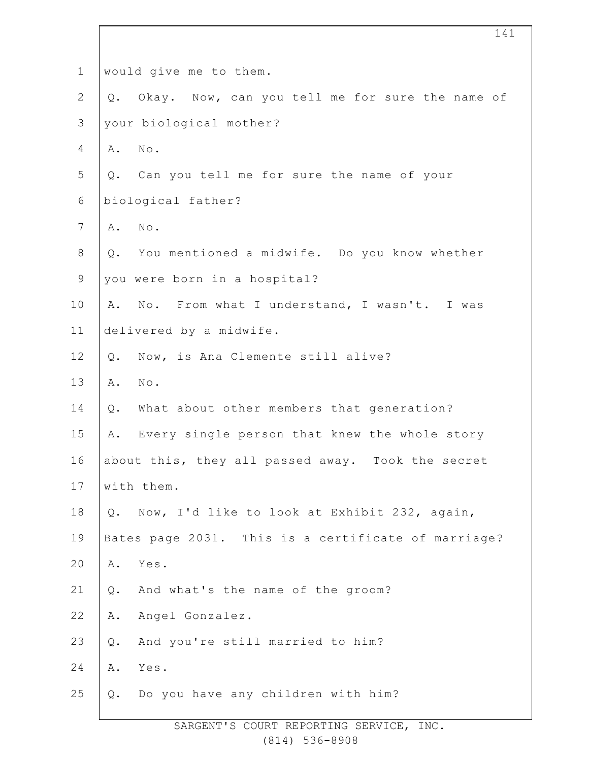| $\mathbf 1$    | would give me to them.                              |
|----------------|-----------------------------------------------------|
| $\mathbf{2}$   | Q. Okay. Now, can you tell me for sure the name of  |
| $\mathcal{S}$  | your biological mother?                             |
| 4              | No.<br>Α.                                           |
| 5              | Can you tell me for sure the name of your<br>Q.     |
| 6              | biological father?                                  |
| $\overline{7}$ | No.<br>Α.                                           |
| $8\,$          | Q. You mentioned a midwife. Do you know whether     |
| $\mathsf 9$    | you were born in a hospital?                        |
| 10             | A. No. From what I understand, I wasn't. I was      |
| 11             | delivered by a midwife.                             |
| 12             | Now, is Ana Clemente still alive?<br>Q.             |
| 13             | No.<br>Α.                                           |
| 14             | What about other members that generation?<br>Q.     |
| 15             | Every single person that knew the whole story<br>Α. |
| 16             | about this, they all passed away. Took the secret   |
| 17             | with them.                                          |
| 18             | Q. Now, I'd like to look at Exhibit 232, again,     |
| 19             | Bates page 2031. This is a certificate of marriage? |
| 20             | Yes.<br>Α.                                          |
| 21             | And what's the name of the groom?<br>$Q$ .          |
| 22             | Angel Gonzalez.<br>Α.                               |
| 23             | And you're still married to him?<br>Q.              |
| 24             | Α.<br>Yes.                                          |
| 25             | Do you have any children with him?<br>Q.            |
|                |                                                     |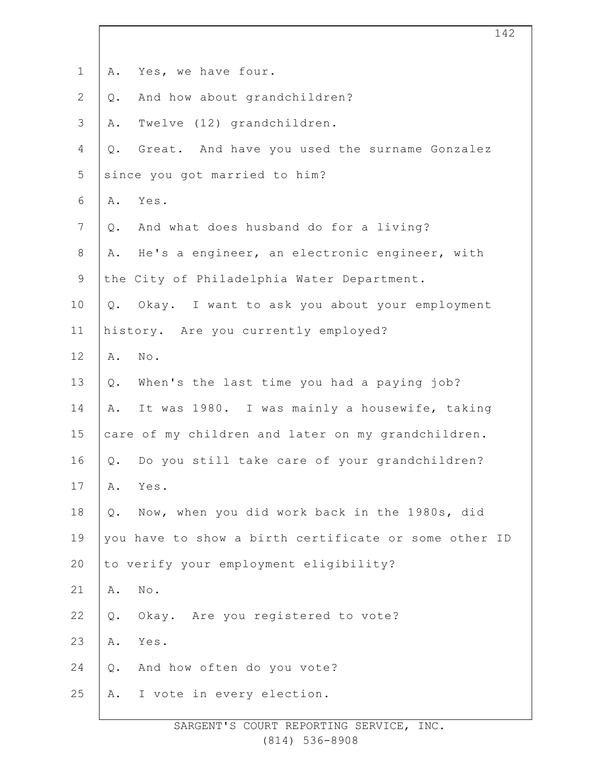| $\mathbf 1$    | Yes, we have four.<br>Α.                               |
|----------------|--------------------------------------------------------|
| $\mathbf{2}$   | And how about grandchildren?<br>Q.                     |
| 3              | Twelve (12) grandchildren.<br>Α.                       |
| 4              | Great. And have you used the surname Gonzalez<br>$Q$ . |
| 5              | since you got married to him?                          |
| 6              | Yes.<br>Α.                                             |
| $\overline{7}$ | And what does husband do for a living?<br>Q.           |
| $8\,$          | He's a engineer, an electronic engineer, with<br>Α.    |
| $\mathsf 9$    | the City of Philadelphia Water Department.             |
| 10             | Q. Okay. I want to ask you about your employment       |
| 11             | history. Are you currently employed?                   |
| 12             | $\texttt{No}$ .<br>Α.                                  |
| 13             | When's the last time you had a paying job?<br>$Q$ .    |
| 14             | It was 1980. I was mainly a housewife, taking<br>Α.    |
| 15             | care of my children and later on my grandchildren.     |
| 16             | Do you still take care of your grandchildren?<br>Q.    |
| 17             | Yes.<br>Α.                                             |
| 18             | Now, when you did work back in the 1980s, did<br>Q.    |
| 19             | you have to show a birth certificate or some other ID  |
| 20             | to verify your employment eligibility?                 |
| 21             | No.<br>Α.                                              |
| 22             | Okay. Are you registered to vote?<br>$Q$ .             |
| 23             | Α.<br>Yes.                                             |
| 24             | And how often do you vote?<br>$Q$ .                    |
| 25             | I vote in every election.<br>Α.                        |
|                |                                                        |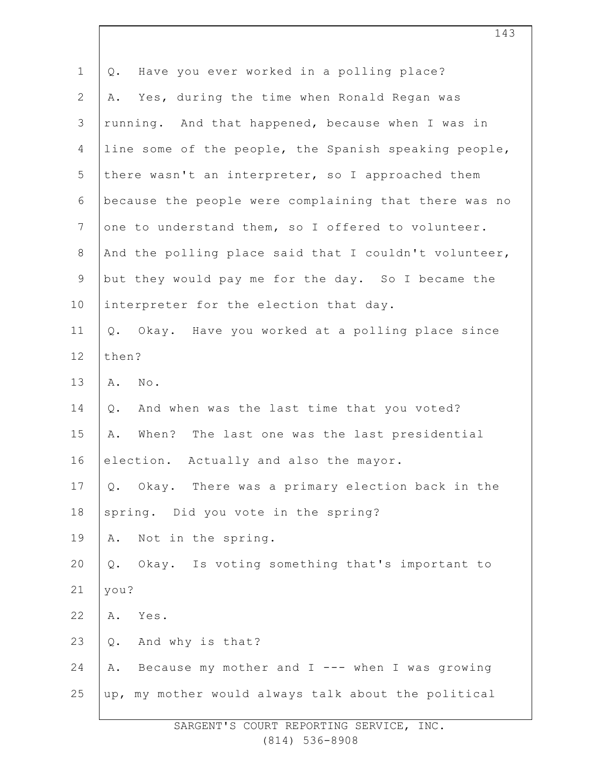| $\mathbf 1$    | Have you ever worked in a polling place?<br>$Q$ .           |
|----------------|-------------------------------------------------------------|
| $\mathbf{2}$   | Yes, during the time when Ronald Regan was<br>Α.            |
| 3              | running. And that happened, because when I was in           |
| 4              | line some of the people, the Spanish speaking people,       |
| 5              | there wasn't an interpreter, so I approached them           |
| 6              | because the people were complaining that there was no       |
| $7\phantom{.}$ | one to understand them, so I offered to volunteer.          |
| $8\,$          | And the polling place said that I couldn't volunteer,       |
| 9              | but they would pay me for the day. So I became the          |
| 10             | interpreter for the election that day.                      |
| 11             | Q. Okay. Have you worked at a polling place since           |
| 12             | then?                                                       |
| 13             | Α.<br>$\mathbb{N} \circ$ .                                  |
| 14             | And when was the last time that you voted?<br>$\mathsf Q$ . |
| 15             | When? The last one was the last presidential<br>Α.          |
| 16             | election. Actually and also the mayor.                      |
| 17             | Q. Okay. There was a primary election back in the           |
| 18             | spring. Did you vote in the spring?                         |
| 19             | Not in the spring.<br>Α.                                    |
| 20             | Okay. Is voting something that's important to<br>Q.         |
| 21             | you?                                                        |
| 22             | Yes.<br>Α.                                                  |
| 23             | And why is that?<br>$\mathsf Q$ .                           |
| 24             | Because my mother and I --- when I was growing<br>Α.        |
| 25             | up, my mother would always talk about the political         |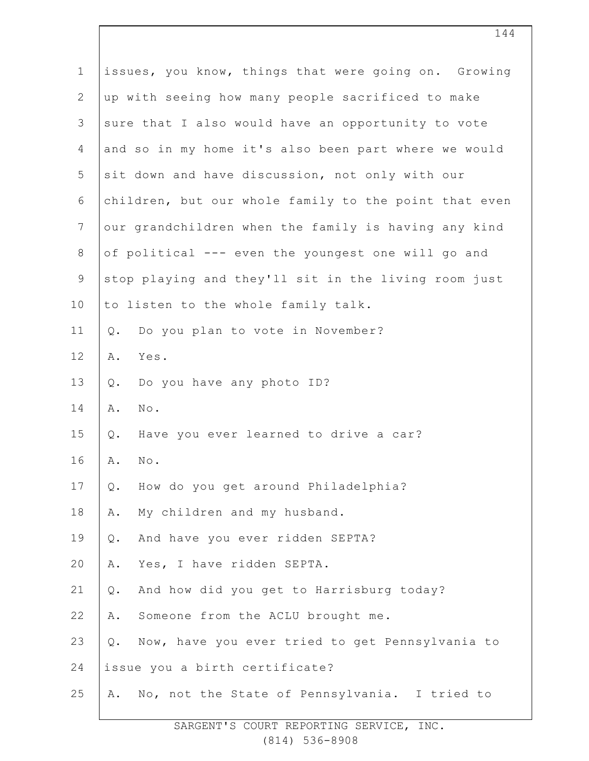| $\mathbf 1$    | issues, you know, things that were going on. Growing  |
|----------------|-------------------------------------------------------|
| $\mathbf{2}$   | up with seeing how many people sacrificed to make     |
| 3              | sure that I also would have an opportunity to vote    |
| 4              | and so in my home it's also been part where we would  |
| 5              | sit down and have discussion, not only with our       |
| 6              | children, but our whole family to the point that even |
| $\overline{7}$ | our grandchildren when the family is having any kind  |
| $\,8\,$        | of political --- even the youngest one will go and    |
| $\mathsf 9$    | stop playing and they'll sit in the living room just  |
| 10             | to listen to the whole family talk.                   |
| 11             | Do you plan to vote in November?<br>$Q$ .             |
| 12             | Α.<br>Yes.                                            |
| 13             | Do you have any photo ID?<br>Q.                       |
| 14             | $\texttt{No}$ .<br>Α.                                 |
| 15             | Have you ever learned to drive a car?<br>$Q$ .        |
| 16             | Α.<br>No.                                             |
| 17             | How do you get around Philadelphia?<br>Q.             |
| 18             | My children and my husband.<br>Α.                     |
| 19             | And have you ever ridden SEPTA?<br>Q.                 |
| 20             | Yes, I have ridden SEPTA.<br>Α.                       |
| 21             | And how did you get to Harrisburg today?<br>$Q$ .     |
| 22             | Someone from the ACLU brought me.<br>Α.               |
| 23             | Now, have you ever tried to get Pennsylvania to<br>Q. |
| 24             | issue you a birth certificate?                        |
| 25             | No, not the State of Pennsylvania. I tried to<br>Α.   |
|                |                                                       |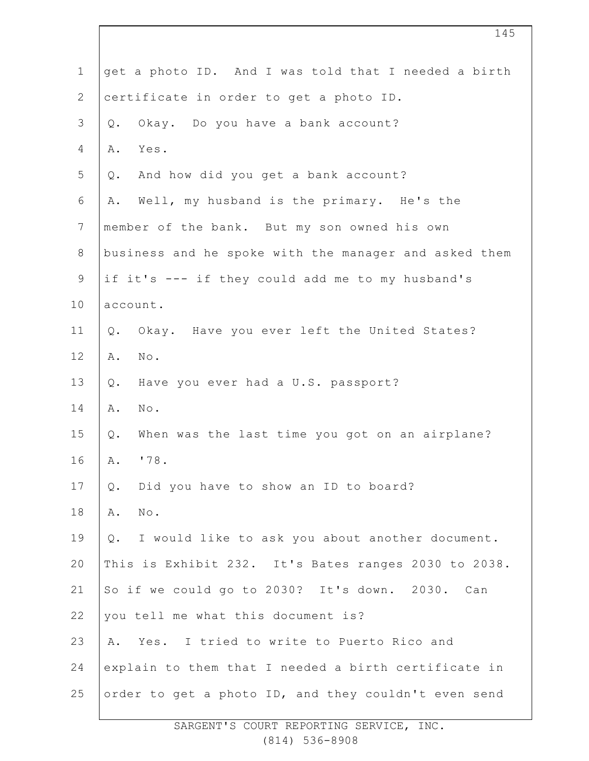| $\mathbf 1$    | get a photo ID. And I was told that I needed a birth  |  |  |
|----------------|-------------------------------------------------------|--|--|
| $\mathbf{2}$   | certificate in order to get a photo ID.               |  |  |
| 3              | Okay. Do you have a bank account?<br>Q.               |  |  |
| 4              | Α.<br>Yes.                                            |  |  |
| 5              | And how did you get a bank account?<br>Q.             |  |  |
| 6              | Well, my husband is the primary. He's the<br>Α.       |  |  |
| $\overline{7}$ | member of the bank. But my son owned his own          |  |  |
| $8\,$          | business and he spoke with the manager and asked them |  |  |
| $\mathsf 9$    | if it's --- if they could add me to my husband's      |  |  |
| 10             | account.                                              |  |  |
| 11             | Okay. Have you ever left the United States?<br>$Q$ .  |  |  |
| 12             | Α.<br>No.                                             |  |  |
| 13             | Have you ever had a U.S. passport?<br>Q.              |  |  |
| 14             | Α.<br>$\texttt{No}$ .                                 |  |  |
| 15             | When was the last time you got on an airplane?<br>Q.  |  |  |
| 16             | '78.<br>Α.                                            |  |  |
| 17             | Did you have to show an ID to board?<br>Q.            |  |  |
| 18             | $\texttt{No}$ .<br>Α.                                 |  |  |
| 19             | I would like to ask you about another document.<br>Q. |  |  |
| 20             | This is Exhibit 232. It's Bates ranges 2030 to 2038.  |  |  |
| 21             | So if we could go to 2030? It's down. 2030. Can       |  |  |
| 22             | you tell me what this document is?                    |  |  |
| 23             | A. Yes. I tried to write to Puerto Rico and           |  |  |
| 24             | explain to them that I needed a birth certificate in  |  |  |
| 25             | order to get a photo ID, and they couldn't even send  |  |  |
|                |                                                       |  |  |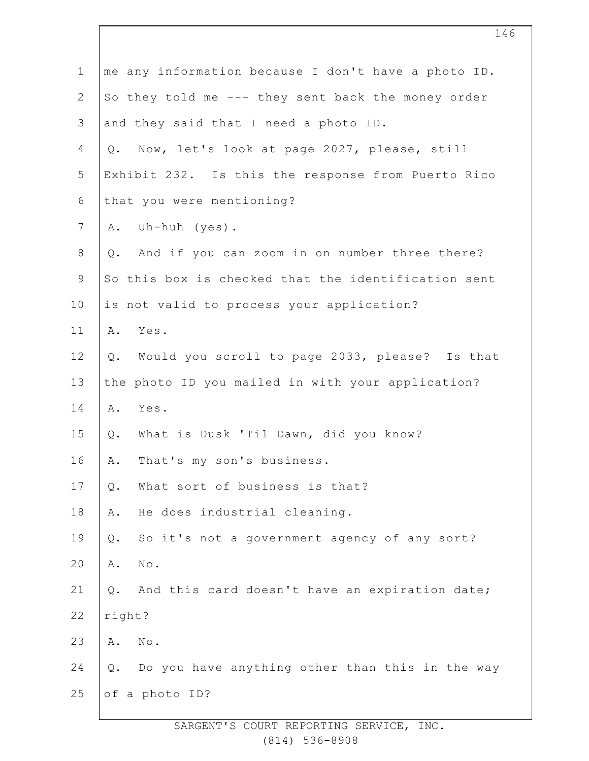| $\mathbf 1$    | me any information because I don't have a photo ID.     |
|----------------|---------------------------------------------------------|
| $\mathbf{2}$   | So they told me --- they sent back the money order      |
| 3              | and they said that I need a photo ID.                   |
| 4              | Now, let's look at page 2027, please, still<br>$Q$ .    |
| 5              | Exhibit 232. Is this the response from Puerto Rico      |
| 6              | that you were mentioning?                               |
| $\overline{7}$ | A. Uh-huh (yes).                                        |
| $8\,$          | And if you can zoom in on number three there?<br>$Q$ .  |
| $\mathsf 9$    | So this box is checked that the identification sent     |
| 10             | is not valid to process your application?               |
| 11             | Yes.<br>Α.                                              |
| 12             | Would you scroll to page 2033, please? Is that<br>$Q$ . |
| 13             | the photo ID you mailed in with your application?       |
| 14             | Yes.<br>Α.                                              |
| 15             | What is Dusk 'Til Dawn, did you know?<br>Q.             |
| 16             | That's my son's business.<br>Α.                         |
| 17             | What sort of business is that?<br>Q.                    |
| 18             | He does industrial cleaning.<br>Α.                      |
| 19             | So it's not a government agency of any sort?<br>$Q$ .   |
| 20             | No.<br>Α.                                               |
| 21             | And this card doesn't have an expiration date;<br>$Q$ . |
| 22             | right?                                                  |
| 23             | No.<br>Α.                                               |
| 24             | Do you have anything other than this in the way<br>Q.   |
| 25             | of a photo ID?                                          |
|                |                                                         |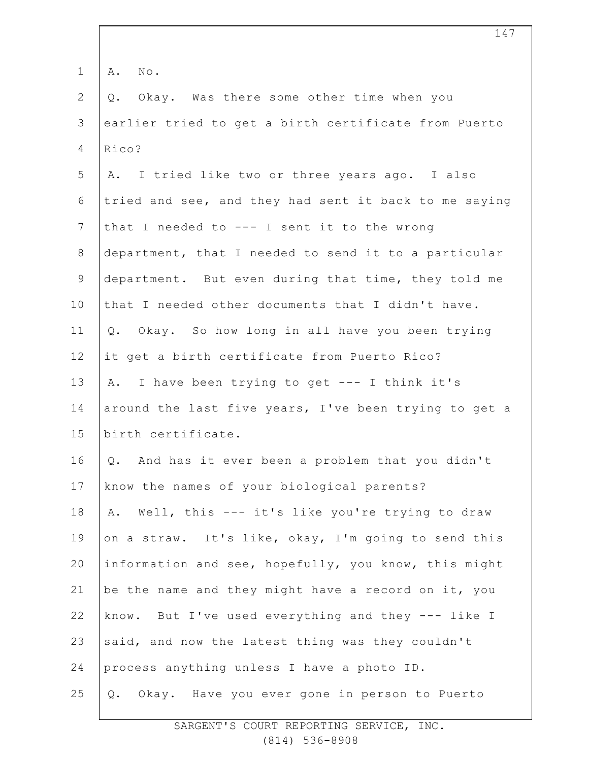| $\mathbf 1$     | No.<br>Α.                                             |
|-----------------|-------------------------------------------------------|
| $\overline{2}$  | Okay. Was there some other time when you<br>Q.        |
| 3               | earlier tried to get a birth certificate from Puerto  |
| $\overline{4}$  | Rico?                                                 |
| 5               | A. I tried like two or three years ago. I also        |
| 6               | tried and see, and they had sent it back to me saying |
| 7               | that I needed to --- I sent it to the wrong           |
| $8\,$           | department, that I needed to send it to a particular  |
| $\mathcal{G}$   | department. But even during that time, they told me   |
| 10              | that I needed other documents that I didn't have.     |
| 11              | Q. Okay. So how long in all have you been trying      |
| 12 <sup>°</sup> | it get a birth certificate from Puerto Rico?          |
| 13              | A. I have been trying to get --- I think it's         |
| 14              | around the last five years, I've been trying to get a |
| 15              | birth certificate.                                    |
| 16              | Q. And has it ever been a problem that you didn't     |
| 17              | know the names of your biological parents?            |
| 18              | Well, this --- it's like you're trying to draw<br>Α.  |
| 19              | on a straw. It's like, okay, I'm going to send this   |
| 20              | information and see, hopefully, you know, this might  |
| 21              | be the name and they might have a record on it, you   |
| 22              | know. But I've used everything and they --- like I    |
| 23              | said, and now the latest thing was they couldn't      |
| 24              | process anything unless I have a photo ID.            |
| 25              | Okay. Have you ever gone in person to Puerto<br>Q.    |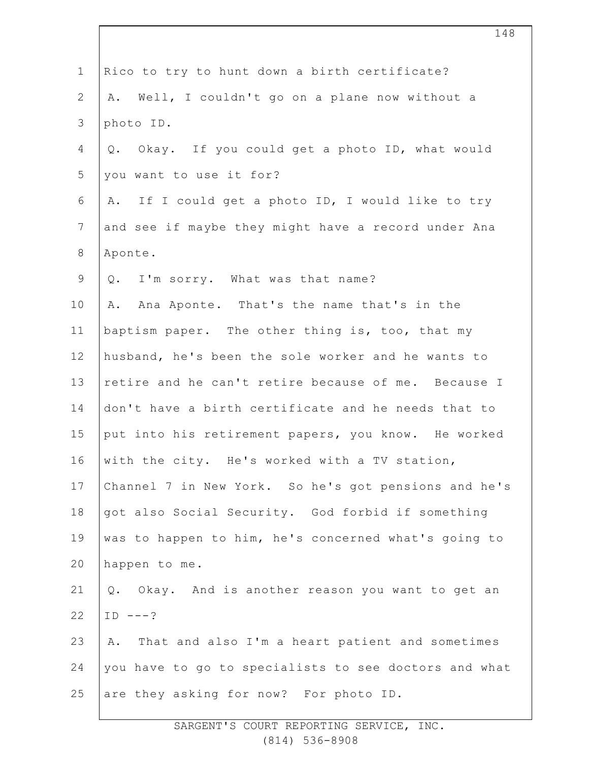| $\mathbf 1$    | Rico to try to hunt down a birth certificate?         |
|----------------|-------------------------------------------------------|
| $\mathbf{2}$   | Well, I couldn't go on a plane now without a<br>Α.    |
| $\mathsf 3$    | photo ID.                                             |
| 4              | Okay. If you could get a photo ID, what would<br>Q.   |
| 5              | you want to use it for?                               |
| 6              | If I could get a photo ID, I would like to try<br>Α.  |
| $7\phantom{.}$ | and see if maybe they might have a record under Ana   |
| $\,8\,$        | Aponte.                                               |
| $\mathsf 9$    | Q. I'm sorry. What was that name?                     |
| 10             | Ana Aponte. That's the name that's in the<br>Α.       |
| 11             | baptism paper. The other thing is, too, that my       |
| 12             | husband, he's been the sole worker and he wants to    |
| 13             | retire and he can't retire because of me. Because I   |
| 14             | don't have a birth certificate and he needs that to   |
| 15             | put into his retirement papers, you know. He worked   |
| 16             | with the city. He's worked with a TV station,         |
| 17             | Channel 7 in New York. So he's got pensions and he's  |
| 18             | got also Social Security. God forbid if something     |
| 19             | was to happen to him, he's concerned what's going to  |
| 20             | happen to me.                                         |
| 21             | Q. Okay. And is another reason you want to get an     |
| 22             | $ID$ ---?                                             |
| 23             | That and also I'm a heart patient and sometimes<br>Α. |
| 24             | you have to go to specialists to see doctors and what |
| 25             | are they asking for now? For photo ID.                |
|                |                                                       |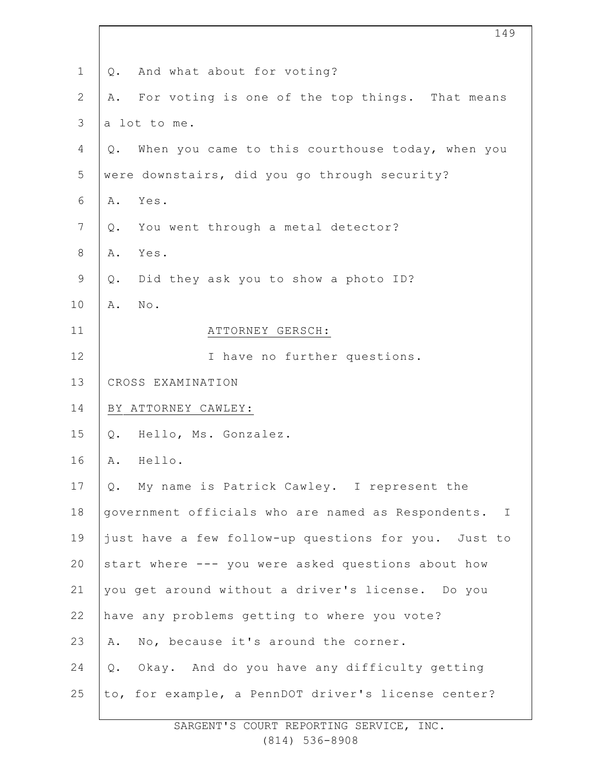| $\mathbf 1$  | And what about for voting?<br>Q.                       |  |
|--------------|--------------------------------------------------------|--|
| $\mathbf{2}$ | For voting is one of the top things. That means<br>Α.  |  |
| 3            | a lot to me.                                           |  |
| 4            | When you came to this courthouse today, when you<br>Q. |  |
| 5            | were downstairs, did you go through security?          |  |
| 6            | Yes.<br>Α.                                             |  |
| 7            | You went through a metal detector?<br>Q.               |  |
| $\,8\,$      | Α.<br>Yes.                                             |  |
| $\mathsf 9$  | Did they ask you to show a photo ID?<br>Q.             |  |
| 10           | No.<br>Α.                                              |  |
| 11           | ATTORNEY GERSCH:                                       |  |
| 12           | I have no further questions.                           |  |
| 13           | CROSS EXAMINATION                                      |  |
| 14           | BY ATTORNEY CAWLEY:                                    |  |
| 15           | Hello, Ms. Gonzalez.<br>Q.                             |  |
| 16           | Hello.<br>Α.                                           |  |
| 17           | Q. My name is Patrick Cawley. I represent the          |  |
| 18           | government officials who are named as Respondents. I   |  |
| 19           | just have a few follow-up questions for you. Just to   |  |
| 20           | start where --- you were asked questions about how     |  |
| 21           | you get around without a driver's license. Do you      |  |
| 22           | have any problems getting to where you vote?           |  |
| 23           | No, because it's around the corner.<br>Α.              |  |
| 24           | Okay. And do you have any difficulty getting<br>Q.     |  |
| 25           | to, for example, a PennDOT driver's license center?    |  |
|              |                                                        |  |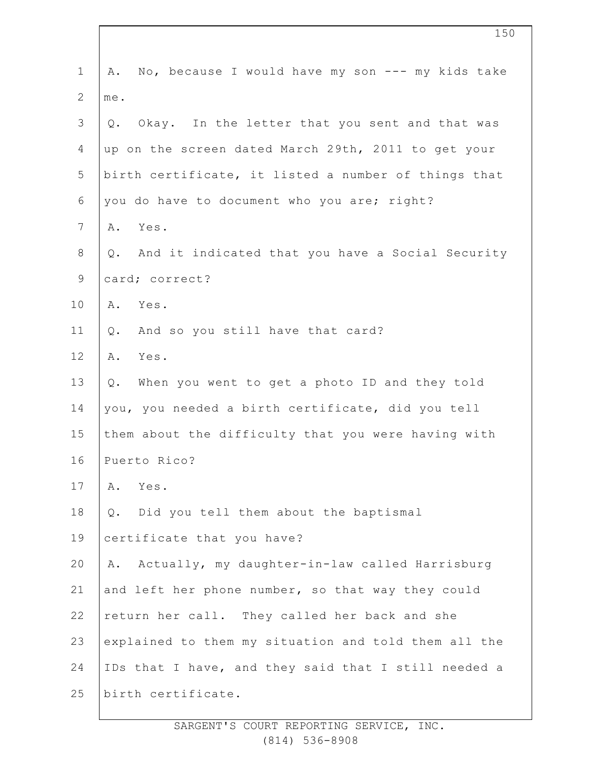| $\mathbf 1$    | No, because I would have my son --- my kids take<br>Α.    |
|----------------|-----------------------------------------------------------|
| $\overline{2}$ | me.                                                       |
| $\mathcal{S}$  | Okay. In the letter that you sent and that was<br>Q.      |
| 4              | up on the screen dated March 29th, 2011 to get your       |
| 5              | birth certificate, it listed a number of things that      |
| 6              | you do have to document who you are; right?               |
| 7              | Yes.<br>Α.                                                |
| $\,8\,$        | And it indicated that you have a Social Security<br>$Q$ . |
| 9              | card; correct?                                            |
| 10             | A. Yes.                                                   |
| 11             | And so you still have that card?<br>$\mathsf Q$ .         |
| 12             | Α.<br>Yes.                                                |
| 13             | When you went to get a photo ID and they told<br>Q.       |
| 14             | you, you needed a birth certificate, did you tell         |
| 15             | them about the difficulty that you were having with       |
| 16             | Puerto Rico?                                              |
| 17             | Yes.<br>Α.                                                |
| 18             | Did you tell them about the baptismal<br>$Q$ .            |
| 19             | certificate that you have?                                |
| 20             | Actually, my daughter-in-law called Harrisburg<br>Α.      |
| 21             | and left her phone number, so that way they could         |
| 22             | return her call. They called her back and she             |
| 23             | explained to them my situation and told them all the      |
| 24             | IDs that I have, and they said that I still needed a      |
| 25             | birth certificate.                                        |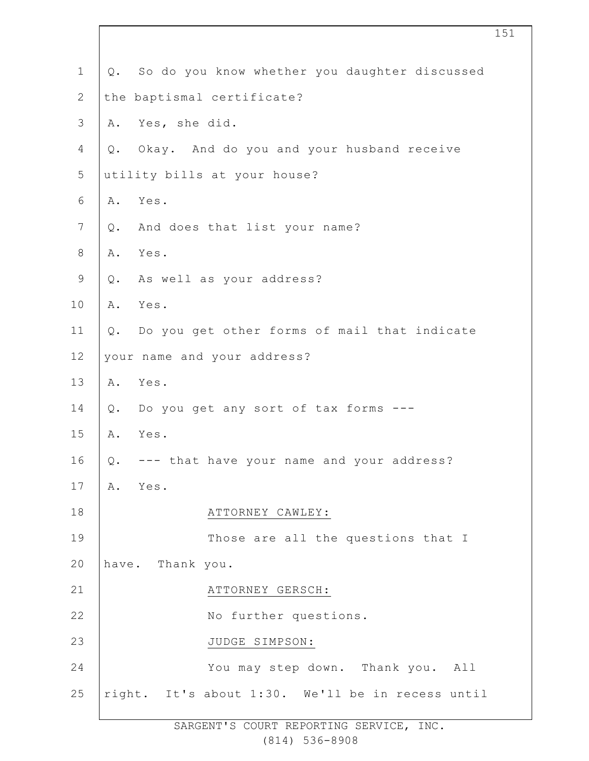| Q. So do you know whether you daughter discussed |
|--------------------------------------------------|
| the baptismal certificate?                       |
| A. Yes, she did.                                 |
| Q. Okay. And do you and your husband receive     |
| utility bills at your house?                     |
| A. Yes.                                          |
| And does that list your name?<br>Q.              |
| Yes.<br>Α.                                       |
| Q. As well as your address?                      |
| A. Yes.                                          |
| Q. Do you get other forms of mail that indicate  |
| your name and your address?                      |
| Yes.<br>A.                                       |
| Do you get any sort of tax forms ---<br>Q.       |
| Yes.<br>A.                                       |
| --- that have your name and your address?<br>Q.  |
| Α.<br>Yes.                                       |
| ATTORNEY CAWLEY:                                 |
| Those are all the questions that I               |
| have. Thank you.                                 |
| ATTORNEY GERSCH:                                 |
| No further questions.                            |
| JUDGE SIMPSON:                                   |
| You may step down. Thank you. All                |
| right. It's about 1:30. We'll be in recess until |
|                                                  |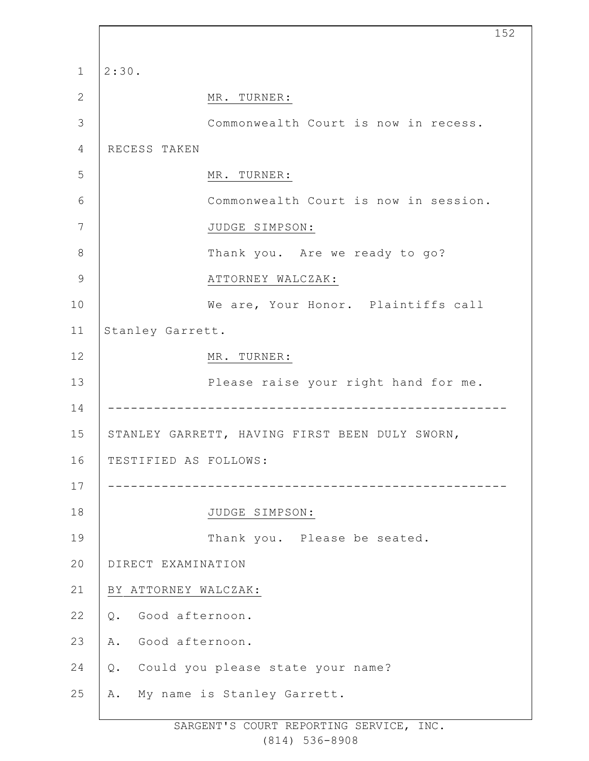|                |                       |                                                | 152 |
|----------------|-----------------------|------------------------------------------------|-----|
| $\mathbf 1$    | 2:30.                 |                                                |     |
| 2              |                       | MR. TURNER:                                    |     |
| 3              |                       | Commonwealth Court is now in recess.           |     |
| $\overline{4}$ | RECESS TAKEN          |                                                |     |
| 5              |                       | MR. TURNER:                                    |     |
| 6              |                       | Commonwealth Court is now in session.          |     |
| 7              |                       | JUDGE SIMPSON:                                 |     |
| 8              |                       | Thank you. Are we ready to go?                 |     |
| 9              |                       | ATTORNEY WALCZAK:                              |     |
| 10             |                       | We are, Your Honor. Plaintiffs call            |     |
| 11             | Stanley Garrett.      |                                                |     |
| 12             |                       | MR. TURNER:                                    |     |
| 13             |                       | Please raise your right hand for me.           |     |
| 14             |                       |                                                |     |
| 15             |                       | STANLEY GARRETT, HAVING FIRST BEEN DULY SWORN, |     |
| 16             | TESTIFIED AS FOLLOWS: |                                                |     |
| 17             |                       |                                                |     |
| 18             |                       | JUDGE SIMPSON:                                 |     |
| 19             |                       | Thank you. Please be seated.                   |     |
| 20             | DIRECT EXAMINATION    |                                                |     |
| 21             | BY ATTORNEY WALCZAK:  |                                                |     |
| 22             | Good afternoon.<br>Q. |                                                |     |
| 23             | Good afternoon.<br>Α. |                                                |     |
| 24             | Q.                    | Could you please state your name?              |     |
| 25             | Α.                    | My name is Stanley Garrett.                    |     |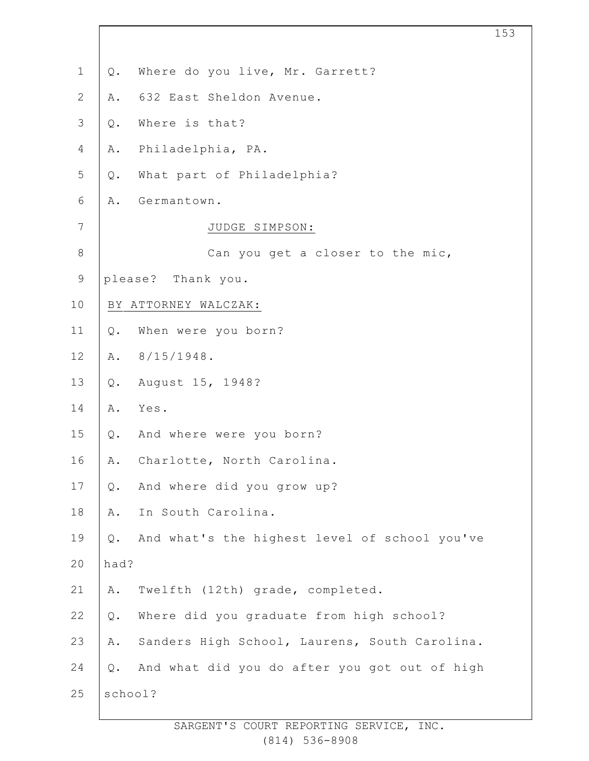| $\mathbf 1$    | Where do you live, Mr. Garrett?<br>Q.                      |
|----------------|------------------------------------------------------------|
| $\mathbf{2}$   | 632 East Sheldon Avenue.<br>Α.                             |
| 3              | Where is that?<br>$Q$ .                                    |
| $\overline{4}$ | Philadelphia, PA.<br>Α.                                    |
| 5              | What part of Philadelphia?<br>$Q$ .                        |
| 6              | Germantown.<br>Α.                                          |
| $\overline{7}$ | JUDGE SIMPSON:                                             |
| $\,8\,$        | Can you get a closer to the mic,                           |
| $\mathsf 9$    | please? Thank you.                                         |
| 10             | BY ATTORNEY WALCZAK:                                       |
| 11             | When were you born?<br>Q.                                  |
| 12             | $8/15/1948$ .<br>Α.                                        |
| 13             | August 15, 1948?<br>$Q$ .                                  |
| 14             | Yes.<br>Α.                                                 |
| 15             | And where were you born?<br>Q.                             |
| 16             | Charlotte, North Carolina.<br>Α.                           |
| 17             | And where did you grow up?<br>Q.                           |
| 18             | In South Carolina.<br>Α.                                   |
| 19             | And what's the highest level of school you've<br>$Q$ .     |
| 20             | had?                                                       |
| 21             | Twelfth (12th) grade, completed.<br>Α.                     |
| 22             | Where did you graduate from high school?<br>$\mathsf{Q}$ . |
| 23             | Sanders High School, Laurens, South Carolina.<br>Α.        |
| 24             | And what did you do after you got out of high<br>$Q$ .     |
| 25             | school?                                                    |
|                |                                                            |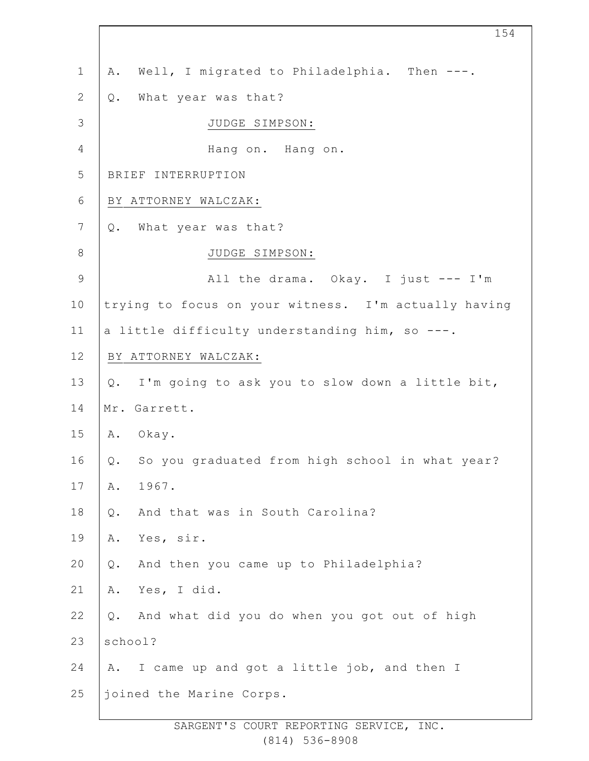| $\mathbf 1$    | Well, I migrated to Philadelphia. Then ---.<br>Α.     |
|----------------|-------------------------------------------------------|
| $\mathbf{2}$   | What year was that?<br>Q.                             |
| $\mathfrak{Z}$ | JUDGE SIMPSON:                                        |
| $\overline{4}$ | Hang on. Hang on.                                     |
| 5              | BRIEF INTERRUPTION                                    |
| $\epsilon$     | BY ATTORNEY WALCZAK:                                  |
| $\overline{7}$ | What year was that?<br>Q.                             |
| $\,8\,$        | JUDGE SIMPSON:                                        |
| $\mathcal{G}$  | All the drama. Okay. I just --- I'm                   |
| 10             | trying to focus on your witness. I'm actually having  |
| 11             | a little difficulty understanding him, so ---.        |
| 12             | BY ATTORNEY WALCZAK:                                  |
| 13             | I'm going to ask you to slow down a little bit,<br>Q. |
| 14             | Mr. Garrett.                                          |
| 15             | Α.<br>Okay.                                           |
| 16             | So you graduated from high school in what year?<br>Q. |
| 17             | 1967.<br>Α.                                           |
| 18             | And that was in South Carolina?<br>Q.                 |
| 19             | Yes, sir.<br>Α.                                       |
| 20             | And then you came up to Philadelphia?<br>$Q$ .        |
| 21             | Yes, I did.<br>Α.                                     |
| 22             | And what did you do when you got out of high<br>Q.    |
| 23             | school?                                               |
| 24             | I came up and got a little job, and then I<br>Α.      |
| 25             | joined the Marine Corps.                              |
|                |                                                       |

SARGENT'S COURT REPORTING SERVICE, INC. (814) 536-8908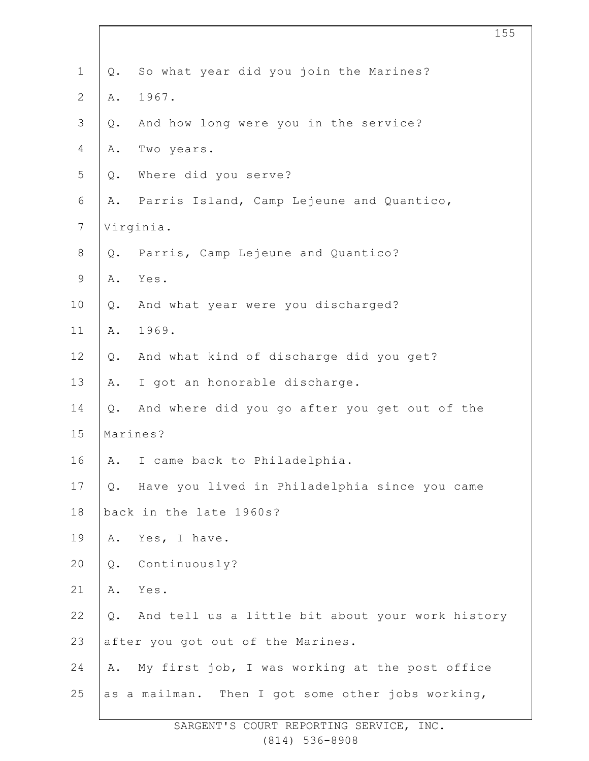| $\mathbf 1$      | Q.        | So what year did you join the Marines?            |
|------------------|-----------|---------------------------------------------------|
| $\mathbf{2}$     | Α.        | 1967.                                             |
| $\mathfrak{Z}$   | Q.        | And how long were you in the service?             |
| 4                | Α.        | Two years.                                        |
| 5                | Q.        | Where did you serve?                              |
| 6                | Α.        | Parris Island, Camp Lejeune and Quantico,         |
| $\boldsymbol{7}$ | Virginia. |                                                   |
| $\,8\,$          | Q.        | Parris, Camp Lejeune and Quantico?                |
| $\mathsf 9$      | Α.        | Yes.                                              |
| 10               | Q.        | And what year were you discharged?                |
| 11               | Α.        | 1969.                                             |
| 12               | Q.        | And what kind of discharge did you get?           |
| 13               | Α.        | I got an honorable discharge.                     |
| 14               | Q.        | And where did you go after you get out of the     |
| 15               | Marines?  |                                                   |
| 16               | Α.        | I came back to Philadelphia.                      |
| 17               | Q.        | Have you lived in Philadelphia since you came     |
| 18               |           | back in the late 1960s?                           |
| 19               | Α.        | Yes, I have.                                      |
| 20               | $Q$ .     | Continuously?                                     |
| 21               | Α.        | Yes.                                              |
| 22               | $Q$ .     | And tell us a little bit about your work history  |
| 23               |           | after you got out of the Marines.                 |
| 24               | Α.        | My first job, I was working at the post office    |
| 25               |           | as a mailman. Then I got some other jobs working, |
|                  |           |                                                   |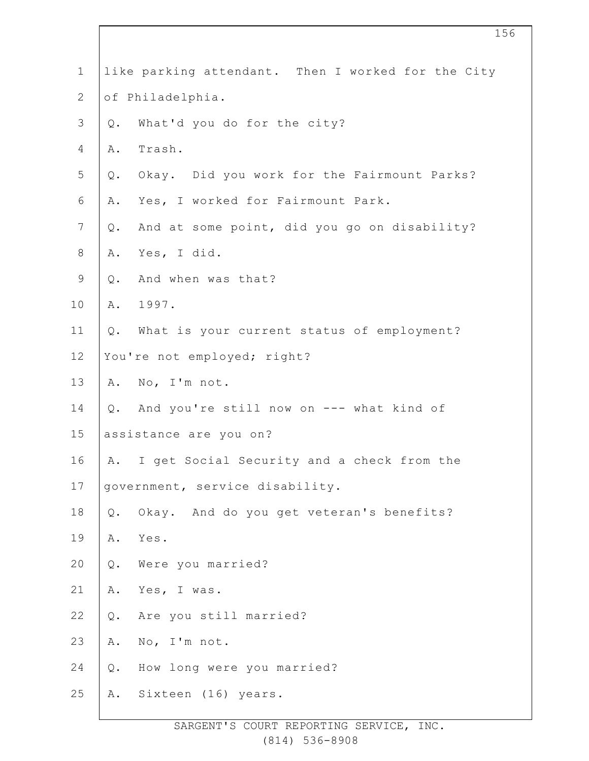| $1\,$            |                        | like parking attendant. Then I worked for the City |
|------------------|------------------------|----------------------------------------------------|
| $\sqrt{2}$       | of Philadelphia.       |                                                    |
| $\mathsf 3$      | Q.                     | What'd you do for the city?                        |
| $\overline{4}$   | Α.                     | Trash.                                             |
| 5                |                        | Q. Okay. Did you work for the Fairmount Parks?     |
| 6                | Α.                     | Yes, I worked for Fairmount Park.                  |
| $\boldsymbol{7}$ | Q.                     | And at some point, did you go on disability?       |
| $\,8\,$          | Α.                     | Yes, I did.                                        |
| $\mathsf 9$      | Q.                     | And when was that?                                 |
| 10               |                        | A. 1997.                                           |
| 11               |                        | Q. What is your current status of employment?      |
| 12               |                        | You're not employed; right?                        |
| 13               |                        | A. No, I'm not.                                    |
| 14               |                        | Q. And you're still now on --- what kind of        |
| 15               | assistance are you on? |                                                    |
| 16               | A.                     | I get Social Security and a check from the         |
| 17               |                        | government, service disability.                    |
| 18               |                        | Q. Okay. And do you get veteran's benefits?        |
| 19               | Α.                     | Yes.                                               |
| 20               |                        | Q. Were you married?                               |
| 21               |                        | A. Yes, I was.                                     |
| 22               |                        | Q. Are you still married?                          |
| 23               | Α.                     | No, I'm not.                                       |
| 24               |                        | Q. How long were you married?                      |
| 25               |                        | A. Sixteen (16) years.                             |
|                  |                        |                                                    |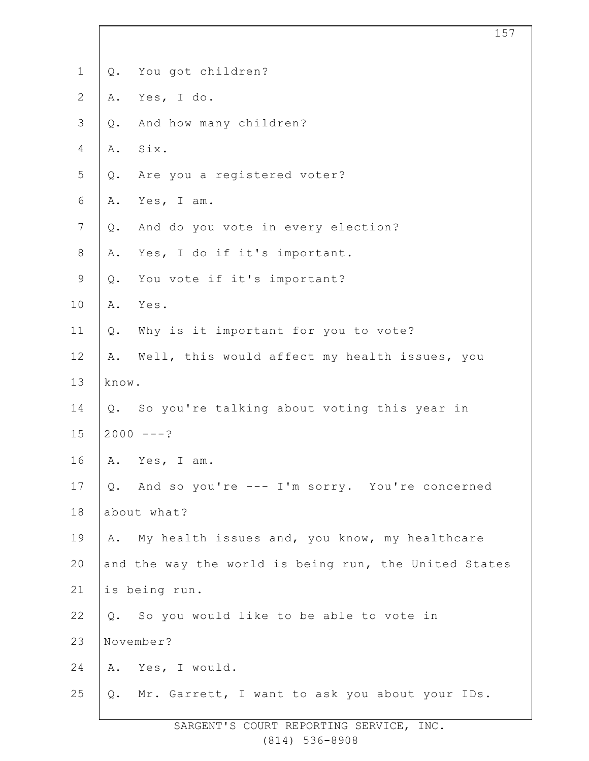| $\mathbf 1$     | Q.    | You got children?                                     |
|-----------------|-------|-------------------------------------------------------|
| $\mathbf{2}$    | Α.    | Yes, I do.                                            |
| 3               | Q.    | And how many children?                                |
| 4               | Α.    | Six.                                                  |
| 5               | Q.    | Are you a registered voter?                           |
| 6               | Α.    | Yes, I am.                                            |
| $7\phantom{.0}$ | Q.    | And do you vote in every election?                    |
| $8\,$           | Α.    | Yes, I do if it's important.                          |
| $\mathsf 9$     | Q.    | You vote if it's important?                           |
| 10              | Α.    | Yes.                                                  |
| 11              | Q.    | Why is it important for you to vote?                  |
| 12              | Α.    | Well, this would affect my health issues, you         |
| 13              | know. |                                                       |
| 14              |       | Q. So you're talking about voting this year in        |
| 15              |       | $2000 - - - ?$                                        |
| 16              | Α.    | Yes, I am.                                            |
| 17              |       | Q. And so you're --- I'm sorry. You're concerned      |
| 18              |       | about what?                                           |
| 19              |       | A. My health issues and, you know, my healthcare      |
| 20              |       | and the way the world is being run, the United States |
| 21              |       | is being run.                                         |
| 22              | $Q$ . | So you would like to be able to vote in               |
| 23              |       | November?                                             |
| 24              |       | A. Yes, I would.                                      |
| 25              | Q.    | Mr. Garrett, I want to ask you about your IDs.        |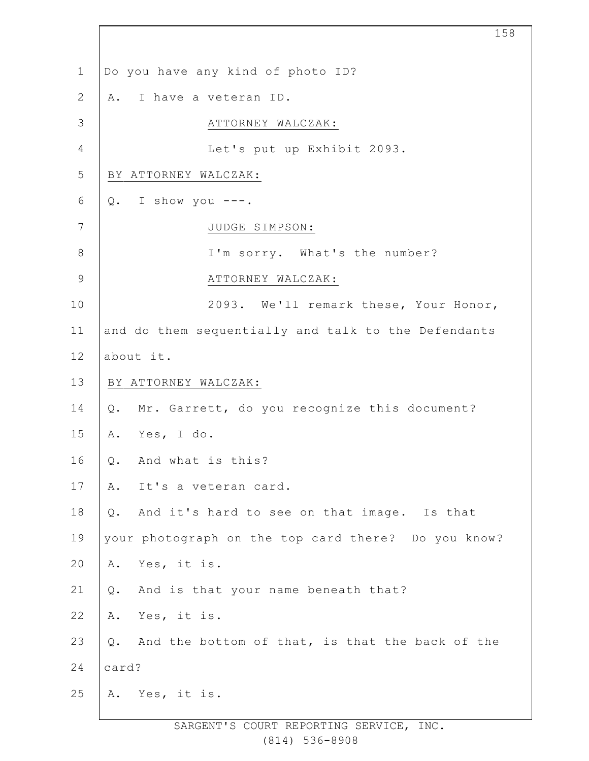1 2 3 4 5 6 7 8 9 10 11 12 13 14 15 16 17 18 19 20 21 22 23 24 25 Do you have any kind of photo ID? A. I have a veteran ID. ATTORNEY WALCZAK: Let's put up Exhibit 2093. BY ATTORNEY WALCZAK:  $Q.$  I show you  $---$ . JUDGE SIMPSON: I'm sorry. What's the number? ATTORNEY WALCZAK: 2093. We'll remark these, Your Honor, and do them sequentially and talk to the Defendants about it. BY ATTORNEY WALCZAK: Q. Mr. Garrett, do you recognize this document? A. Yes, I do. Q. And what is this? A. It's a veteran card. Q. And it's hard to see on that image. Is that your photograph on the top card there? Do you know? A. Yes, it is. Q. And is that your name beneath that? A. Yes, it is. Q. And the bottom of that, is that the back of the card? A. Yes, it is.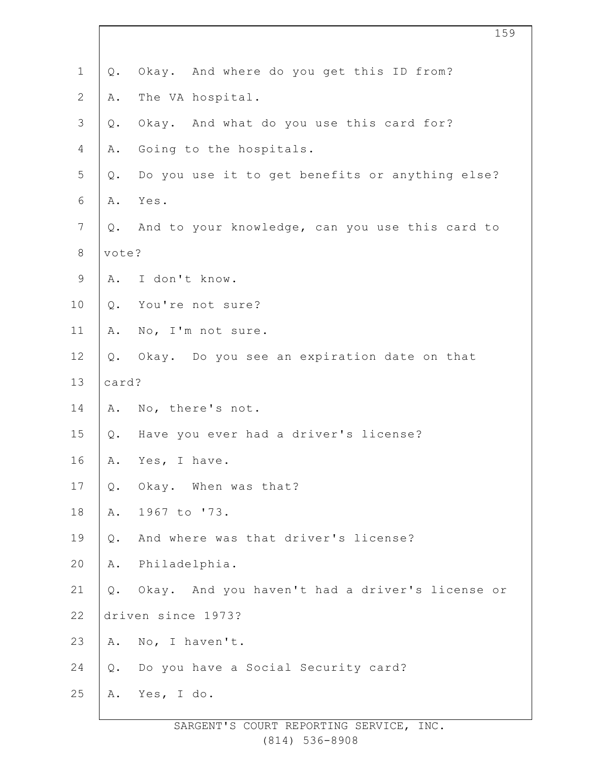| $\mathbf 1$    | $Q$ . | Okay. And where do you get this ID from?        |
|----------------|-------|-------------------------------------------------|
| $\mathbf{2}$   | Α.    | The VA hospital.                                |
| $\mathcal{S}$  | $Q$ . | Okay. And what do you use this card for?        |
| 4              | Α.    | Going to the hospitals.                         |
| 5              | Q.    | Do you use it to get benefits or anything else? |
| 6              | Α.    | Yes.                                            |
| $\overline{7}$ | Q.    | And to your knowledge, can you use this card to |
| $\,8\,$        | vote? |                                                 |
| $\mathsf 9$    | Α.    | I don't know.                                   |
| 10             |       | Q. You're not sure?                             |
| 11             | Α.    | No, I'm not sure.                               |
| 12             | Q.    | Okay. Do you see an expiration date on that     |
| 13             | card? |                                                 |
| 14             |       | A. No, there's not.                             |
| 15             | Q.    | Have you ever had a driver's license?           |
| 16             | Α.    | Yes, I have.                                    |
| 17             | $Q$ . | Okay. When was that?                            |
| $18\,$         | Α.    | 1967 to '73.                                    |
| 19             | $Q$ . | And where was that driver's license?            |
| 20             | Α.    | Philadelphia.                                   |
| 21             | $Q$ . | Okay. And you haven't had a driver's license or |
| 22             |       | driven since 1973?                              |
| 23             | Α.    | No, I haven't.                                  |
| 24             | Q.    | Do you have a Social Security card?             |
| 25             | Α.    | Yes, I do.                                      |
|                |       |                                                 |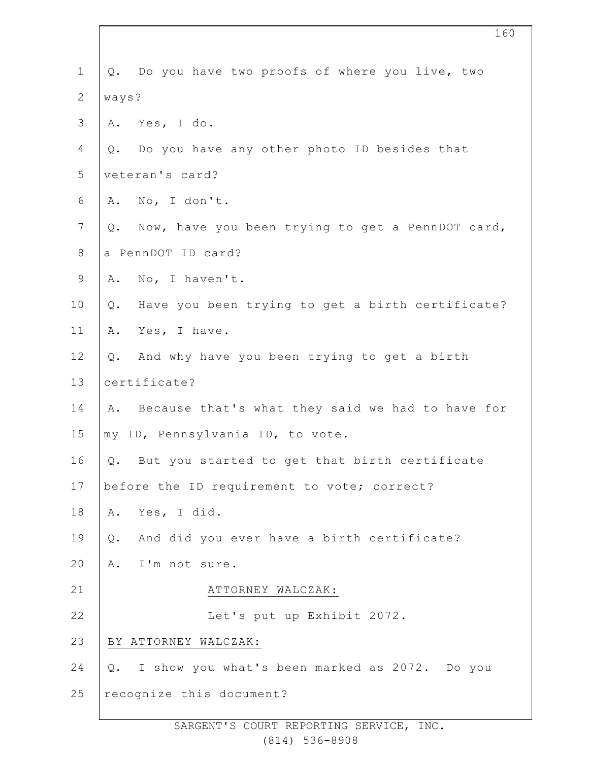| $\mathbf 1$    | Q. Do you have two proofs of where you live, two       |
|----------------|--------------------------------------------------------|
| $\overline{2}$ | ways?                                                  |
| 3              | A. Yes, I do.                                          |
| 4              | Do you have any other photo ID besides that<br>Q.      |
| 5              | veteran's card?                                        |
| 6              | A. No, I don't.                                        |
| $\overline{7}$ | Q. Now, have you been trying to get a PennDOT card,    |
| $8\,$          | a PennDOT ID card?                                     |
| $\mathsf 9$    | A. No, I haven't.                                      |
| 10             | Have you been trying to get a birth certificate?<br>Q. |
| 11             | Yes, I have.<br>Α.                                     |
| 12             | And why have you been trying to get a birth<br>Q.      |
| 13             | certificate?                                           |
| 14             | A. Because that's what they said we had to have for    |
| 15             | my ID, Pennsylvania ID, to vote.                       |
| 16             | But you started to get that birth certificate<br>Q.    |
| 17             | before the ID requirement to vote; correct?            |
| 18             | Yes, I did.<br>Α.                                      |
| 19             | And did you ever have a birth certificate?<br>Q.       |
| 20             | A. I'm not sure.                                       |
| 21             | ATTORNEY WALCZAK:                                      |
| 22             | Let's put up Exhibit 2072.                             |
| 23             | BY ATTORNEY WALCZAK:                                   |
| 24             | Q. I show you what's been marked as 2072. Do you       |
| 25             | recognize this document?                               |
|                |                                                        |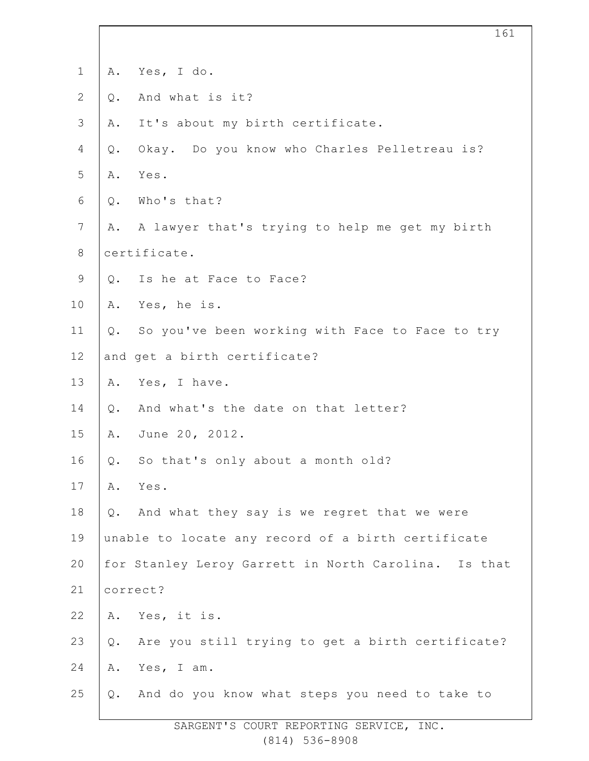| $\mathbf 1$    | Α.           | Yes, I do.                                           |
|----------------|--------------|------------------------------------------------------|
| $\overline{2}$ | $Q$ .        | And what is it?                                      |
| $\mathcal{S}$  | Α.           | It's about my birth certificate.                     |
| 4              | $Q$ .        | Okay. Do you know who Charles Pelletreau is?         |
| 5              | Α.           | Yes.                                                 |
| 6              | $Q$ .        | Who's that?                                          |
| $7\phantom{.}$ | Α.           | A lawyer that's trying to help me get my birth       |
| $8\,$          | certificate. |                                                      |
| $\mathsf 9$    | Q.           | Is he at Face to Face?                               |
| 10             | Α.           | Yes, he is.                                          |
| 11             | $Q$ .        | So you've been working with Face to Face to try      |
| 12             |              | and get a birth certificate?                         |
| 13             | Α.           | Yes, I have.                                         |
| 14             | Q.           | And what's the date on that letter?                  |
| 15             | Α.           | June 20, 2012.                                       |
| 16             | Q.           | So that's only about a month old?                    |
| 17             | Α.           | Yes.                                                 |
| 18             | Q.           | And what they say is we regret that we were          |
| 19             |              | unable to locate any record of a birth certificate   |
| 20             |              | for Stanley Leroy Garrett in North Carolina. Is that |
| 21             |              | correct?                                             |
| 22             | Α.           | Yes, it is.                                          |
| 23             | $Q$ .        | Are you still trying to get a birth certificate?     |
| 24             | Α.           | Yes, I am.                                           |
| 25             | Q.           | And do you know what steps you need to take to       |

SARGENT'S COURT REPORTING SERVICE, INC. (814) 536-8908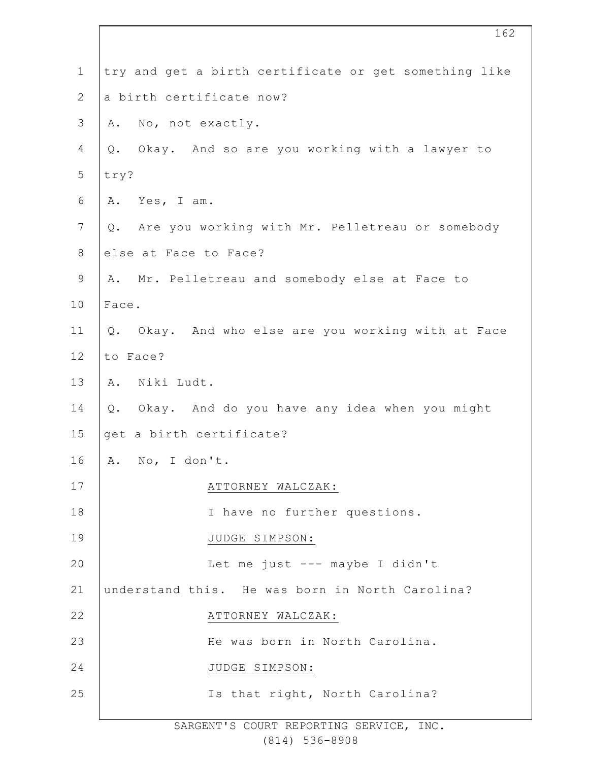| $\mathbf 1$  | try and get a birth certificate or get something like    |
|--------------|----------------------------------------------------------|
| $\mathbf{2}$ | a birth certificate now?                                 |
| 3            | No, not exactly.<br>Α.                                   |
| 4            | Q. Okay. And so are you working with a lawyer to         |
| 5            | try?                                                     |
| 6            | Yes, I am.<br>Α.                                         |
| 7            | Are you working with Mr. Pelletreau or somebody<br>Q.    |
| 8            | else at Face to Face?                                    |
| $\mathsf 9$  | Mr. Pelletreau and somebody else at Face to<br>Α.        |
| 10           | Face.                                                    |
| 11           | Okay. And who else are you working with at Face<br>$Q$ . |
| 12           | to Face?                                                 |
| 13           | Niki Ludt.<br>Α.                                         |
| 14           | Q. Okay. And do you have any idea when you might         |
| 15           | get a birth certificate?                                 |
| 16           | A. No, I don't.                                          |
| 17           | ATTORNEY WALCZAK:                                        |
| 18           | I have no further questions.                             |
| 19           | JUDGE SIMPSON:                                           |
| 20           | Let me just --- maybe I didn't                           |
| 21           | understand this. He was born in North Carolina?          |
| 22           | ATTORNEY WALCZAK:                                        |
| 23           | He was born in North Carolina.                           |
| 24           | JUDGE SIMPSON:                                           |
| 25           | Is that right, North Carolina?                           |
|              |                                                          |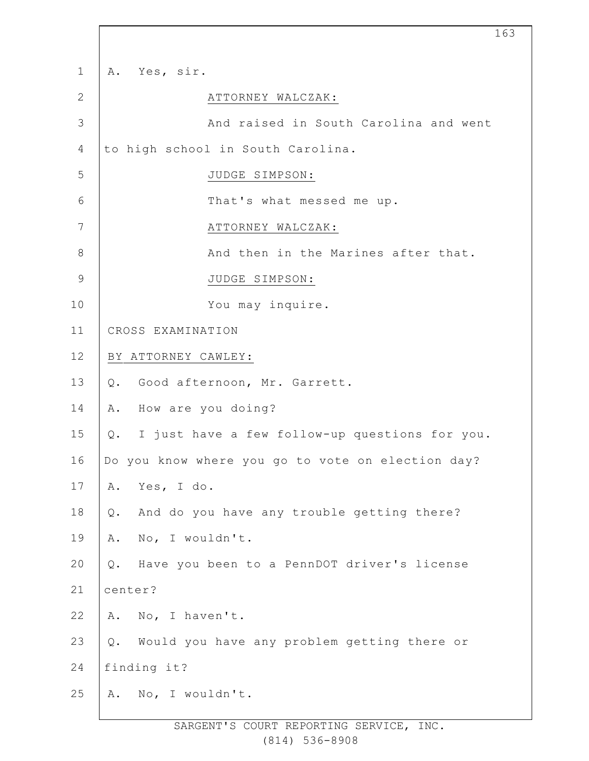| $\mathbf 1$  | Yes, sir.<br>Α.                                      |
|--------------|------------------------------------------------------|
| $\mathbf{2}$ | ATTORNEY WALCZAK:                                    |
| 3            | And raised in South Carolina and went                |
| 4            | to high school in South Carolina.                    |
| 5            | JUDGE SIMPSON:                                       |
| 6            | That's what messed me up.                            |
| 7            | ATTORNEY WALCZAK:                                    |
| 8            | And then in the Marines after that.                  |
| $\mathsf 9$  | JUDGE SIMPSON:                                       |
| 10           | You may inquire.                                     |
| 11           | CROSS EXAMINATION                                    |
| 12           | BY ATTORNEY CAWLEY:                                  |
| 13           | Good afternoon, Mr. Garrett.<br>$Q$ .                |
| 14           | How are you doing?<br>Α.                             |
| 15           | I just have a few follow-up questions for you.<br>Q. |
| 16           | Do you know where you go to vote on election day?    |
| 17           | Yes, I do.<br>Α.                                     |
| 18           | And do you have any trouble getting there?<br>Q.     |
| 19           | No, I wouldn't.<br>Α.                                |
| 20           | Have you been to a PennDOT driver's license<br>$Q$ . |
| 21           | center?                                              |
| 22           | A. No, I haven't.                                    |
| 23           | Would you have any problem getting there or<br>$Q$ . |
| 24           | finding it?                                          |
| 25           | No, I wouldn't.<br>Α.                                |
|              |                                                      |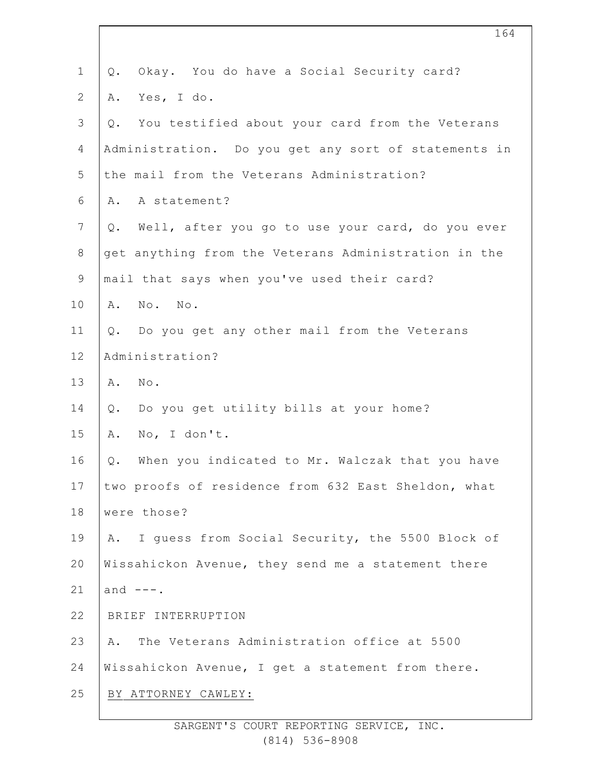| $\mathbf{1}$   | Okay. You do have a Social Security card?<br>Q.        |
|----------------|--------------------------------------------------------|
| $\mathbf{2}$   | Yes, I do.<br>Α.                                       |
| $\mathfrak{Z}$ | You testified about your card from the Veterans<br>Q.  |
| 4              | Administration. Do you get any sort of statements in   |
| 5              | the mail from the Veterans Administration?             |
| 6              | A statement?<br>Α.                                     |
| $\overline{7}$ | Well, after you go to use your card, do you ever<br>Q. |
| 8              | get anything from the Veterans Administration in the   |
| $\mathsf 9$    | mail that says when you've used their card?            |
| 10             | No. No.<br>Α.                                          |
| 11             | Do you get any other mail from the Veterans<br>Q.      |
| 12             | Administration?                                        |
| 13             | No.<br>Α.                                              |
| 14             | Do you get utility bills at your home?<br>Q.           |
| 15             | No, I don't.<br>Α.                                     |
| 16             | When you indicated to Mr. Walczak that you have<br>Q.  |
| 17             | two proofs of residence from 632 East Sheldon, what    |
| 18             | were those?                                            |
| 19             | I quess from Social Security, the 5500 Block of<br>Α.  |
| 20             | Wissahickon Avenue, they send me a statement there     |
| 21             | and $---$ .                                            |
| 22             | BRIEF INTERRUPTION                                     |
| 23             | The Veterans Administration office at 5500<br>Α.       |
| 24             | Wissahickon Avenue, I get a statement from there.      |
| 25             | BY ATTORNEY CAWLEY:                                    |
|                |                                                        |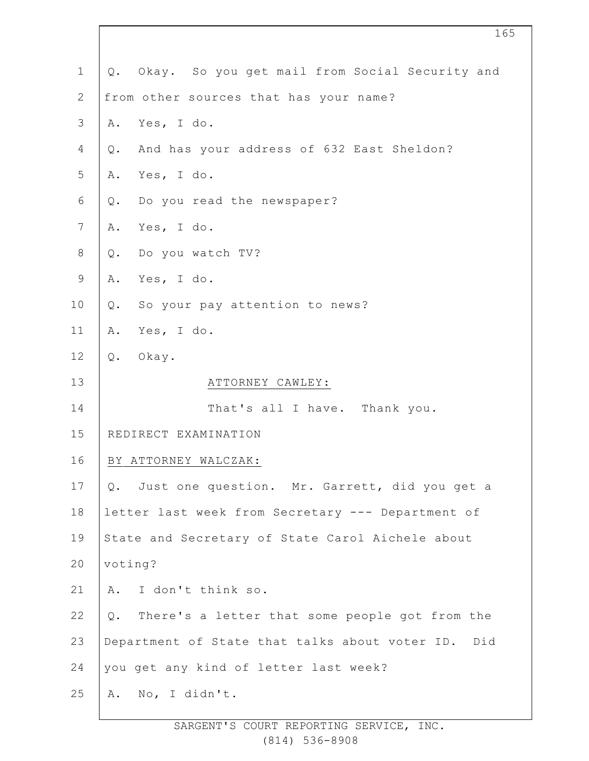| $\mathbf 1$    | Q. Okay. So you get mail from Social Security and    |
|----------------|------------------------------------------------------|
| $\overline{2}$ | from other sources that has your name?               |
| $\mathfrak{Z}$ | Yes, I do.<br>Α.                                     |
| 4              | And has your address of 632 East Sheldon?<br>Q.      |
| 5              | Yes, I do.<br>Α.                                     |
| $\sqrt{6}$     | Do you read the newspaper?<br>Q.                     |
| 7              | Yes, I do.<br>Α.                                     |
| $8\,$          | Do you watch TV?<br>$Q$ .                            |
| $\mathsf 9$    | Yes, I do.<br>Α.                                     |
| 10             | So your pay attention to news?<br>Q.                 |
| 11             | Yes, I do.<br>Α.                                     |
| 12             | Q. Okay.                                             |
| 13             | ATTORNEY CAWLEY:                                     |
| 14             | That's all I have. Thank you.                        |
| 15             | REDIRECT EXAMINATION                                 |
| 16             | BY ATTORNEY WALCZAK:                                 |
| 17             | Just one question. Mr. Garrett, did you get a<br>Q.  |
| 18             | letter last week from Secretary --- Department of    |
| 19             | State and Secretary of State Carol Aichele about     |
| 20             | voting?                                              |
| 21             | I don't think so.<br>Α.                              |
| 22             | There's a letter that some people got from the<br>Q. |
| 23             | Department of State that talks about voter ID. Did   |
| 24             | you get any kind of letter last week?                |
| 25             | No, I didn't.<br>Α.                                  |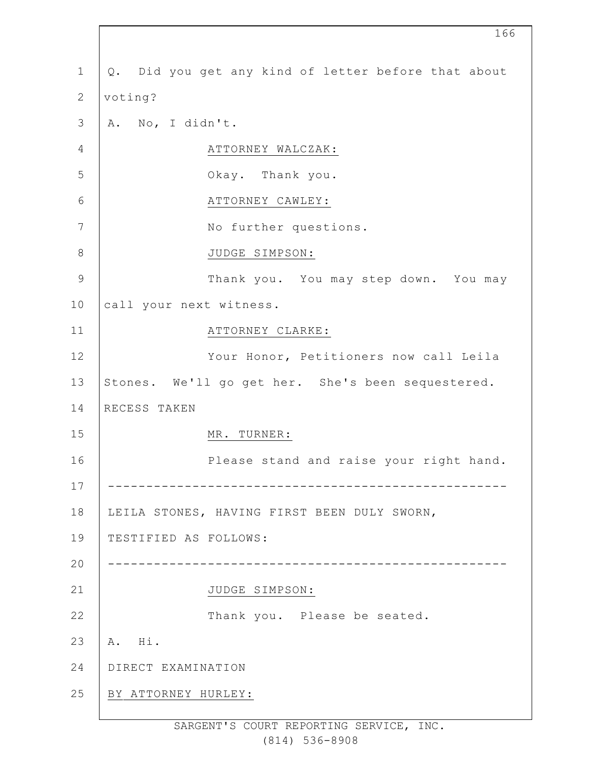| $\mathbf 1$    | Q. Did you get any kind of letter before that about |
|----------------|-----------------------------------------------------|
| $\mathbf{2}$   | voting?                                             |
| $\mathfrak{Z}$ | A. No, I didn't.                                    |
| 4              | ATTORNEY WALCZAK:                                   |
| 5              | Okay. Thank you.                                    |
| $6\,$          | ATTORNEY CAWLEY:                                    |
| 7              | No further questions.                               |
| $8\,$          | JUDGE SIMPSON:                                      |
| $\mathsf 9$    | Thank you. You may step down. You may               |
| 10             | call your next witness.                             |
| 11             | ATTORNEY CLARKE:                                    |
| 12             | Your Honor, Petitioners now call Leila              |
| 13             | Stones. We'll go get her. She's been sequestered.   |
| 14             | RECESS TAKEN                                        |
| 15             | MR. TURNER:                                         |
| 16             | Please stand and raise your right hand.             |
| 17             |                                                     |
| 18             | LEILA STONES, HAVING FIRST BEEN DULY SWORN,         |
| 19             | TESTIFIED AS FOLLOWS:                               |
| 20             |                                                     |
| 21             | JUDGE SIMPSON:                                      |
| 22             | Thank you. Please be seated.                        |
| 23             | Hi.<br>Α.                                           |
| 24             | DIRECT EXAMINATION                                  |
| 25             | BY ATTORNEY HURLEY:                                 |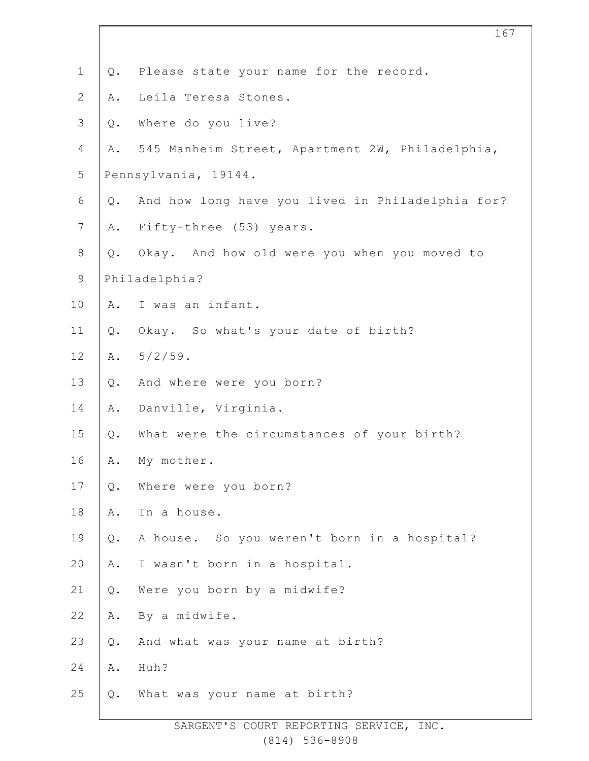| $\mathbf 1$    | Q.    | Please state your name for the record.           |
|----------------|-------|--------------------------------------------------|
| $\mathbf{2}$   | Α.    | Leila Teresa Stones.                             |
| $\mathfrak{Z}$ | Q.    | Where do you live?                               |
| 4              | Α.    | 545 Manheim Street, Apartment 2W, Philadelphia,  |
| 5              |       | Pennsylvania, 19144.                             |
| 6              | Q.    | And how long have you lived in Philadelphia for? |
| $7\phantom{.}$ | Α.    | Fifty-three (53) years.                          |
| $\,8\,$        | Q.    | Okay. And how old were you when you moved to     |
| $\mathsf 9$    |       | Philadelphia?                                    |
| 10             | Α.    | I was an infant.                                 |
| 11             | $Q$ . | Okay. So what's your date of birth?              |
| 12             |       | A. $5/2/59$ .                                    |
| 13             | Q.    | And where were you born?                         |
| 14             | Α.    | Danville, Virginia.                              |
| 15             | $Q$ . | What were the circumstances of your birth?       |
| 16             | Α.    | My mother.                                       |
| 17             | Q.    | Where were you born?                             |
| 18             | Α.    | In a house.                                      |
| 19             | Q.    | A house. So you weren't born in a hospital?      |
| 20             | Α.    | I wasn't born in a hospital.                     |
| 21             | Q.    | Were you born by a midwife?                      |
| 22             | Α.    | By a midwife.                                    |
| 23             | Q.    | And what was your name at birth?                 |
| 24             | Α.    | Huh?                                             |
| 25             | Q.    | What was your name at birth?                     |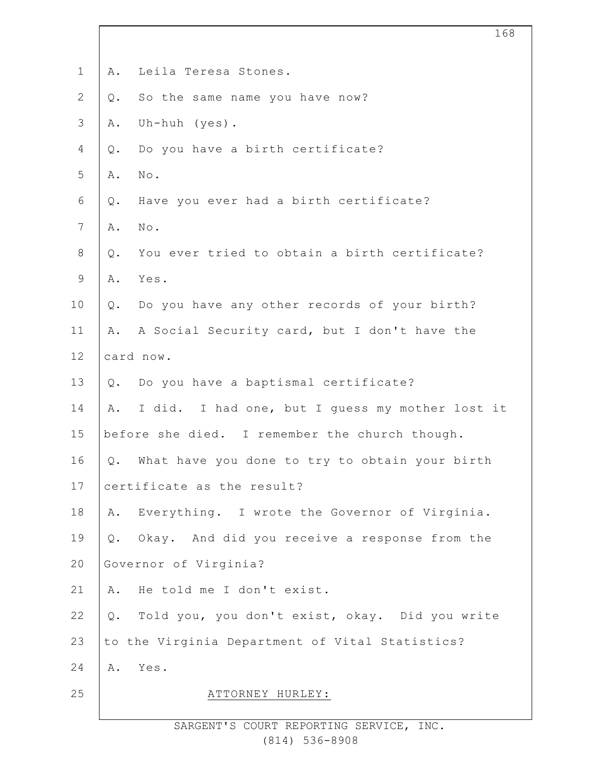| $\mathbf 1$    | Α.    | Leila Teresa Stones.                             |
|----------------|-------|--------------------------------------------------|
| $\overline{2}$ | Q.    | So the same name you have now?                   |
| 3              | Α.    | Uh-huh $(yes)$ .                                 |
| 4              | Q.    | Do you have a birth certificate?                 |
| 5              | Α.    | No.                                              |
| 6              | Q.    | Have you ever had a birth certificate?           |
| $\overline{7}$ | Α.    | $\texttt{No}$ .                                  |
| 8              | $Q$ . | You ever tried to obtain a birth certificate?    |
| $\mathsf 9$    | Α.    | Yes.                                             |
| 10             | Q.    | Do you have any other records of your birth?     |
| 11             | Α.    | A Social Security card, but I don't have the     |
| 12             |       | card now.                                        |
| 13             | Q.    | Do you have a baptismal certificate?             |
| 14             | Α.    | I did. I had one, but I guess my mother lost it  |
| 15             |       | before she died. I remember the church though.   |
| 16             | Q.    | What have you done to try to obtain your birth   |
| 17             |       | certificate as the result?                       |
| 18             | Α.    | Everything. I wrote the Governor of Virginia.    |
| 19             |       | Q. Okay. And did you receive a response from the |
| 20             |       | Governor of Virginia?                            |
| 21             | Α.    | He told me I don't exist.                        |
| 22             | $Q$ . | Told you, you don't exist, okay. Did you write   |
| 23             |       | to the Virginia Department of Vital Statistics?  |
| 24             | Α.    | Yes.                                             |
| 25             |       | ATTORNEY HURLEY:                                 |
|                |       |                                                  |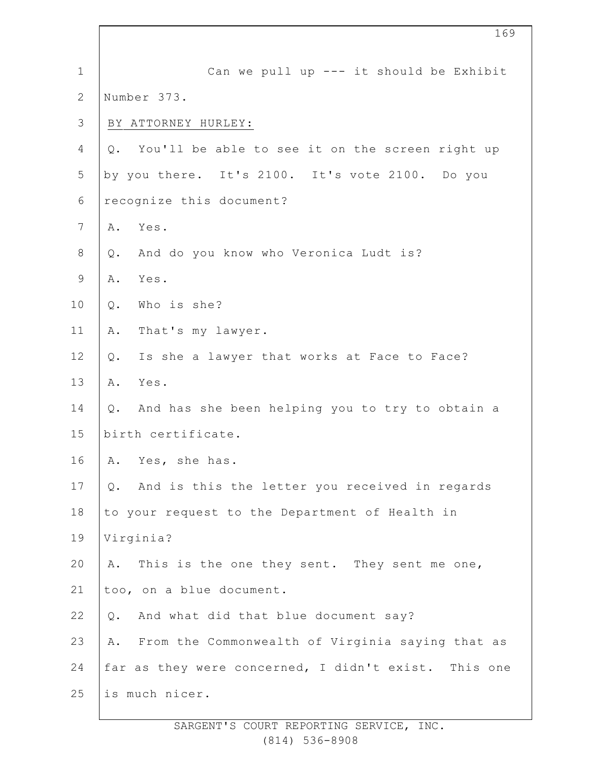| $\mathbf 1$    | Can we pull up --- it should be Exhibit                          |
|----------------|------------------------------------------------------------------|
| $\overline{2}$ | Number 373.                                                      |
| $\mathcal{S}$  | BY ATTORNEY HURLEY:                                              |
| 4              | You'll be able to see it on the screen right up<br>$Q_{\bullet}$ |
| 5              | by you there. It's 2100. It's vote 2100. Do you                  |
| $\sqrt{6}$     | recognize this document?                                         |
| 7              | Yes.<br>Α.                                                       |
| 8              | And do you know who Veronica Ludt is?<br>Q.                      |
| 9              | Yes.<br>Α.                                                       |
| 10             | Who is she?<br>$Q$ .                                             |
| 11             | That's my lawyer.<br>Α.                                          |
| 12             | Is she a lawyer that works at Face to Face?<br>$Q$ .             |
| 13             | Yes.<br>Α.                                                       |
| 14             | And has she been helping you to try to obtain a<br>Q.            |
| 15             | birth certificate.                                               |
| 16             | A. Yes, she has.                                                 |
| 17             | And is this the letter you received in regards<br>Q.             |
| 18             | to your request to the Department of Health in                   |
| 19             | Virginia?                                                        |
| 20             | This is the one they sent. They sent me one,<br>Α.               |
| 21             | too, on a blue document.                                         |
| 22             | And what did that blue document say?<br>$Q$ .                    |
| 23             | From the Commonwealth of Virginia saying that as<br>Α.           |
| 24             | far as they were concerned, I didn't exist. This one             |
| 25             | is much nicer.                                                   |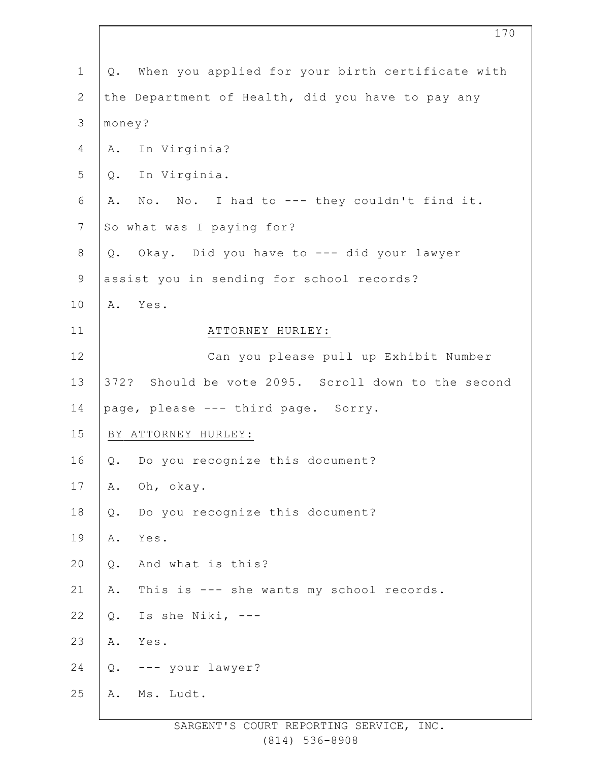| $\mathbf 1$    | When you applied for your birth certificate with<br>Q. |  |  |  |  |  |
|----------------|--------------------------------------------------------|--|--|--|--|--|
| $\mathbf{2}$   | the Department of Health, did you have to pay any      |  |  |  |  |  |
| 3              | money?                                                 |  |  |  |  |  |
| 4              | A. In Virginia?                                        |  |  |  |  |  |
| 5              | In Virginia.<br>Q.                                     |  |  |  |  |  |
| 6              | No. No. I had to --- they couldn't find it.<br>Α.      |  |  |  |  |  |
| $7\phantom{.}$ | So what was I paying for?                              |  |  |  |  |  |
| $8\,$          | Okay. Did you have to --- did your lawyer<br>$Q$ .     |  |  |  |  |  |
| $\mathsf 9$    | assist you in sending for school records?              |  |  |  |  |  |
| 10             | A. Yes.                                                |  |  |  |  |  |
| 11             | ATTORNEY HURLEY:                                       |  |  |  |  |  |
| 12             | Can you please pull up Exhibit Number                  |  |  |  |  |  |
| 13             | 372? Should be vote 2095. Scroll down to the second    |  |  |  |  |  |
| 14             | page, please --- third page. Sorry.                    |  |  |  |  |  |
| 15             | BY ATTORNEY HURLEY:                                    |  |  |  |  |  |
| 16             | Do you recognize this document?<br>Q.                  |  |  |  |  |  |
| 17             | Oh, okay.<br>Α.                                        |  |  |  |  |  |
| 18             | Q.<br>Do you recognize this document?                  |  |  |  |  |  |
| 19             | Α.<br>Yes.                                             |  |  |  |  |  |
| 20             | And what is this?<br>$Q$ .                             |  |  |  |  |  |
| 21             | This is --- she wants my school records.<br>Α.         |  |  |  |  |  |
| 22             | Is she Niki, ---<br>Q.                                 |  |  |  |  |  |
| 23             | Α.<br>Yes.                                             |  |  |  |  |  |
| 24             | --- your lawyer?<br>Q.                                 |  |  |  |  |  |
| 25             | Ms. Ludt.<br>Α.                                        |  |  |  |  |  |
|                |                                                        |  |  |  |  |  |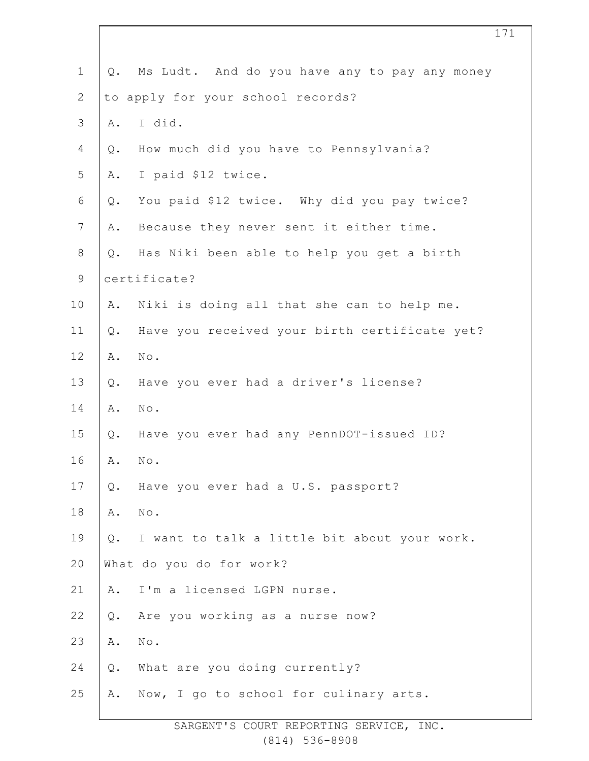| $\mathbf 1$    | $Q$ . | Ms Ludt. And do you have any to pay any money |  |  |  |  |
|----------------|-------|-----------------------------------------------|--|--|--|--|
| $\mathbf{2}$   |       | to apply for your school records?             |  |  |  |  |
| $\mathcal{S}$  | Α.    | I did.                                        |  |  |  |  |
| 4              | Q.    | How much did you have to Pennsylvania?        |  |  |  |  |
| 5              | Α.    | I paid \$12 twice.                            |  |  |  |  |
| 6              | Q.    | You paid \$12 twice. Why did you pay twice?   |  |  |  |  |
| $\overline{7}$ | Α.    | Because they never sent it either time.       |  |  |  |  |
| $8\,$          | $Q$ . | Has Niki been able to help you get a birth    |  |  |  |  |
| $\mathsf 9$    |       | certificate?                                  |  |  |  |  |
| 10             | Α.    | Niki is doing all that she can to help me.    |  |  |  |  |
| 11             | $Q$ . | Have you received your birth certificate yet? |  |  |  |  |
| 12             | Α.    | $\texttt{No}$ .                               |  |  |  |  |
| 13             | $Q$ . | Have you ever had a driver's license?         |  |  |  |  |
| 14             | Α.    | $\mbox{No}$ .                                 |  |  |  |  |
| 15             | Q.    | Have you ever had any PennDOT-issued ID?      |  |  |  |  |
| 16             | Α.    | No.                                           |  |  |  |  |
| 17             | Q.    | Have you ever had a U.S. passport?            |  |  |  |  |
| 18             | Α.    | $\texttt{No}$ .                               |  |  |  |  |
| 19             | $Q$ . | I want to talk a little bit about your work.  |  |  |  |  |
| 20             |       | What do you do for work?                      |  |  |  |  |
| 21             | Α.    | I'm a licensed LGPN nurse.                    |  |  |  |  |
| 22             | $Q$ . | Are you working as a nurse now?               |  |  |  |  |
| 23             | Α.    | $\texttt{No}$ .                               |  |  |  |  |
| 24             | $Q$ . | What are you doing currently?                 |  |  |  |  |
| 25             | Α.    | Now, I go to school for culinary arts.        |  |  |  |  |
|                |       |                                               |  |  |  |  |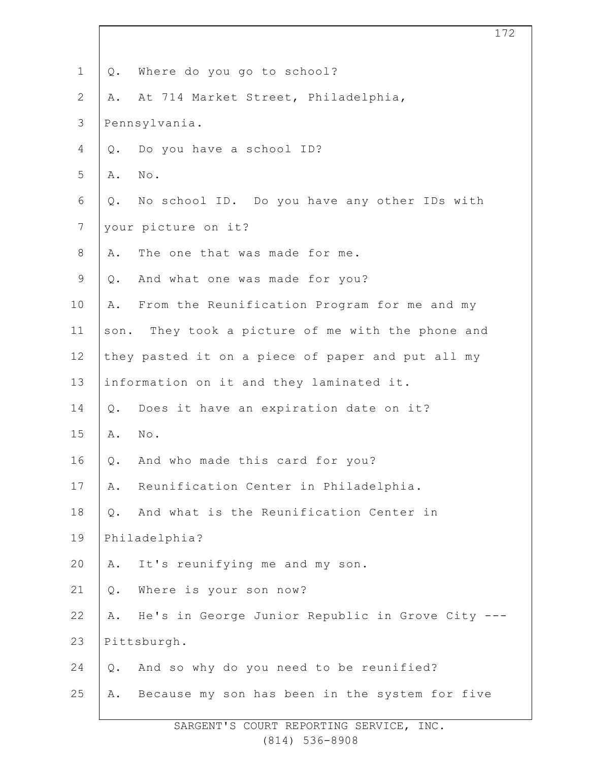| $\mathbf 1$      | Q.                                                | Where do you go to school?                        |  |  |  |  |
|------------------|---------------------------------------------------|---------------------------------------------------|--|--|--|--|
| $\mathbf{2}$     | Α.                                                | At 714 Market Street, Philadelphia,               |  |  |  |  |
| $\mathfrak{Z}$   |                                                   | Pennsylvania.                                     |  |  |  |  |
| $\overline{4}$   | $Q$ .                                             | Do you have a school ID?                          |  |  |  |  |
| 5                | Α.                                                | No.                                               |  |  |  |  |
| 6                | Q.                                                | No school ID. Do you have any other IDs with      |  |  |  |  |
| $\boldsymbol{7}$ |                                                   | your picture on it?                               |  |  |  |  |
| $\,8\,$          | Α.                                                | The one that was made for me.                     |  |  |  |  |
| $\mathsf 9$      | $Q$ .                                             | And what one was made for you?                    |  |  |  |  |
| 10               | Α.                                                | From the Reunification Program for me and my      |  |  |  |  |
| 11               |                                                   | son. They took a picture of me with the phone and |  |  |  |  |
| 12               | they pasted it on a piece of paper and put all my |                                                   |  |  |  |  |
| 13               |                                                   | information on it and they laminated it.          |  |  |  |  |
| 14               | Q.                                                | Does it have an expiration date on it?            |  |  |  |  |
| 15               | Α.                                                | $\mbox{No}$ .                                     |  |  |  |  |
| 16               | Q.                                                | And who made this card for you?                   |  |  |  |  |
| 17               | Α.                                                | Reunification Center in Philadelphia.             |  |  |  |  |
| 18               | Q.                                                | And what is the Reunification Center in           |  |  |  |  |
| 19               | Philadelphia?                                     |                                                   |  |  |  |  |
| 20               | Α.                                                | It's reunifying me and my son.                    |  |  |  |  |
| 21               | $Q$ .                                             | Where is your son now?                            |  |  |  |  |
| 22               | Α.                                                | He's in George Junior Republic in Grove City ---  |  |  |  |  |
| 23               |                                                   | Pittsburgh.                                       |  |  |  |  |
| 24               | Q.                                                | And so why do you need to be reunified?           |  |  |  |  |
| 25               | Α.                                                | Because my son has been in the system for five    |  |  |  |  |
|                  |                                                   |                                                   |  |  |  |  |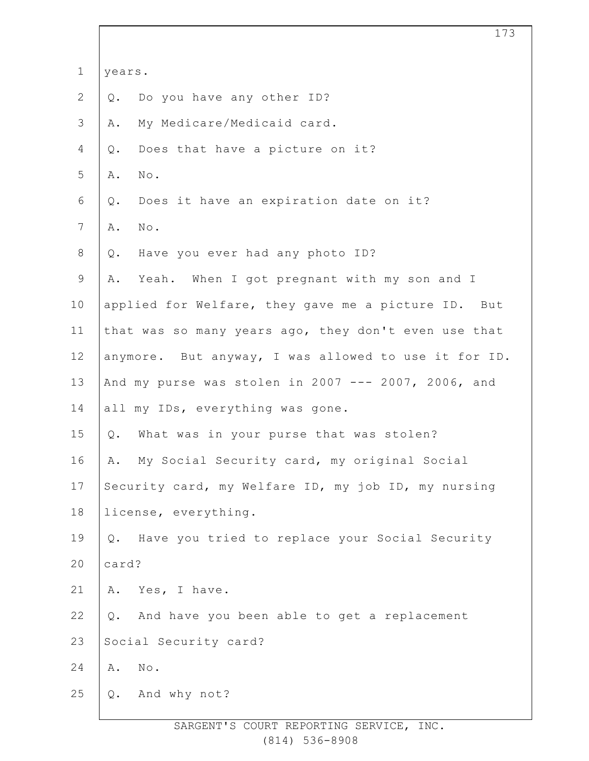|                | 173                                                  |
|----------------|------------------------------------------------------|
| $\mathbf 1$    | years.                                               |
| $\overline{2}$ | Do you have any other ID?<br>$Q$ .                   |
| 3              | My Medicare/Medicaid card.<br>Α.                     |
| 4              | Does that have a picture on it?<br>$Q$ .             |
| 5              | Α.<br>No.                                            |
| 6              | Does it have an expiration date on it?<br>Q.         |
| $\overline{7}$ | Α.<br>No.                                            |
| 8              | Have you ever had any photo ID?<br>$Q$ .             |
| 9              | Yeah. When I got pregnant with my son and I<br>Α.    |
| 10             | applied for Welfare, they gave me a picture ID. But  |
| 11             | that was so many years ago, they don't even use that |
| 12             | anymore. But anyway, I was allowed to use it for ID. |
| 13             | And my purse was stolen in 2007 --- 2007, 2006, and  |
| 14             | all my IDs, everything was gone.                     |
| 15             | What was in your purse that was stolen?<br>$Q$ .     |
| 16             | My Social Security card, my original Social<br>Α.    |
| 17             | Security card, my Welfare ID, my job ID, my nursing  |
| 18             | license, everything.                                 |
| 19             | Q. Have you tried to replace your Social Security    |
| 20             | card?                                                |
| 21             | Yes, I have.<br>Α.                                   |
| 22             | And have you been able to get a replacement<br>Q.    |
| 23             | Social Security card?                                |
| 24             | $\texttt{No}$ .<br>Α.                                |
| 25             | And why not?<br>$Q$ .                                |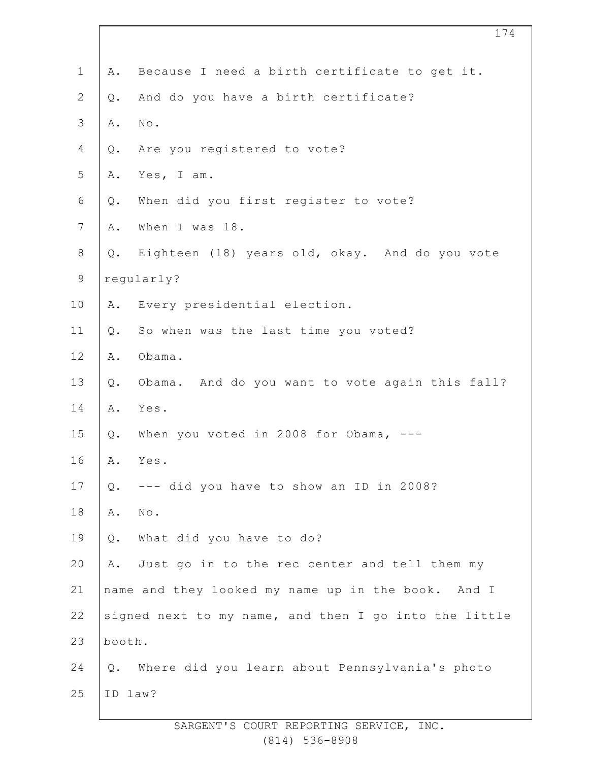| $\mathbf 1$    | Α.                                                    | Because I need a birth certificate to get it.   |  |  |  |  |
|----------------|-------------------------------------------------------|-------------------------------------------------|--|--|--|--|
| $\overline{2}$ | Q.                                                    | And do you have a birth certificate?            |  |  |  |  |
| 3              | Α.                                                    | $\texttt{No}$ .                                 |  |  |  |  |
| 4              | Q.                                                    | Are you registered to vote?                     |  |  |  |  |
| 5              | Α.                                                    | Yes, I am.                                      |  |  |  |  |
| 6              | Q.                                                    | When did you first register to vote?            |  |  |  |  |
| $\overline{7}$ | Α.                                                    | When I was 18.                                  |  |  |  |  |
| $8\,$          | Q.                                                    | Eighteen (18) years old, okay. And do you vote  |  |  |  |  |
| $\mathsf 9$    | regularly?                                            |                                                 |  |  |  |  |
| 10             | Α.                                                    | Every presidential election.                    |  |  |  |  |
| 11             | Q.                                                    | So when was the last time you voted?            |  |  |  |  |
| 12             | Α.                                                    | Obama.                                          |  |  |  |  |
| 13             | $Q$ .                                                 | Obama. And do you want to vote again this fall? |  |  |  |  |
| 14             | Α.                                                    | Yes.                                            |  |  |  |  |
| 15             | Q.                                                    | When you voted in 2008 for Obama, ---           |  |  |  |  |
| 16             | Α.                                                    | Yes.                                            |  |  |  |  |
| 17             | Q.                                                    | --- did you have to show an ID in 2008?         |  |  |  |  |
| 18             | Α.                                                    | No.                                             |  |  |  |  |
| 19             | $Q$ .                                                 | What did you have to do?                        |  |  |  |  |
| 20             | Α.                                                    | Just go in to the rec center and tell them my   |  |  |  |  |
| 21             | name and they looked my name up in the book. And I    |                                                 |  |  |  |  |
| 22             | signed next to my name, and then I go into the little |                                                 |  |  |  |  |
| 23             | booth.                                                |                                                 |  |  |  |  |
| 24             | Q.                                                    | Where did you learn about Pennsylvania's photo  |  |  |  |  |
| 25             | ID law?                                               |                                                 |  |  |  |  |
|                |                                                       |                                                 |  |  |  |  |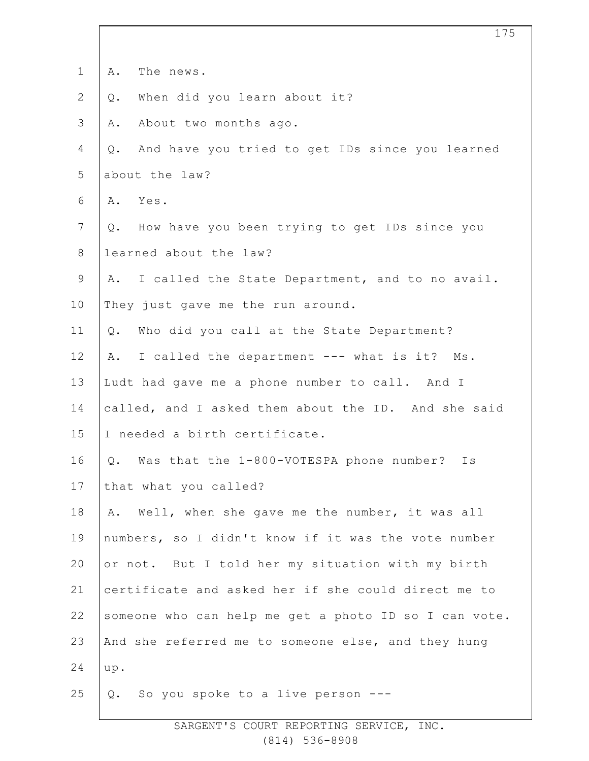| $\mathbf 1$    | The news.<br>Α.                                       |  |  |
|----------------|-------------------------------------------------------|--|--|
| $\mathbf{2}$   | When did you learn about it?<br>Q.                    |  |  |
| $\mathfrak{Z}$ | About two months ago.<br>Α.                           |  |  |
| $\overline{4}$ | And have you tried to get IDs since you learned<br>Q. |  |  |
| 5              | about the law?                                        |  |  |
| 6              | Yes.<br>Α.                                            |  |  |
| $7\phantom{.}$ | How have you been trying to get IDs since you<br>Q.   |  |  |
| $8\,$          | learned about the law?                                |  |  |
| $\mathsf 9$    | I called the State Department, and to no avail.<br>A. |  |  |
| 10             | They just gave me the run around.                     |  |  |
| 11             | Who did you call at the State Department?<br>Q.       |  |  |
| 12             | I called the department --- what is it? Ms.<br>Α.     |  |  |
| 13             | Ludt had gave me a phone number to call. And I        |  |  |
| 14             | called, and I asked them about the ID. And she said   |  |  |
| 15             | I needed a birth certificate.                         |  |  |
| 16             | Was that the 1-800-VOTESPA phone number?<br>Ιs<br>Q.  |  |  |
| 17             | that what you called?                                 |  |  |
| 18             | Well, when she gave me the number, it was all<br>Α.   |  |  |
| 19             | numbers, so I didn't know if it was the vote number   |  |  |
| 20             | or not. But I told her my situation with my birth     |  |  |
| 21             | certificate and asked her if she could direct me to   |  |  |
| 22             | someone who can help me get a photo ID so I can vote. |  |  |
| 23             | And she referred me to someone else, and they hung    |  |  |
| 24             | up.                                                   |  |  |
| 25             | So you spoke to a live person ---<br>Q.               |  |  |
|                |                                                       |  |  |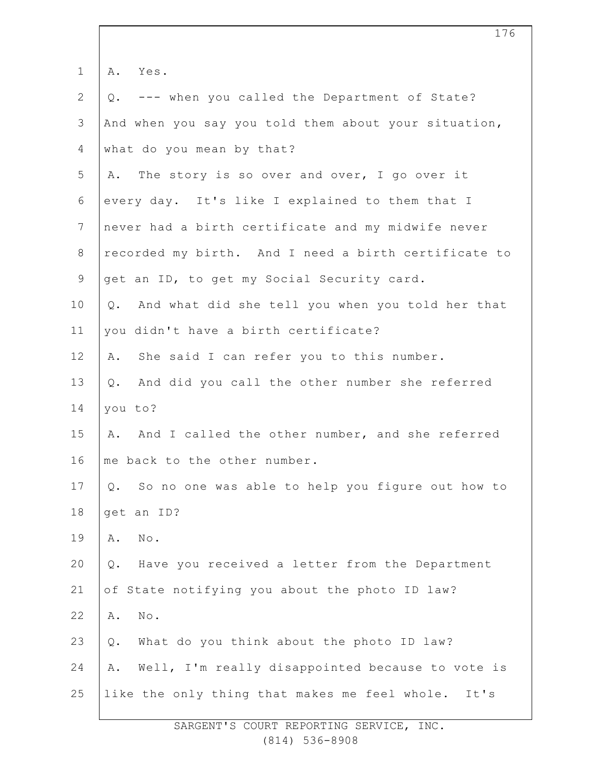| $\mathbf 1$  | A. Yes.                                                 |  |  |  |  |
|--------------|---------------------------------------------------------|--|--|--|--|
| $\mathbf{2}$ | --- when you called the Department of State?<br>Q.      |  |  |  |  |
| 3            | And when you say you told them about your situation,    |  |  |  |  |
| 4            | what do you mean by that?                               |  |  |  |  |
| 5            | A. The story is so over and over, I go over it          |  |  |  |  |
| 6            | every day. It's like I explained to them that I         |  |  |  |  |
| 7            | never had a birth certificate and my midwife never      |  |  |  |  |
| 8            | recorded my birth. And I need a birth certificate to    |  |  |  |  |
| $\mathsf 9$  | get an ID, to get my Social Security card.              |  |  |  |  |
| 10           | Q. And what did she tell you when you told her that     |  |  |  |  |
| 11           | you didn't have a birth certificate?                    |  |  |  |  |
| 12           | She said I can refer you to this number.<br>Α.          |  |  |  |  |
| 13           | And did you call the other number she referred<br>Q.    |  |  |  |  |
| 14           | you to?                                                 |  |  |  |  |
| 15           | A. And I called the other number, and she referred      |  |  |  |  |
| 16           | me back to the other number.                            |  |  |  |  |
| 17           | So no one was able to help you figure out how to<br>Q.  |  |  |  |  |
| 18           | get an ID?                                              |  |  |  |  |
| 19           | $\mbox{No}$ .<br>Α.                                     |  |  |  |  |
| 20           | Have you received a letter from the Department<br>$Q$ . |  |  |  |  |
| 21           | of State notifying you about the photo ID law?          |  |  |  |  |
| 22           | $\texttt{No}$ .<br>Α.                                   |  |  |  |  |
| 23           | What do you think about the photo ID law?<br>$Q$ .      |  |  |  |  |
| 24           | Well, I'm really disappointed because to vote is<br>Α.  |  |  |  |  |
| 25           | like the only thing that makes me feel whole. It's      |  |  |  |  |
|              |                                                         |  |  |  |  |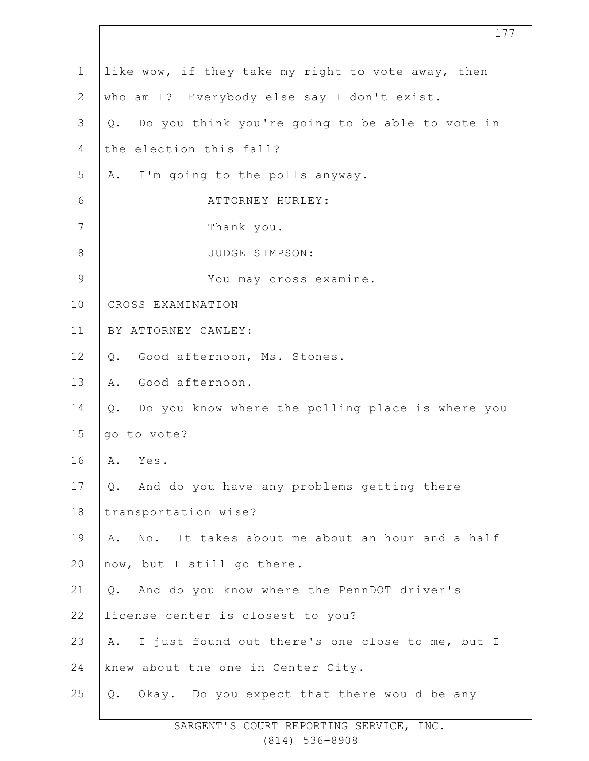| $\mathbf 1$    | like wow, if they take my right to vote away, then    |  |  |  |
|----------------|-------------------------------------------------------|--|--|--|
| $\mathbf{2}$   | who am I? Everybody else say I don't exist.           |  |  |  |
| $\mathfrak{Z}$ | Do you think you're going to be able to vote in<br>Q. |  |  |  |
| 4              | the election this fall?                               |  |  |  |
| 5              | A. I'm going to the polls anyway.                     |  |  |  |
| 6              | ATTORNEY HURLEY:                                      |  |  |  |
| 7              | Thank you.                                            |  |  |  |
| $8\,$          | JUDGE SIMPSON:                                        |  |  |  |
| $\mathsf 9$    | You may cross examine.                                |  |  |  |
| 10             | CROSS EXAMINATION                                     |  |  |  |
| 11             | BY ATTORNEY CAWLEY:                                   |  |  |  |
| 12             | Good afternoon, Ms. Stones.<br>$Q$ .                  |  |  |  |
| 13             | Good afternoon.<br>Α.                                 |  |  |  |
| 14             | Q. Do you know where the polling place is where you   |  |  |  |
| 15             | go to vote?                                           |  |  |  |
| 16             | A. Yes.                                               |  |  |  |
| 17             | And do you have any problems getting there<br>Q.      |  |  |  |
| 18             | transportation wise?                                  |  |  |  |
| 19             | No. It takes about me about an hour and a half<br>Α.  |  |  |  |
| 20             | now, but I still go there.                            |  |  |  |
| 21             | And do you know where the PennDOT driver's<br>Q.      |  |  |  |
| 22             | license center is closest to you?                     |  |  |  |
| 23             | I just found out there's one close to me, but I<br>Α. |  |  |  |
| 24             | knew about the one in Center City.                    |  |  |  |
| 25             | Q. Okay. Do you expect that there would be any        |  |  |  |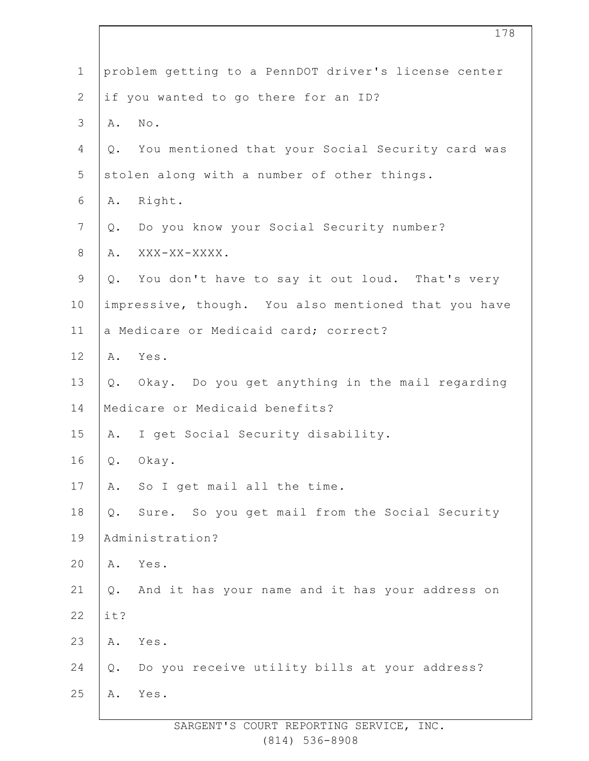| $\mathbf 1$    |                                                      | problem getting to a PennDOT driver's license center |  |  |  |  |  |
|----------------|------------------------------------------------------|------------------------------------------------------|--|--|--|--|--|
| $\overline{2}$ | if you wanted to go there for an ID?                 |                                                      |  |  |  |  |  |
| 3              | Α.                                                   | $\mathbb{N} \circ$ .                                 |  |  |  |  |  |
| 4              | Q.                                                   | You mentioned that your Social Security card was     |  |  |  |  |  |
| 5              | stolen along with a number of other things.          |                                                      |  |  |  |  |  |
| 6              | Α.                                                   | Right.                                               |  |  |  |  |  |
| 7              | Q.                                                   | Do you know your Social Security number?             |  |  |  |  |  |
| 8              | Α.                                                   | XXX-XX-XXXX.                                         |  |  |  |  |  |
| $\mathsf 9$    | Q.                                                   | You don't have to say it out loud. That's very       |  |  |  |  |  |
| 10             | impressive, though. You also mentioned that you have |                                                      |  |  |  |  |  |
| 11             | a Medicare or Medicaid card; correct?                |                                                      |  |  |  |  |  |
| 12             |                                                      | A. Yes.                                              |  |  |  |  |  |
| 13             |                                                      | Q. Okay. Do you get anything in the mail regarding   |  |  |  |  |  |
| 14             | Medicare or Medicaid benefits?                       |                                                      |  |  |  |  |  |
| 15             | Α.                                                   | I get Social Security disability.                    |  |  |  |  |  |
| 16             | Q.                                                   | Okay.                                                |  |  |  |  |  |
| 17             | Α.                                                   | So I get mail all the time.                          |  |  |  |  |  |
| 18             | Q.                                                   | Sure. So you get mail from the Social Security       |  |  |  |  |  |
| 19             | Administration?                                      |                                                      |  |  |  |  |  |
| 20             | Α.                                                   | Yes.                                                 |  |  |  |  |  |
| 21             | Q.                                                   | And it has your name and it has your address on      |  |  |  |  |  |
| 22             | it?                                                  |                                                      |  |  |  |  |  |
| 23             | Α.                                                   | Yes.                                                 |  |  |  |  |  |
| 24             | Q.                                                   | Do you receive utility bills at your address?        |  |  |  |  |  |
| 25             | Α.                                                   | Yes.                                                 |  |  |  |  |  |
|                |                                                      |                                                      |  |  |  |  |  |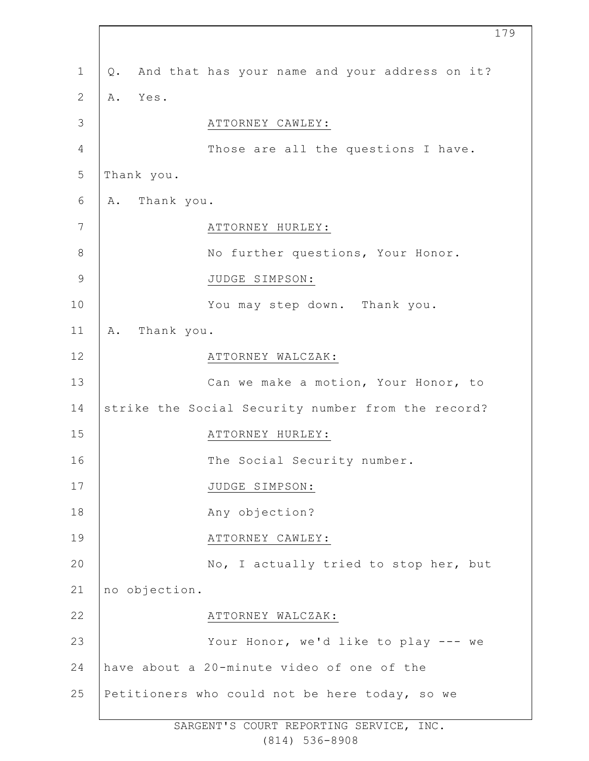| $\mathbf{1}$   | Q.         |               | And that has your name and your address on it?     |
|----------------|------------|---------------|----------------------------------------------------|
| $\mathbf{2}$   | Α.         | Yes.          |                                                    |
| 3              |            |               | ATTORNEY CAWLEY:                                   |
| $\overline{4}$ |            |               | Those are all the questions I have.                |
| $\mathsf S$    | Thank you. |               |                                                    |
| 6              |            | A. Thank you. |                                                    |
| 7              |            |               | ATTORNEY HURLEY:                                   |
| 8              |            |               | No further questions, Your Honor.                  |
| $\mathcal{G}$  |            |               | JUDGE SIMPSON:                                     |
| 10             |            |               | You may step down. Thank you.                      |
| 11             | Α.         | Thank you.    |                                                    |
| 12             |            |               | ATTORNEY WALCZAK:                                  |
| 13             |            |               | Can we make a motion, Your Honor, to               |
| 14             |            |               | strike the Social Security number from the record? |
| 15             |            |               | ATTORNEY HURLEY:                                   |
| 16             |            |               | The Social Security number.                        |
| 17             |            |               | JUDGE SIMPSON:                                     |
| 18             |            |               | Any objection?                                     |
| 19             |            |               | ATTORNEY CAWLEY:                                   |
| 20             |            |               | No, I actually tried to stop her, but              |
| 21             |            | no objection. |                                                    |
| 22             |            |               | ATTORNEY WALCZAK:                                  |
| 23             |            |               | Your Honor, we'd like to play --- we               |
| 24             |            |               | have about a 20-minute video of one of the         |
| 25             |            |               | Petitioners who could not be here today, so we     |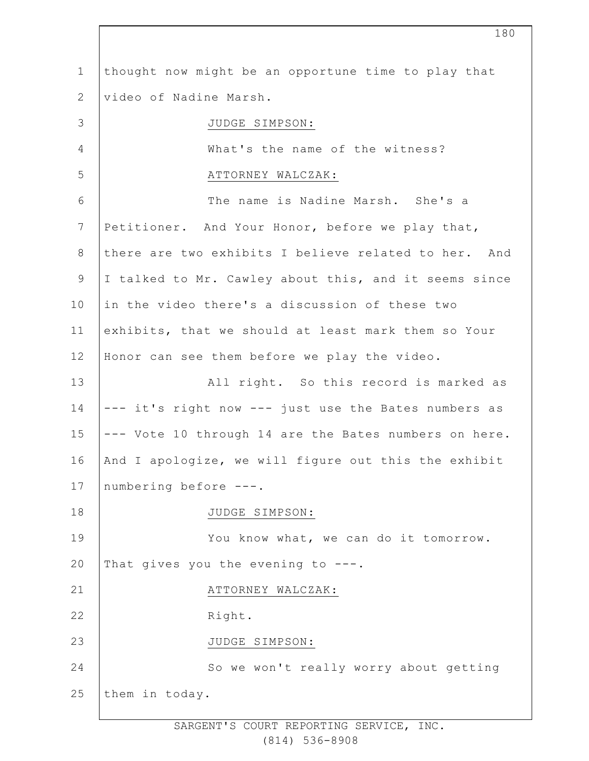1 2 3 4 5 6 7 8 9 10 11 12 13 14 15 16 17 18 19 20 21 22 23 24 25 thought now might be an opportune time to play that video of Nadine Marsh. JUDGE SIMPSON: What's the name of the witness? ATTORNEY WALCZAK: The name is Nadine Marsh. She's a Petitioner. And Your Honor, before we play that, there are two exhibits I believe related to her. And I talked to Mr. Cawley about this, and it seems since in the video there's a discussion of these two exhibits, that we should at least mark them so Your Honor can see them before we play the video. All right. So this record is marked as --- it's right now --- just use the Bates numbers as --- Vote 10 through 14 are the Bates numbers on here. And I apologize, we will figure out this the exhibit numbering before ---. JUDGE SIMPSON: You know what, we can do it tomorrow. That gives you the evening to  $---$ . ATTORNEY WALCZAK: Right. JUDGE SIMPSON: So we won't really worry about getting them in today.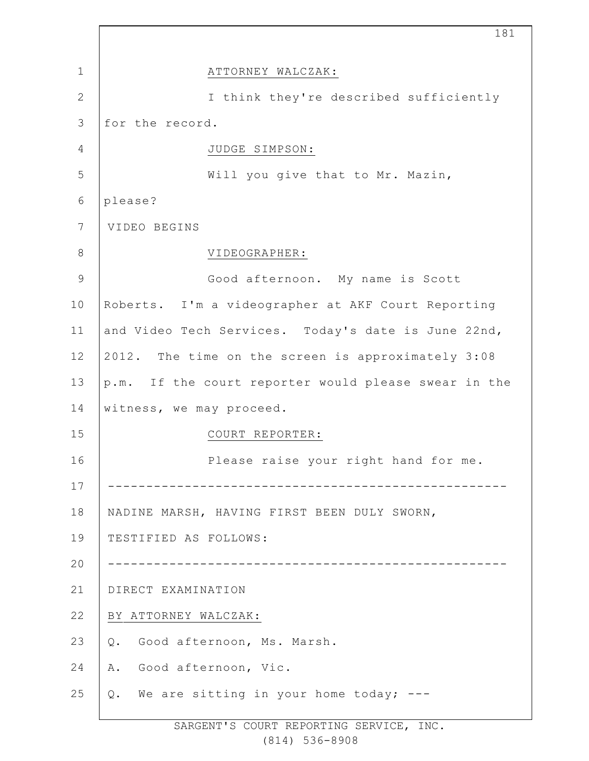|               | 181                                                  |
|---------------|------------------------------------------------------|
| $\mathbf 1$   | ATTORNEY WALCZAK:                                    |
| $\mathbf{2}$  | I think they're described sufficiently               |
| 3             | for the record.                                      |
| 4             | JUDGE SIMPSON:                                       |
| 5             | Will you give that to Mr. Mazin,                     |
| 6             | please?                                              |
| 7             | VIDEO BEGINS                                         |
| $8\,$         | VIDEOGRAPHER:                                        |
| $\mathcal{G}$ | Good afternoon. My name is Scott                     |
| 10            | Roberts. I'm a videographer at AKF Court Reporting   |
| 11            | and Video Tech Services. Today's date is June 22nd,  |
| 12            | 2012. The time on the screen is approximately 3:08   |
| 13            | p.m. If the court reporter would please swear in the |
| 14            | witness, we may proceed.                             |
| 15            | COURT REPORTER:                                      |
| 16            | Please raise your right hand for me.                 |
| 17            |                                                      |
| 18            | NADINE MARSH, HAVING FIRST BEEN DULY SWORN,          |
| 19            | TESTIFIED AS FOLLOWS:                                |
| 20            |                                                      |
| 21            | DIRECT EXAMINATION                                   |
| 22            | BY ATTORNEY WALCZAK:                                 |
| 23            | Good afternoon, Ms. Marsh.<br>Q.                     |
| 24            | Good afternoon, Vic.<br>Α.                           |
| 25            | Q. We are sitting in your home today; ---            |
|               |                                                      |

 $\Gamma$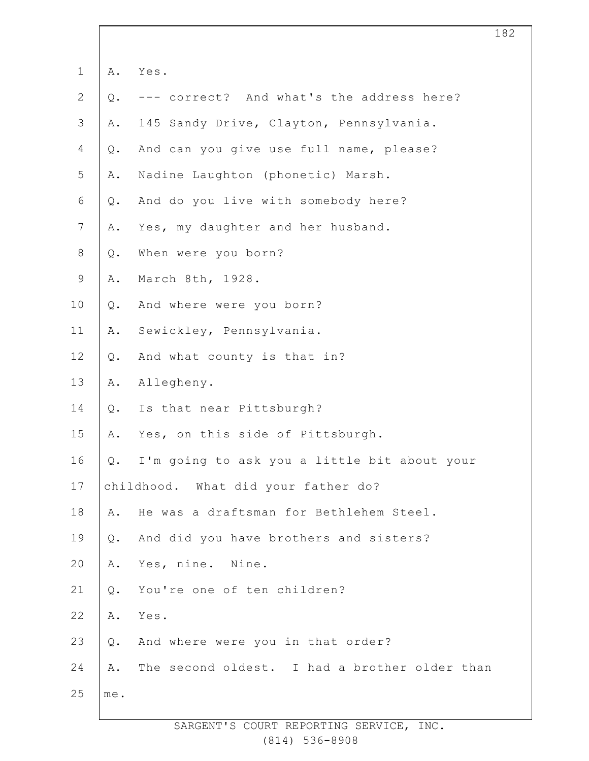| $\mathbf 1$    | Α.             | Yes.                                          |
|----------------|----------------|-----------------------------------------------|
| $\sqrt{2}$     | $Q$ .          | correct? And what's the address here?         |
| $\mathcal{S}$  | Α.             | 145 Sandy Drive, Clayton, Pennsylvania.       |
| $\overline{4}$ | $Q$ .          | And can you give use full name, please?       |
| 5              | Α.             | Nadine Laughton (phonetic) Marsh.             |
| 6              | $Q$ .          | And do you live with somebody here?           |
| $\overline{7}$ | Α.             | Yes, my daughter and her husband.             |
| $\,8\,$        | $Q$ .          | When were you born?                           |
| $\mathsf 9$    | Α.             | March 8th, 1928.                              |
| 10             | $\mathsf{Q}$ . | And where were you born?                      |
| 11             | Α.             | Sewickley, Pennsylvania.                      |
| 12             | $Q$ .          | And what county is that in?                   |
| 13             | Α.             | Allegheny.                                    |
| 14             | $Q$ .          | Is that near Pittsburgh?                      |
| 15             | Α.             | Yes, on this side of Pittsburgh.              |
| 16             | $Q$ .          | I'm going to ask you a little bit about your  |
| 17             |                | childhood. What did your father do?           |
| 18             | Α.             | He was a draftsman for Bethlehem Steel.       |
| 19             | $Q$ .          | And did you have brothers and sisters?        |
| 20             | Α.             | Yes, nine. Nine.                              |
| 21             | $Q$ .          | You're one of ten children?                   |
| 22             | Α.             | Yes.                                          |
| 23             | $Q$ .          | And where were you in that order?             |
| 24             | Α.             | The second oldest. I had a brother older than |
| 25             | me.            |                                               |
|                |                |                                               |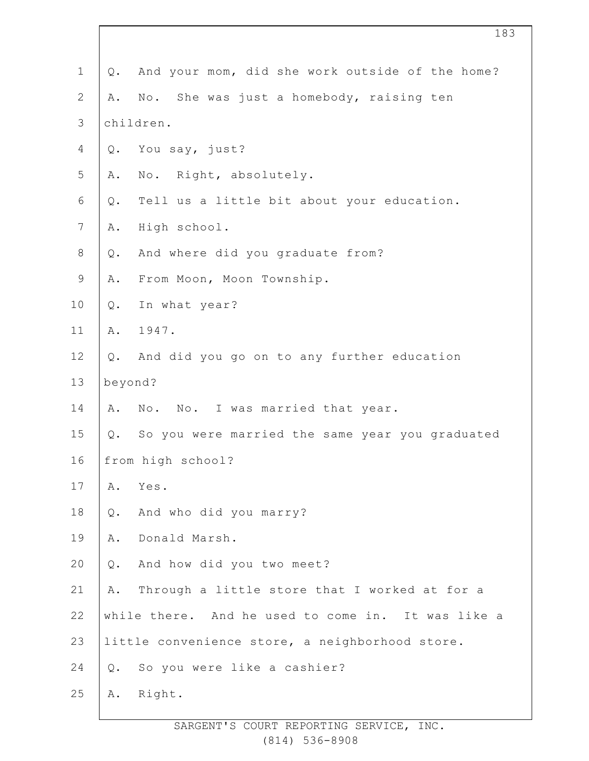| $\mathbf 1$    | Q.      | And your mom, did she work outside of the home?    |
|----------------|---------|----------------------------------------------------|
| $\mathbf{2}$   | Α.      | No. She was just a homebody, raising ten           |
| $\mathcal{S}$  |         | children.                                          |
| $\overline{4}$ | Q.      | You say, just?                                     |
| 5              | Α.      | No. Right, absolutely.                             |
| 6              | Q.      | Tell us a little bit about your education.         |
| $\overline{7}$ | Α.      | High school.                                       |
| $8\,$          | Q.      | And where did you graduate from?                   |
| $\mathsf 9$    | Α.      | From Moon, Moon Township.                          |
| 10             | Q.      | In what year?                                      |
| 11             | Α.      | 1947.                                              |
| 12             | Q.      | And did you go on to any further education         |
| 13             | beyond? |                                                    |
| 14             |         | A. No. No. I was married that year.                |
| 15             | Q.      | So you were married the same year you graduated    |
| 16             |         | from high school?                                  |
| 17             | Α.      | Yes.                                               |
| 18             | Q.      | And who did you marry?                             |
| 19             | Α.      | Donald Marsh.                                      |
| 20             | Q.      | And how did you two meet?                          |
| 21             | Α.      | Through a little store that I worked at for a      |
| 22             |         | while there. And he used to come in. It was like a |
| 23             |         | little convenience store, a neighborhood store.    |
| 24             | Q.      | So you were like a cashier?                        |
| 25             | Α.      | Right.                                             |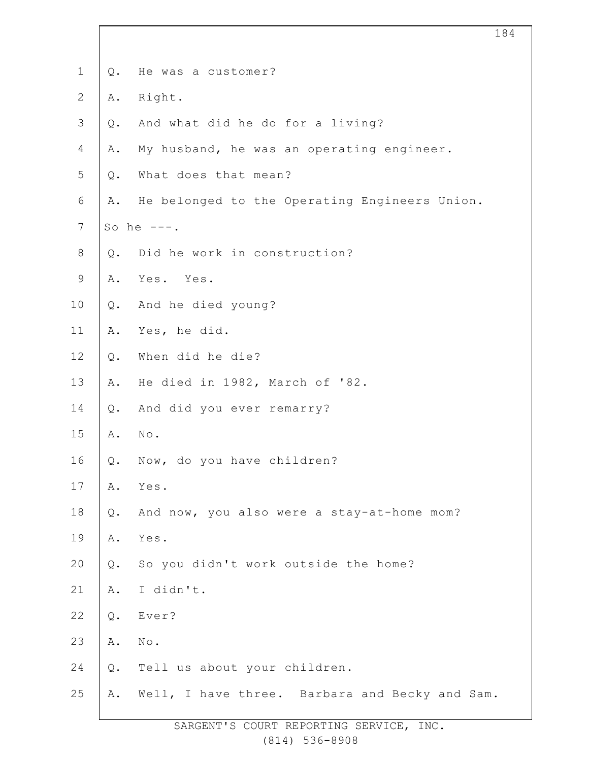| $\mathbf 1$    | Q.    | He was a customer?                             |
|----------------|-------|------------------------------------------------|
| $\overline{2}$ | Α.    | Right.                                         |
| $\mathcal{S}$  | Q.    | And what did he do for a living?               |
| $\overline{4}$ | Α.    | My husband, he was an operating engineer.      |
| 5              | $Q$ . | What does that mean?                           |
| $\epsilon$     | Α.    | He belonged to the Operating Engineers Union.  |
| $7\phantom{.}$ |       | So he $---$ .                                  |
| $\,8\,$        | $Q$ . | Did he work in construction?                   |
| $\mathsf 9$    | Α.    | Yes. Yes.                                      |
| 10             | Q.    | And he died young?                             |
| 11             | Α.    | Yes, he did.                                   |
| 12             | $Q$ . | When did he die?                               |
| 13             | Α.    | He died in 1982, March of '82.                 |
| 14             | Q.    | And did you ever remarry?                      |
| 15             | Α.    | $\texttt{No}$ .                                |
| 16             | Q.    | Now, do you have children?                     |
| 17             | Α.    | Yes.                                           |
| $18\,$         | $Q$ . | And now, you also were a stay-at-home mom?     |
| 19             | Α.    | Yes.                                           |
| 20             | $Q$ . | So you didn't work outside the home?           |
| 21             | Α.    | I didn't.                                      |
| 22             | $Q$ . | Ever?                                          |
| 23             | Α.    | No.                                            |
| 24             | $Q$ . | Tell us about your children.                   |
| 25             | Α.    | Well, I have three. Barbara and Becky and Sam. |
|                |       |                                                |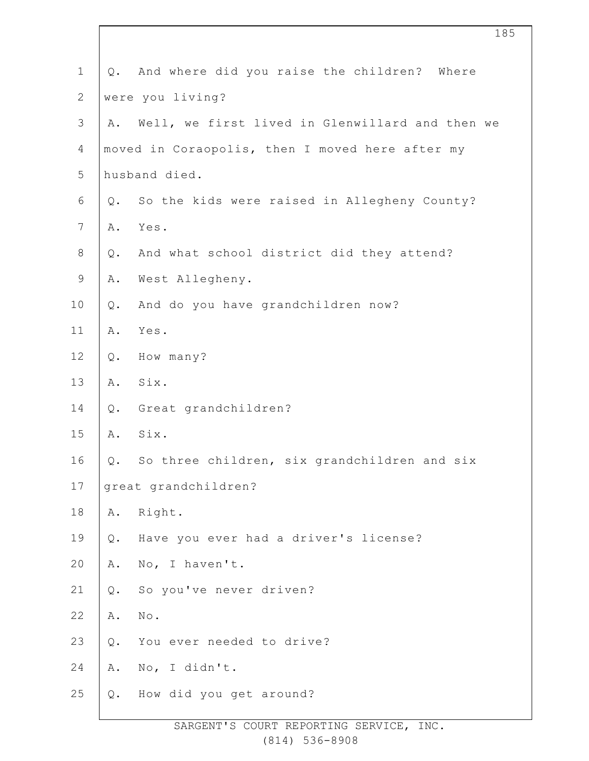| $\mathbf 1$    |    | Q. And where did you raise the children? Where  |
|----------------|----|-------------------------------------------------|
| $\mathbf{2}$   |    | were you living?                                |
| $\mathfrak{Z}$ | Α. | Well, we first lived in Glenwillard and then we |
| $\overline{4}$ |    | moved in Coraopolis, then I moved here after my |
| 5              |    | husband died.                                   |
| $\sqrt{6}$     | Q. | So the kids were raised in Allegheny County?    |
| $\overline{7}$ | Α. | Yes.                                            |
| $8\,$          | Q. | And what school district did they attend?       |
| $\mathsf 9$    | Α. | West Allegheny.                                 |
| 10             | Q. | And do you have grandchildren now?              |
| 11             | Α. | Yes.                                            |
| 12             | Q. | How many?                                       |
| 13             | Α. | Six.                                            |
| 14             | Q. | Great grandchildren?                            |
| 15             | Α. | Six.                                            |
| 16             | Q. | So three children, six grandchildren and six    |
| 17             |    | great grandchildren?                            |
| 18             | Α. | Right.                                          |
| 19             | Q. | Have you ever had a driver's license?           |
| 20             | Α. | No, I haven't.                                  |
| 21             | Q. | So you've never driven?                         |
| 22             | Α. | $\texttt{No}$ .                                 |
| 23             | Q. | You ever needed to drive?                       |
| 24             | Α. | No, I didn't.                                   |
| 25             | Q. | How did you get around?                         |
|                |    |                                                 |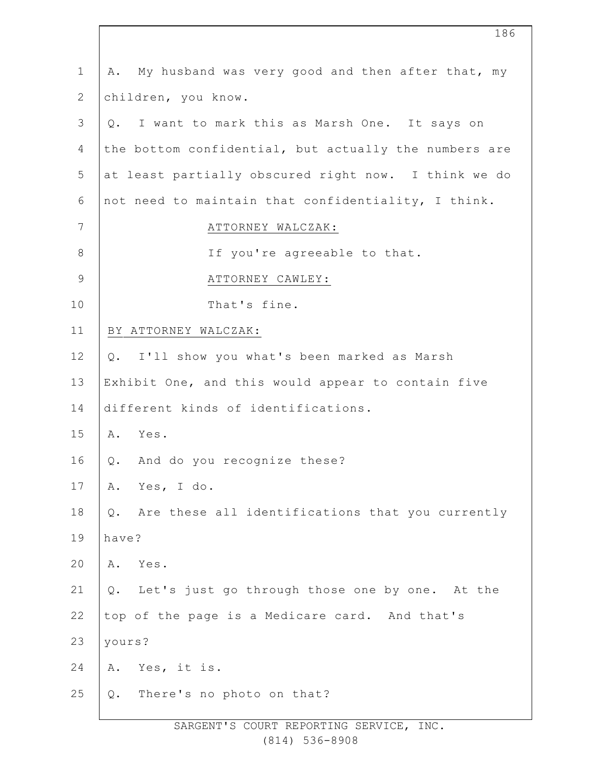| $\mathbf 1$    | My husband was very good and then after that, my<br>Α.    |
|----------------|-----------------------------------------------------------|
| 2              | children, you know.                                       |
| 3              | I want to mark this as Marsh One. It says on<br>Q.        |
| 4              | the bottom confidential, but actually the numbers are     |
| 5              | at least partially obscured right now. I think we do      |
| 6              | not need to maintain that confidentiality, I think.       |
| $\overline{7}$ | ATTORNEY WALCZAK:                                         |
| $\,8\,$        | If you're agreeable to that.                              |
| $\mathsf 9$    | ATTORNEY CAWLEY:                                          |
| 10             | That's fine.                                              |
| 11             | BY ATTORNEY WALCZAK:                                      |
| 12             | I'll show you what's been marked as Marsh<br>Q.           |
| 13             | Exhibit One, and this would appear to contain five        |
| 14             | different kinds of identifications.                       |
| 15             | Yes.<br>Α.                                                |
| 16             | And do you recognize these?<br>Q.                         |
| 17             | Yes, I do.<br>Α.                                          |
| 18             | Are these all identifications that you currently<br>$Q$ . |
| 19             | have?                                                     |
| 20             | Yes.<br>Α.                                                |
| 21             | Let's just go through those one by one. At the<br>Q.      |
| 22             | top of the page is a Medicare card. And that's            |
| 23             | yours?                                                    |
| 24             | Yes, it is.<br>Α.                                         |
| 25             | There's no photo on that?<br>Q.                           |
|                |                                                           |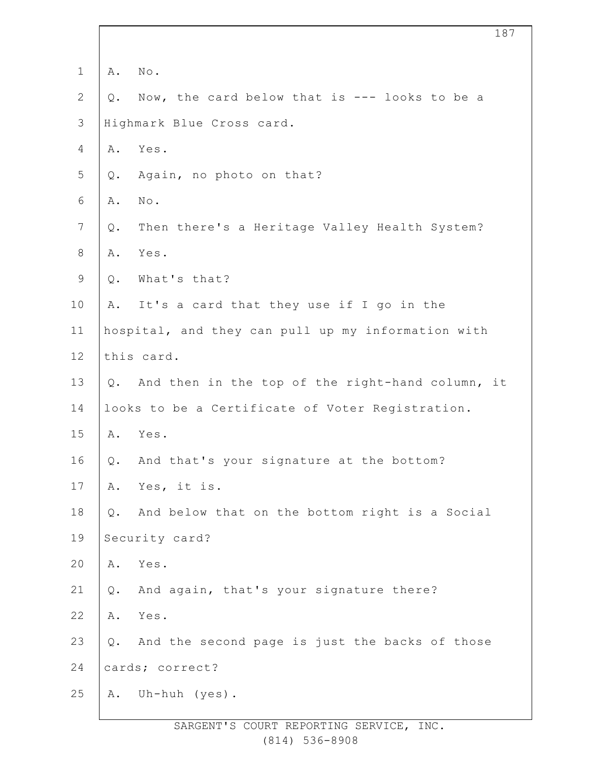| $\mathbf 1$    | Α.    | No.                                                 |
|----------------|-------|-----------------------------------------------------|
| $\mathbf{2}$   | Q.    | Now, the card below that is --- looks to be a       |
| 3              |       | Highmark Blue Cross card.                           |
| 4              | Α.    | Yes.                                                |
| 5              | Q.    | Again, no photo on that?                            |
| $\sqrt{6}$     | Α.    | $\texttt{No}$ .                                     |
| $7\phantom{.}$ | Q.    | Then there's a Heritage Valley Health System?       |
| $8\,$          | Α.    | Yes.                                                |
| $\mathsf 9$    | Q.    | What's that?                                        |
| 10             | Α.    | It's a card that they use if I go in the            |
| 11             |       | hospital, and they can pull up my information with  |
| 12             |       | this card.                                          |
| 13             |       | Q. And then in the top of the right-hand column, it |
| 14             |       | looks to be a Certificate of Voter Registration.    |
| 15             | Α.    | Yes.                                                |
| 16             | Q.    | And that's your signature at the bottom?            |
| 17             | Α.    | Yes, it is.                                         |
| 18             | $Q$ . | And below that on the bottom right is a Social      |
| 19             |       | Security card?                                      |
| 20             | Α.    | Yes.                                                |
| 21             | $Q$ . | And again, that's your signature there?             |
| 22             | Α.    | Yes.                                                |
| 23             | Q.    | And the second page is just the backs of those      |
| 24             |       | cards; correct?                                     |
| 25             | Α.    | Uh-huh (yes).                                       |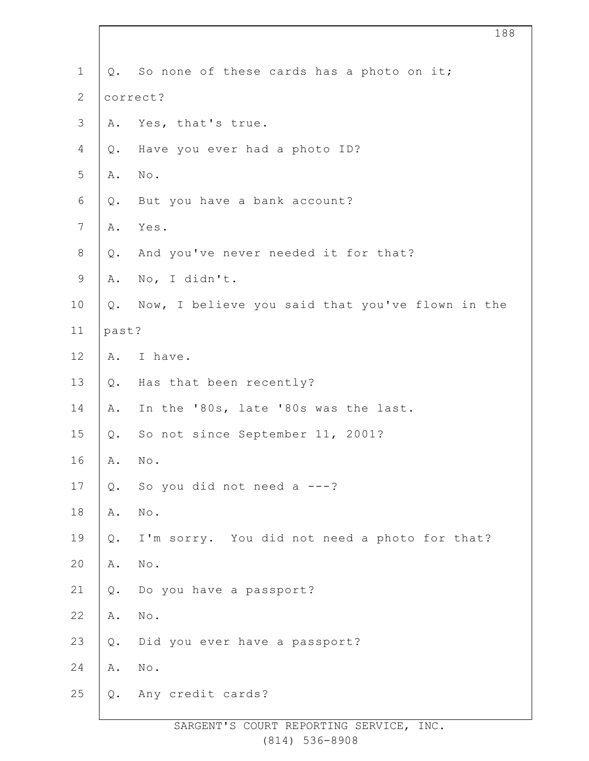| $\mathbf 1$    |          | Q. So none of these cards has a photo on it;     |
|----------------|----------|--------------------------------------------------|
| $\mathbf{2}$   | correct? |                                                  |
| $\mathfrak{Z}$ | Α.       | Yes, that's true.                                |
| $\overline{4}$ | Q.       | Have you ever had a photo ID?                    |
| $\mathsf S$    | Α.       | No.                                              |
| 6              | Q.       | But you have a bank account?                     |
| $\sqrt{ }$     | Α.       | Yes.                                             |
| $\,8\,$        | Q.       | And you've never needed it for that?             |
| $\mathsf 9$    | Α.       | No, I didn't.                                    |
| 10             | Q.       | Now, I believe you said that you've flown in the |
| 11             | past?    |                                                  |
| 12             | Α.       | I have.                                          |
| 13             | Q.       | Has that been recently?                          |
| 14             | Α.       | In the '80s, late '80s was the last.             |
| 15             | Q.       | So not since September 11, 2001?                 |
| 16             | Α.       | No.                                              |
| 17             | Q.       | So you did not need $a$ ---?                     |
| 18             | Α.       | $\mbox{No}$ .                                    |
| 19             | $Q$ .    | I'm sorry. You did not need a photo for that?    |
| 20             | Α.       | $\mbox{No}$ .                                    |
| 21             | Q.       | Do you have a passport?                          |
| 22             | Α.       | $\mbox{No}$ .                                    |
| 23             | $Q$ .    | Did you ever have a passport?                    |
| 24             | Α.       | $\mbox{No}$ .                                    |
| 25             | Q.       | Any credit cards?                                |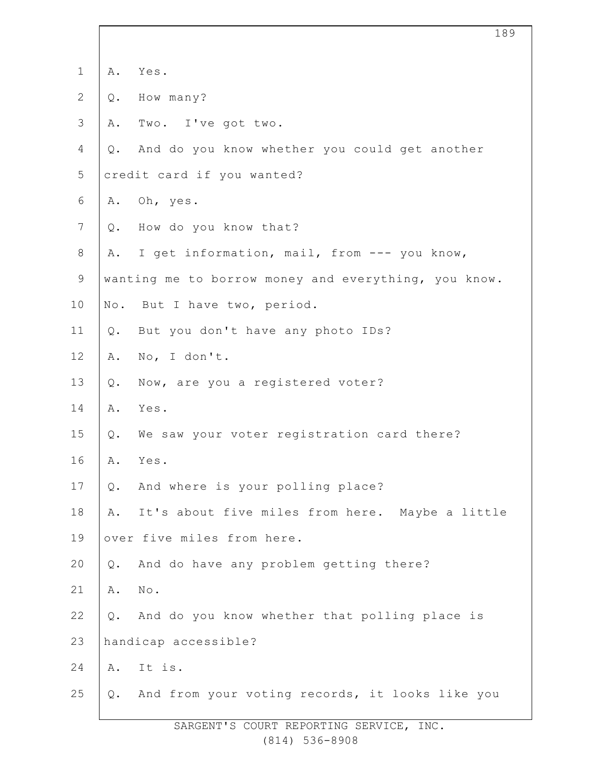| $\mathbf 1$    | Α.    | Yes.                                                 |
|----------------|-------|------------------------------------------------------|
| $\overline{2}$ | Q.    | How many?                                            |
| 3              | Α.    | Two. I've got two.                                   |
| 4              | $Q$ . | And do you know whether you could get another        |
| 5              |       | credit card if you wanted?                           |
| 6              | Α.    | Oh, yes.                                             |
| $\overline{7}$ | $Q$ . | How do you know that?                                |
| $8\,$          | Α.    | I get information, mail, from --- you know,          |
| $\mathsf 9$    |       | wanting me to borrow money and everything, you know. |
| 10             |       | No. But I have two, period.                          |
| 11             | Q.    | But you don't have any photo IDs?                    |
| 12             | Α.    | No, I don't.                                         |
| 13             | $Q$ . | Now, are you a registered voter?                     |
| 14             | Α.    | Yes.                                                 |
| 15             | $Q$ . | We saw your voter registration card there?           |
| 16             | Α.    | Yes.                                                 |
| 17             | Q.    | And where is your polling place?                     |
| 18             | Α.    | It's about five miles from here. Maybe a little      |
| 19             |       | over five miles from here.                           |
| 20             | Q.    | And do have any problem getting there?               |
| 21             | Α.    | No.                                                  |
| 22             | $Q$ . | And do you know whether that polling place is        |
| 23             |       | handicap accessible?                                 |
| 24             |       | A. It is.                                            |
| 25             | Q.    | And from your voting records, it looks like you      |
|                |       | DEDODETNO OEDIJT                                     |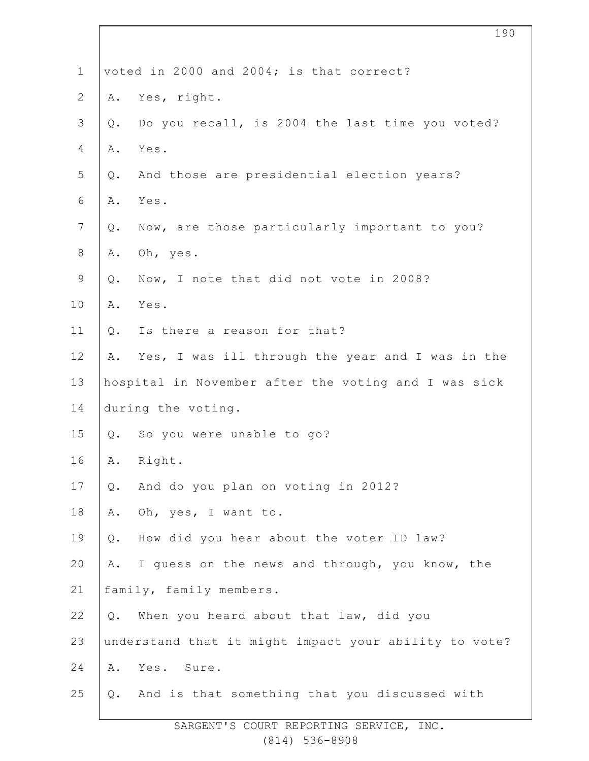| $\mathbf 1$     |       | voted in 2000 and 2004; is that correct?              |
|-----------------|-------|-------------------------------------------------------|
| $\mathbf{2}$    | Α.    | Yes, right.                                           |
| $\mathcal{S}$   | Q.    | Do you recall, is 2004 the last time you voted?       |
| $\overline{4}$  | Α.    | Yes.                                                  |
| 5               | Q.    | And those are presidential election years?            |
| 6               | Α.    | Yes.                                                  |
| $7\phantom{.0}$ | Q.    | Now, are those particularly important to you?         |
| $\,8\,$         | Α.    | Oh, yes.                                              |
| 9               | Q.    | Now, I note that did not vote in 2008?                |
| 10              | Α.    | Yes.                                                  |
| 11              | $Q$ . | Is there a reason for that?                           |
| 12              | Α.    | Yes, I was ill through the year and I was in the      |
| 13              |       | hospital in November after the voting and I was sick  |
| 14              |       | during the voting.                                    |
| 15              | Q.    | So you were unable to go?                             |
| 16              | Α.    | Right.                                                |
| 17              | Q.    | And do you plan on voting in 2012?                    |
| 18              | Α.    | Oh, yes, I want to.                                   |
| 19              | $Q$ . | How did you hear about the voter ID law?              |
| 20              | Α.    | I guess on the news and through, you know, the        |
| 21              |       | family, family members.                               |
| 22              | $Q$ . | When you heard about that law, did you                |
| 23              |       | understand that it might impact your ability to vote? |
| 24              | Α.    | Yes. Sure.                                            |
| 25              | Q.    | And is that something that you discussed with         |
|                 |       |                                                       |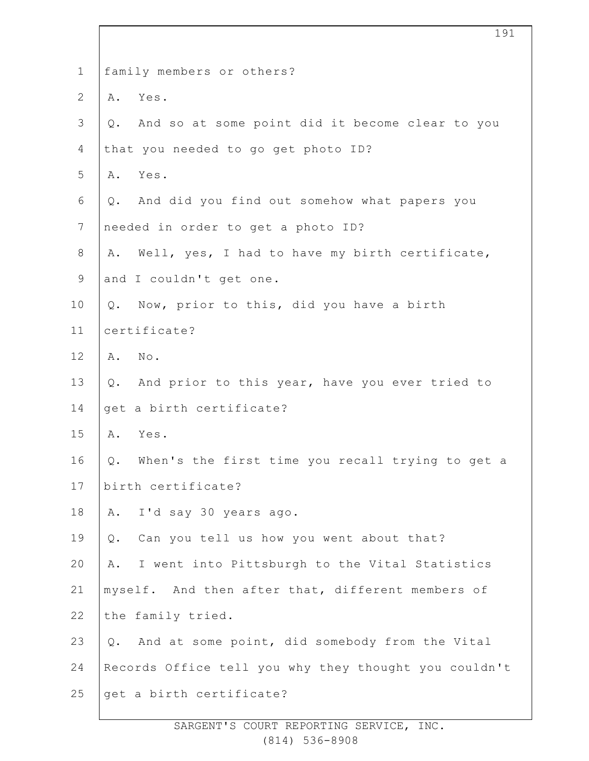| $\mathbf 1$    | family members or others?                              |
|----------------|--------------------------------------------------------|
| $\mathbf{2}$   | Yes.<br>Α.                                             |
| $\mathfrak{Z}$ | And so at some point did it become clear to you<br>Q.  |
| 4              | that you needed to go get photo ID?                    |
| 5              | Yes.<br>Α.                                             |
| $\epsilon$     | And did you find out somehow what papers you<br>Q.     |
| $\overline{7}$ | needed in order to get a photo ID?                     |
| $\,8\,$        | Well, yes, I had to have my birth certificate,<br>Α.   |
| $\mathsf 9$    | and I couldn't get one.                                |
| 10             | Now, prior to this, did you have a birth<br>Q.         |
| 11             | certificate?                                           |
| 12             | No.<br>Α.                                              |
| 13             | And prior to this year, have you ever tried to<br>Q.   |
| 14             | get a birth certificate?                               |
| 15             | Yes.<br>Α.                                             |
| 16             | When's the first time you recall trying to get a<br>Q. |
| 17             | birth certificate?                                     |
| 18             | I'd say 30 years ago.<br>Α.                            |
| 19             | Can you tell us how you went about that?<br>Q.         |
| 20             | I went into Pittsburgh to the Vital Statistics<br>Α.   |
| 21             | myself. And then after that, different members of      |
| 22             | the family tried.                                      |
| 23             | And at some point, did somebody from the Vital<br>Q.   |
| 24             | Records Office tell you why they thought you couldn't  |
| 25             | get a birth certificate?                               |
|                |                                                        |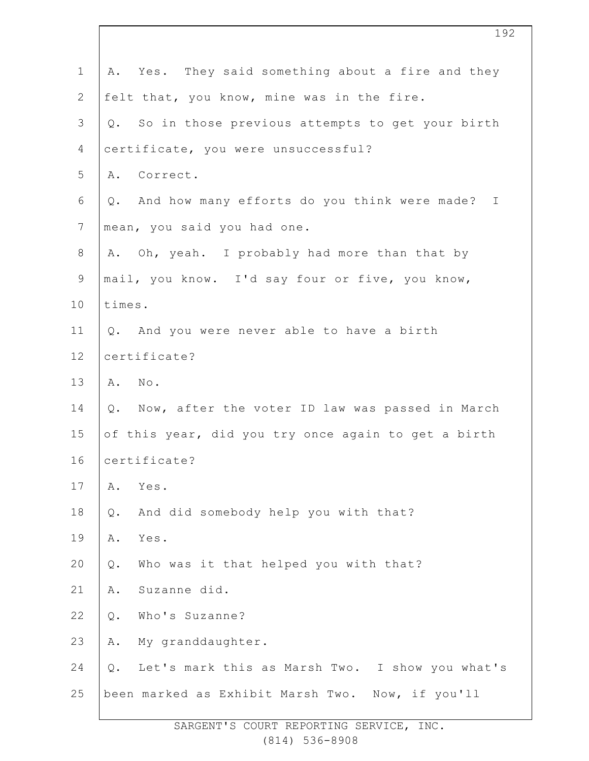| $\mathbf 1$    | A. Yes. They said something about a fire and they        |
|----------------|----------------------------------------------------------|
| $\mathbf{2}$   | felt that, you know, mine was in the fire.               |
| $\mathcal{S}$  | Q. So in those previous attempts to get your birth       |
| 4              | certificate, you were unsuccessful?                      |
| 5              | A. Correct.                                              |
| 6              | Q. And how many efforts do you think were made? I        |
| $\overline{7}$ | mean, you said you had one.                              |
| $\,8\,$        | A. Oh, yeah. I probably had more than that by            |
| $\mathsf 9$    | mail, you know. I'd say four or five, you know,          |
| 10             | times.                                                   |
| 11             | Q. And you were never able to have a birth               |
| 12             | certificate?                                             |
| 13             | A. No.                                                   |
| 14             | Now, after the voter ID law was passed in March<br>Q.    |
| 15             | of this year, did you try once again to get a birth      |
| 16             | certificate?                                             |
| 17             | Yes.<br>Α.                                               |
| 18             | And did somebody help you with that?<br>$Q$ .            |
| 19             | Yes.<br>Α.                                               |
| 20             | Who was it that helped you with that?<br>$Q$ .           |
| 21             | Suzanne did.<br>Α.                                       |
| 22             | Who's Suzanne?<br>$Q$ .                                  |
| 23             | My granddaughter.<br>Α.                                  |
| 24             | Let's mark this as Marsh Two. I show you what's<br>$Q$ . |
| 25             | been marked as Exhibit Marsh Two. Now, if you'll         |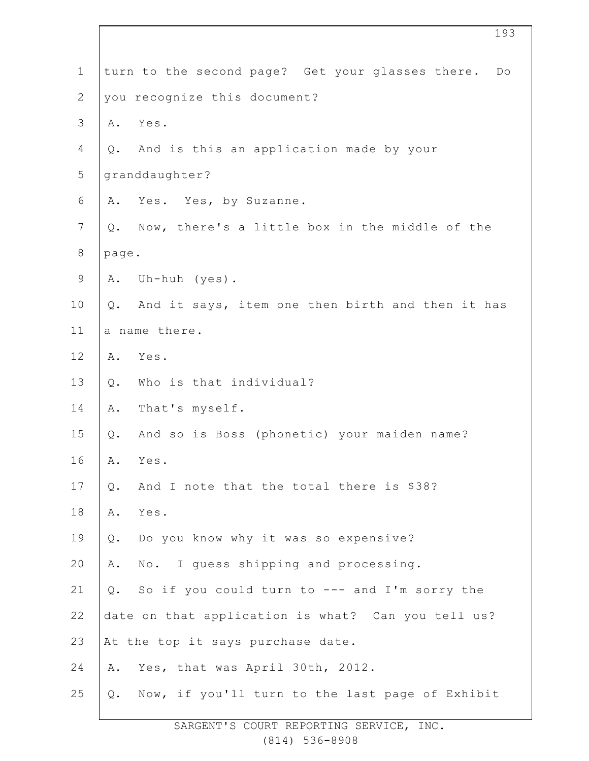| $\mathbf 1$    |       | turn to the second page? Get your glasses there. Do |
|----------------|-------|-----------------------------------------------------|
| $\mathbf{2}$   |       | you recognize this document?                        |
| $\mathfrak{Z}$ | Α.    | Yes.                                                |
| 4              | Q.    | And is this an application made by your             |
| 5              |       | granddaughter?                                      |
| 6              | Α.    | Yes. Yes, by Suzanne.                               |
| $\overline{7}$ | Q.    | Now, there's a little box in the middle of the      |
| $\,8\,$        | page. |                                                     |
| $\mathsf 9$    | Α.    | Uh-huh (yes).                                       |
| 10             |       | Q. And it says, item one then birth and then it has |
| 11             |       | a name there.                                       |
| 12             | Α.    | Yes.                                                |
| 13             | $Q$ . | Who is that individual?                             |
| 14             | Α.    | That's myself.                                      |
| 15             | Q.    | And so is Boss (phonetic) your maiden name?         |
| 16             | Α.    | Yes.                                                |
| 17             | Q.    | And I note that the total there is \$38?            |
| 18             | Α.    | Yes.                                                |
| 19             | $Q$ . | Do you know why it was so expensive?                |
| 20             | Α.    | No. I guess shipping and processing.                |
| 21             | Q.    | So if you could turn to --- and I'm sorry the       |
| 22             |       | date on that application is what? Can you tell us?  |
| 23             |       | At the top it says purchase date.                   |
| 24             | Α.    | Yes, that was April 30th, 2012.                     |
| 25             | Q.    | Now, if you'll turn to the last page of Exhibit     |
|                |       |                                                     |

SARGENT'S COURT REPORTING SERVICE, INC. (814) 536-8908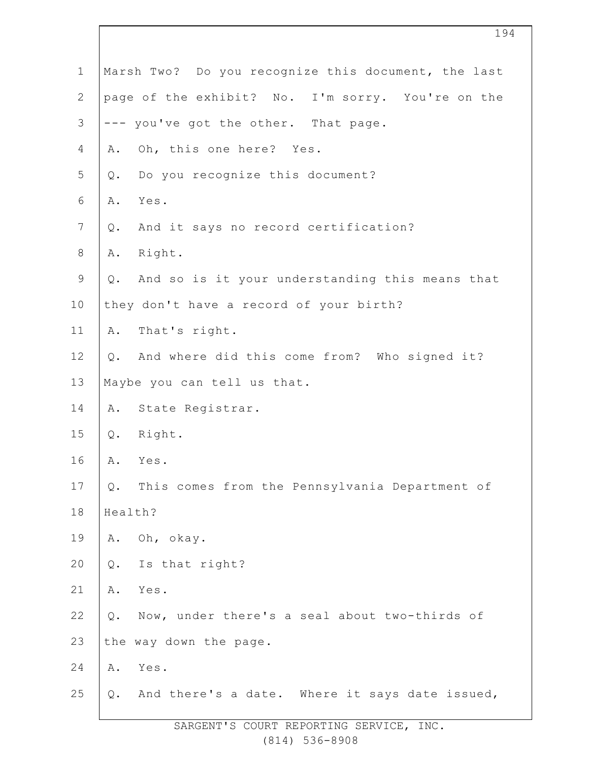| $\mathbf 1$    | Marsh Two? Do you recognize this document, the last    |
|----------------|--------------------------------------------------------|
| $\mathbf{2}$   | page of the exhibit? No. I'm sorry. You're on the      |
| 3              | --- you've got the other. That page.                   |
| 4              | Oh, this one here? Yes.<br>Α.                          |
| 5              | Do you recognize this document?<br>$Q$ .               |
| 6              | Yes.<br>Α.                                             |
| $\overline{7}$ | And it says no record certification?<br>Q.             |
| $\,8\,$        | Right.<br>Α.                                           |
| $\mathsf 9$    | And so is it your understanding this means that<br>Q.  |
| 10             | they don't have a record of your birth?                |
| 11             | That's right.<br>Α.                                    |
| 12             | And where did this come from? Who signed it?<br>$Q$ .  |
| 13             | Maybe you can tell us that.                            |
| 14             | State Registrar.<br>Α.                                 |
| 15             | Right.<br>$Q$ .                                        |
| 16             | Α.<br>Yes.                                             |
| 17             | This comes from the Pennsylvania Department of<br>Q.   |
| 18             | Health?                                                |
| 19             | Oh, okay.<br>Α.                                        |
| 20             | Is that right?<br>$Q$ .                                |
| 21             | Α.<br>Yes.                                             |
| 22             | Now, under there's a seal about two-thirds of<br>$Q$ . |
| 23             | the way down the page.                                 |
| 24             | Yes.<br>Α.                                             |
| 25             | And there's a date. Where it says date issued,<br>Q.   |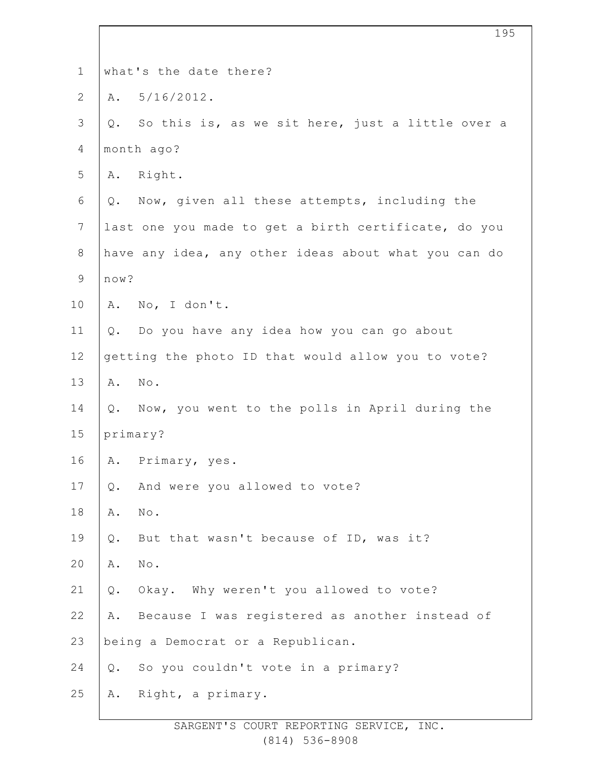| $\mathbf 1$    | what's the date there?                                 |
|----------------|--------------------------------------------------------|
| $\mathbf{2}$   | A. 5/16/2012.                                          |
| $\mathfrak{Z}$ | So this is, as we sit here, just a little over a<br>Q. |
| $\overline{4}$ | month ago?                                             |
| 5              | Right.<br>Α.                                           |
| 6              | Now, given all these attempts, including the<br>Q.     |
| $7\phantom{.}$ | last one you made to get a birth certificate, do you   |
| $8\,$          | have any idea, any other ideas about what you can do   |
| $\mathsf 9$    | now?                                                   |
| 10             | No, I don't.<br>Α.                                     |
| 11             | Q. Do you have any idea how you can go about           |
| 12             | getting the photo ID that would allow you to vote?     |
| 13             | $\mbox{No}$ .<br>Α.                                    |
| 14             | Now, you went to the polls in April during the<br>Q.   |
| 15             | primary?                                               |
| 16             | A. Primary, yes.                                       |
| 17             | And were you allowed to vote?<br>Q.                    |
| 18             | $\texttt{No}$ .<br>Α.                                  |
| 19             | But that wasn't because of ID, was it?<br>$Q$ .        |
| 20             | $\texttt{No}$ .<br>Α.                                  |
| 21             | Okay. Why weren't you allowed to vote?<br>Q.           |
| 22             | Because I was registered as another instead of<br>Α.   |
| 23             | being a Democrat or a Republican.                      |
| 24             | So you couldn't vote in a primary?<br>$Q$ .            |
| 25             | Right, a primary.<br>Α.                                |
|                |                                                        |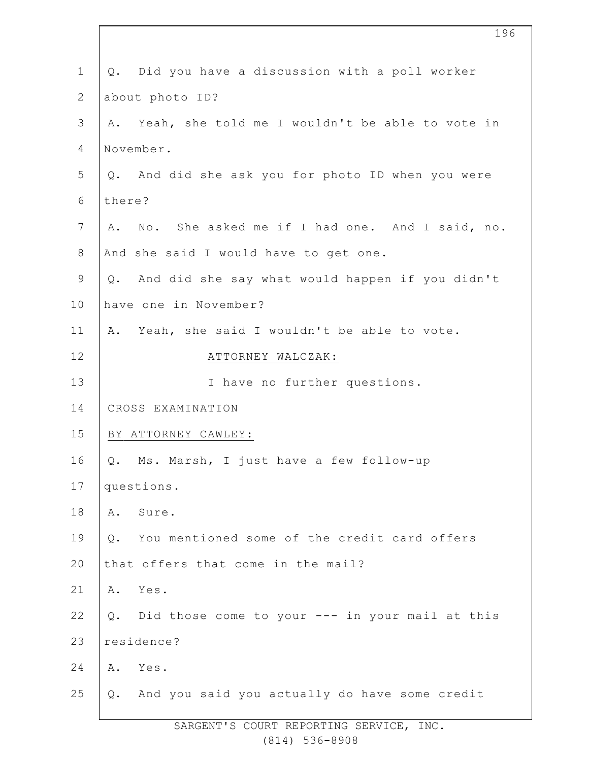| $\mathbf 1$     | Did you have a discussion with a poll worker<br>Q.    |
|-----------------|-------------------------------------------------------|
| $\mathbf{2}$    | about photo ID?                                       |
| $\mathcal{S}$   | Yeah, she told me I wouldn't be able to vote in<br>Α. |
| $\overline{4}$  | November.                                             |
| 5               | Q. And did she ask you for photo ID when you were     |
| 6               | there?                                                |
| $7\phantom{.0}$ | A. No. She asked me if I had one. And I said, no.     |
| $\,8\,$         | And she said I would have to get one.                 |
| $\mathsf 9$     | And did she say what would happen if you didn't<br>Q. |
| 10              | have one in November?                                 |
| 11              | A. Yeah, she said I wouldn't be able to vote.         |
| 12              | ATTORNEY WALCZAK:                                     |
| 13              | I have no further questions.                          |
| 14              | CROSS EXAMINATION                                     |
| 15              | BY ATTORNEY CAWLEY:                                   |
| 16              | Ms. Marsh, I just have a few follow-up<br>Q.          |
| 17              | questions.                                            |
| 18              | Α.<br>Sure.                                           |
| 19              | You mentioned some of the credit card offers<br>Q.    |
| 20              | that offers that come in the mail?                    |
| 21              | Yes.<br>Α.                                            |
| 22              | Q. Did those come to your --- in your mail at this    |
| 23              | residence?                                            |
| 24              | Yes.<br>Α.                                            |
| 25              | Q. And you said you actually do have some credit      |
|                 |                                                       |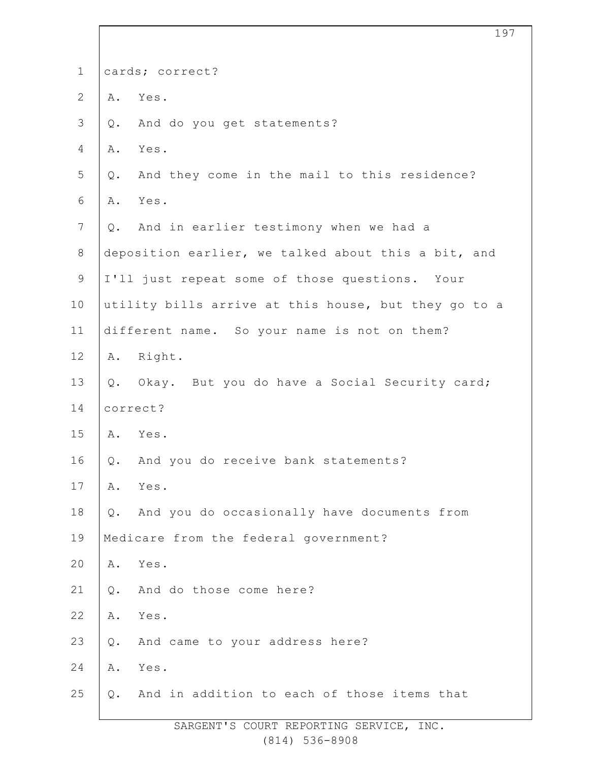| $\mathbf 1$    |       | cards; correct?                                      |
|----------------|-------|------------------------------------------------------|
| $\mathbf{2}$   | Α.    | Yes.                                                 |
| $\mathfrak{Z}$ | Q.    | And do you get statements?                           |
| 4              | Α.    | Yes.                                                 |
| 5              | $Q$ . | And they come in the mail to this residence?         |
| 6              | Α.    | Yes.                                                 |
| $\overline{7}$ |       | Q. And in earlier testimony when we had a            |
| $\,8\,$        |       | deposition earlier, we talked about this a bit, and  |
| $\mathsf 9$    |       | I'll just repeat some of those questions. Your       |
| 10             |       | utility bills arrive at this house, but they go to a |
| 11             |       | different name. So your name is not on them?         |
| 12             |       | A. Right.                                            |
| 13             |       | Q. Okay. But you do have a Social Security card;     |
| 14             |       | correct?                                             |
| 15             |       | A. Yes.                                              |
| 16             | Q.    | And you do receive bank statements?                  |
| 17             | Α.    | Yes.                                                 |
| 18             | $Q$ . | And you do occasionally have documents from          |
| 19             |       | Medicare from the federal government?                |
| 20             | Α.    | Yes.                                                 |
| 21             | Q.    | And do those come here?                              |
| 22             | Α.    | Yes.                                                 |
| 23             | $Q$ . | And came to your address here?                       |
| 24             | Α.    | Yes.                                                 |
| 25             | Q.    | And in addition to each of those items that          |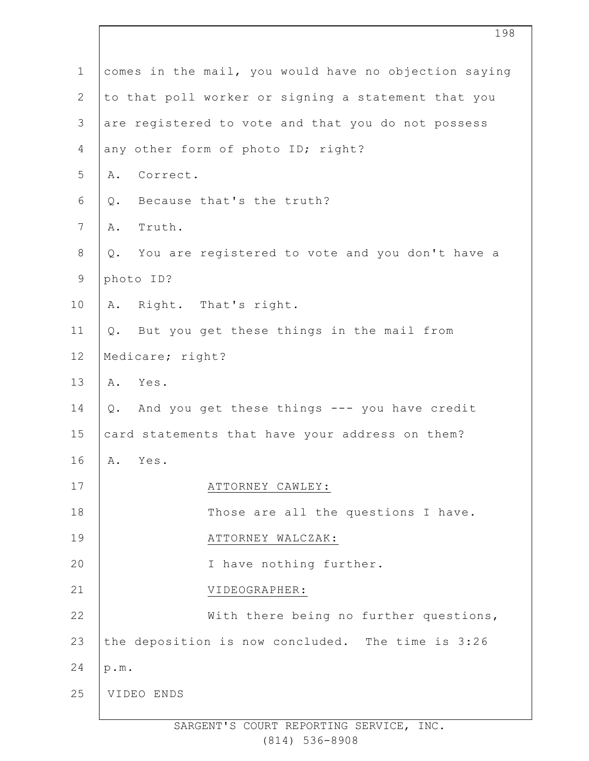| $\mathbf 1$    | comes in the mail, you would have no objection saying |
|----------------|-------------------------------------------------------|
| $\overline{2}$ | to that poll worker or signing a statement that you   |
| 3              | are registered to vote and that you do not possess    |
| 4              | any other form of photo ID; right?                    |
| 5              | Correct.<br>Α.                                        |
| 6              | Because that's the truth?<br>Q.                       |
| $\overline{7}$ | Truth.<br>Α.                                          |
| 8              | You are registered to vote and you don't have a<br>Q. |
| 9              | photo ID?                                             |
| 10             | Right. That's right.<br>Α.                            |
| 11             | Q. But you get these things in the mail from          |
| 12             | Medicare; right?                                      |
| 13             | A. Yes.                                               |
| 14             | Q. And you get these things --- you have credit       |
| 15             | card statements that have your address on them?       |
| 16             | Yes.<br>Α.                                            |
| 17             | ATTORNEY CAWLEY:                                      |
| 18             | Those are all the questions I have.                   |
| 19             | ATTORNEY WALCZAK:                                     |
| 20             | I have nothing further.                               |
| 21             | VIDEOGRAPHER:                                         |
| 22             | With there being no further questions,                |
| 23             | the deposition is now concluded. The time is 3:26     |
| 24             | p.m.                                                  |
| 25             | VIDEO ENDS                                            |
|                |                                                       |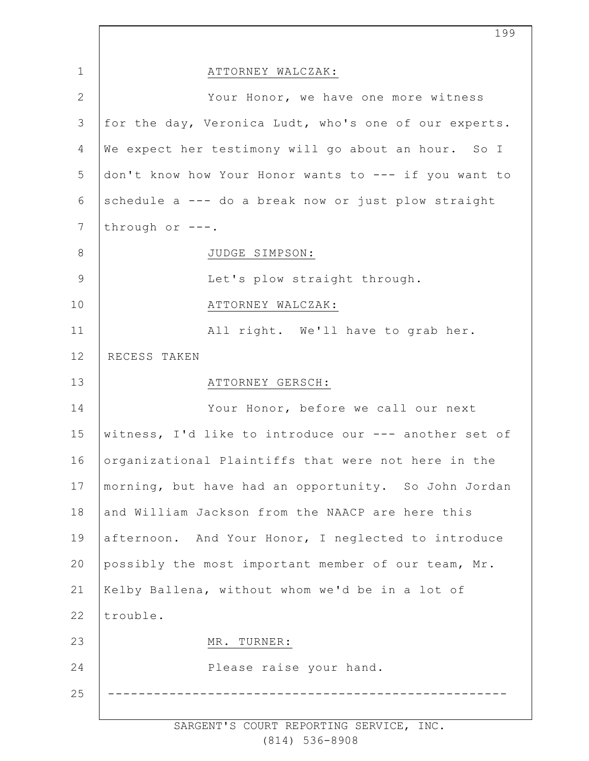|                | 199                                                   |
|----------------|-------------------------------------------------------|
| $\mathbf 1$    | ATTORNEY WALCZAK:                                     |
| $\overline{2}$ | Your Honor, we have one more witness                  |
| $\mathfrak{Z}$ | for the day, Veronica Ludt, who's one of our experts. |
| 4              | We expect her testimony will go about an hour. So I   |
| 5              | don't know how Your Honor wants to --- if you want to |
| 6              | schedule a --- do a break now or just plow straight   |
| $7\phantom{.}$ | through or $---$ .                                    |
| 8              | JUDGE SIMPSON:                                        |
| $\mathcal{G}$  | Let's plow straight through.                          |
| 10             | ATTORNEY WALCZAK:                                     |
| 11             | All right. We'll have to grab her.                    |
| 12             | RECESS TAKEN                                          |
| 13             | ATTORNEY GERSCH:                                      |
| 14             | Your Honor, before we call our next                   |
| 15             | witness, I'd like to introduce our --- another set of |
| 16             | organizational Plaintiffs that were not here in the   |
| 17             | morning, but have had an opportunity. So John Jordan  |
| 18             | and William Jackson from the NAACP are here this      |
| 19             | afternoon. And Your Honor, I neglected to introduce   |
| 20             | possibly the most important member of our team, Mr.   |
| 21             | Kelby Ballena, without whom we'd be in a lot of       |
| 22             | trouble.                                              |
| 23             | MR. TURNER:                                           |
| 24             | Please raise your hand.                               |
| 25             |                                                       |
|                |                                                       |

SARGENT'S COURT REPORTING SERVICE, INC. (814) 536-8908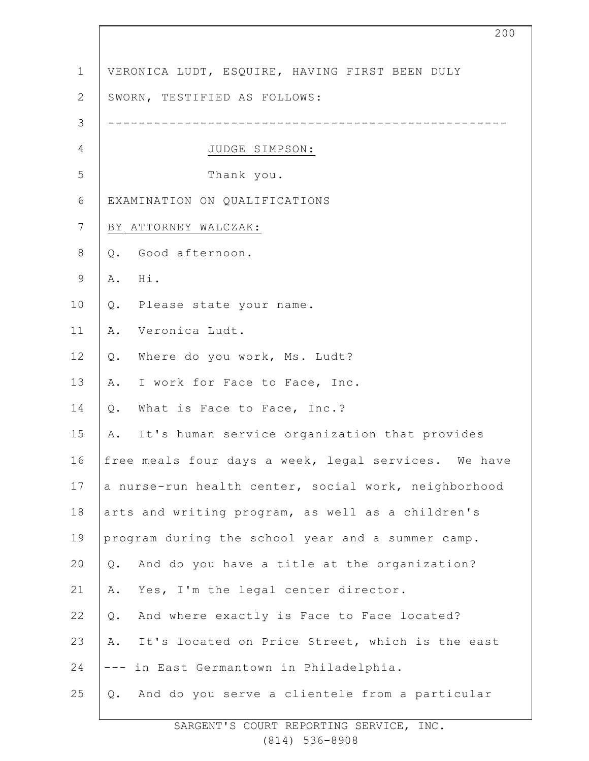| $\mathbf 1$    | VERONICA LUDT, ESQUIRE, HAVING FIRST BEEN DULY        |
|----------------|-------------------------------------------------------|
| $\mathbf{2}$   | SWORN, TESTIFIED AS FOLLOWS:                          |
| 3              |                                                       |
| 4              | JUDGE SIMPSON:                                        |
| 5              | Thank you.                                            |
| 6              | EXAMINATION ON QUALIFICATIONS                         |
| $\overline{7}$ | BY ATTORNEY WALCZAK:                                  |
| $\,8\,$        | Good afternoon.<br>Q.                                 |
| $\mathsf 9$    | A. Hi.                                                |
| 10             | Q. Please state your name.                            |
| 11             | Veronica Ludt.<br>Α.                                  |
| 12             | Where do you work, Ms. Ludt?<br>$Q$ .                 |
| 13             | A. I work for Face to Face, Inc.                      |
| 14             | What is Face to Face, Inc.?<br>Q.                     |
| 15             | A. It's human service organization that provides      |
| 16             | free meals four days a week, legal services. We have  |
| 17             | a nurse-run health center, social work, neighborhood  |
| 18             | arts and writing program, as well as a children's     |
| 19             | program during the school year and a summer camp.     |
| 20             | And do you have a title at the organization?<br>$Q$ . |
| 21             | Yes, I'm the legal center director.<br>Α.             |
| 22             | And where exactly is Face to Face located?<br>$Q$ .   |
| 23             | It's located on Price Street, which is the east<br>Α. |
| 24             | in East Germantown in Philadelphia.<br>$-- -$         |
| 25             | And do you serve a clientele from a particular<br>Q.  |
|                |                                                       |

200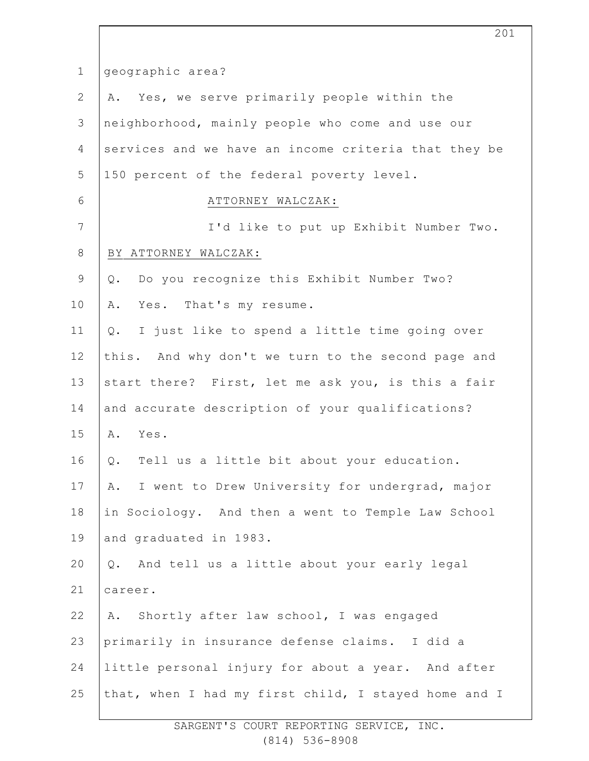| $\mathbf 1$    | geographic area?                                     |
|----------------|------------------------------------------------------|
| $\mathbf{2}$   | A. Yes, we serve primarily people within the         |
| 3              | neighborhood, mainly people who come and use our     |
| 4              | services and we have an income criteria that they be |
| 5              | 150 percent of the federal poverty level.            |
| 6              | ATTORNEY WALCZAK:                                    |
| $7\phantom{.}$ | I'd like to put up Exhibit Number Two.               |
| $\,8\,$        | BY ATTORNEY WALCZAK:                                 |
| $\mathsf 9$    | Do you recognize this Exhibit Number Two?<br>Q.      |
| 10             | Yes. That's my resume.<br>Α.                         |
| 11             | I just like to spend a little time going over<br>Q.  |
| 12             | this. And why don't we turn to the second page and   |
| 13             | start there? First, let me ask you, is this a fair   |
| 14             | and accurate description of your qualifications?     |
| 15             | A. Yes.                                              |
| 16             | Tell us a little bit about your education.<br>Q.     |
| 17             | I went to Drew University for undergrad, major<br>Α. |
| 18             | in Sociology. And then a went to Temple Law School   |
| 19             | and graduated in 1983.                               |
| 20             | Q. And tell us a little about your early legal       |
| 21             | career.                                              |
| 22             | Shortly after law school, I was engaged<br>Α.        |
| 23             | primarily in insurance defense claims. I did a       |
| 24             | little personal injury for about a year. And after   |
| 25             | that, when I had my first child, I stayed home and I |
|                |                                                      |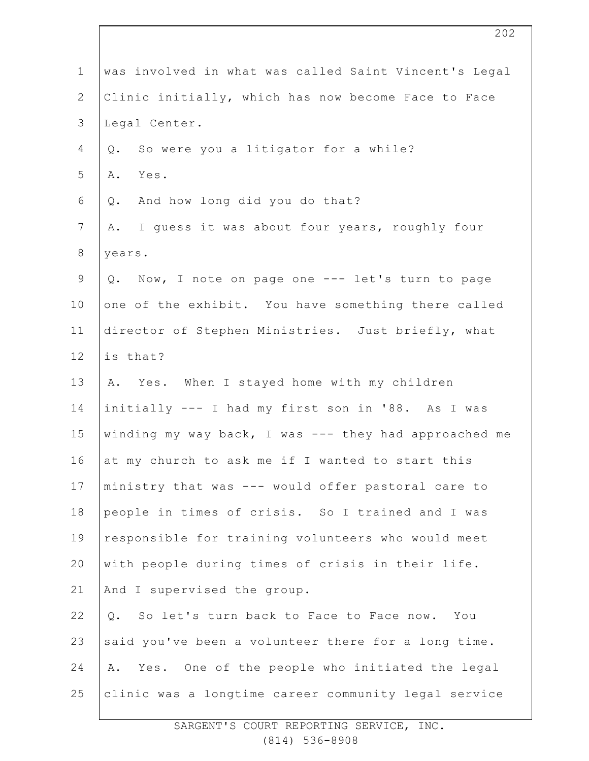| $\mathbf 1$    | was involved in what was called Saint Vincent's Legal |
|----------------|-------------------------------------------------------|
| $\mathbf{2}$   | Clinic initially, which has now become Face to Face   |
| $\mathfrak{Z}$ | Legal Center.                                         |
| 4              | So were you a litigator for a while?<br>Q.            |
| 5              | Α.<br>Yes.                                            |
| 6              | And how long did you do that?<br>Q.                   |
| $\overline{7}$ | I guess it was about four years, roughly four<br>Α.   |
| $8\,$          | years.                                                |
| $\mathsf 9$    | Q. Now, I note on page one --- let's turn to page     |
| 10             | one of the exhibit. You have something there called   |
| 11             | director of Stephen Ministries. Just briefly, what    |
| 12             | is that?                                              |
| 13             | A. Yes. When I stayed home with my children           |
| 14             | initially --- I had my first son in '88. As I was     |
| 15             | winding my way back, I was --- they had approached me |
| 16             | at my church to ask me if I wanted to start this      |
| 17             | ministry that was --- would offer pastoral care to    |
| 18             | people in times of crisis. So I trained and I was     |
| 19             | responsible for training volunteers who would meet    |
| 20             | with people during times of crisis in their life.     |
| 21             | And I supervised the group.                           |
| 22             | So let's turn back to Face to Face now. You<br>Q.     |
| 23             | said you've been a volunteer there for a long time.   |
| 24             | Yes. One of the people who initiated the legal<br>Α.  |
| 25             | clinic was a longtime career community legal service  |
|                |                                                       |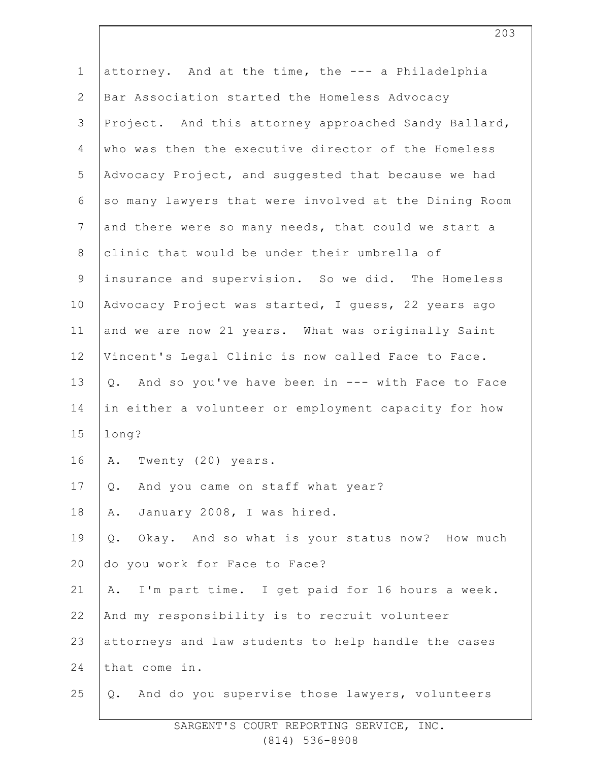| $\mathbf 1$    | attorney. And at the time, the --- a Philadelphia     |
|----------------|-------------------------------------------------------|
| $\overline{2}$ | Bar Association started the Homeless Advocacy         |
| 3              | Project. And this attorney approached Sandy Ballard,  |
| 4              | who was then the executive director of the Homeless   |
| 5              | Advocacy Project, and suggested that because we had   |
| 6              | so many lawyers that were involved at the Dining Room |
| $7\phantom{.}$ | and there were so many needs, that could we start a   |
| $8\,$          | clinic that would be under their umbrella of          |
| $\mathsf 9$    | insurance and supervision. So we did. The Homeless    |
| 10             | Advocacy Project was started, I guess, 22 years ago   |
| 11             | and we are now 21 years. What was originally Saint    |
| 12             | Vincent's Legal Clinic is now called Face to Face.    |
| 13             | Q. And so you've have been in --- with Face to Face   |
| 14             | in either a volunteer or employment capacity for how  |
| 15             | long?                                                 |
| 16             | A. Twenty (20) years.                                 |
| 17             | And you came on staff what year?<br>Q.                |
| 18             | January 2008, I was hired.<br>Α.                      |
| 19             | Okay. And so what is your status now? How much<br>Q.  |
| 20             | do you work for Face to Face?                         |
| 21             | I'm part time. I get paid for 16 hours a week.<br>Α.  |
| 22             | And my responsibility is to recruit volunteer         |
| 23             | attorneys and law students to help handle the cases   |
| 24             | that come in.                                         |
| 25             | Q. And do you supervise those lawyers, volunteers     |
|                |                                                       |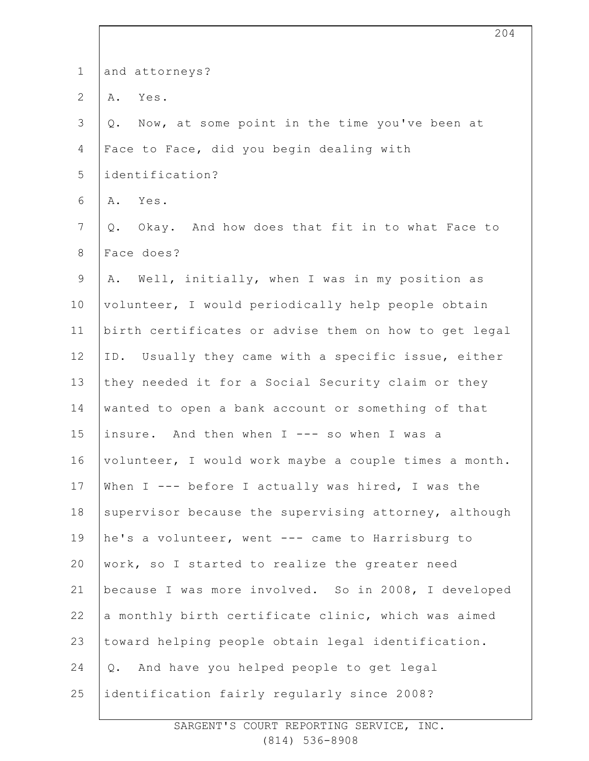| $\mathbf 1$      | and attorneys?                                        |
|------------------|-------------------------------------------------------|
| $\mathbf{2}$     | Yes.<br>Α.                                            |
| 3                | Now, at some point in the time you've been at<br>Q.   |
| $\overline{4}$   | Face to Face, did you begin dealing with              |
| 5                | identification?                                       |
| 6                | Yes.<br>Α.                                            |
| $\boldsymbol{7}$ | Okay. And how does that fit in to what Face to<br>Q.  |
| $8\,$            | Face does?                                            |
| $\mathsf 9$      | Well, initially, when I was in my position as<br>Α.   |
| 10               | volunteer, I would periodically help people obtain    |
| 11               | birth certificates or advise them on how to get legal |
| 12               | ID. Usually they came with a specific issue, either   |
| 13               | they needed it for a Social Security claim or they    |
| 14               | wanted to open a bank account or something of that    |
| 15               | insure. And then when I --- so when I was a           |
| 16               | volunteer, I would work maybe a couple times a month. |
| 17               | When I --- before I actually was hired, I was the     |
| 18               | supervisor because the supervising attorney, although |
| 19               | he's a volunteer, went --- came to Harrisburg to      |
| 20               | work, so I started to realize the greater need        |
| 21               | because I was more involved. So in 2008, I developed  |
| 22               | a monthly birth certificate clinic, which was aimed   |
| 23               | toward helping people obtain legal identification.    |
| 24               | And have you helped people to get legal<br>Q.         |
| 25               | identification fairly regularly since 2008?           |
|                  |                                                       |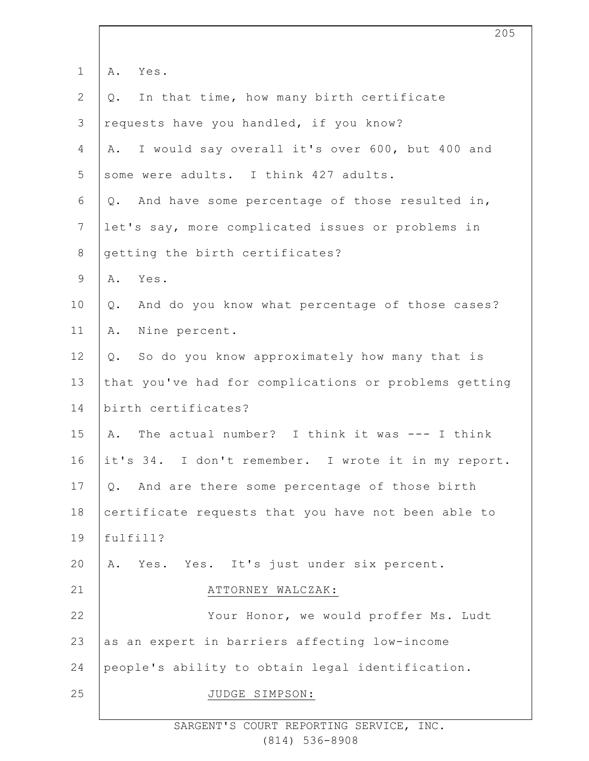| $\mathbf 1$    | Α.<br>Yes.                                            |
|----------------|-------------------------------------------------------|
| $\overline{2}$ | In that time, how many birth certificate<br>Q.        |
| 3              | requests have you handled, if you know?               |
| $\overline{4}$ | I would say overall it's over 600, but 400 and<br>Α.  |
| 5              | some were adults. I think 427 adults.                 |
| 6              | Q. And have some percentage of those resulted in,     |
| $7\phantom{.}$ | let's say, more complicated issues or problems in     |
| $8\,$          | getting the birth certificates?                       |
| 9              | Yes.<br>Α.                                            |
| 10             | And do you know what percentage of those cases?<br>Q. |
| 11             | Nine percent.<br>Α.                                   |
| 12             | So do you know approximately how many that is<br>Q.   |
| 13             | that you've had for complications or problems getting |
| 14             | birth certificates?                                   |
| 15             | The actual number? I think it was --- I think<br>A.   |
| 16             | it's 34. I don't remember. I wrote it in my report.   |
| 17             | And are there some percentage of those birth<br>Q.    |
| 18             | certificate requests that you have not been able to   |
| 19             | fulfill?                                              |
| 20             | Yes. Yes. It's just under six percent.<br>Α.          |
| 21             | ATTORNEY WALCZAK:                                     |
| 22             | Your Honor, we would proffer Ms. Ludt                 |
| 23             | as an expert in barriers affecting low-income         |
| 24             | people's ability to obtain legal identification.      |
| 25             | JUDGE SIMPSON:                                        |
|                |                                                       |

205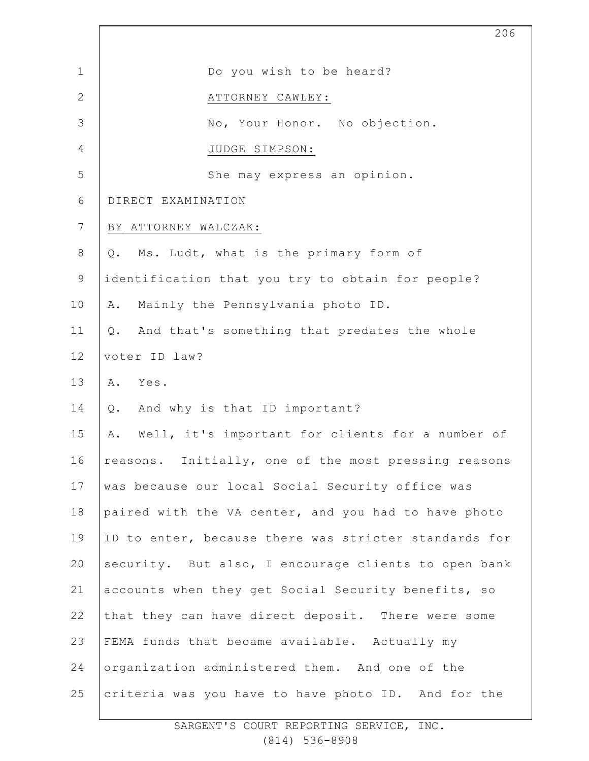|                | 206                                                    |
|----------------|--------------------------------------------------------|
| $\mathbf 1$    | Do you wish to be heard?                               |
| $\overline{2}$ | ATTORNEY CAWLEY:                                       |
| 3              | No, Your Honor. No objection.                          |
| $\overline{4}$ | JUDGE SIMPSON:                                         |
| 5              | She may express an opinion.                            |
| 6              | DIRECT EXAMINATION                                     |
| 7              | BY ATTORNEY WALCZAK:                                   |
| 8              | Ms. Ludt, what is the primary form of<br>Q.            |
| $\mathsf 9$    | identification that you try to obtain for people?      |
| 10             | Mainly the Pennsylvania photo ID.<br>Α.                |
| 11             | And that's something that predates the whole<br>Q.     |
| 12             | voter ID law?                                          |
| 13             | Yes.<br>Α.                                             |
| 14             | And why is that ID important?<br>Q.                    |
| 15             | Well, it's important for clients for a number of<br>Α. |
| 16             | reasons. Initially, one of the most pressing reasons   |
| 17             | was because our local Social Security office was       |
| 18             | paired with the VA center, and you had to have photo   |
| 19             | ID to enter, because there was stricter standards for  |
| 20             | security. But also, I encourage clients to open bank   |
| 21             | accounts when they get Social Security benefits, so    |
| 22             | that they can have direct deposit. There were some     |
| 23             | FEMA funds that became available. Actually my          |
| 24             | organization administered them. And one of the         |
| 25             | criteria was you have to have photo ID. And for the    |

 $\overline{\phantom{a}}$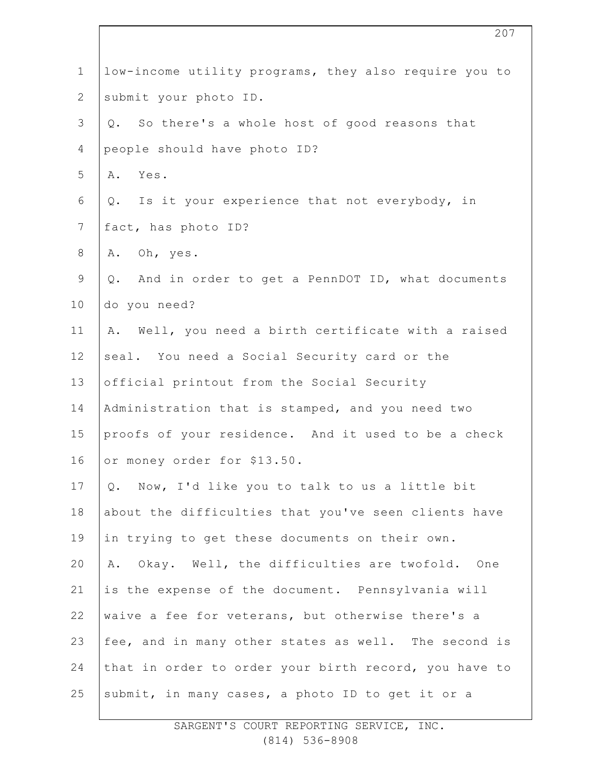| $\mathbf 1$     | low-income utility programs, they also require you to  |
|-----------------|--------------------------------------------------------|
| $\overline{2}$  | submit your photo ID.                                  |
| 3               | So there's a whole host of good reasons that<br>Q.     |
| 4               | people should have photo ID?                           |
| 5               | A. Yes.                                                |
| 6               | Q. Is it your experience that not everybody, in        |
| $7\phantom{.0}$ | fact, has photo ID?                                    |
| $\,8\,$         | A. Oh, yes.                                            |
| $\mathsf 9$     | And in order to get a PennDOT ID, what documents<br>Q. |
| 10              | do you need?                                           |
| 11              | Well, you need a birth certificate with a raised<br>Α. |
| 12              | seal. You need a Social Security card or the           |
| 13              | official printout from the Social Security             |
| 14              | Administration that is stamped, and you need two       |
| 15              | proofs of your residence. And it used to be a check    |
| 16              | or money order for \$13.50.                            |
| 17              | Now, I'd like you to talk to us a little bit<br>Q.     |
| 18              | about the difficulties that you've seen clients have   |
| 19              | in trying to get these documents on their own.         |
| 20              | Okay. Well, the difficulties are twofold. One<br>Α.    |
| 21              | is the expense of the document. Pennsylvania will      |
| 22              | waive a fee for veterans, but otherwise there's a      |
| 23              | fee, and in many other states as well. The second is   |
| 24              | that in order to order your birth record, you have to  |
| 25              | submit, in many cases, a photo ID to get it or a       |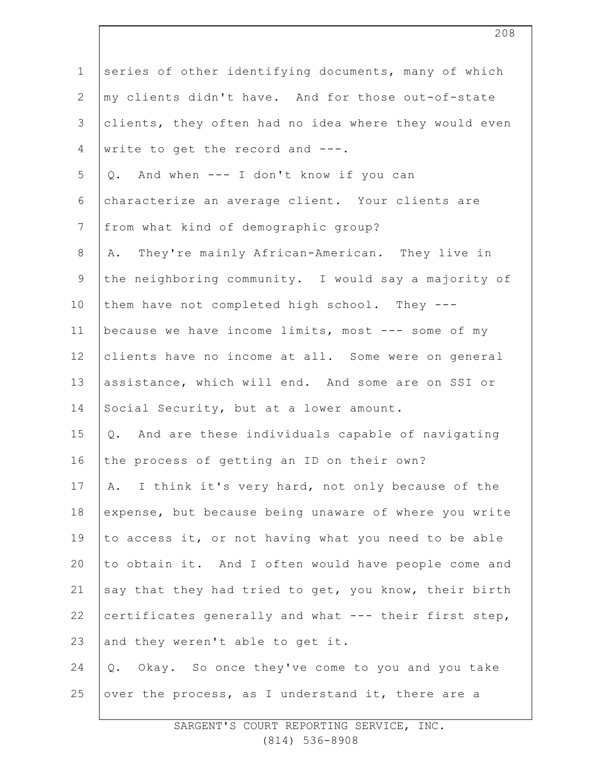| $\mathbf 1$   | series of other identifying documents, many of which  |
|---------------|-------------------------------------------------------|
| $\mathbf{2}$  | my clients didn't have. And for those out-of-state    |
| $\mathcal{S}$ | clients, they often had no idea where they would even |
| 4             | write to get the record and ---.                      |
| 5             | And when --- I don't know if you can<br>Q.            |
| 6             | characterize an average client. Your clients are      |
| 7             | from what kind of demographic group?                  |
| $\,8\,$       | A. They're mainly African-American. They live in      |
| $\mathsf 9$   | the neighboring community. I would say a majority of  |
| 10            | them have not completed high school. They ---         |
| 11            | because we have income limits, most --- some of my    |
| 12            | clients have no income at all. Some were on general   |
| 13            | assistance, which will end. And some are on SSI or    |
| 14            | Social Security, but at a lower amount.               |
| 15            | Q. And are these individuals capable of navigating    |
| 16            | the process of getting an ID on their own?            |
| 17            | A. I think it's very hard, not only because of the    |
| 18            | expense, but because being unaware of where you write |
| 19            | to access it, or not having what you need to be able  |
| 20            | to obtain it. And I often would have people come and  |
| 21            | say that they had tried to get, you know, their birth |
| 22            | certificates generally and what --- their first step, |
| 23            | and they weren't able to get it.                      |
| 24            | Q. Okay. So once they've come to you and you take     |
| 25            | over the process, as I understand it, there are a     |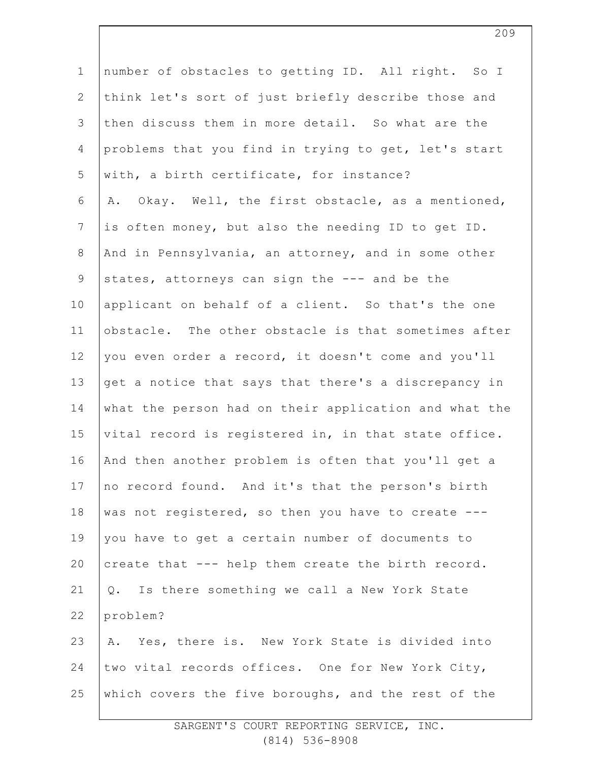| $\mathbf 1$    | number of obstacles to getting ID. All right. So I    |
|----------------|-------------------------------------------------------|
| $\mathbf{2}$   | think let's sort of just briefly describe those and   |
| $\mathfrak{Z}$ | then discuss them in more detail. So what are the     |
| $\overline{4}$ | problems that you find in trying to get, let's start  |
| 5              | with, a birth certificate, for instance?              |
| 6              | Okay. Well, the first obstacle, as a mentioned,<br>Α. |
| $\overline{7}$ | is often money, but also the needing ID to get ID.    |
| $8\,$          | And in Pennsylvania, an attorney, and in some other   |
| $\mathsf 9$    | states, attorneys can sign the --- and be the         |
| 10             | applicant on behalf of a client. So that's the one    |
| 11             | obstacle. The other obstacle is that sometimes after  |
| 12             | you even order a record, it doesn't come and you'll   |
| 13             | get a notice that says that there's a discrepancy in  |
| 14             | what the person had on their application and what the |
| 15             | vital record is registered in, in that state office.  |
| 16             | And then another problem is often that you'll get a   |
| 17             | no record found. And it's that the person's birth     |
| 18             | was not registered, so then you have to create ---    |
| 19             | you have to get a certain number of documents to      |
| 20             | create that --- help them create the birth record.    |
| 21             | Q. Is there something we call a New York State        |
| 22             | problem?                                              |
| 23             | A. Yes, there is. New York State is divided into      |
| 24             | two vital records offices. One for New York City,     |
| 25             | which covers the five boroughs, and the rest of the   |
|                |                                                       |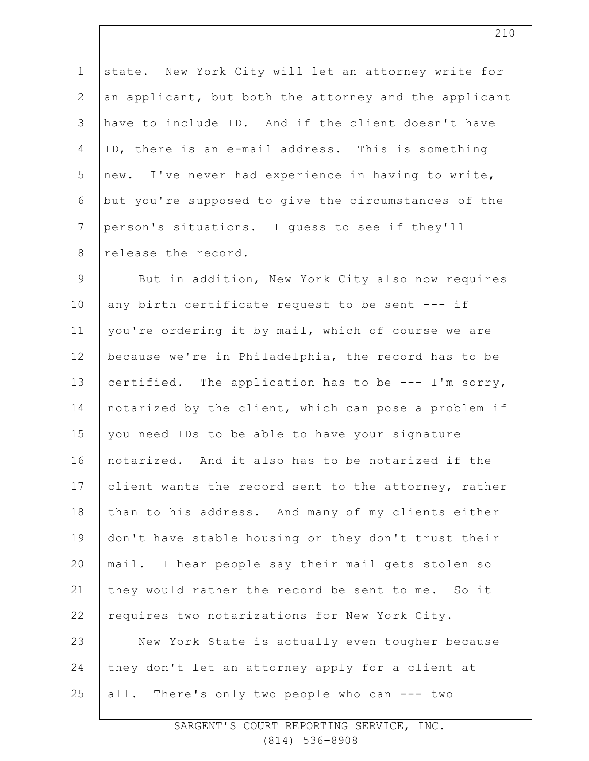1 2 3 4 5 6 7 8 state. New York City will let an attorney write for an applicant, but both the attorney and the applicant have to include ID. And if the client doesn't have ID, there is an e-mail address. This is something new. I've never had experience in having to write, but you're supposed to give the circumstances of the person's situations. I guess to see if they'll release the record.

9 10 11 12 13 14 15 16 17 18 19 20 21 22 23 24 25 But in addition, New York City also now requires any birth certificate request to be sent --- if you're ordering it by mail, which of course we are because we're in Philadelphia, the record has to be certified. The application has to be --- I'm sorry, notarized by the client, which can pose a problem if you need IDs to be able to have your signature notarized. And it also has to be notarized if the client wants the record sent to the attorney, rather than to his address. And many of my clients either don't have stable housing or they don't trust their mail. I hear people say their mail gets stolen so they would rather the record be sent to me. So it requires two notarizations for New York City. New York State is actually even tougher because they don't let an attorney apply for a client at all. There's only two people who can --- two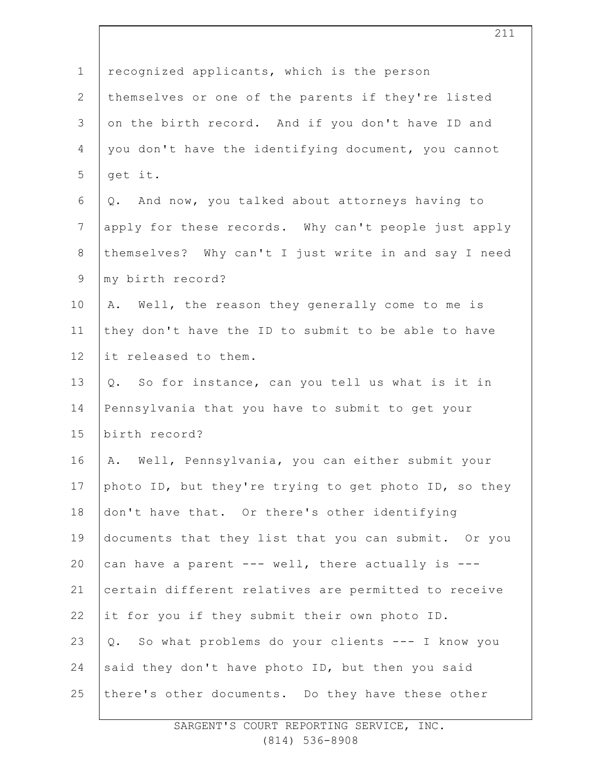| $\mathbf 1$    | recognized applicants, which is the person            |
|----------------|-------------------------------------------------------|
| $\overline{2}$ | themselves or one of the parents if they're listed    |
| 3              | on the birth record. And if you don't have ID and     |
| 4              | you don't have the identifying document, you cannot   |
| 5              | get it.                                               |
| 6              | And now, you talked about attorneys having to<br>Q.   |
| $\overline{7}$ | apply for these records. Why can't people just apply  |
| $8\,$          | themselves? Why can't I just write in and say I need  |
| $\mathsf 9$    | my birth record?                                      |
| 10             | Well, the reason they generally come to me is<br>Α.   |
| 11             | they don't have the ID to submit to be able to have   |
| 12             | it released to them.                                  |
| 13             | Q. So for instance, can you tell us what is it in     |
| 14             | Pennsylvania that you have to submit to get your      |
| 15             | birth record?                                         |
| 16             | Well, Pennsylvania, you can either submit your<br>Α.  |
| 17             | photo ID, but they're trying to get photo ID, so they |
| 18             | don't have that. Or there's other identifying         |
| 19             | documents that they list that you can submit. Or you  |
| 20             | can have a parent --- well, there actually is ---     |
| 21             | certain different relatives are permitted to receive  |
| 22             | it for you if they submit their own photo ID.         |
| 23             | Q. So what problems do your clients --- I know you    |
| 24             | said they don't have photo ID, but then you said      |
| 25             | there's other documents. Do they have these other     |
|                |                                                       |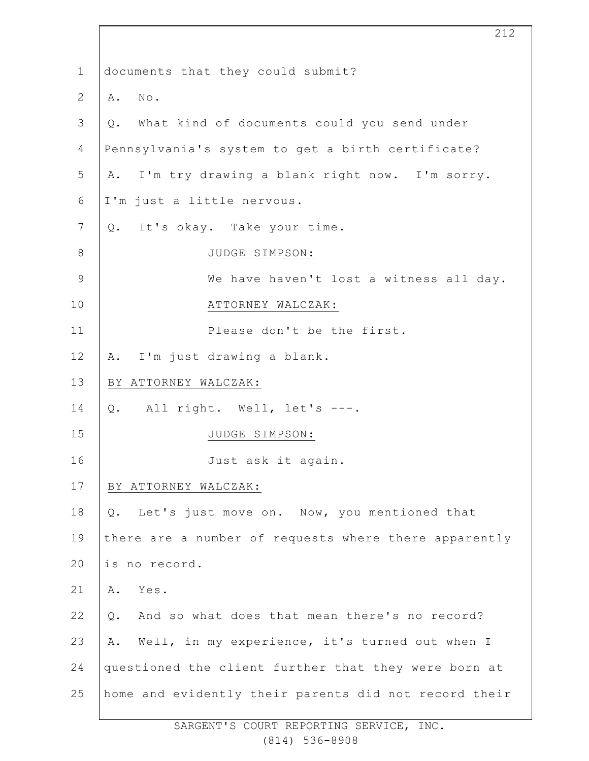| $\mathbf 1$     | documents that they could submit?                     |
|-----------------|-------------------------------------------------------|
| $\mathbf{2}$    | No.<br>Α.                                             |
| 3               | What kind of documents could you send under<br>Q.     |
| 4               | Pennsylvania's system to get a birth certificate?     |
| 5               | I'm try drawing a blank right now. I'm sorry.<br>Α.   |
| 6               | I'm just a little nervous.                            |
| $7\phantom{.0}$ | It's okay. Take your time.<br>Q.                      |
| $\,8\,$         | JUDGE SIMPSON:                                        |
| $\mathsf 9$     | We have haven't lost a witness all day.               |
| 10              | ATTORNEY WALCZAK:                                     |
| 11              | Please don't be the first.                            |
| 12              | A. I'm just drawing a blank.                          |
| 13              | BY ATTORNEY WALCZAK:                                  |
| 14              | Q. All right. Well, let's ---.                        |
| 15              | JUDGE SIMPSON:                                        |
| 16              | Just ask it again.                                    |
| 17              | BY ATTORNEY WALCZAK:                                  |
| 18              | Q. Let's just move on. Now, you mentioned that        |
| 19              | there are a number of requests where there apparently |
| 20              | is no record.                                         |
| 21              | Α.<br>Yes.                                            |
| 22              | And so what does that mean there's no record?<br>Q.   |
| 23              | Well, in my experience, it's turned out when I<br>Α.  |
| 24              | questioned the client further that they were born at  |
| 25              | home and evidently their parents did not record their |

212

SARGENT'S COURT REPORTING SERVICE, INC. (814) 536-8908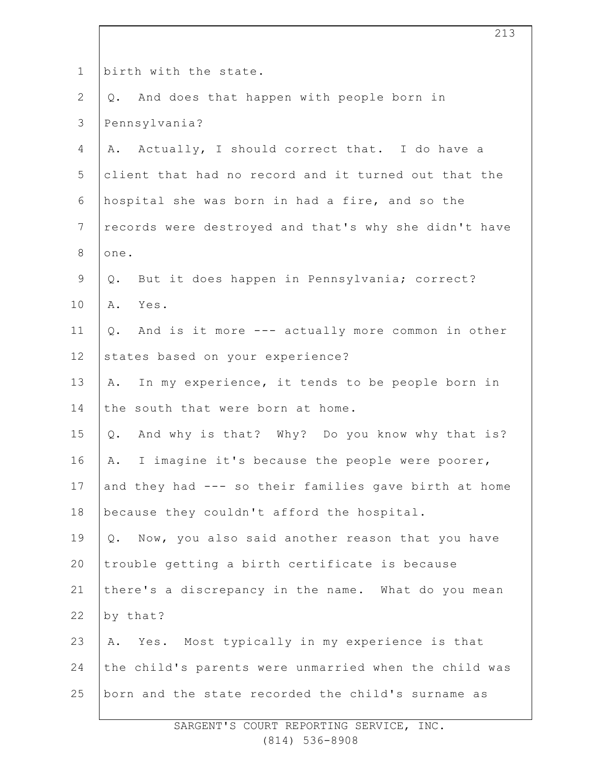| $\mathbf 1$    | birth with the state.                                  |
|----------------|--------------------------------------------------------|
| $\mathbf{2}$   | Q. And does that happen with people born in            |
| 3              | Pennsylvania?                                          |
| 4              | Actually, I should correct that. I do have a<br>Α.     |
| 5              | client that had no record and it turned out that the   |
| 6              | hospital she was born in had a fire, and so the        |
| $7\phantom{.}$ | records were destroyed and that's why she didn't have  |
| $\,8\,$        | one.                                                   |
| $\mathcal{G}$  | But it does happen in Pennsylvania; correct?<br>Q.     |
| 10             | Α.<br>Yes.                                             |
| 11             | And is it more --- actually more common in other<br>Q. |
| 12             | states based on your experience?                       |
| 13             | In my experience, it tends to be people born in<br>Α.  |
| 14             | the south that were born at home.                      |
| 15             | And why is that? Why? Do you know why that is?<br>Q.   |
| 16             | I imagine it's because the people were poorer,<br>Α.   |
| 17             | and they had --- so their families gave birth at home  |
| 18             | because they couldn't afford the hospital.             |
| 19             | Now, you also said another reason that you have<br>Q.  |
| 20             | trouble getting a birth certificate is because         |
| 21             | there's a discrepancy in the name. What do you mean    |
| 22             | by that?                                               |
| 23             | Yes. Most typically in my experience is that<br>Α.     |
| 24             | the child's parents were unmarried when the child was  |
| 25             | born and the state recorded the child's surname as     |
|                |                                                        |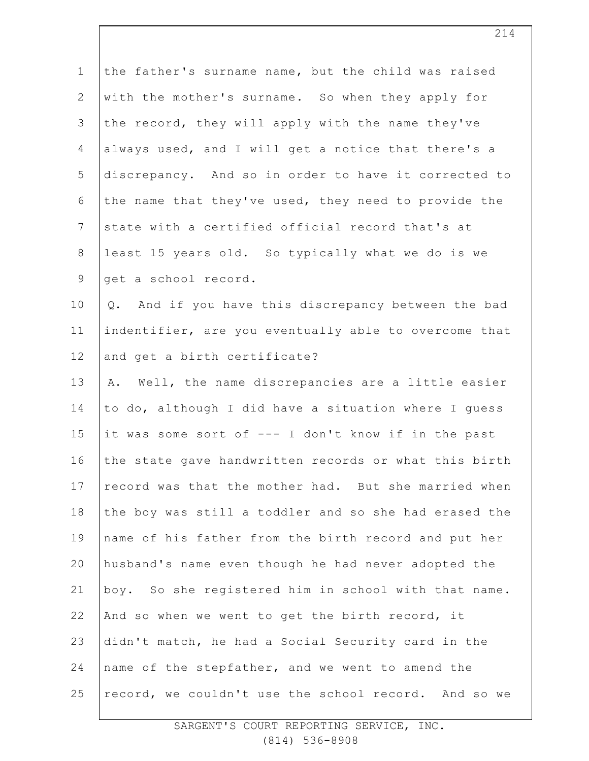| $\mathbf 1$    | the father's surname name, but the child was raised    |
|----------------|--------------------------------------------------------|
| $\mathbf{2}$   | with the mother's surname. So when they apply for      |
| 3              | the record, they will apply with the name they've      |
| 4              | always used, and I will get a notice that there's a    |
| 5              | discrepancy. And so in order to have it corrected to   |
| 6              | the name that they've used, they need to provide the   |
| $7\phantom{.}$ | state with a certified official record that's at       |
| $8\,$          | least 15 years old. So typically what we do is we      |
| $\mathsf 9$    | get a school record.                                   |
| 10             | Q. And if you have this discrepancy between the bad    |
| 11             | indentifier, are you eventually able to overcome that  |
| 12             | and get a birth certificate?                           |
| 13             | Well, the name discrepancies are a little easier<br>Α. |
| 14             | to do, although I did have a situation where I guess   |
| 15             | it was some sort of --- I don't know if in the past    |
| 16             | the state gave handwritten records or what this birth  |
| 17             | record was that the mother had. But she married when   |
| 18             | the boy was still a toddler and so she had erased the  |
| 19             | name of his father from the birth record and put her   |
| 20             | husband's name even though he had never adopted the    |
| 21             | boy. So she registered him in school with that name.   |
| 22             | And so when we went to get the birth record, it        |
| 23             | didn't match, he had a Social Security card in the     |
| 24             | name of the stepfather, and we went to amend the       |
| 25             | record, we couldn't use the school record. And so we   |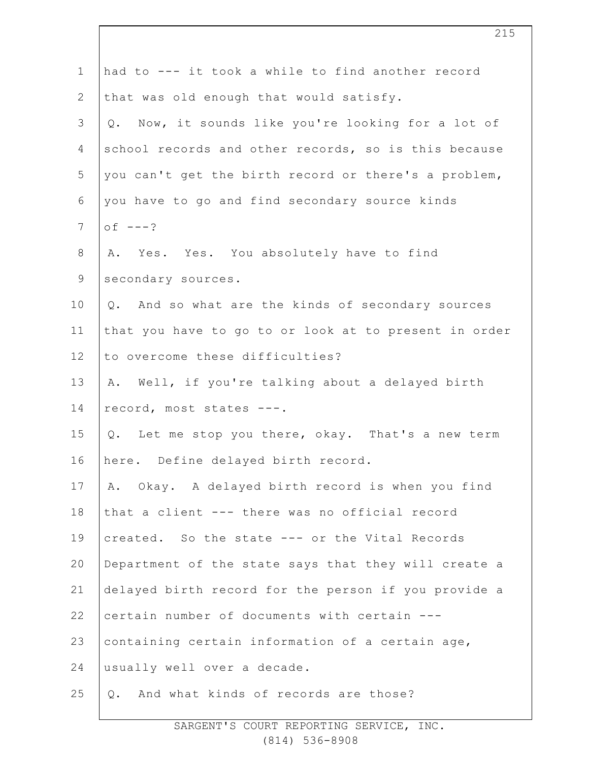| $\mathbf 1$     | had to --- it took a while to find another record     |
|-----------------|-------------------------------------------------------|
| $\overline{2}$  | that was old enough that would satisfy.               |
| 3               | Q. Now, it sounds like you're looking for a lot of    |
| 4               | school records and other records, so is this because  |
| 5               | you can't get the birth record or there's a problem,  |
| 6               | you have to go and find secondary source kinds        |
| $7\phantom{.0}$ | $of ---?$                                             |
| $8\,$           | A. Yes. Yes. You absolutely have to find              |
| $\mathsf 9$     | secondary sources.                                    |
| 10              | Q. And so what are the kinds of secondary sources     |
| 11              | that you have to go to or look at to present in order |
| 12              | to overcome these difficulties?                       |
| 13              | A. Well, if you're talking about a delayed birth      |
| 14              | record, most states ---.                              |
| 15              | Q. Let me stop you there, okay. That's a new term     |
| 16              | here. Define delayed birth record.                    |
| 17              | A. Okay. A delayed birth record is when you find      |
| 18              | that a client --- there was no official record        |
| 19              | created. So the state --- or the Vital Records        |
| 20              | Department of the state says that they will create a  |
| 21              | delayed birth record for the person if you provide a  |
| 22              | certain number of documents with certain ---          |
| 23              | containing certain information of a certain age,      |
| 24              | usually well over a decade.                           |
| 25              | And what kinds of records are those?<br>Q.            |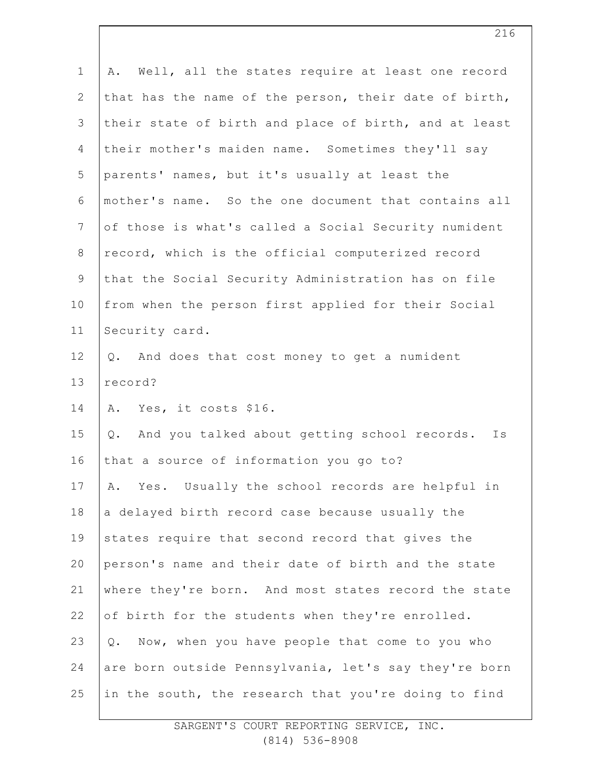| $\mathbf 1$    | A. Well, all the states require at least one record      |
|----------------|----------------------------------------------------------|
| $\overline{2}$ | that has the name of the person, their date of birth,    |
| 3              | their state of birth and place of birth, and at least    |
| 4              | their mother's maiden name. Sometimes they'll say        |
| 5              | parents' names, but it's usually at least the            |
| 6              | mother's name. So the one document that contains all     |
| $\overline{7}$ | of those is what's called a Social Security numident     |
| $8\,$          | record, which is the official computerized record        |
| 9              | that the Social Security Administration has on file      |
| 10             | from when the person first applied for their Social      |
| 11             | Security card.                                           |
| 12             | Q. And does that cost money to get a numident            |
| 13             | record?                                                  |
| 14             | A. Yes, it costs \$16.                                   |
| 15             | And you talked about getting school records.<br>Q.<br>Is |
| 16             | that a source of information you go to?                  |
| 17             | Yes. Usually the school records are helpful in<br>Α.     |
| 18             | a delayed birth record case because usually the          |
| 19             | states require that second record that gives the         |
| 20             | person's name and their date of birth and the state      |
| 21             | where they're born. And most states record the state     |
| 22             | of birth for the students when they're enrolled.         |
| 23             | Now, when you have people that come to you who<br>$Q$ .  |
| 24             | are born outside Pennsylvania, let's say they're born    |
| 25             | in the south, the research that you're doing to find     |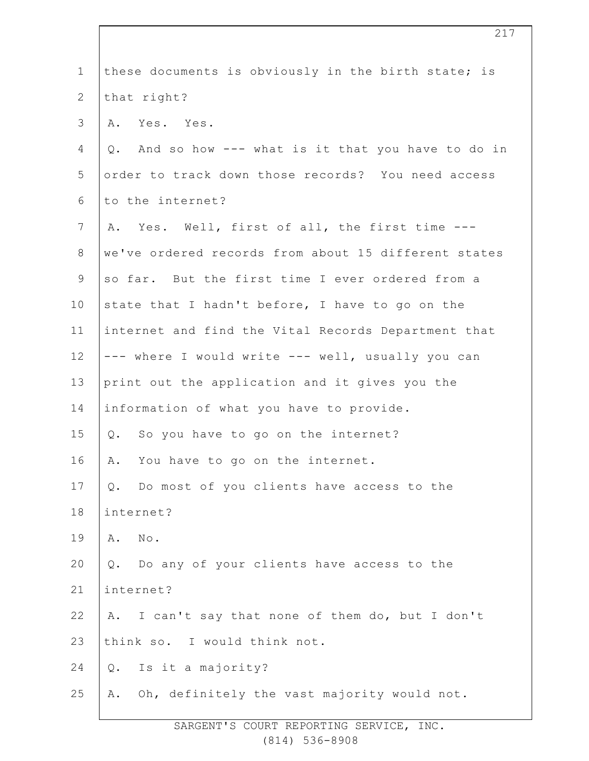| $\mathbf 1$     | these documents is obviously in the birth state; is    |
|-----------------|--------------------------------------------------------|
| $\mathbf{2}$    | that right?                                            |
| 3               | A. Yes. Yes.                                           |
| $\overline{4}$  | And so how --- what is it that you have to do in<br>Q. |
| 5               | order to track down those records? You need access     |
| 6               | to the internet?                                       |
| $7\phantom{.0}$ | A. Yes. Well, first of all, the first time ---         |
| $8\,$           | we've ordered records from about 15 different states   |
| $\mathsf 9$     | so far. But the first time I ever ordered from a       |
| 10              | state that I hadn't before, I have to go on the        |
| 11              | internet and find the Vital Records Department that    |
| 12              | --- where I would write --- well, usually you can      |
| 13              | print out the application and it gives you the         |
| 14              | information of what you have to provide.               |
| 15              | Q. So you have to go on the internet?                  |
| 16              | You have to go on the internet.<br>Α.                  |
| 17              | Q. Do most of you clients have access to the           |
| 18              | internet?                                              |
| 19              | $\texttt{No}$ .<br>Α.                                  |
| 20              | Do any of your clients have access to the<br>$Q$ .     |
| 21              | internet?                                              |
| 22              | I can't say that none of them do, but I don't<br>Α.    |
| 23              | think so. I would think not.                           |
| 24              | Is it a majority?<br>$Q$ .                             |
| 25              | Oh, definitely the vast majority would not.<br>Α.      |
|                 |                                                        |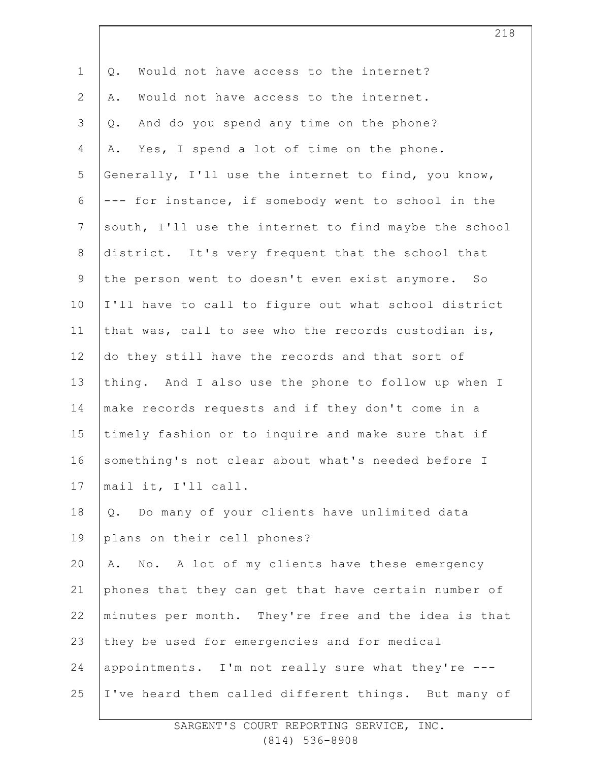| $\mathbf 1$    | Would not have access to the internet?<br>Q.          |
|----------------|-------------------------------------------------------|
| $\mathbf{2}$   | Would not have access to the internet.<br>Α.          |
| 3              | And do you spend any time on the phone?<br>$Q$ .      |
| 4              | Yes, I spend a lot of time on the phone.<br>Α.        |
| 5              | Generally, I'll use the internet to find, you know,   |
| 6              | --- for instance, if somebody went to school in the   |
| $7\phantom{.}$ | south, I'll use the internet to find maybe the school |
| 8              | district. It's very frequent that the school that     |
| $\mathsf 9$    | the person went to doesn't even exist anymore. So     |
| 10             | I'll have to call to figure out what school district  |
| 11             | that was, call to see who the records custodian is,   |
| 12             | do they still have the records and that sort of       |
| 13             | thing. And I also use the phone to follow up when I   |
| 14             | make records requests and if they don't come in a     |
| 15             | timely fashion or to inquire and make sure that if    |
| 16             | something's not clear about what's needed before I    |
| 17             | mail it, I'll call.                                   |
| 18             | Do many of your clients have unlimited data<br>Q.     |
| 19             | plans on their cell phones?                           |
| 20             | No. A lot of my clients have these emergency<br>Α.    |
| 21             | phones that they can get that have certain number of  |
| 22             | minutes per month. They're free and the idea is that  |
| 23             | they be used for emergencies and for medical          |
| 24             | appointments. I'm not really sure what they're ---    |
| 25             | I've heard them called different things. But many of  |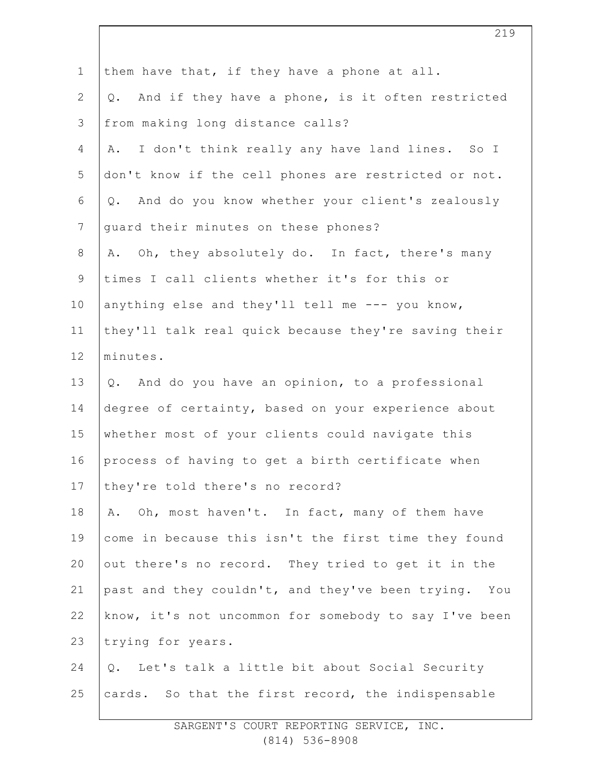| $\mathbf 1$    | them have that, if they have a phone at all.           |
|----------------|--------------------------------------------------------|
| $\overline{2}$ | And if they have a phone, is it often restricted<br>Q. |
| 3              | from making long distance calls?                       |
| 4              | I don't think really any have land lines. So I<br>Α.   |
| 5              | don't know if the cell phones are restricted or not.   |
| 6              | And do you know whether your client's zealously<br>Q.  |
| $7\phantom{.}$ | guard their minutes on these phones?                   |
| $\,8\,$        | A. Oh, they absolutely do. In fact, there's many       |
| $\mathcal{G}$  | times I call clients whether it's for this or          |
| 10             | anything else and they'll tell me --- you know,        |
| 11             | they'll talk real quick because they're saving their   |
| 12             | minutes.                                               |
| 13             | And do you have an opinion, to a professional<br>Q.    |
| 14             | degree of certainty, based on your experience about    |
| 15             | whether most of your clients could navigate this       |
| 16             | process of having to get a birth certificate when      |
| 17             | they're told there's no record?                        |
| 18             | Oh, most haven't. In fact, many of them have<br>Α.     |
| 19             | come in because this isn't the first time they found   |
| 20             | out there's no record. They tried to get it in the     |
| 21             | past and they couldn't, and they've been trying. You   |
| 22             | know, it's not uncommon for somebody to say I've been  |
| 23             | trying for years.                                      |
| 24             | Q. Let's talk a little bit about Social Security       |
| 25             | cards. So that the first record, the indispensable     |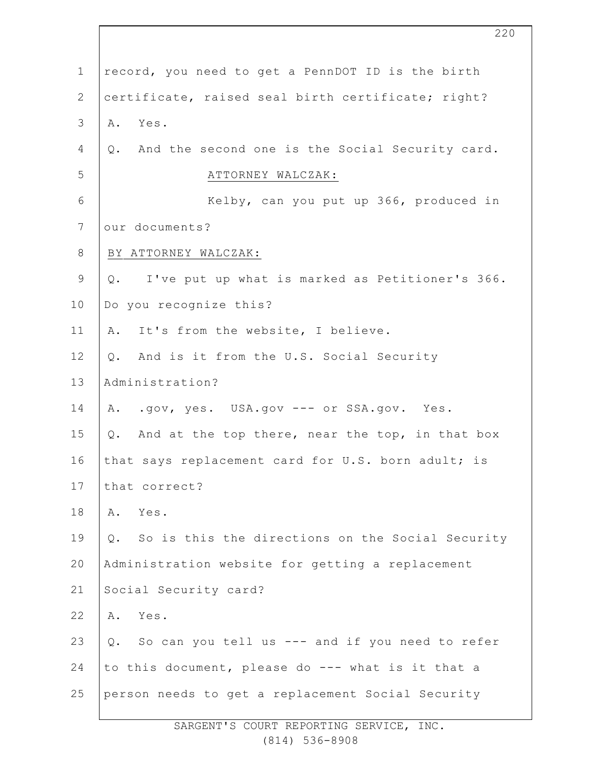| $\mathbf 1$  | record, you need to get a PennDOT ID is the birth      |
|--------------|--------------------------------------------------------|
| $\mathbf{2}$ | certificate, raised seal birth certificate; right?     |
| 3            | Yes.<br>Α.                                             |
| 4            | Q. And the second one is the Social Security card.     |
| 5            | ATTORNEY WALCZAK:                                      |
| $\epsilon$   | Kelby, can you put up 366, produced in                 |
| 7            | our documents?                                         |
| 8            | BY ATTORNEY WALCZAK:                                   |
| $\mathsf 9$  | Q. I've put up what is marked as Petitioner's 366.     |
| 10           | Do you recognize this?                                 |
| 11           | A. It's from the website, I believe.                   |
| 12           | Q. And is it from the U.S. Social Security             |
| 13           | Administration?                                        |
| 14           | A. .gov, yes. USA.gov --- or SSA.gov. Yes.             |
| 15           | And at the top there, near the top, in that box<br>Q.  |
| 16           | that says replacement card for U.S. born adult; is     |
| 17           | that correct?                                          |
| 18           | Α.<br>Yes.                                             |
| 19           | So is this the directions on the Social Security<br>Q. |
| 20           | Administration website for getting a replacement       |
| 21           | Social Security card?                                  |
| 22           | Yes.<br>Α.                                             |
| 23           | Q. So can you tell us --- and if you need to refer     |
| 24           | to this document, please do --- what is it that a      |
| 25           | person needs to get a replacement Social Security      |

SARGENT'S COURT REPORTING SERVICE, INC. (814) 536-8908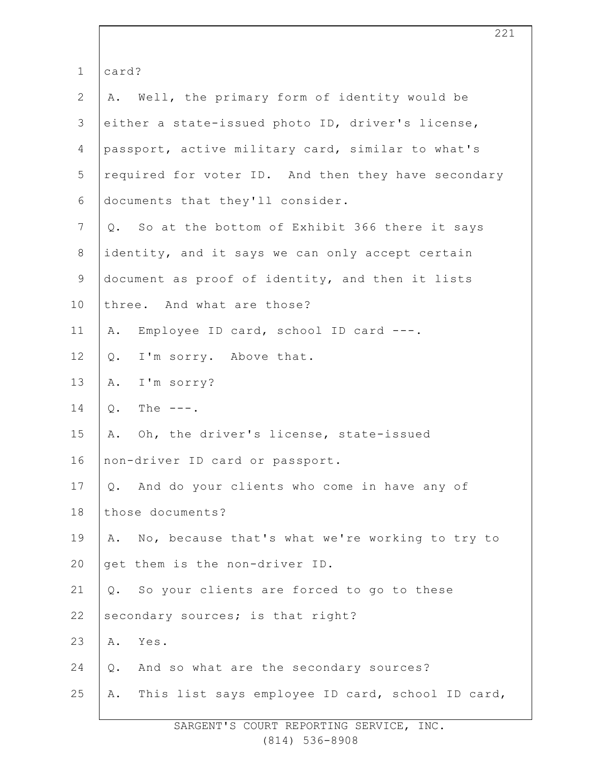| $\mathbf 1$      | card?                                                  |
|------------------|--------------------------------------------------------|
| $\mathbf{2}$     | A. Well, the primary form of identity would be         |
| 3                | either a state-issued photo ID, driver's license,      |
| 4                | passport, active military card, similar to what's      |
| 5                | required for voter ID. And then they have secondary    |
| 6                | documents that they'll consider.                       |
| $\boldsymbol{7}$ | Q. So at the bottom of Exhibit 366 there it says       |
| $8\,$            | identity, and it says we can only accept certain       |
| $\mathsf 9$      | document as proof of identity, and then it lists       |
| 10               | three. And what are those?                             |
| 11               | Employee ID card, school ID card ---.<br>Α.            |
| 12               | I'm sorry. Above that.<br>Q.                           |
| 13               | I'm sorry?<br>Α.                                       |
| 14               | $Q$ .<br>The $---$ .                                   |
| 15               | Oh, the driver's license, state-issued<br>Α.           |
| 16               | non-driver ID card or passport.                        |
| 17               | Q. And do your clients who come in have any of         |
| 18               | those documents?                                       |
| 19               | A. No, because that's what we're working to try to     |
| 20               | get them is the non-driver ID.                         |
| 21               | Q. So your clients are forced to go to these           |
| 22               | secondary sources; is that right?                      |
| 23               | Yes.<br>Α.                                             |
| 24               | And so what are the secondary sources?<br>Q.           |
| 25               | This list says employee ID card, school ID card,<br>Α. |
|                  |                                                        |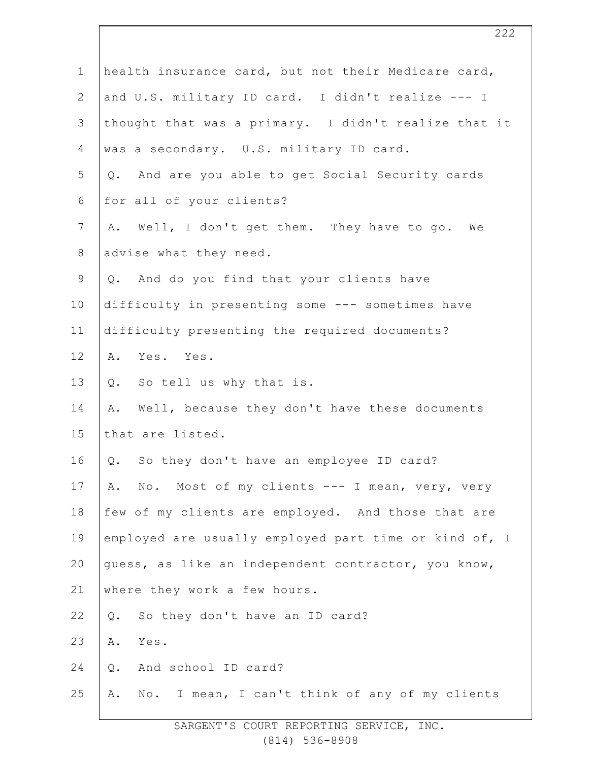| $\mathbf 1$    | health insurance card, but not their Medicare card,   |
|----------------|-------------------------------------------------------|
| $\mathbf{2}$   | and U.S. military ID card. I didn't realize --- I     |
| 3              | thought that was a primary. I didn't realize that it  |
| 4              | was a secondary. U.S. military ID card.               |
| 5              | And are you able to get Social Security cards<br>Q.   |
| 6              | for all of your clients?                              |
| $\overline{7}$ | Well, I don't get them. They have to go. We<br>Α.     |
| $8\,$          | advise what they need.                                |
| $\mathsf 9$    | And do you find that your clients have<br>Q.          |
| 10             | difficulty in presenting some --- sometimes have      |
| 11             | difficulty presenting the required documents?         |
| 12             | Yes. Yes.<br>Α.                                       |
| 13             | So tell us why that is.<br>Q.                         |
| 14             | Well, because they don't have these documents<br>Α.   |
| 15             | that are listed.                                      |
| 16             | So they don't have an employee ID card?<br>Q.         |
| 17             | No. Most of my clients --- I mean, very, very<br>Α.   |
| 18             | few of my clients are employed. And those that are    |
| 19             | employed are usually employed part time or kind of, I |
| 20             | quess, as like an independent contractor, you know,   |
| 21             | where they work a few hours.                          |
| 22             | So they don't have an ID card?<br>Q.                  |
| 23             | Α.<br>Yes.                                            |
| 24             | And school ID card?<br>Q.                             |
| 25             | No. I mean, I can't think of any of my clients<br>Α.  |
|                |                                                       |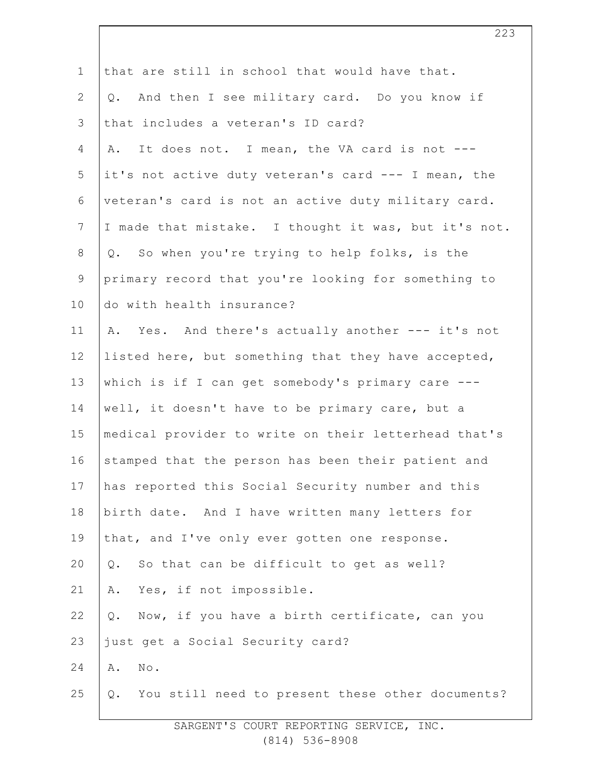| $\mathbf 1$     | that are still in school that would have that.         |
|-----------------|--------------------------------------------------------|
| $\overline{2}$  | And then I see military card. Do you know if<br>Q.     |
| 3               | that includes a veteran's ID card?                     |
| 4               | It does not. I mean, the VA card is not ---<br>Α.      |
| 5               | it's not active duty veteran's card --- I mean, the    |
| 6               | veteran's card is not an active duty military card.    |
| $7\phantom{.0}$ | I made that mistake. I thought it was, but it's not.   |
| $\,8\,$         | Q. So when you're trying to help folks, is the         |
| $\mathsf 9$     | primary record that you're looking for something to    |
| 10              | do with health insurance?                              |
| 11              | Yes. And there's actually another --- it's not<br>Α.   |
| 12              | listed here, but something that they have accepted,    |
| 13              | which is if I can get somebody's primary care ---      |
| 14              | well, it doesn't have to be primary care, but a        |
| 15              | medical provider to write on their letterhead that's   |
| 16              | stamped that the person has been their patient and     |
| 17              | has reported this Social Security number and this      |
| 18              | birth date. And I have written many letters for        |
| 19              | that, and I've only ever gotten one response.          |
| 20              | So that can be difficult to get as well?<br>$Q$ .      |
| 21              | Yes, if not impossible.<br>Α.                          |
| 22              | Now, if you have a birth certificate, can you<br>$Q$ . |
| 23              | just get a Social Security card?                       |
| 24              | Α.<br>$\texttt{No}$ .                                  |
| 25              | You still need to present these other documents?<br>Q. |
|                 |                                                        |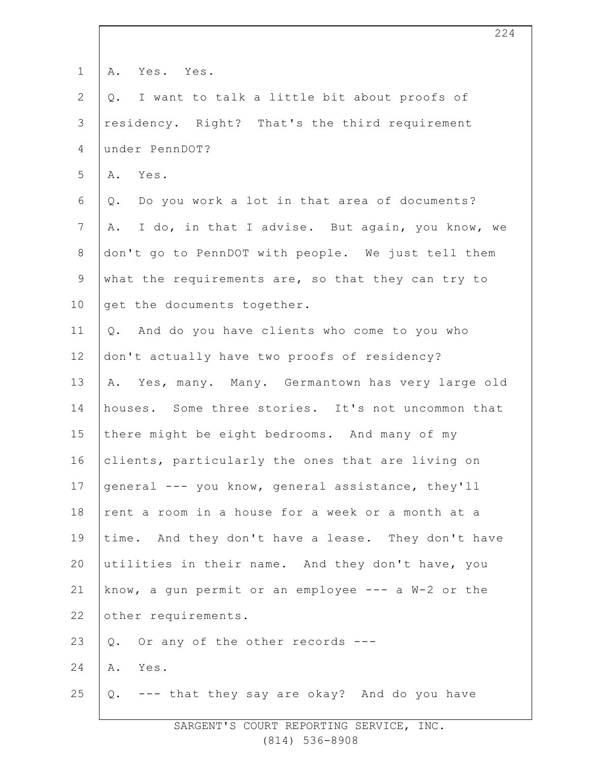| $\mathbf 1$    | Yes. Yes.<br>Α.                                       |
|----------------|-------------------------------------------------------|
| $\mathbf{2}$   | I want to talk a little bit about proofs of<br>Q.     |
| 3              | residency. Right? That's the third requirement        |
| $\overline{4}$ | under PennDOT?                                        |
| 5              | A. Yes.                                               |
| 6              | Do you work a lot in that area of documents?<br>Q.    |
| 7              | I do, in that I advise. But again, you know, we<br>Α. |
| 8              | don't go to PennDOT with people. We just tell them    |
| $\mathsf 9$    | what the requirements are, so that they can try to    |
| 10             | get the documents together.                           |
| 11             | Q. And do you have clients who come to you who        |
| 12             | don't actually have two proofs of residency?          |
| 13             | A. Yes, many. Many. Germantown has very large old     |
| 14             | houses. Some three stories. It's not uncommon that    |
| 15             | there might be eight bedrooms. And many of my         |
| 16             | clients, particularly the ones that are living on     |
| 17             | general --- you know, general assistance, they'll     |
| 18             | rent a room in a house for a week or a month at a     |
| 19             | time. And they don't have a lease. They don't have    |
| 20             | utilities in their name. And they don't have, you     |
| 21             | know, a gun permit or an employee $---$ a W-2 or the  |
| 22             | other requirements.                                   |
| 23             | Or any of the other records ---<br>Q.                 |
| 24             | A. Yes.                                               |
| 25             | Q. --- that they say are okay? And do you have        |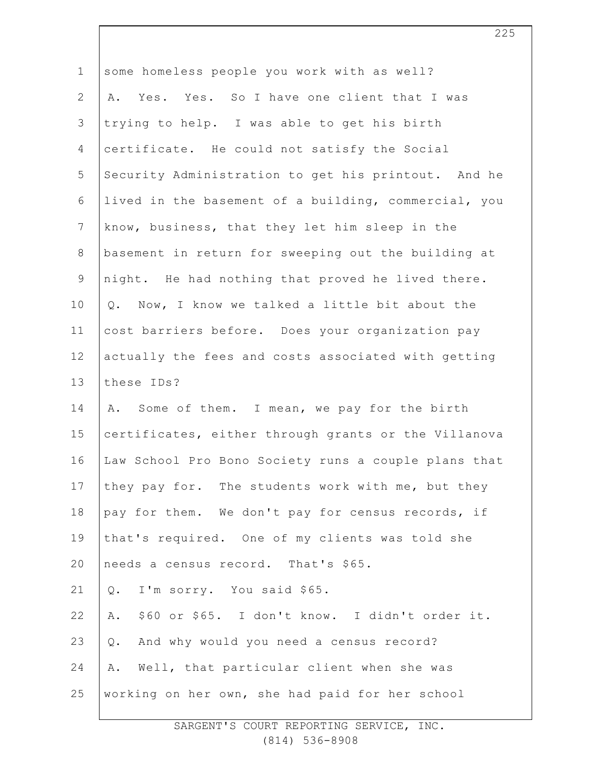| $\mathbf 1$    | some homeless people you work with as well?          |
|----------------|------------------------------------------------------|
| $\mathbf{2}$   | A. Yes. Yes. So I have one client that I was         |
| 3              | trying to help. I was able to get his birth          |
| 4              | certificate. He could not satisfy the Social         |
| 5              | Security Administration to get his printout. And he  |
| 6              | lived in the basement of a building, commercial, you |
| $\overline{7}$ | know, business, that they let him sleep in the       |
| $8\,$          | basement in return for sweeping out the building at  |
| $\mathsf 9$    | night. He had nothing that proved he lived there.    |
| 10             | Q. Now, I know we talked a little bit about the      |
| 11             | cost barriers before. Does your organization pay     |
| 12             | actually the fees and costs associated with getting  |
| 13             | these IDs?                                           |
| 14             | A. Some of them. I mean, we pay for the birth        |
| 15             | certificates, either through grants or the Villanova |
| 16             | Law School Pro Bono Society runs a couple plans that |
| 17             | they pay for. The students work with me, but they    |
| 18             | pay for them. We don't pay for census records, if    |
| 19             | that's required. One of my clients was told she      |
| 20             | needs a census record. That's \$65.                  |
| 21             | I'm sorry. You said \$65.<br>$Q$ .                   |
| 22             | \$60 or \$65. I don't know. I didn't order it.<br>Α. |
| 23             | And why would you need a census record?<br>$Q$ .     |
| 24             | Well, that particular client when she was<br>Α.      |
| 25             | working on her own, she had paid for her school      |
|                |                                                      |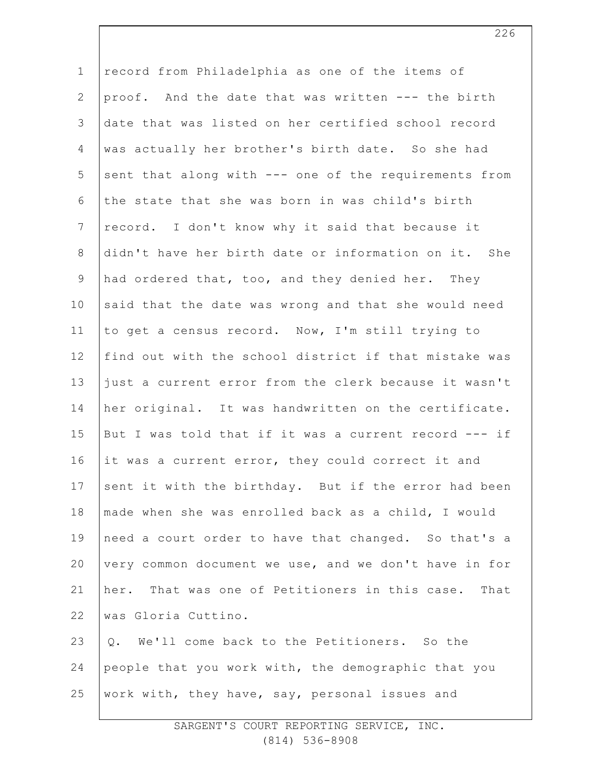| $\mathbf 1$    | record from Philadelphia as one of the items of       |
|----------------|-------------------------------------------------------|
| 2              | proof. And the date that was written --- the birth    |
| $\mathfrak{Z}$ | date that was listed on her certified school record   |
| 4              | was actually her brother's birth date. So she had     |
| 5              | sent that along with --- one of the requirements from |
| 6              | the state that she was born in was child's birth      |
| $7\phantom{.}$ | record. I don't know why it said that because it      |
| $8\,$          | didn't have her birth date or information on it. She  |
| $\mathsf 9$    | had ordered that, too, and they denied her. They      |
| 10             | said that the date was wrong and that she would need  |
| 11             | to get a census record. Now, I'm still trying to      |
| 12             | find out with the school district if that mistake was |
| 13             | just a current error from the clerk because it wasn't |
| 14             | her original. It was handwritten on the certificate.  |
| 15             | But I was told that if it was a current record --- if |
| 16             | it was a current error, they could correct it and     |
| 17             | sent it with the birthday. But if the error had been  |
| 18             | made when she was enrolled back as a child, I would   |
| 19             | need a court order to have that changed. So that's a  |
| 20             | very common document we use, and we don't have in for |
| 21             | her. That was one of Petitioners in this case. That   |
| 22             | was Gloria Cuttino.                                   |
| 23             | Q. We'll come back to the Petitioners. So the         |
| 24             | people that you work with, the demographic that you   |
| 25             | work with, they have, say, personal issues and        |
|                |                                                       |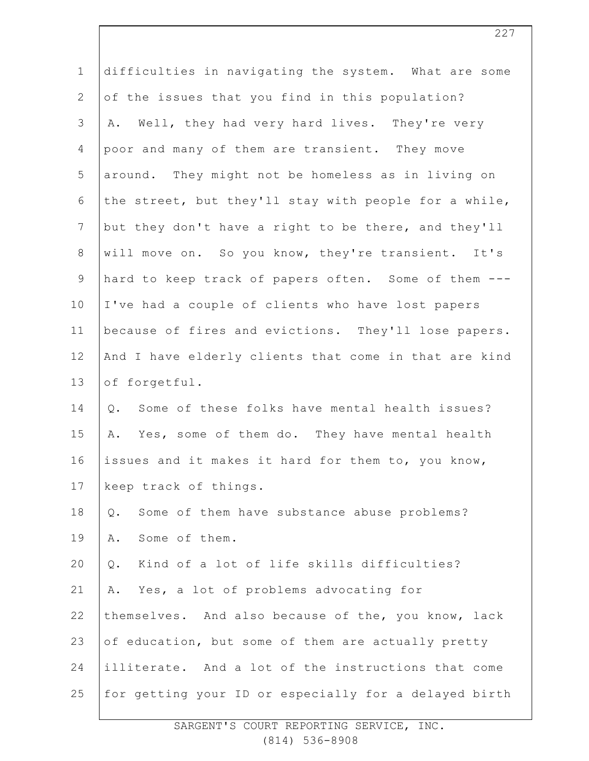| $\mathbf 1$    |                                                       |
|----------------|-------------------------------------------------------|
|                | difficulties in navigating the system. What are some  |
| $\overline{2}$ | of the issues that you find in this population?       |
| 3              | Well, they had very hard lives. They're very<br>Α.    |
| 4              | poor and many of them are transient. They move        |
| 5              | around. They might not be homeless as in living on    |
| 6              | the street, but they'll stay with people for a while, |
| $\overline{7}$ | but they don't have a right to be there, and they'll  |
| $8\,$          | will move on. So you know, they're transient. It's    |
| 9              | hard to keep track of papers often. Some of them ---  |
| 10             | I've had a couple of clients who have lost papers     |
| 11             | because of fires and evictions. They'll lose papers.  |
| 12             | And I have elderly clients that come in that are kind |
| 13             | of forgetful.                                         |
| 14             | Some of these folks have mental health issues?<br>Q.  |
| 15             | Yes, some of them do. They have mental health<br>Α.   |
| 16             | issues and it makes it hard for them to, you know,    |
| 17             | keep track of things.                                 |
| 18             | Some of them have substance abuse problems?<br>$Q$ .  |
| 19             | Some of them.<br>Α.                                   |
| 20             | Kind of a lot of life skills difficulties?<br>Q.      |
| 21             | Yes, a lot of problems advocating for<br>Α.           |
| 22             | themselves. And also because of the, you know, lack   |
| 23             | of education, but some of them are actually pretty    |
| 24             | illiterate. And a lot of the instructions that come   |
| 25             | for getting your ID or especially for a delayed birth |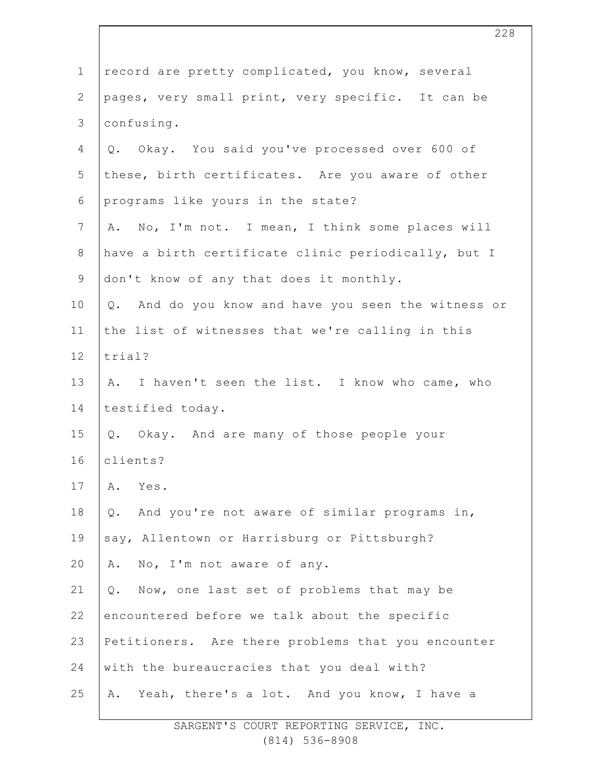| $\mathbf 1$     | record are pretty complicated, you know, several      |
|-----------------|-------------------------------------------------------|
| $\mathbf{2}$    | pages, very small print, very specific. It can be     |
| 3               | confusing.                                            |
| 4               | Q. Okay. You said you've processed over 600 of        |
| 5               | these, birth certificates. Are you aware of other     |
| 6               | programs like yours in the state?                     |
| $7\phantom{.0}$ | A. No, I'm not. I mean, I think some places will      |
| 8               | have a birth certificate clinic periodically, but I   |
| 9               | don't know of any that does it monthly.               |
| 10              | Q. And do you know and have you seen the witness or   |
| 11              | the list of witnesses that we're calling in this      |
| 12              | trial?                                                |
| 13              | A. I haven't seen the list. I know who came, who      |
| 14              | testified today.                                      |
| 15              | Q. Okay. And are many of those people your            |
| 16              | clients?                                              |
| 17              | Yes.<br>Α.                                            |
| 18              | And you're not aware of similar programs in,<br>$Q$ . |
| 19              | say, Allentown or Harrisburg or Pittsburgh?           |
| 20              | No, I'm not aware of any.<br>Α.                       |
| 21              | Now, one last set of problems that may be<br>Q.       |
| 22              | encountered before we talk about the specific         |
| 23              | Petitioners. Are there problems that you encounter    |
| 24              | with the bureaucracies that you deal with?            |
| 25              | Yeah, there's a lot. And you know, I have a<br>Α.     |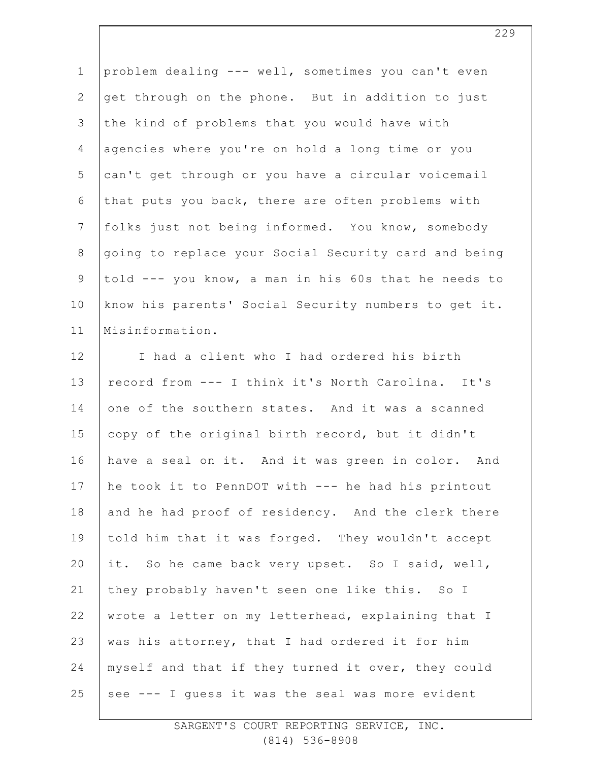1 2 3 4 5 6 7 8 9 10 11 problem dealing --- well, sometimes you can't even get through on the phone. But in addition to just the kind of problems that you would have with agencies where you're on hold a long time or you can't get through or you have a circular voicemail that puts you back, there are often problems with folks just not being informed. You know, somebody going to replace your Social Security card and being told --- you know, a man in his 60s that he needs to know his parents' Social Security numbers to get it. Misinformation.

12 13 14 15 16 17 18 19 20 21 22 23 24 25 I had a client who I had ordered his birth record from --- I think it's North Carolina. It's one of the southern states. And it was a scanned copy of the original birth record, but it didn't have a seal on it. And it was green in color. And he took it to PennDOT with --- he had his printout and he had proof of residency. And the clerk there told him that it was forged. They wouldn't accept it. So he came back very upset. So I said, well, they probably haven't seen one like this. So I wrote a letter on my letterhead, explaining that I was his attorney, that I had ordered it for him myself and that if they turned it over, they could see --- I guess it was the seal was more evident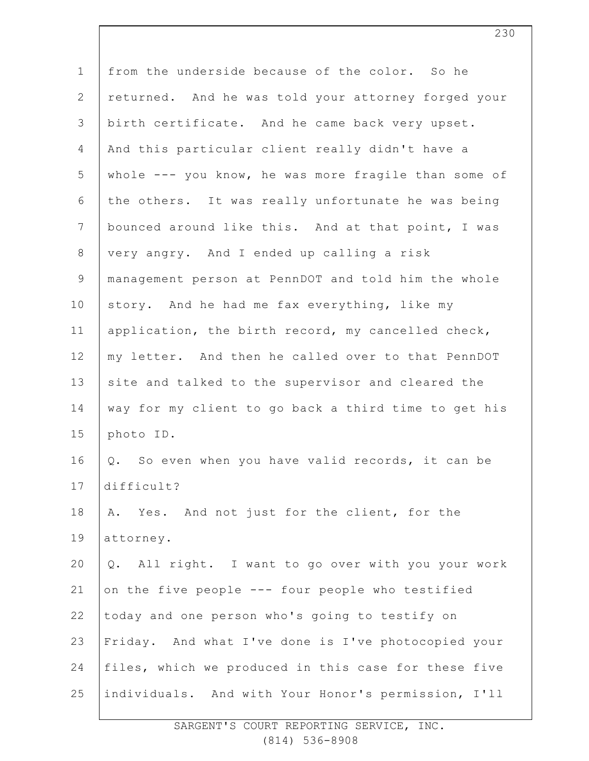| from the underside because of the color. So he        |
|-------------------------------------------------------|
| returned. And he was told your attorney forged your   |
| birth certificate. And he came back very upset.       |
| And this particular client really didn't have a       |
| whole --- you know, he was more fragile than some of  |
| the others. It was really unfortunate he was being    |
| bounced around like this. And at that point, I was    |
| very angry. And I ended up calling a risk             |
| management person at PennDOT and told him the whole   |
| story. And he had me fax everything, like my          |
| application, the birth record, my cancelled check,    |
| my letter. And then he called over to that PennDOT    |
| site and talked to the supervisor and cleared the     |
| way for my client to go back a third time to get his  |
| photo ID.                                             |
| Q. So even when you have valid records, it can be     |
| difficult?                                            |
| Yes. And not just for the client, for the<br>Α.       |
| attorney.                                             |
| All right. I want to go over with you your work<br>Q. |
| on the five people --- four people who testified      |
| today and one person who's going to testify on        |
| Friday. And what I've done is I've photocopied your   |
| files, which we produced in this case for these five  |
| individuals. And with Your Honor's permission, I'll   |
|                                                       |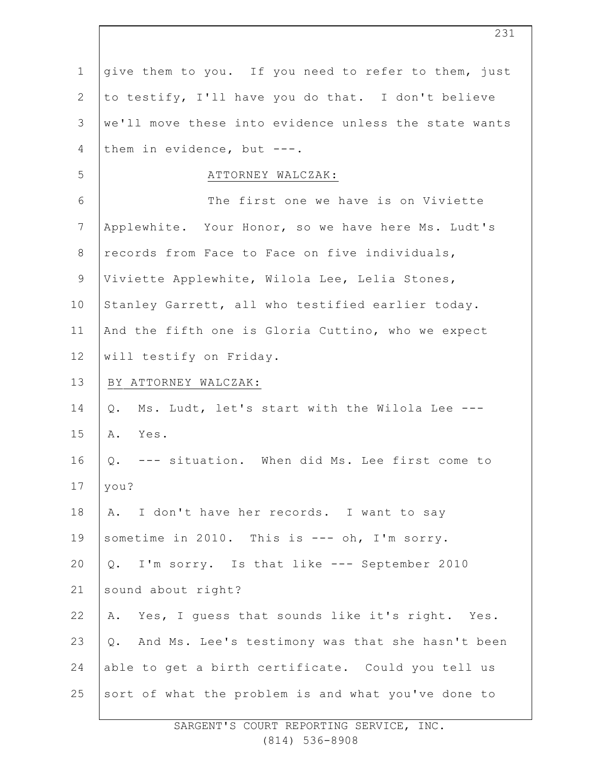| $\mathbf 1$    | give them to you. If you need to refer to them, just   |
|----------------|--------------------------------------------------------|
| $\mathbf{2}$   | to testify, I'll have you do that. I don't believe     |
| 3              | we'll move these into evidence unless the state wants  |
| 4              | them in evidence, but $---$ .                          |
| 5              | ATTORNEY WALCZAK:                                      |
| $\sqrt{6}$     | The first one we have is on Viviette                   |
| $7\phantom{.}$ | Applewhite. Your Honor, so we have here Ms. Ludt's     |
| $\,8\,$        | records from Face to Face on five individuals,         |
| $\mathsf 9$    | Viviette Applewhite, Wilola Lee, Lelia Stones,         |
| 10             | Stanley Garrett, all who testified earlier today.      |
| 11             | And the fifth one is Gloria Cuttino, who we expect     |
| 12             | will testify on Friday.                                |
| 13             | BY ATTORNEY WALCZAK:                                   |
| 14             | Ms. Ludt, let's start with the Wilola Lee ---<br>Q.    |
| 15             | Α.<br>Yes.                                             |
| 16             | --- situation. When did Ms. Lee first come to<br>Q.    |
| 17             | you?                                                   |
| 18             | A. I don't have her records. I want to say             |
| 19             | sometime in 2010. This is --- oh, I'm sorry.           |
| 20             | Q. I'm sorry. Is that like --- September 2010          |
| 21             | sound about right?                                     |
| 22             | Yes, I guess that sounds like it's right. Yes.<br>Α.   |
| 23             | And Ms. Lee's testimony was that she hasn't been<br>Q. |
| 24             | able to get a birth certificate. Could you tell us     |
| 25             | sort of what the problem is and what you've done to    |
|                |                                                        |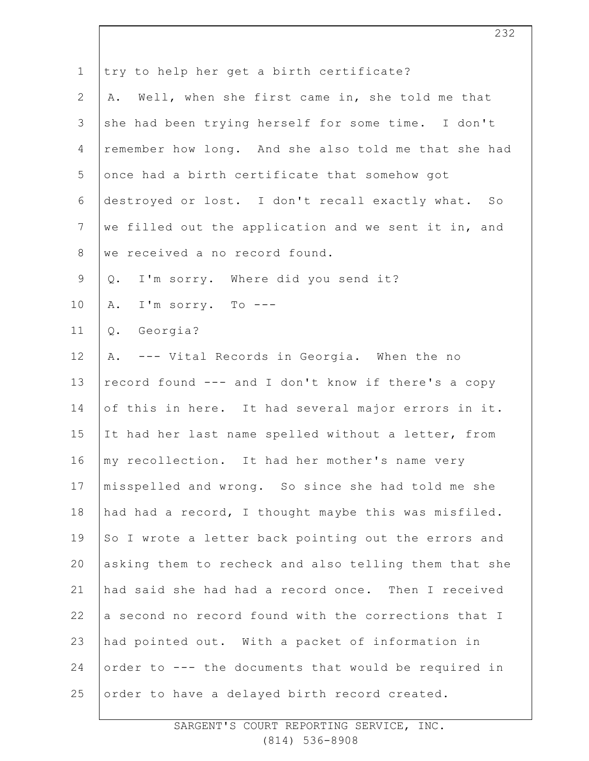| $\mathbf 1$    | try to help her get a birth certificate?              |
|----------------|-------------------------------------------------------|
| $\mathbf{2}$   | A. Well, when she first came in, she told me that     |
| 3              | she had been trying herself for some time. I don't    |
| $\overline{4}$ | remember how long. And she also told me that she had  |
| 5              | once had a birth certificate that somehow got         |
| 6              | destroyed or lost. I don't recall exactly what. So    |
| $7\phantom{.}$ | we filled out the application and we sent it in, and  |
| 8              | we received a no record found.                        |
| $\mathsf 9$    | I'm sorry. Where did you send it?<br>Q.               |
| 10             | I'm sorry. To ---<br>Α.                               |
| 11             | Georgia?<br>Q.                                        |
| 12             | A. --- Vital Records in Georgia. When the no          |
| 13             | record found --- and I don't know if there's a copy   |
| 14             | of this in here. It had several major errors in it.   |
| 15             | It had her last name spelled without a letter, from   |
| 16             | my recollection. It had her mother's name very        |
| 17             | misspelled and wrong. So since she had told me she    |
| 18             | had had a record, I thought maybe this was misfiled.  |
| 19             | So I wrote a letter back pointing out the errors and  |
| 20             | asking them to recheck and also telling them that she |
| 21             | had said she had had a record once. Then I received   |
| 22             | a second no record found with the corrections that I  |
| 23             | had pointed out. With a packet of information in      |
| 24             | order to --- the documents that would be required in  |
| 25             | order to have a delayed birth record created.         |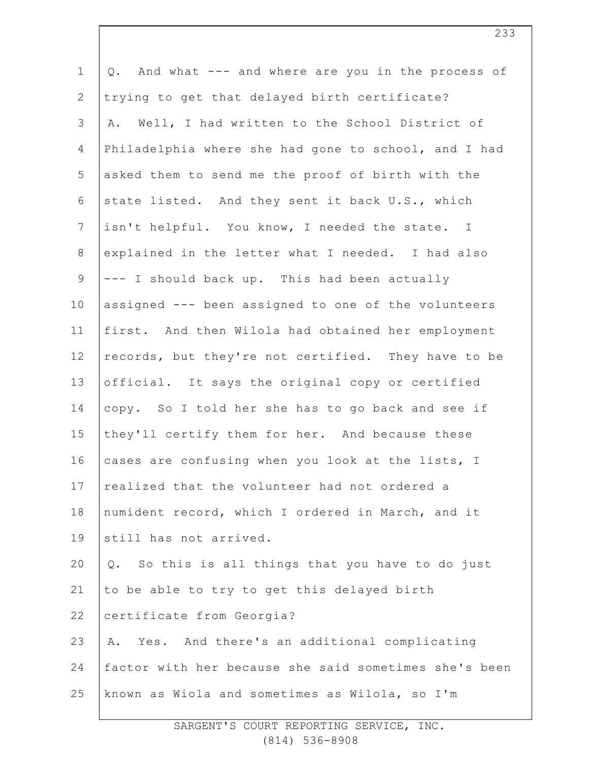| $\mathbf 1$    | And what --- and where are you in the process of<br>$\mathsf{Q}$ . |
|----------------|--------------------------------------------------------------------|
| $\mathbf{2}$   | trying to get that delayed birth certificate?                      |
| $\mathfrak{Z}$ | Well, I had written to the School District of<br>Α.                |
| $\overline{4}$ | Philadelphia where she had gone to school, and I had               |
| 5              | asked them to send me the proof of birth with the                  |
| 6              | state listed. And they sent it back U.S., which                    |
| $7\phantom{.}$ | isn't helpful. You know, I needed the state. I                     |
| $\,8\,$        | explained in the letter what I needed. I had also                  |
| $\mathsf 9$    | --- I should back up. This had been actually                       |
| 10             | assigned --- been assigned to one of the volunteers                |
| 11             | first. And then Wilola had obtained her employment                 |
| 12             | records, but they're not certified. They have to be                |
| 13             | official. It says the original copy or certified                   |
| 14             | copy. So I told her she has to go back and see if                  |
| 15             | they'll certify them for her. And because these                    |
| 16             | cases are confusing when you look at the lists, I                  |
| 17             | realized that the volunteer had not ordered a                      |
| 18             | numident record, which I ordered in March, and it                  |
| 19             | still has not arrived.                                             |
| 20             | So this is all things that you have to do just<br>Q.               |
| 21             | to be able to try to get this delayed birth                        |
| 22             | certificate from Georgia?                                          |
| 23             | Yes. And there's an additional complicating<br>Α.                  |
| 24             | factor with her because she said sometimes she's been              |
| 25             | known as Wiola and sometimes as Wilola, so I'm                     |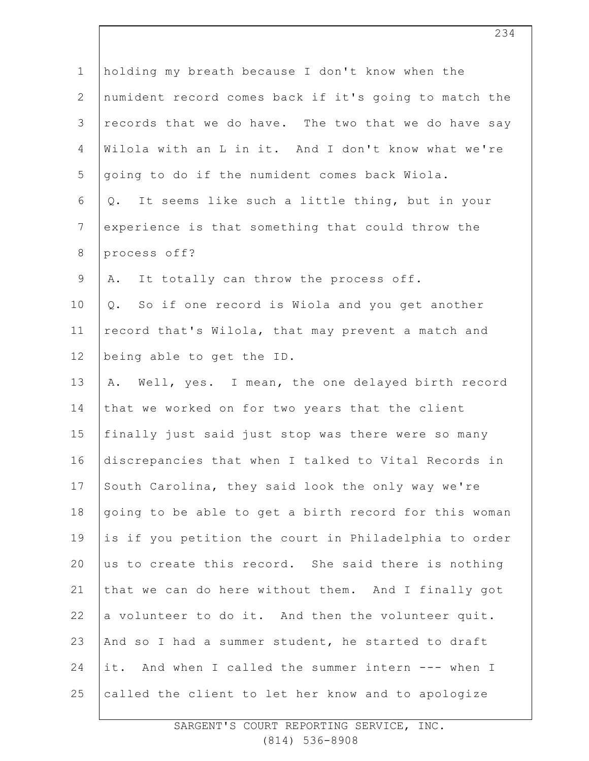| $\mathbf 1$     | holding my breath because I don't know when the       |
|-----------------|-------------------------------------------------------|
| 2               | numident record comes back if it's going to match the |
| $\mathcal{S}$   | records that we do have. The two that we do have say  |
| $\overline{4}$  | Wilola with an L in it. And I don't know what we're   |
| 5               | going to do if the numident comes back Wiola.         |
| 6               | It seems like such a little thing, but in your<br>Q.  |
| $7\phantom{.0}$ | experience is that something that could throw the     |
| 8               | process off?                                          |
| $\mathsf 9$     | It totally can throw the process off.<br>Α.           |
| 10              | So if one record is Wiola and you get another<br>Q.   |
| 11              | record that's Wilola, that may prevent a match and    |
| 12              | being able to get the ID.                             |
| 13              | A. Well, yes. I mean, the one delayed birth record    |
| 14              | that we worked on for two years that the client       |
| 15              | finally just said just stop was there were so many    |
| 16              | discrepancies that when I talked to Vital Records in  |
| 17              | South Carolina, they said look the only way we're     |
| $1\,8$          | going to be able to get a birth record for this woman |
| 19              | is if you petition the court in Philadelphia to order |
| 20              | us to create this record. She said there is nothing   |
| 21              | that we can do here without them. And I finally got   |
| 22              | a volunteer to do it. And then the volunteer quit.    |
| 23              | And so I had a summer student, he started to draft    |
| 24              | it. And when I called the summer intern --- when I    |
| 25              | called the client to let her know and to apologize    |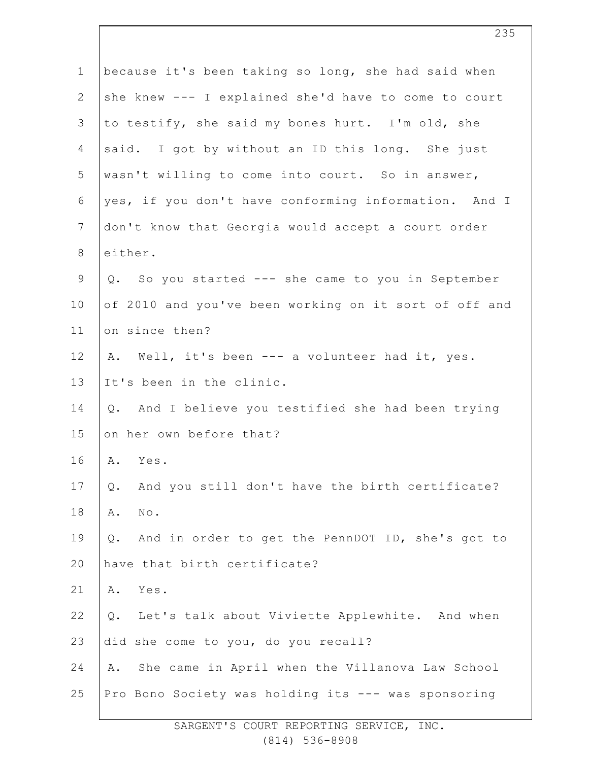| $\mathbf 1$    | because it's been taking so long, she had said when       |
|----------------|-----------------------------------------------------------|
| $\mathbf{2}$   | she knew --- I explained she'd have to come to court      |
| 3              | to testify, she said my bones hurt. I'm old, she          |
| 4              | said. I got by without an ID this long. She just          |
| 5              | wasn't willing to come into court. So in answer,          |
| 6              | yes, if you don't have conforming information. And I      |
| $7\phantom{.}$ | don't know that Georgia would accept a court order        |
| $8\,$          | either.                                                   |
| $\mathsf 9$    | Q. So you started --- she came to you in September        |
| 10             | of 2010 and you've been working on it sort of off and     |
| 11             | on since then?                                            |
| 12             | A. Well, it's been --- a volunteer had it, yes.           |
| 13             | It's been in the clinic.                                  |
| 14             | And I believe you testified she had been trying<br>Q.     |
| 15             | on her own before that?                                   |
| 16             | Yes.<br>Α.                                                |
| 17             | And you still don't have the birth certificate?<br>Q.     |
| 18             | Α.<br>No.                                                 |
| 19             | And in order to get the PennDOT ID, she's got to<br>$Q$ . |
| 20             | have that birth certificate?                              |
| 21             | Yes.<br>Α.                                                |
| 22             | Q.<br>Let's talk about Viviette Applewhite. And when      |
| 23             | did she come to you, do you recall?                       |
| 24             | She came in April when the Villanova Law School<br>Α.     |
| 25             | Pro Bono Society was holding its --- was sponsoring       |
|                |                                                           |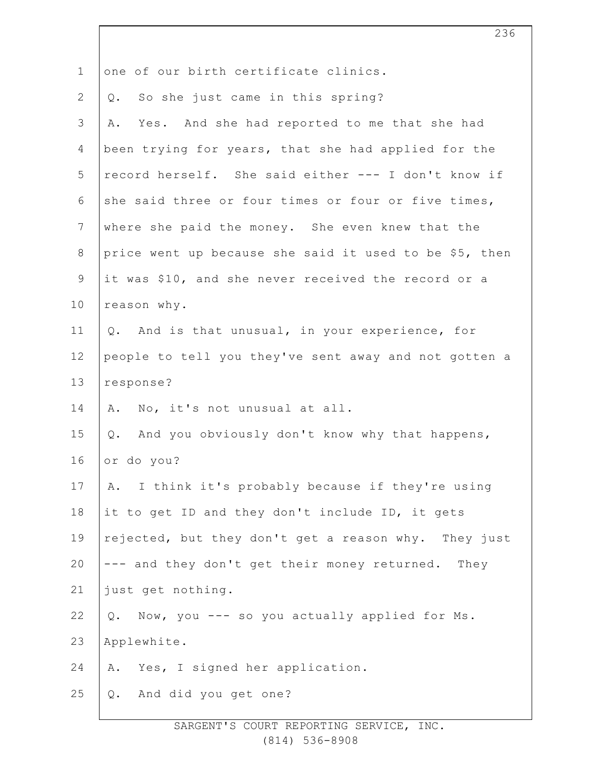| $\mathbf 1$    | one of our birth certificate clinics.                  |
|----------------|--------------------------------------------------------|
| $\overline{2}$ | So she just came in this spring?<br>Q.                 |
| 3              | Yes. And she had reported to me that she had<br>Α.     |
| 4              | been trying for years, that she had applied for the    |
| 5              | record herself. She said either --- I don't know if    |
| 6              | she said three or four times or four or five times,    |
| $7\phantom{.}$ | where she paid the money. She even knew that the       |
| $\,8\,$        | price went up because she said it used to be \$5, then |
| $\mathsf 9$    | it was \$10, and she never received the record or a    |
| 10             | reason why.                                            |
| 11             | Q. And is that unusual, in your experience, for        |
| 12             | people to tell you they've sent away and not gotten a  |
| 13             | response?                                              |
| 14             | No, it's not unusual at all.<br>Α.                     |
| 15             | Q. And you obviously don't know why that happens,      |
| 16             | or do you?                                             |
| 17             | A. I think it's probably because if they're using      |
| 18             | it to get ID and they don't include ID, it gets        |
| 19             | rejected, but they don't get a reason why. They just   |
| 20             | --- and they don't get their money returned. They      |
| 21             | just get nothing.                                      |
| 22             | Now, you --- so you actually applied for Ms.<br>Q.     |
| 23             | Applewhite.                                            |
| 24             | Yes, I signed her application.<br>Α.                   |
| 25             | And did you get one?<br>Q.                             |
|                |                                                        |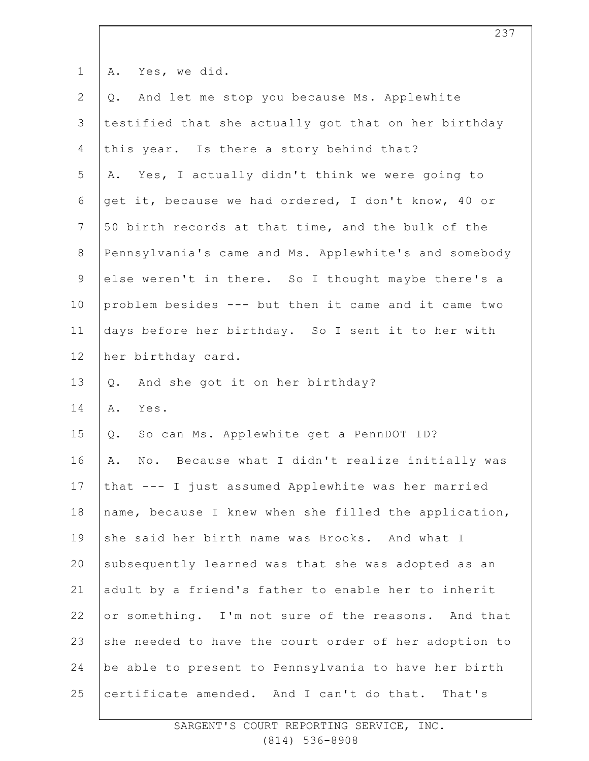| $\mathbf 1$     | Yes, we did.<br>Α.                                    |
|-----------------|-------------------------------------------------------|
| $\mathbf{2}$    | And let me stop you because Ms. Applewhite<br>Q.      |
| 3               | testified that she actually got that on her birthday  |
| 4               | this year. Is there a story behind that?              |
| 5               | Yes, I actually didn't think we were going to<br>Α.   |
| 6               | get it, because we had ordered, I don't know, 40 or   |
| $7\phantom{.0}$ | 50 birth records at that time, and the bulk of the    |
| $\,8\,$         | Pennsylvania's came and Ms. Applewhite's and somebody |
| $\mathsf 9$     | else weren't in there. So I thought maybe there's a   |
| 10              | problem besides --- but then it came and it came two  |
| 11              | days before her birthday. So I sent it to her with    |
| 12              | her birthday card.                                    |
| 13              | And she got it on her birthday?<br>$Q$ .              |
| 14              | Α.<br>Yes.                                            |
| 15              | So can Ms. Applewhite get a PennDOT ID?<br>Q.         |
| 16              | No. Because what I didn't realize initially was<br>Α. |
| 17              | that --- I just assumed Applewhite was her married    |
| 18              | name, because I knew when she filled the application, |
| 19              | she said her birth name was Brooks. And what I        |
| 20              | subsequently learned was that she was adopted as an   |
| 21              | adult by a friend's father to enable her to inherit   |
| 22              | or something. I'm not sure of the reasons. And that   |
| 23              | she needed to have the court order of her adoption to |
| 24              | be able to present to Pennsylvania to have her birth  |
| 25              | certificate amended. And I can't do that.<br>That's   |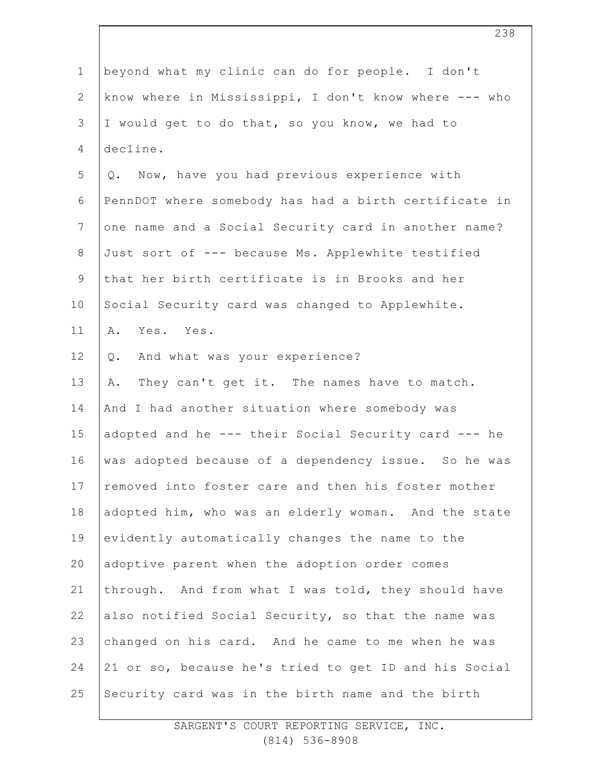| $\mathbf 1$    | beyond what my clinic can do for people. I don't      |
|----------------|-------------------------------------------------------|
| $\overline{2}$ | know where in Mississippi, I don't know where --- who |
| 3              | I would get to do that, so you know, we had to        |
| 4              | decline.                                              |
| 5              | Q. Now, have you had previous experience with         |
| 6              | PennDOT where somebody has had a birth certificate in |
| $\overline{7}$ | one name and a Social Security card in another name?  |
| $8\,$          | Just sort of --- because Ms. Applewhite testified     |
| 9              | that her birth certificate is in Brooks and her       |
| 10             | Social Security card was changed to Applewhite.       |
| 11             | Yes. Yes.<br>Α.                                       |
| 12             | And what was your experience?<br>Q.                   |
| 13             | They can't get it. The names have to match.<br>Α.     |
| 14             | And I had another situation where somebody was        |
| 15             | adopted and he --- their Social Security card --- he  |
| 16             | was adopted because of a dependency issue. So he was  |
| 17             | removed into foster care and then his foster mother   |
| 18             | adopted him, who was an elderly woman. And the state  |
| 19             | evidently automatically changes the name to the       |
| 20             | adoptive parent when the adoption order comes         |
| 21             | through. And from what I was told, they should have   |
| 22             | also notified Social Security, so that the name was   |
| 23             | changed on his card. And he came to me when he was    |
| 24             | 21 or so, because he's tried to get ID and his Social |
| 25             | Security card was in the birth name and the birth     |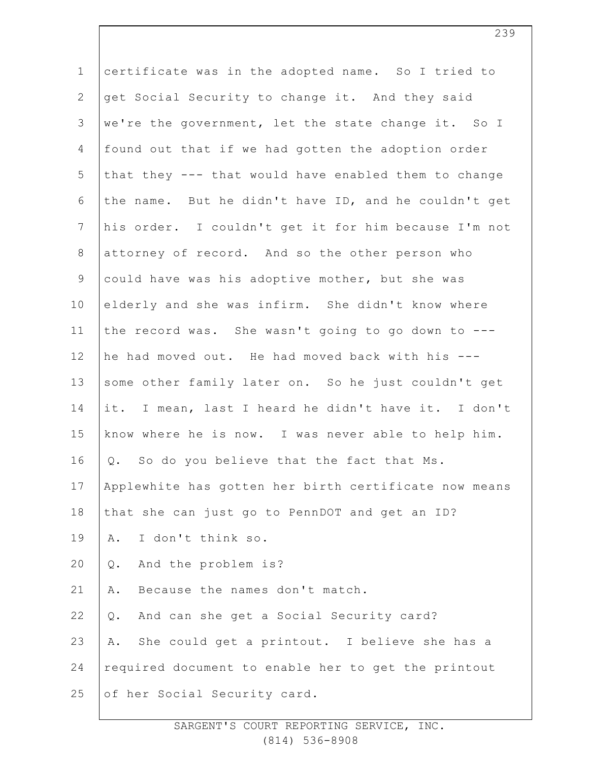| $\mathbf 1$    | certificate was in the adopted name. So I tried to    |
|----------------|-------------------------------------------------------|
|                |                                                       |
| $\mathbf{2}$   | get Social Security to change it. And they said       |
| $\mathsf 3$    | we're the government, let the state change it. So I   |
| 4              | found out that if we had gotten the adoption order    |
| 5              | that they --- that would have enabled them to change  |
| $\sqrt{6}$     | the name. But he didn't have ID, and he couldn't get  |
| $7\phantom{.}$ | his order. I couldn't get it for him because I'm not  |
| $\,8\,$        | attorney of record. And so the other person who       |
| $\mathsf 9$    | could have was his adoptive mother, but she was       |
| 10             | elderly and she was infirm. She didn't know where     |
| 11             | the record was. She wasn't going to go down to ---    |
| 12             | he had moved out. He had moved back with his ---      |
| 13             | some other family later on. So he just couldn't get   |
| 14             | it. I mean, last I heard he didn't have it. I don't   |
| 15             | know where he is now. I was never able to help him.   |
| 16             | Q. So do you believe that the fact that Ms.           |
| 17             | Applewhite has gotten her birth certificate now means |
| 18             | that she can just go to PennDOT and get an ID?        |
| 19             | I don't think so.<br>Α.                               |
| 20             | And the problem is?<br>Q.                             |
| 21             | Because the names don't match.<br>Α.                  |
| 22             | And can she get a Social Security card?<br>$Q$ .      |
| 23             | She could get a printout. I believe she has a<br>Α.   |
| 24             | required document to enable her to get the printout   |
| 25             | of her Social Security card.                          |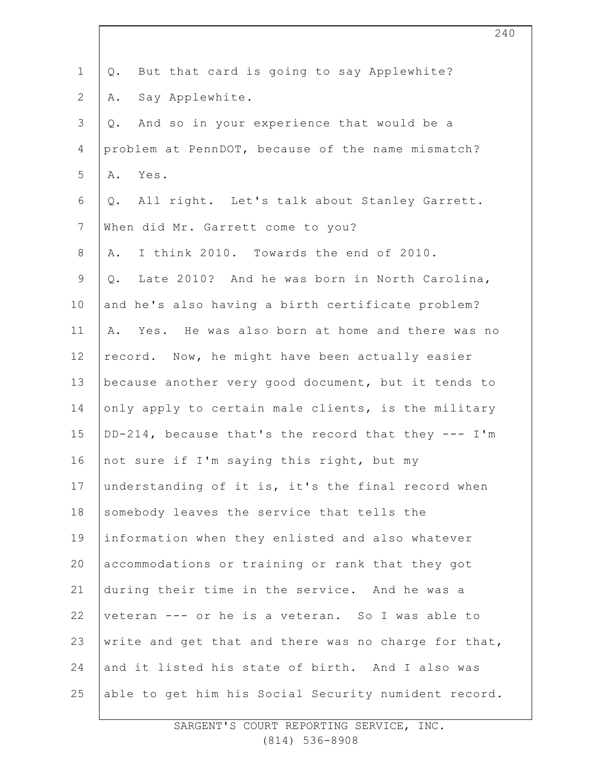| $\mathbf 1$    | But that card is going to say Applewhite?<br>$Q$ .     |
|----------------|--------------------------------------------------------|
| $\mathbf{2}$   | Say Applewhite.<br>Α.                                  |
| $\mathsf 3$    | And so in your experience that would be a<br>$Q$ .     |
| $\overline{4}$ | problem at PennDOT, because of the name mismatch?      |
| 5              | Yes.<br>Α.                                             |
| 6              | All right. Let's talk about Stanley Garrett.<br>$Q$ .  |
| $\overline{7}$ | When did Mr. Garrett come to you?                      |
| $8\,$          | I think 2010. Towards the end of 2010.<br>Α.           |
| $\mathsf 9$    | Late 2010? And he was born in North Carolina,<br>$Q$ . |
| 10             | and he's also having a birth certificate problem?      |
| 11             | Yes. He was also born at home and there was no<br>Α.   |
| 12             | record. Now, he might have been actually easier        |
| 13             | because another very good document, but it tends to    |
| 14             | only apply to certain male clients, is the military    |
| 15             | DD-214, because that's the record that they --- I'm    |
| 16             | not sure if I'm saying this right, but my              |
| 17             | understanding of it is, it's the final record when     |
| 18             | somebody leaves the service that tells the             |
| 19             | information when they enlisted and also whatever       |
| 20             | accommodations or training or rank that they got       |
| 21             | during their time in the service. And he was a         |
| 22             | veteran --- or he is a veteran. So I was able to       |
| 23             | write and get that and there was no charge for that,   |
| 24             | and it listed his state of birth. And I also was       |
| 25             | able to get him his Social Security numident record.   |
|                |                                                        |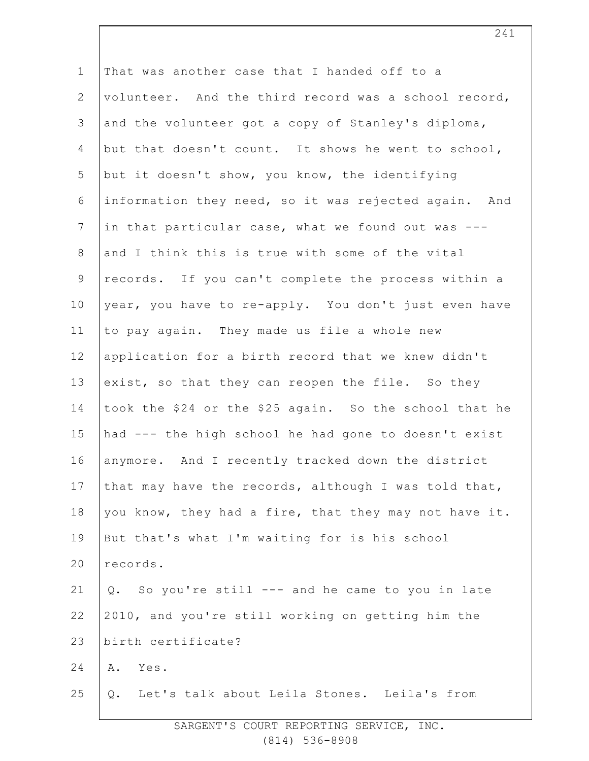| $\mathbf 1$    | That was another case that I handed off to a           |
|----------------|--------------------------------------------------------|
| $\mathbf{2}$   | volunteer. And the third record was a school record,   |
| $\mathsf 3$    | and the volunteer got a copy of Stanley's diploma,     |
| $\overline{4}$ | but that doesn't count. It shows he went to school,    |
| 5              | but it doesn't show, you know, the identifying         |
| 6              | information they need, so it was rejected again. And   |
| $\overline{7}$ | in that particular case, what we found out was ---     |
| $\,8\,$        | and I think this is true with some of the vital        |
| $\mathcal{G}$  | records. If you can't complete the process within a    |
| 10             | year, you have to re-apply. You don't just even have   |
| 11             | to pay again. They made us file a whole new            |
| 12             | application for a birth record that we knew didn't     |
| 13             | exist, so that they can reopen the file. So they       |
| 14             | took the \$24 or the \$25 again. So the school that he |
| 15             | had --- the high school he had gone to doesn't exist   |
| 16             | anymore. And I recently tracked down the district      |
| 17             | that may have the records, although I was told that,   |
| 18             | you know, they had a fire, that they may not have it.  |
| 19             | But that's what I'm waiting for is his school          |
| 20             | records.                                               |
| 21             | Q. So you're still --- and he came to you in late      |
| 22             | 2010, and you're still working on getting him the      |
| 23             | birth certificate?                                     |
| 24             | Yes.<br>Α.                                             |
| 25             | Let's talk about Leila Stones. Leila's from<br>Q.      |
|                |                                                        |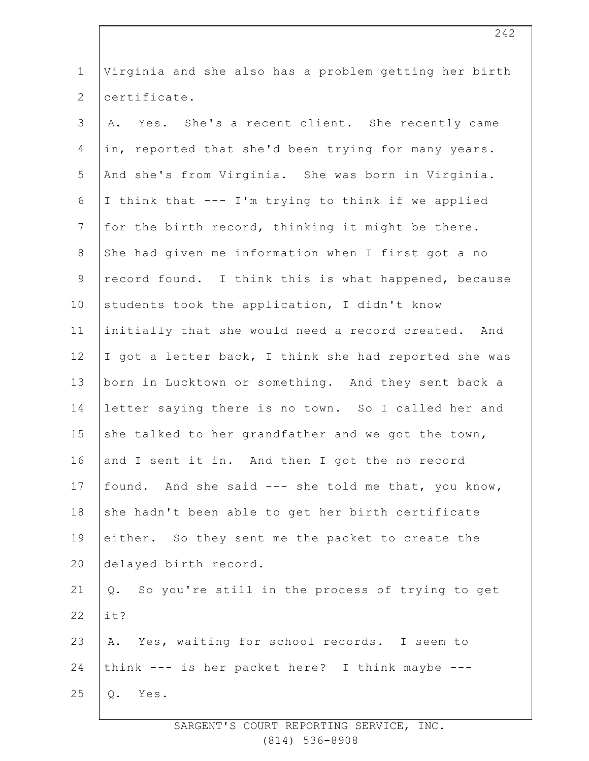| $\mathbf 1$     | Virginia and she also has a problem getting her birth |
|-----------------|-------------------------------------------------------|
| 2               | certificate.                                          |
| 3               | A. Yes. She's a recent client. She recently came      |
| $\overline{4}$  | in, reported that she'd been trying for many years.   |
| 5               | And she's from Virginia. She was born in Virginia.    |
| $6\,$           | I think that --- I'm trying to think if we applied    |
| $7\phantom{.0}$ | for the birth record, thinking it might be there.     |
| 8               | She had given me information when I first got a no    |
| $\mathsf 9$     | record found. I think this is what happened, because  |
| 10              | students took the application, I didn't know          |
| 11              | initially that she would need a record created. And   |
| 12 <sup>°</sup> | I got a letter back, I think she had reported she was |
| 13              | born in Lucktown or something. And they sent back a   |
| 14              | letter saying there is no town. So I called her and   |
| 15              | she talked to her grandfather and we got the town,    |
| 16              | and I sent it in. And then I got the no record        |
| 17              | found. And she said --- she told me that, you know,   |
| 18              | she hadn't been able to get her birth certificate     |
| 19              | either. So they sent me the packet to create the      |
| 20              | delayed birth record.                                 |
| 21              | So you're still in the process of trying to get<br>Q. |
| 22              | it?                                                   |
| 23              | A. Yes, waiting for school records. I seem to         |
| 24              | think --- is her packet here? I think maybe ---       |
| 25              | Q.<br>Yes.                                            |
|                 |                                                       |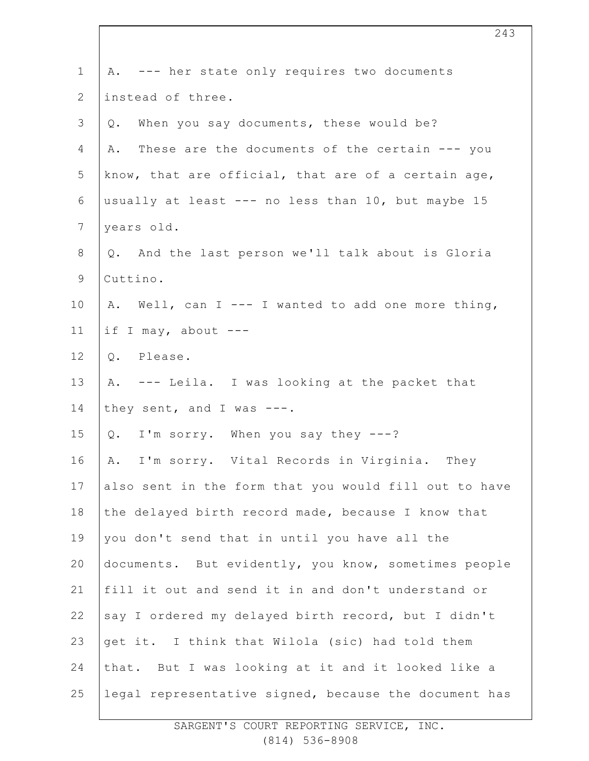| $\mathbf 1$    | A. --- her state only requires two documents          |
|----------------|-------------------------------------------------------|
| 2              | instead of three.                                     |
| 3              | When you say documents, these would be?<br>Q.         |
| 4              | These are the documents of the certain --- you<br>Α.  |
| 5              | know, that are official, that are of a certain age,   |
| 6              | usually at least --- no less than 10, but maybe 15    |
| $\overline{7}$ | years old.                                            |
| $8\,$          | Q. And the last person we'll talk about is Gloria     |
| $\mathsf 9$    | Cuttino.                                              |
| 10             | A. Well, can I --- I wanted to add one more thing,    |
| 11             | if I may, about $---$                                 |
| 12             | Q. Please.                                            |
| 13             | A. --- Leila. I was looking at the packet that        |
| 14             | they sent, and I was $---$ .                          |
| 15             | I'm sorry. When you say they ---?<br>Q.               |
| 16             | A. I'm sorry. Vital Records in Virginia. They         |
| 17             | also sent in the form that you would fill out to have |
| 18             | the delayed birth record made, because I know that    |
| 19             | you don't send that in until you have all the         |
| 20             | documents. But evidently, you know, sometimes people  |
| 21             | fill it out and send it in and don't understand or    |
| 22             | say I ordered my delayed birth record, but I didn't   |
| 23             | get it. I think that Wilola (sic) had told them       |
| 24             | that. But I was looking at it and it looked like a    |
| 25             | legal representative signed, because the document has |
|                |                                                       |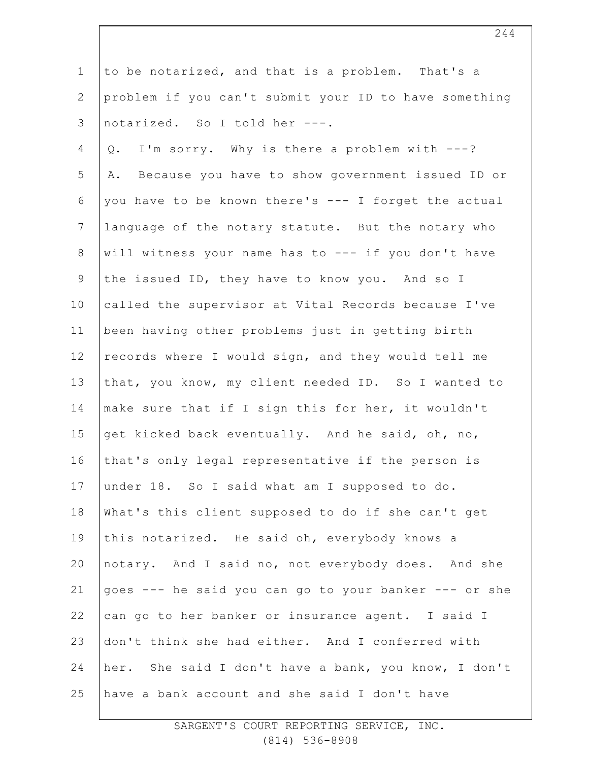1 2 3 4 5 6 7 8 9 10 11 12 13 14 15 16 17 18 19 20 21 22 23 24 25 to be notarized, and that is a problem. That's a problem if you can't submit your ID to have something notarized. So I told her ---. Q. I'm sorry. Why is there a problem with ---? A. Because you have to show government issued ID or you have to be known there's --- I forget the actual language of the notary statute. But the notary who will witness your name has to --- if you don't have the issued ID, they have to know you. And so I called the supervisor at Vital Records because I've been having other problems just in getting birth records where I would sign, and they would tell me that, you know, my client needed ID. So I wanted to make sure that if I sign this for her, it wouldn't get kicked back eventually. And he said, oh, no, that's only legal representative if the person is under 18. So I said what am I supposed to do. What's this client supposed to do if she can't get this notarized. He said oh, everybody knows a notary. And I said no, not everybody does. And she goes --- he said you can go to your banker --- or she can go to her banker or insurance agent. I said I don't think she had either. And I conferred with her. She said I don't have a bank, you know, I don't have a bank account and she said I don't have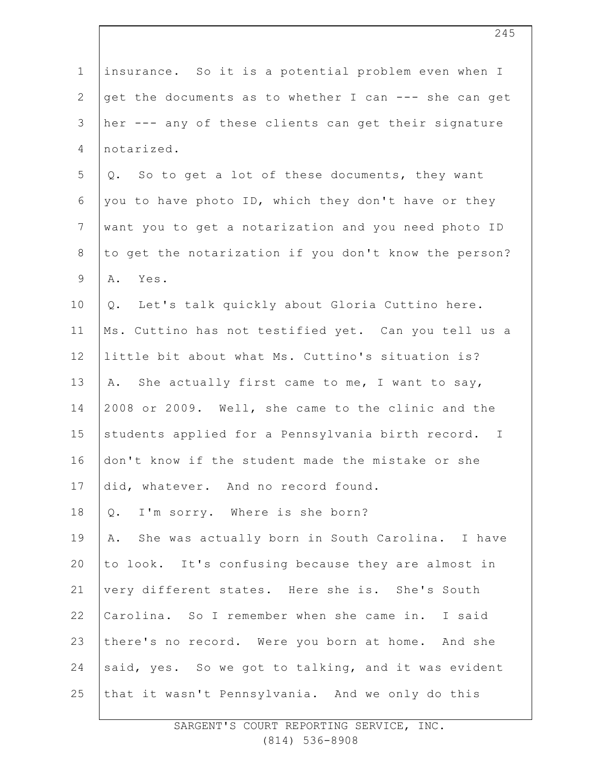| $\mathbf 1$    | insurance. So it is a potential problem even when I   |
|----------------|-------------------------------------------------------|
| $\mathbf{2}$   | get the documents as to whether I can --- she can get |
| 3              | her --- any of these clients can get their signature  |
| 4              | notarized.                                            |
| 5              | Q. So to get a lot of these documents, they want      |
| 6              | you to have photo ID, which they don't have or they   |
| $7\phantom{.}$ | want you to get a notarization and you need photo ID  |
| $8\,$          | to get the notarization if you don't know the person? |
| $\mathsf 9$    | Yes.<br>Α.                                            |
| 10             | Q. Let's talk quickly about Gloria Cuttino here.      |
| 11             | Ms. Cuttino has not testified yet. Can you tell us a  |
| 12             | little bit about what Ms. Cuttino's situation is?     |
| 13             | A. She actually first came to me, I want to say,      |
| 14             | 2008 or 2009. Well, she came to the clinic and the    |
| 15             | students applied for a Pennsylvania birth record. I   |
| 16             | don't know if the student made the mistake or she     |
| 17             | did, whatever. And no record found.                   |
| 18             | Q. I'm sorry. Where is she born?                      |
| 19             | A. She was actually born in South Carolina. I have    |
| 20             | to look. It's confusing because they are almost in    |
| 21             | very different states. Here she is. She's South       |
| 22             | Carolina. So I remember when she came in. I said      |
| 23             | there's no record. Were you born at home. And she     |
| 24             | said, yes. So we got to talking, and it was evident   |
| 25             | that it wasn't Pennsylvania. And we only do this      |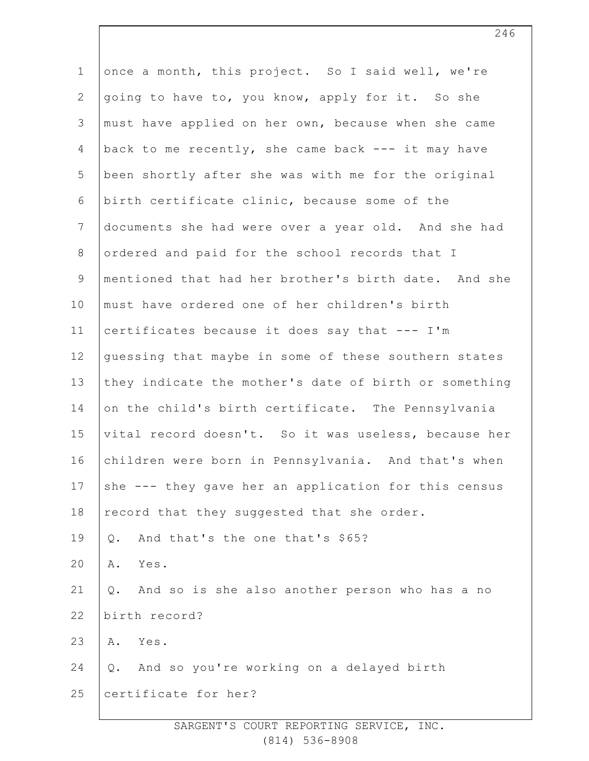| $\mathbf 1$    | once a month, this project. So I said well, we're     |
|----------------|-------------------------------------------------------|
| $\mathbf{2}$   | going to have to, you know, apply for it. So she      |
| 3              | must have applied on her own, because when she came   |
| 4              | back to me recently, she came back --- it may have    |
| 5              | been shortly after she was with me for the original   |
| 6              | birth certificate clinic, because some of the         |
| $7\phantom{.}$ | documents she had were over a year old. And she had   |
| $\,8\,$        | ordered and paid for the school records that I        |
| $\mathsf 9$    | mentioned that had her brother's birth date. And she  |
| 10             | must have ordered one of her children's birth         |
| 11             | certificates because it does say that --- I'm         |
| 12             | guessing that maybe in some of these southern states  |
| 13             | they indicate the mother's date of birth or something |
| 14             | on the child's birth certificate. The Pennsylvania    |
| 15             | vital record doesn't. So it was useless, because her  |
| 16             | children were born in Pennsylvania. And that's when   |
| 17             | she --- they gave her an application for this census  |
| 18             | record that they suggested that she order.            |
| 19             | And that's the one that's \$65?<br>$Q$ .              |
| 20             | Yes.<br>Α.                                            |
| 21             | Q.<br>And so is she also another person who has a no  |
| 22             | birth record?                                         |
| 23             | Yes.<br>Α.                                            |
| 24             | And so you're working on a delayed birth<br>Q.        |
| 25             | certificate for her?                                  |
|                |                                                       |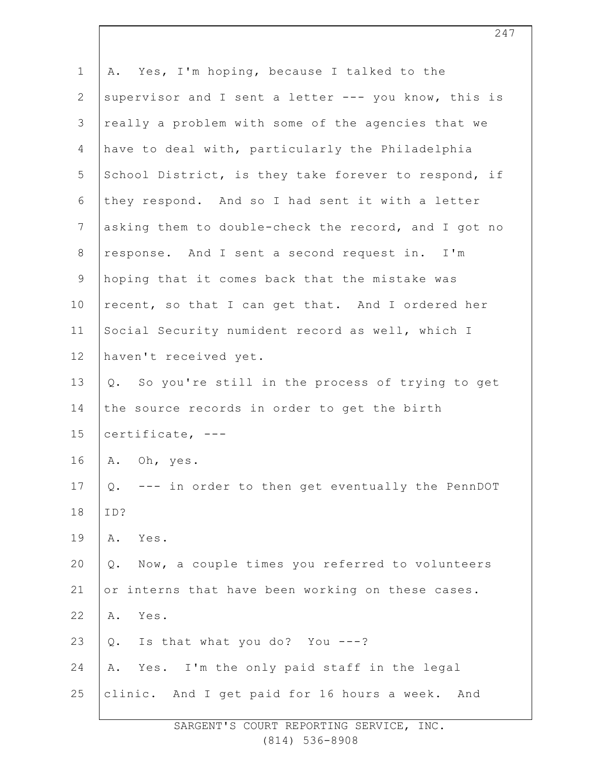| $\mathbf 1$    | A. Yes, I'm hoping, because I talked to the              |
|----------------|----------------------------------------------------------|
| $\overline{2}$ | supervisor and I sent a letter --- you know, this is     |
| 3              | really a problem with some of the agencies that we       |
| 4              | have to deal with, particularly the Philadelphia         |
| 5              | School District, is they take forever to respond, if     |
| 6              | they respond. And so I had sent it with a letter         |
| $7\phantom{.}$ | asking them to double-check the record, and I got no     |
| $8\,$          | response. And I sent a second request in. I'm            |
| $\mathsf 9$    | hoping that it comes back that the mistake was           |
| 10             | recent, so that I can get that. And I ordered her        |
| 11             | Social Security numident record as well, which I         |
| 12             | haven't received yet.                                    |
| 13             | Q. So you're still in the process of trying to get       |
| 14             | the source records in order to get the birth             |
| 15             | certificate, $---$                                       |
| 16             | A. Oh, yes.                                              |
| 17             | $Q$ .<br>--- in order to then get eventually the PennDOT |
| 18             | ID?                                                      |
| 19             | Yes.<br>Α.                                               |
| 20             | Now, a couple times you referred to volunteers<br>$Q$ .  |
| 21             | or interns that have been working on these cases.        |
| 22             | Yes.<br>Α.                                               |
| 23             | Is that what you do? You ---?<br>$Q$ .                   |
| 24             | Yes. I'm the only paid staff in the legal<br>Α.          |
| 25             | clinic. And I get paid for 16 hours a week. And          |
|                |                                                          |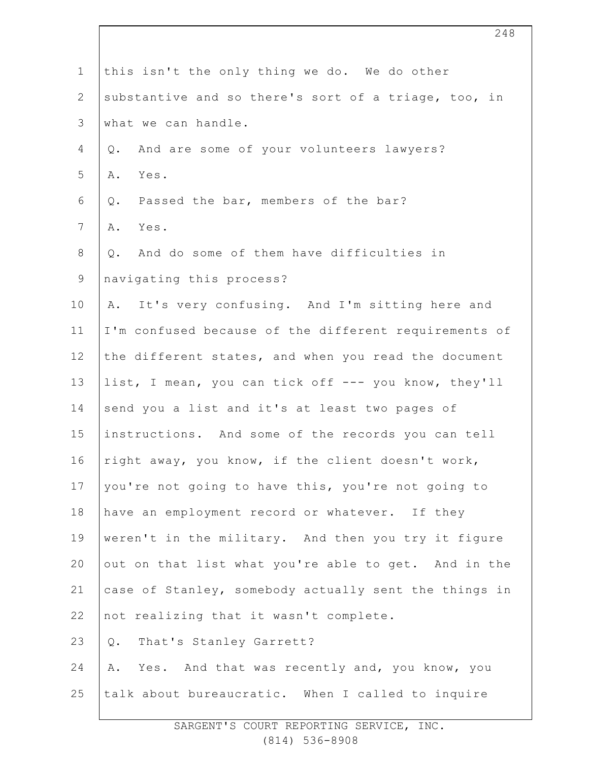| $\mathbf 1$    | this isn't the only thing we do. We do other          |
|----------------|-------------------------------------------------------|
| $\overline{2}$ | substantive and so there's sort of a triage, too, in  |
| 3              | what we can handle.                                   |
| 4              | And are some of your volunteers lawyers?<br>Q.        |
| 5              | Yes.<br>Α.                                            |
| 6              | Passed the bar, members of the bar?<br>Q.             |
| $\overline{7}$ | Yes.<br>Α.                                            |
| 8              | And do some of them have difficulties in<br>Q.        |
| $\mathsf 9$    | navigating this process?                              |
| 10             | It's very confusing. And I'm sitting here and<br>Α.   |
| 11             | I'm confused because of the different requirements of |
| 12             | the different states, and when you read the document  |
| 13             | list, I mean, you can tick off --- you know, they'll  |
| 14             | send you a list and it's at least two pages of        |
| 15             | instructions. And some of the records you can tell    |
| 16             | right away, you know, if the client doesn't work,     |
| 17             | you're not going to have this, you're not going to    |
| 18             | have an employment record or whatever. If they        |
| 19             | weren't in the military. And then you try it figure   |
| 20             | out on that list what you're able to get. And in the  |
| 21             | case of Stanley, somebody actually sent the things in |
| 22             | not realizing that it wasn't complete.                |
| 23             | Q. That's Stanley Garrett?                            |
| 24             | Yes. And that was recently and, you know, you<br>Α.   |
| 25             | talk about bureaucratic. When I called to inquire     |
|                |                                                       |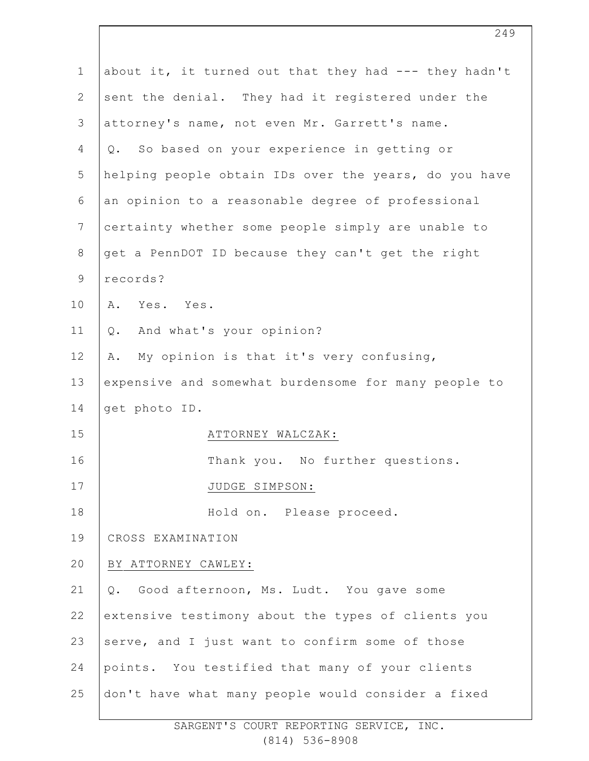| $\mathbf{1}$    | about it, it turned out that they had --- they hadn't |
|-----------------|-------------------------------------------------------|
| $\mathbf{2}$    | sent the denial. They had it registered under the     |
| 3               | attorney's name, not even Mr. Garrett's name.         |
| 4               | Q. So based on your experience in getting or          |
| 5               | helping people obtain IDs over the years, do you have |
| 6               | an opinion to a reasonable degree of professional     |
| $7\overline{ }$ | certainty whether some people simply are unable to    |
| $8\,$           | get a PennDOT ID because they can't get the right     |
| 9               | records?                                              |
| 10              | A. Yes. Yes.                                          |
| 11              | And what's your opinion?<br>Q.                        |
| 12              | My opinion is that it's very confusing,<br>Α.         |
| 13              | expensive and somewhat burdensome for many people to  |
| 14              | get photo ID.                                         |
| 15              | ATTORNEY WALCZAK:                                     |
| 16              | Thank you. No further questions.                      |
| 17              | JUDGE SIMPSON:                                        |
| 18              | Hold on. Please proceed.                              |
| 19              | CROSS EXAMINATION                                     |
| 20              | BY ATTORNEY CAWLEY:                                   |
| 21              | Good afternoon, Ms. Ludt. You gave some<br>Q.         |
| 22              | extensive testimony about the types of clients you    |
| 23              | serve, and I just want to confirm some of those       |
| 24              | points. You testified that many of your clients       |
| 25              | don't have what many people would consider a fixed    |

SARGENT'S COURT REPORTING SERVICE, INC. (814) 536-8908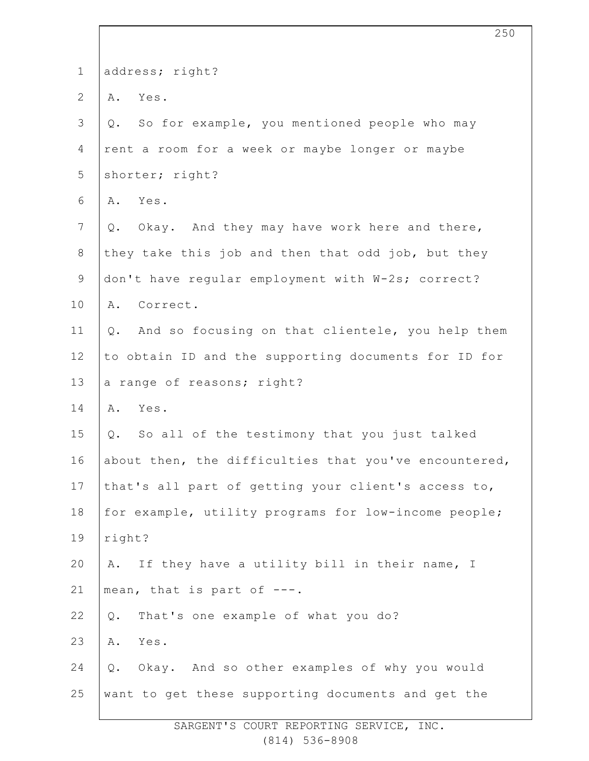| $\mathbf 1$      | address; right?                                           |
|------------------|-----------------------------------------------------------|
| $\overline{2}$   | A. Yes.                                                   |
| 3                | So for example, you mentioned people who may<br>$Q$ .     |
| 4                | rent a room for a week or maybe longer or maybe           |
| 5                | shorter; right?                                           |
| 6                | Yes.<br>Α.                                                |
| $\boldsymbol{7}$ | Okay. And they may have work here and there,<br>Q.        |
| $8\,$            | they take this job and then that odd job, but they        |
| $\mathsf 9$      | don't have regular employment with W-2s; correct?         |
| 10               | A. Correct.                                               |
| 11               | And so focusing on that clientele, you help them<br>$Q$ . |
| 12               | to obtain ID and the supporting documents for ID for      |
| 13               | a range of reasons; right?                                |
| 14               | A. Yes.                                                   |
| 15               | So all of the testimony that you just talked<br>$Q$ .     |
| 16               | about then, the difficulties that you've encountered,     |
| 17               | that's all part of getting your client's access to,       |
| 18               | for example, utility programs for low-income people;      |
| 19               | right?                                                    |
| 20               | If they have a utility bill in their name, I<br>Α.        |
| 21               | mean, that is part of ---.                                |
| 22               | That's one example of what you do?<br>$Q$ .               |
| 23               | Yes.<br>Α.                                                |
| 24               | Okay. And so other examples of why you would<br>Q.        |
| 25               | want to get these supporting documents and get the        |
|                  |                                                           |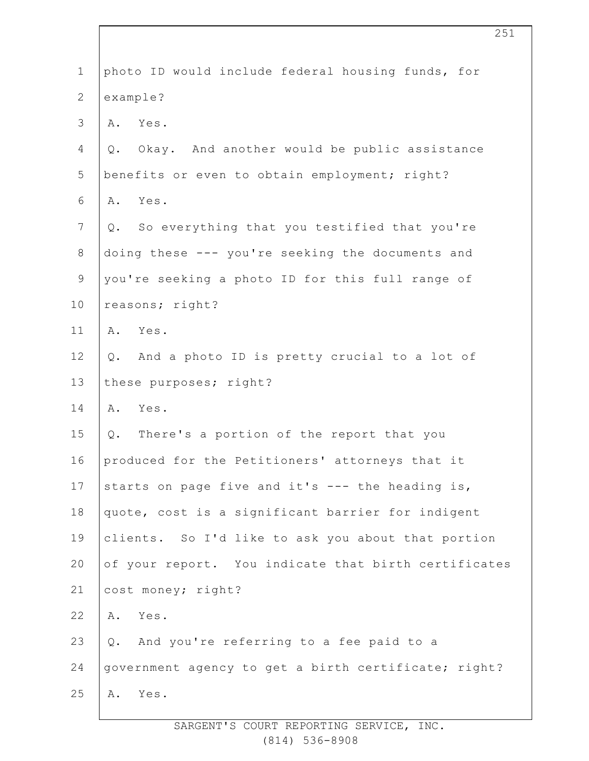| $\mathbf 1$    | photo ID would include federal housing funds, for    |
|----------------|------------------------------------------------------|
| $\overline{2}$ | example?                                             |
| 3              | A. Yes.                                              |
| 4              | Okay. And another would be public assistance<br>Q.   |
| 5              | benefits or even to obtain employment; right?        |
| 6              | Yes.<br>Α.                                           |
| $\overline{7}$ | Q. So everything that you testified that you're      |
| $8\,$          | doing these --- you're seeking the documents and     |
| 9              | you're seeking a photo ID for this full range of     |
| 10             | reasons; right?                                      |
| 11             | A. Yes.                                              |
| 12             | And a photo ID is pretty crucial to a lot of<br>Q.   |
| 13             | these purposes; right?                               |
| 14             | Yes.<br>Α.                                           |
| 15             | Q. There's a portion of the report that you          |
| 16             | produced for the Petitioners' attorneys that it      |
| 17             | starts on page five and it's --- the heading is,     |
| 18             | quote, cost is a significant barrier for indigent    |
| 19             | clients. So I'd like to ask you about that portion   |
| 20             | of your report. You indicate that birth certificates |
| 21             | cost money; right?                                   |
| 22             | Yes.<br>Α.                                           |
| 23             | Q. And you're referring to a fee paid to a           |
| 24             | government agency to get a birth certificate; right? |
| 25             | Yes.<br>Α.                                           |
|                |                                                      |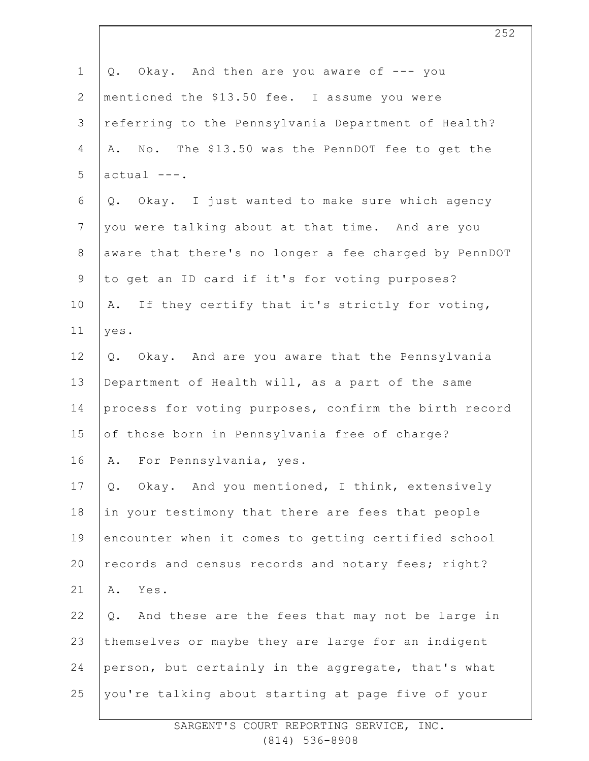| $\mathbf 1$    | Okay. And then are you aware of --- you<br>Q.         |
|----------------|-------------------------------------------------------|
| $\mathbf{2}$   | mentioned the \$13.50 fee. I assume you were          |
| 3              | referring to the Pennsylvania Department of Health?   |
| $\overline{4}$ | A. No. The \$13.50 was the PennDOT fee to get the     |
| 5              | $actual ---$ .                                        |
| 6              | Q. Okay. I just wanted to make sure which agency      |
| $\overline{7}$ | you were talking about at that time. And are you      |
| $8\,$          | aware that there's no longer a fee charged by PennDOT |
| $\mathsf 9$    | to get an ID card if it's for voting purposes?        |
| 10             | A. If they certify that it's strictly for voting,     |
| 11             | yes.                                                  |
| 12             | Q. Okay. And are you aware that the Pennsylvania      |
| 13             | Department of Health will, as a part of the same      |
| 14             | process for voting purposes, confirm the birth record |
| 15             | of those born in Pennsylvania free of charge?         |
| 16             | For Pennsylvania, yes.<br>Α.                          |
| 17             | Okay. And you mentioned, I think, extensively<br>Q.   |
| 18             | in your testimony that there are fees that people     |
| 19             | encounter when it comes to getting certified school   |
| 20             | records and census records and notary fees; right?    |
| 21             | Α.<br>Yes.                                            |
| 22             | And these are the fees that may not be large in<br>Q. |
| 23             | themselves or maybe they are large for an indigent    |
| 24             | person, but certainly in the aggregate, that's what   |
| 25             | you're talking about starting at page five of your    |
|                |                                                       |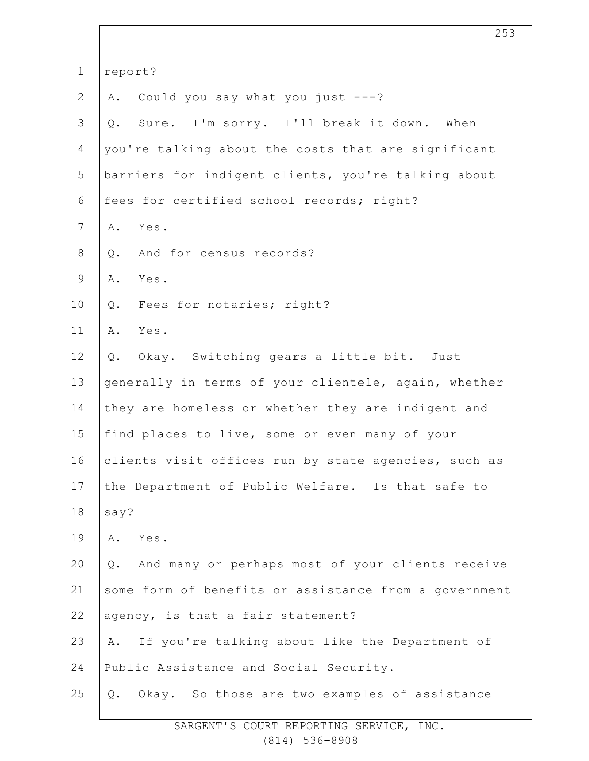| $\mathbf 1$    | report?                                                |
|----------------|--------------------------------------------------------|
| $\mathbf{2}$   | Could you say what you just $---?$<br>Α.               |
| $\mathfrak{Z}$ | Sure. I'm sorry. I'll break it down. When<br>$Q$ .     |
| 4              | you're talking about the costs that are significant    |
| 5              | barriers for indigent clients, you're talking about    |
| 6              | fees for certified school records; right?              |
| $7\phantom{.}$ | Yes.<br>Α.                                             |
| 8              | And for census records?<br>Q.                          |
| $\mathsf 9$    | Yes.<br>Α.                                             |
| 10             | Fees for notaries; right?<br>Q.                        |
| 11             | Yes.<br>Α.                                             |
| 12             | Q. Okay. Switching gears a little bit. Just            |
| 13             | generally in terms of your clientele, again, whether   |
| 14             | they are homeless or whether they are indigent and     |
| 15             | find places to live, some or even many of your         |
| 16             | clients visit offices run by state agencies, such as   |
| 17             | the Department of Public Welfare. Is that safe to      |
| 18             | say?                                                   |
| 19             | Yes.<br>Α.                                             |
| 20             | And many or perhaps most of your clients receive<br>Q. |
| 21             | some form of benefits or assistance from a government  |
| 22             | agency, is that a fair statement?                      |
| 23             | If you're talking about like the Department of<br>Α.   |
| 24             | Public Assistance and Social Security.                 |
| 25             | Okay. So those are two examples of assistance<br>$Q$ . |
|                |                                                        |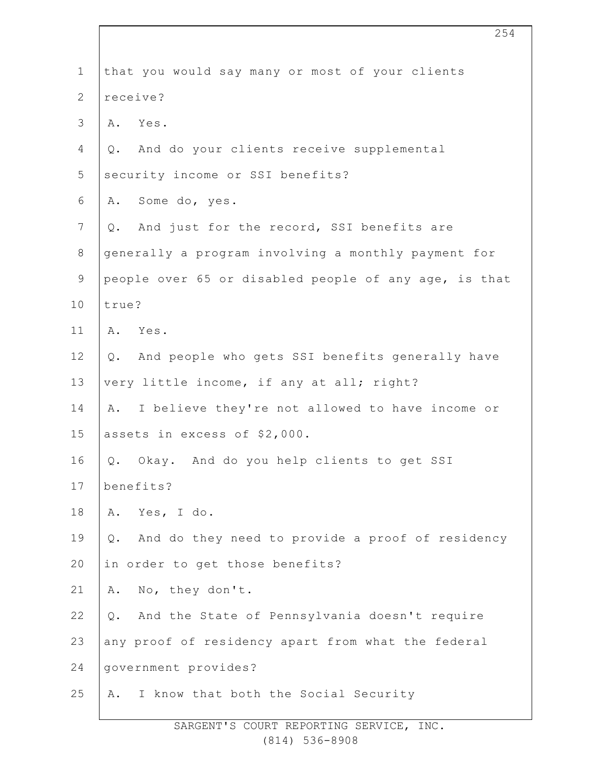| $\mathbf 1$    | that you would say many or most of your clients        |
|----------------|--------------------------------------------------------|
| $\overline{2}$ | receive?                                               |
| 3              | Yes.<br>Α.                                             |
| 4              | And do your clients receive supplemental<br>Q.         |
| 5              | security income or SSI benefits?                       |
| 6              | Some do, yes.<br>Α.                                    |
| $\overline{7}$ | And just for the record, SSI benefits are<br>Q.        |
| $8\,$          | generally a program involving a monthly payment for    |
| $\mathsf 9$    | people over 65 or disabled people of any age, is that  |
| 10             | true?                                                  |
| 11             | Yes.<br>Α.                                             |
| 12             | And people who gets SSI benefits generally have<br>Q.  |
| 13             | very little income, if any at all; right?              |
| 14             | I believe they're not allowed to have income or<br>Α.  |
| 15             | assets in excess of \$2,000.                           |
| 16             | Q. Okay. And do you help clients to get SSI            |
| 17             | benefits?                                              |
| 18             | Yes, I do.<br>Α.                                       |
| 19             | And do they need to provide a proof of residency<br>Q. |
| 20             | in order to get those benefits?                        |
| 21             | No, they don't.<br>Α.                                  |
| 22             | And the State of Pennsylvania doesn't require<br>Q.    |
| 23             | any proof of residency apart from what the federal     |
| 24             | government provides?                                   |
| 25             | I know that both the Social Security<br>Α.             |
|                |                                                        |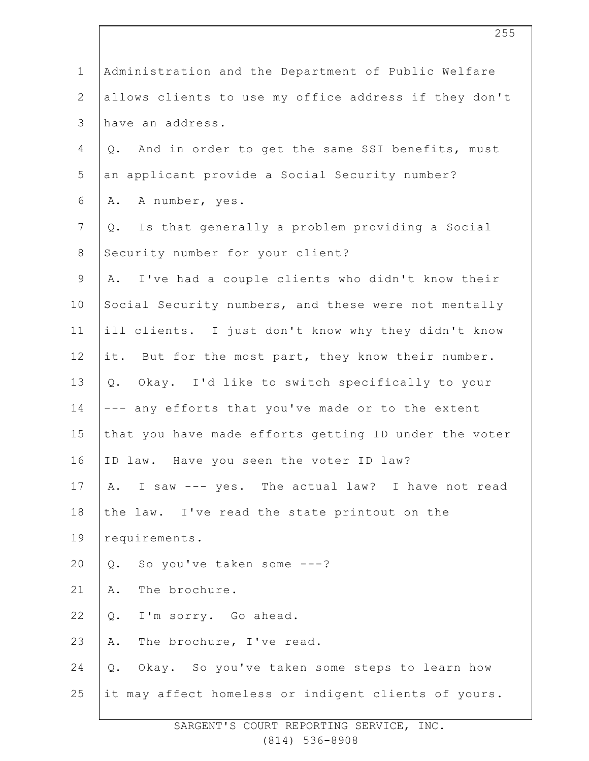| $\mathbf 1$    | Administration and the Department of Public Welfare    |
|----------------|--------------------------------------------------------|
| $\mathbf{2}$   | allows clients to use my office address if they don't  |
| 3              | have an address.                                       |
| 4              | And in order to get the same SSI benefits, must<br>Q.  |
| 5              | an applicant provide a Social Security number?         |
| 6              | A number, yes.<br>Α.                                   |
| $\overline{7}$ | Is that generally a problem providing a Social<br>Q.   |
| $8\,$          | Security number for your client?                       |
| $\mathsf 9$    | I've had a couple clients who didn't know their<br>A.  |
| 10             | Social Security numbers, and these were not mentally   |
| 11             | ill clients. I just don't know why they didn't know    |
| 12             | it. But for the most part, they know their number.     |
| 13             | Q. Okay. I'd like to switch specifically to your       |
| 14             | --- any efforts that you've made or to the extent      |
| 15             | that you have made efforts getting ID under the voter  |
| 16             | ID law. Have you seen the voter ID law?                |
| 17             | I saw --- yes. The actual law? I have not read<br>Α.   |
| 18             | the law. I've read the state printout on the           |
| 19             | requirements.                                          |
| 20             | So you've taken some ---?<br>$Q$ .                     |
| 21             | The brochure.<br>Α.                                    |
| 22             | I'm sorry. Go ahead.<br>Q.                             |
| 23             | The brochure, I've read.<br>Α.                         |
| 24             | Okay. So you've taken some steps to learn how<br>$Q$ . |
| 25             | it may affect homeless or indigent clients of yours.   |
|                |                                                        |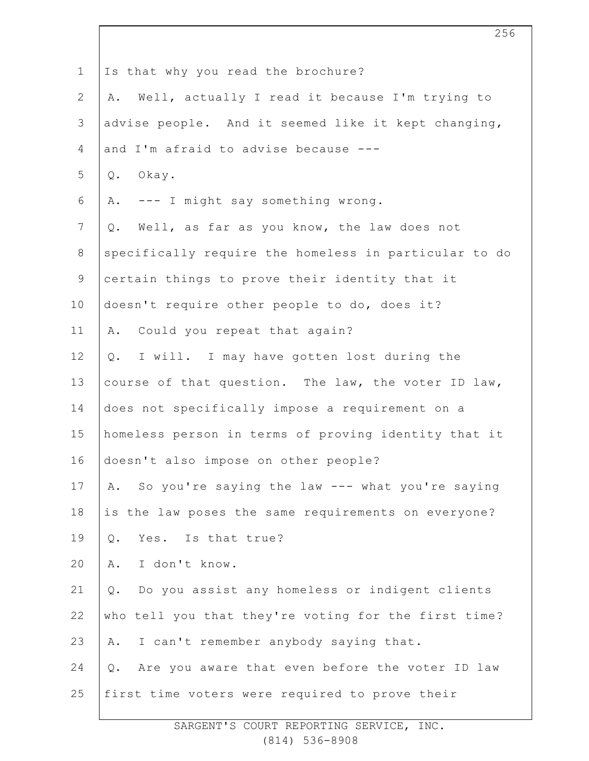| $\mathbf 1$    | Is that why you read the brochure?                    |
|----------------|-------------------------------------------------------|
| $\mathbf{2}$   | Well, actually I read it because I'm trying to<br>Α.  |
| $\mathfrak{Z}$ | advise people. And it seemed like it kept changing,   |
| 4              | and I'm afraid to advise because ---                  |
| 5              | Q. Okay.                                              |
| 6              | A. --- I might say something wrong.                   |
| $7\phantom{.}$ | Q. Well, as far as you know, the law does not         |
| $8\,$          | specifically require the homeless in particular to do |
| $\mathsf 9$    | certain things to prove their identity that it        |
| 10             | doesn't require other people to do, does it?          |
| 11             | A. Could you repeat that again?                       |
| 12             | Q. I will. I may have gotten lost during the          |
| 13             | course of that question. The law, the voter ID law,   |
| 14             | does not specifically impose a requirement on a       |
| 15             | homeless person in terms of proving identity that it  |
| 16             | doesn't also impose on other people?                  |
| 17             | So you're saying the law --- what you're saying<br>Α. |
| 18             | is the law poses the same requirements on everyone?   |
| 19             | Yes. Is that true?<br>Q.                              |
| 20             | I don't know.<br>Α.                                   |
| 21             | Do you assist any homeless or indigent clients<br>Q.  |
| 22             | who tell you that they're voting for the first time?  |
| 23             | I can't remember anybody saying that.<br>Α.           |
| 24             | Are you aware that even before the voter ID law<br>Q. |
| 25             | first time voters were required to prove their        |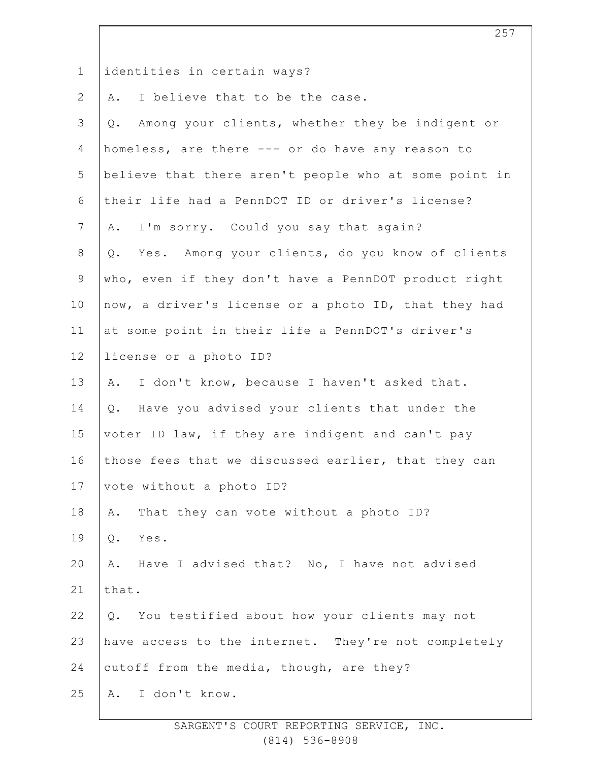| $\mathbf 1$    | identities in certain ways?                           |
|----------------|-------------------------------------------------------|
| $\overline{2}$ | I believe that to be the case.<br>Α.                  |
| 3              | Among your clients, whether they be indigent or<br>Q. |
| $\overline{4}$ | homeless, are there --- or do have any reason to      |
| 5              | believe that there aren't people who at some point in |
| $\sqrt{6}$     | their life had a PennDOT ID or driver's license?      |
| $\overline{7}$ | I'm sorry. Could you say that again?<br>Α.            |
| 8              | Q. Yes. Among your clients, do you know of clients    |
| $\overline{9}$ | who, even if they don't have a PennDOT product right  |
| 10             | now, a driver's license or a photo ID, that they had  |
| 11             | at some point in their life a PennDOT's driver's      |
| 12             | license or a photo ID?                                |
| 13             | I don't know, because I haven't asked that.<br>Α.     |
| 14             | Q. Have you advised your clients that under the       |
| 15             | voter ID law, if they are indigent and can't pay      |
| 16             | those fees that we discussed earlier, that they can   |
| 17             | vote without a photo ID?                              |
| 18             | That they can vote without a photo ID?<br>Α.          |
| 19             | $Q$ .<br>Yes.                                         |
| 20             | A. Have I advised that? No, I have not advised        |
| 21             | that.                                                 |
| 22             | Q. You testified about how your clients may not       |
| 23             | have access to the internet. They're not completely   |
| 24             | cutoff from the media, though, are they?              |
| 25             | I don't know.<br>Α.                                   |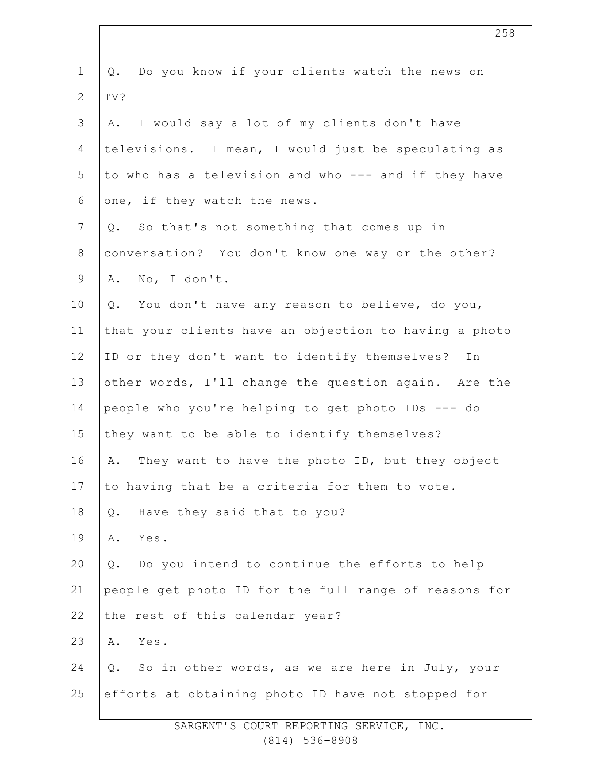| $\mathbf 1$    | Do you know if your clients watch the news on<br>Q.   |
|----------------|-------------------------------------------------------|
| $\mathbf{2}$   | TV?                                                   |
| 3              | I would say a lot of my clients don't have<br>Α.      |
| $\overline{4}$ | televisions. I mean, I would just be speculating as   |
| 5              | to who has a television and who --- and if they have  |
| 6              | one, if they watch the news.                          |
| $\overline{7}$ | Q. So that's not something that comes up in           |
| $8\,$          | conversation? You don't know one way or the other?    |
| $\overline{9}$ | A. No, I don't.                                       |
| 10             | You don't have any reason to believe, do you,<br>Q.   |
| 11             | that your clients have an objection to having a photo |
| 12             | ID or they don't want to identify themselves? In      |
| 13             | other words, I'll change the question again. Are the  |
| 14             | people who you're helping to get photo IDs --- do     |
| 15             | they want to be able to identify themselves?          |
| 16             | They want to have the photo ID, but they object<br>Α. |
| 17             | to having that be a criteria for them to vote.        |
| 18             | Have they said that to you?<br>$Q$ .                  |
| 19             | Α.<br>Yes.                                            |
| 20             | Do you intend to continue the efforts to help<br>Q.   |
| 21             | people get photo ID for the full range of reasons for |
| 22             | the rest of this calendar year?                       |
| 23             | Α.<br>Yes.                                            |
| 24             | Q. So in other words, as we are here in July, your    |
| 25             | efforts at obtaining photo ID have not stopped for    |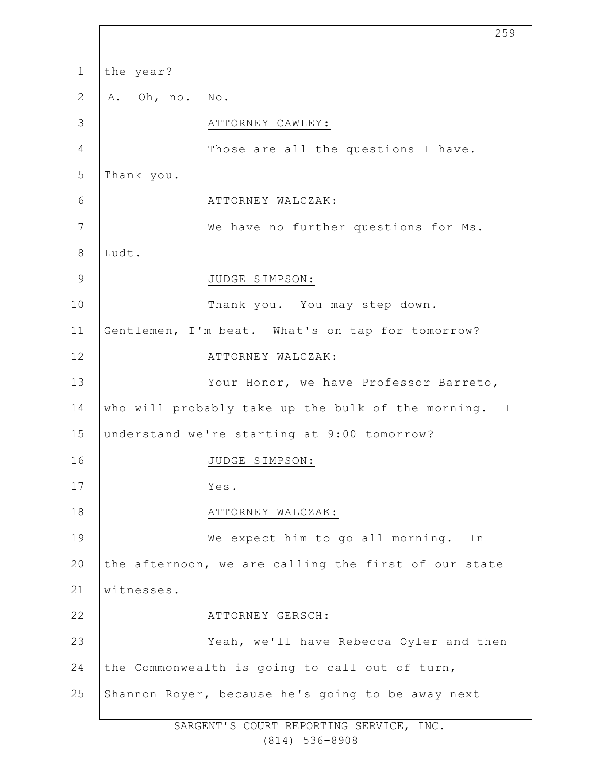1 2 3 4 5 6 7 8 9 10 11 12 13 14 15 16 17 18 19 20 21 22 23 24 25 the year? A. Oh, no. No. ATTORNEY CAWLEY: Those are all the questions I have. Thank you. ATTORNEY WALCZAK: We have no further questions for Ms. Ludt. JUDGE SIMPSON: Thank you. You may step down. Gentlemen, I'm beat. What's on tap for tomorrow? ATTORNEY WALCZAK: Your Honor, we have Professor Barreto, who will probably take up the bulk of the morning. I understand we're starting at 9:00 tomorrow? JUDGE SIMPSON: Yes. ATTORNEY WALCZAK: We expect him to go all morning. In the afternoon, we are calling the first of our state witnesses. ATTORNEY GERSCH: Yeah, we'll have Rebecca Oyler and then the Commonwealth is going to call out of turn, Shannon Royer, because he's going to be away next

259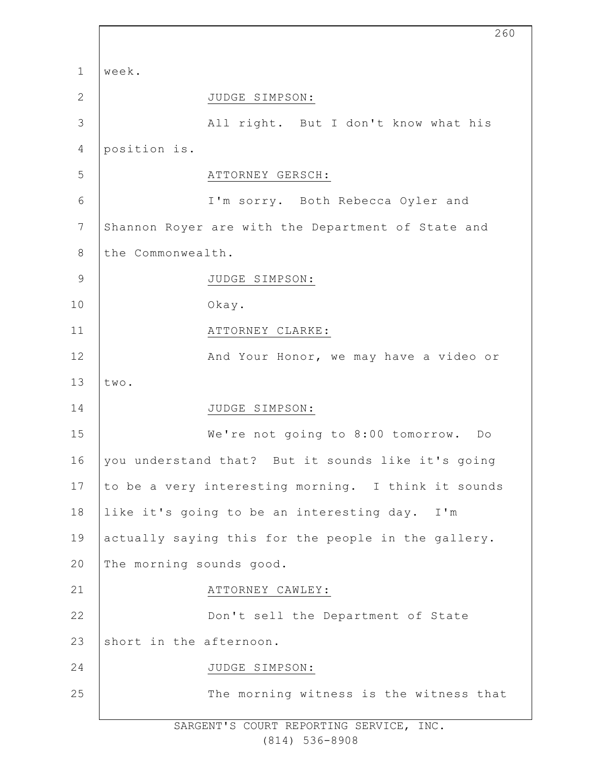|                | 260                                                 |
|----------------|-----------------------------------------------------|
| $\mathbf{1}$   | week.                                               |
| $\overline{2}$ | JUDGE SIMPSON:                                      |
| 3              | All right. But I don't know what his                |
| $\sqrt{4}$     | position is.                                        |
| 5              | ATTORNEY GERSCH:                                    |
| 6              | I'm sorry. Both Rebecca Oyler and                   |
| 7              | Shannon Royer are with the Department of State and  |
| $8\,$          | the Commonwealth.                                   |
| $\mathcal{G}$  | JUDGE SIMPSON:                                      |
| 10             | Okay.                                               |
| 11             | ATTORNEY CLARKE:                                    |
| 12             | And Your Honor, we may have a video or              |
| 13             | two.                                                |
| 14             | JUDGE SIMPSON:                                      |
| 15             | We're not going to 8:00 tomorrow. Do                |
| 16             | you understand that? But it sounds like it's going  |
| 17             | to be a very interesting morning. I think it sounds |
| 18             | like it's going to be an interesting day. I'm       |
| 19             | actually saying this for the people in the gallery. |
| 20             | The morning sounds good.                            |
| 21             | ATTORNEY CAWLEY:                                    |
| 22             | Don't sell the Department of State                  |
| 23             | short in the afternoon.                             |
| 24             | JUDGE SIMPSON:                                      |
| 25             | The morning witness is the witness that             |

SARGENT'S COURT REPORTING SERVICE, INC. (814) 536-8908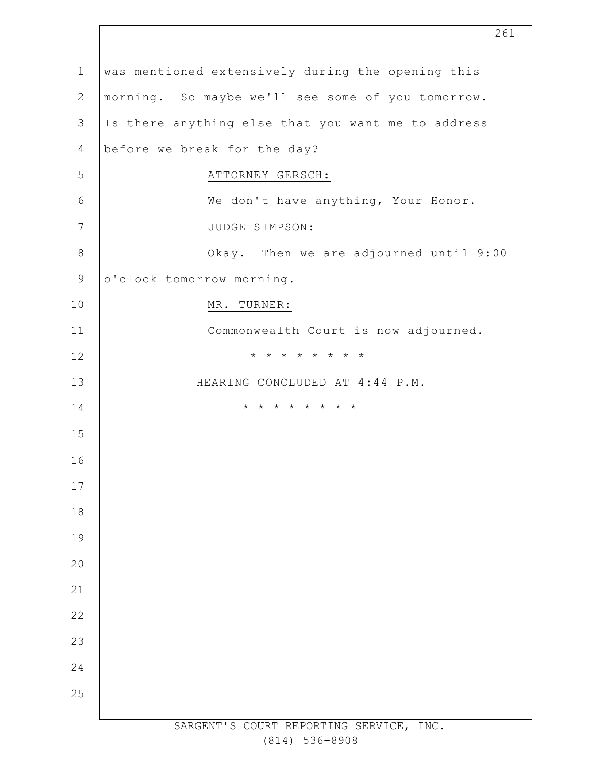| $\mathbf 1$    | was mentioned extensively during the opening this  |
|----------------|----------------------------------------------------|
| $\overline{2}$ | morning. So maybe we'll see some of you tomorrow.  |
| 3              | Is there anything else that you want me to address |
| 4              | before we break for the day?                       |
| 5              | ATTORNEY GERSCH:                                   |
| 6              | We don't have anything, Your Honor.                |
| 7              | JUDGE SIMPSON:                                     |
| $\,8\,$        | Okay. Then we are adjourned until 9:00             |
| $\mathsf 9$    | o'clock tomorrow morning.                          |
| 10             | MR. TURNER:                                        |
| 11             | Commonwealth Court is now adjourned.               |
| 12             | * * * * * * * *                                    |
| 13             | HEARING CONCLUDED AT 4:44 P.M.                     |
| 14             | * * * * * * * *                                    |
| 15             |                                                    |
| 16             |                                                    |
| 17             |                                                    |
| 18             |                                                    |
| 19             |                                                    |
| 20             |                                                    |
| 21             |                                                    |
| 22             |                                                    |
| 23             |                                                    |
| 24             |                                                    |
| 25             |                                                    |
|                | SARGENT'S COURT REPORTING SERVICE,<br>INC.         |